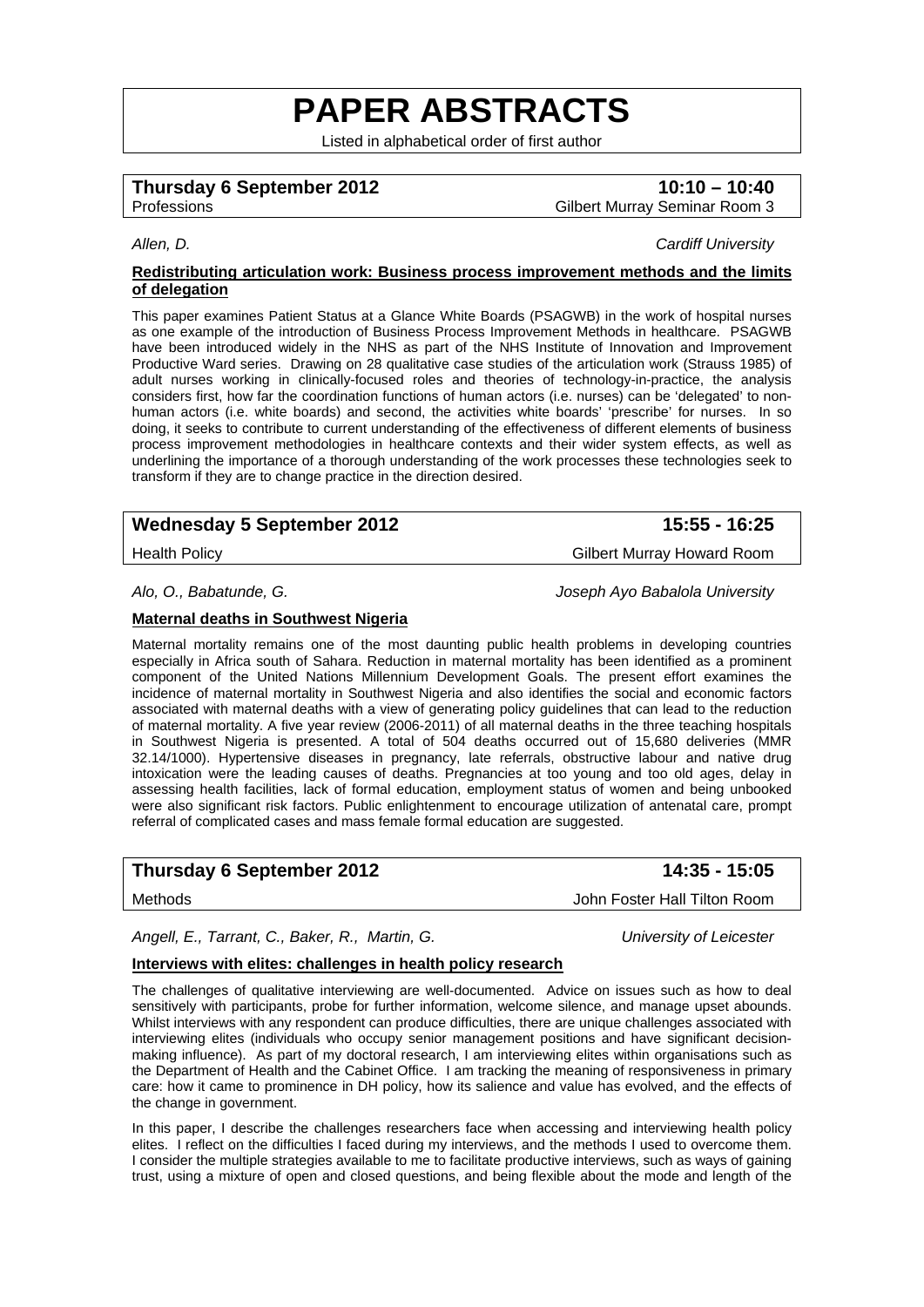# **PAPER ABSTRACTS**

Listed in alphabetical order of first author

## **Thursday 6 September 2012** 10:10 – 10:40

Professions Gilbert Murray Seminar Room 3

*Allen, D. Cardiff University* 

#### **Redistributing articulation work: Business process improvement methods and the limits of delegation**

This paper examines Patient Status at a Glance White Boards (PSAGWB) in the work of hospital nurses as one example of the introduction of Business Process Improvement Methods in healthcare. PSAGWB have been introduced widely in the NHS as part of the NHS Institute of Innovation and Improvement Productive Ward series. Drawing on 28 qualitative case studies of the articulation work (Strauss 1985) of adult nurses working in clinically-focused roles and theories of technology-in-practice, the analysis considers first, how far the coordination functions of human actors (i.e. nurses) can be 'delegated' to nonhuman actors (i.e. white boards) and second, the activities white boards' 'prescribe' for nurses. In so doing, it seeks to contribute to current understanding of the effectiveness of different elements of business process improvement methodologies in healthcare contexts and their wider system effects, as well as underlining the importance of a thorough understanding of the work processes these technologies seek to transform if they are to change practice in the direction desired.

## Wednesday 5 September 2012 **15:55 - 16:25**

Health Policy Gilbert Murray Howard Room

*Alo, O., Babatunde, G. Joseph Ayo Babalola University* 

#### **Maternal deaths in Southwest Nigeria**

Maternal mortality remains one of the most daunting public health problems in developing countries especially in Africa south of Sahara. Reduction in maternal mortality has been identified as a prominent component of the United Nations Millennium Development Goals. The present effort examines the incidence of maternal mortality in Southwest Nigeria and also identifies the social and economic factors associated with maternal deaths with a view of generating policy guidelines that can lead to the reduction of maternal mortality. A five year review (2006-2011) of all maternal deaths in the three teaching hospitals in Southwest Nigeria is presented. A total of 504 deaths occurred out of 15,680 deliveries (MMR 32.14/1000). Hypertensive diseases in pregnancy, late referrals, obstructive labour and native drug intoxication were the leading causes of deaths. Pregnancies at too young and too old ages, delay in assessing health facilities, lack of formal education, employment status of women and being unbooked were also significant risk factors. Public enlightenment to encourage utilization of antenatal care, prompt referral of complicated cases and mass female formal education are suggested.

## **Thursday 6 September 2012 14:35 - 15:05**

Methods John Foster Hall Tilton Room

*Angell, E., Tarrant, C., Baker, R., Martin, G. University of Leicester* 

### **Interviews with elites: challenges in health policy research**

The challenges of qualitative interviewing are well-documented. Advice on issues such as how to deal sensitively with participants, probe for further information, welcome silence, and manage upset abounds. Whilst interviews with any respondent can produce difficulties, there are unique challenges associated with interviewing elites (individuals who occupy senior management positions and have significant decisionmaking influence). As part of my doctoral research, I am interviewing elites within organisations such as the Department of Health and the Cabinet Office. I am tracking the meaning of responsiveness in primary care: how it came to prominence in DH policy, how its salience and value has evolved, and the effects of the change in government.

In this paper, I describe the challenges researchers face when accessing and interviewing health policy elites. I reflect on the difficulties I faced during my interviews, and the methods I used to overcome them. I consider the multiple strategies available to me to facilitate productive interviews, such as ways of gaining trust, using a mixture of open and closed questions, and being flexible about the mode and length of the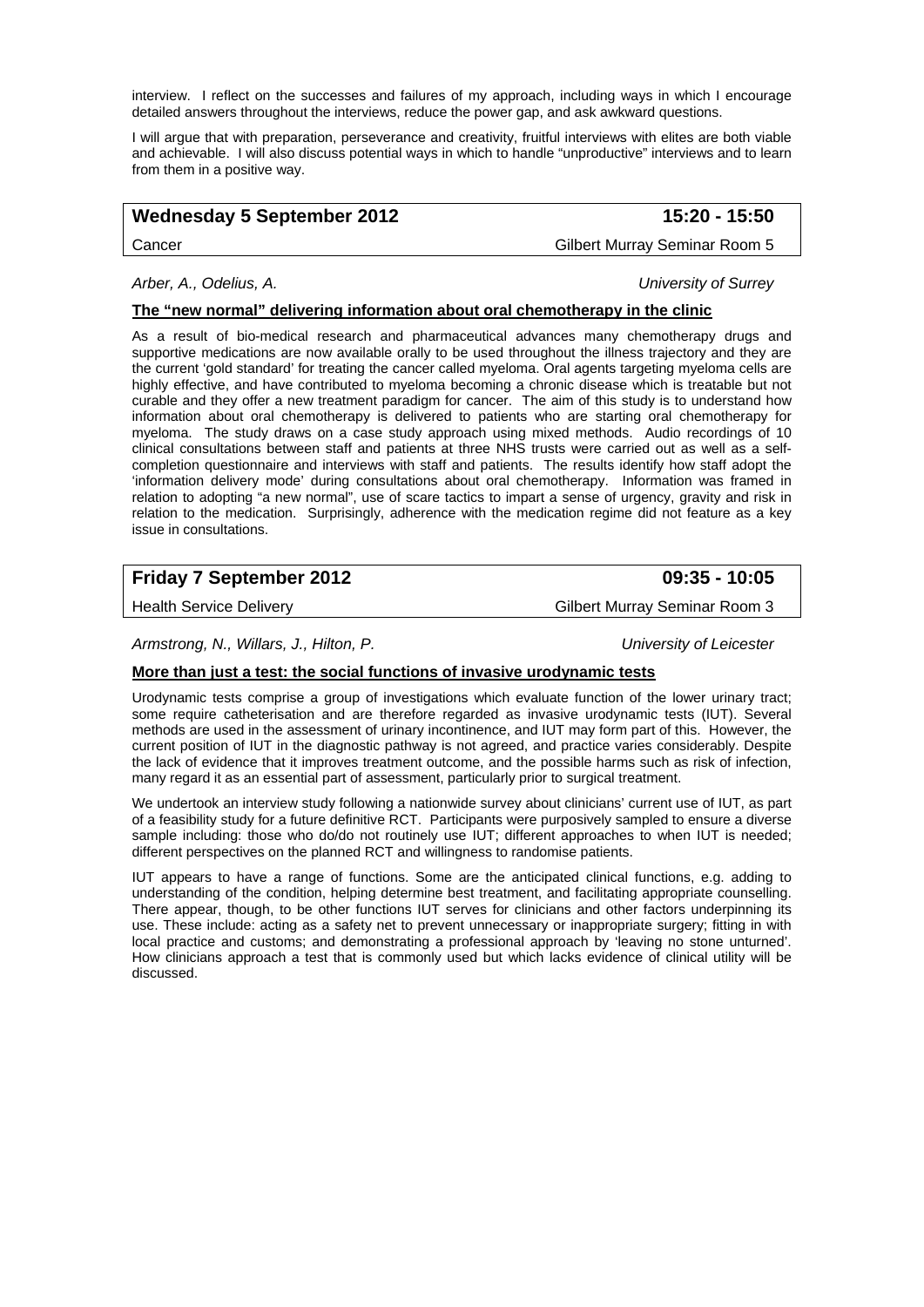interview. I reflect on the successes and failures of my approach, including ways in which I encourage detailed answers throughout the interviews, reduce the power gap, and ask awkward questions.

I will argue that with preparation, perseverance and creativity, fruitful interviews with elites are both viable and achievable. I will also discuss potential ways in which to handle "unproductive" interviews and to learn from them in a positive way.

## **Wednesday 5 September 2012 15:20 - 15:50**

Cancer Gilbert Murray Seminar Room 5

#### *Arber, A., Odelius, A. University of Surrey*

## **The "new normal" delivering information about oral chemotherapy in the clinic**

As a result of bio-medical research and pharmaceutical advances many chemotherapy drugs and supportive medications are now available orally to be used throughout the illness trajectory and they are the current 'gold standard' for treating the cancer called myeloma. Oral agents targeting myeloma cells are highly effective, and have contributed to myeloma becoming a chronic disease which is treatable but not curable and they offer a new treatment paradigm for cancer. The aim of this study is to understand how information about oral chemotherapy is delivered to patients who are starting oral chemotherapy for myeloma. The study draws on a case study approach using mixed methods. Audio recordings of 10 clinical consultations between staff and patients at three NHS trusts were carried out as well as a selfcompletion questionnaire and interviews with staff and patients. The results identify how staff adopt the 'information delivery mode' during consultations about oral chemotherapy. Information was framed in relation to adopting "a new normal", use of scare tactics to impart a sense of urgency, gravity and risk in relation to the medication. Surprisingly, adherence with the medication regime did not feature as a key issue in consultations.

## **Friday 7 September 2012 09:35 - 10:05**

Health Service Delivery **Gilbert Murray Seminar Room 3** Gilbert Murray Seminar Room 3

*Armstrong, N., Willars, J., Hilton, P. University of Leicester* 

## **More than just a test: the social functions of invasive urodynamic tests**

Urodynamic tests comprise a group of investigations which evaluate function of the lower urinary tract; some require catheterisation and are therefore regarded as invasive urodynamic tests (IUT). Several methods are used in the assessment of urinary incontinence, and IUT may form part of this. However, the current position of IUT in the diagnostic pathway is not agreed, and practice varies considerably. Despite the lack of evidence that it improves treatment outcome, and the possible harms such as risk of infection, many regard it as an essential part of assessment, particularly prior to surgical treatment.

We undertook an interview study following a nationwide survey about clinicians' current use of IUT, as part of a feasibility study for a future definitive RCT. Participants were purposively sampled to ensure a diverse sample including: those who do/do not routinely use IUT; different approaches to when IUT is needed; different perspectives on the planned RCT and willingness to randomise patients.

IUT appears to have a range of functions. Some are the anticipated clinical functions, e.g. adding to understanding of the condition, helping determine best treatment, and facilitating appropriate counselling. There appear, though, to be other functions IUT serves for clinicians and other factors underpinning its use. These include: acting as a safety net to prevent unnecessary or inappropriate surgery; fitting in with local practice and customs; and demonstrating a professional approach by 'leaving no stone unturned'. How clinicians approach a test that is commonly used but which lacks evidence of clinical utility will be discussed.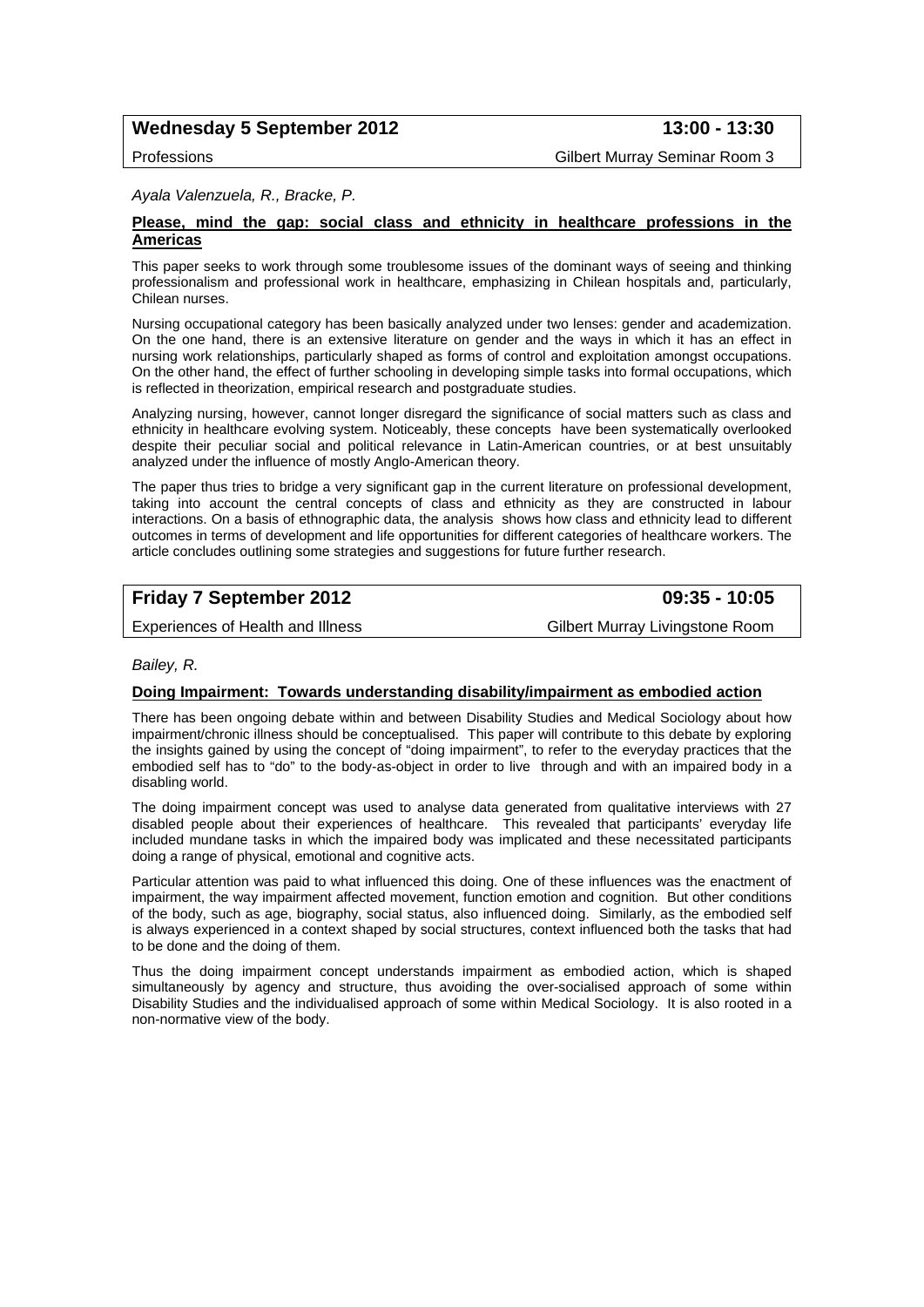## Wednesday 5 September 2012 **13:00 - 13:30**

Professions Gilbert Murray Seminar Room 3

#### *Ayala Valenzuela, R., Bracke, P.*

#### **Please, mind the gap: social class and ethnicity in healthcare professions in the Americas**

This paper seeks to work through some troublesome issues of the dominant ways of seeing and thinking professionalism and professional work in healthcare, emphasizing in Chilean hospitals and, particularly, Chilean nurses.

Nursing occupational category has been basically analyzed under two lenses: gender and academization. On the one hand, there is an extensive literature on gender and the ways in which it has an effect in nursing work relationships, particularly shaped as forms of control and exploitation amongst occupations. On the other hand, the effect of further schooling in developing simple tasks into formal occupations, which is reflected in theorization, empirical research and postgraduate studies.

Analyzing nursing, however, cannot longer disregard the significance of social matters such as class and ethnicity in healthcare evolving system. Noticeably, these concepts have been systematically overlooked despite their peculiar social and political relevance in Latin-American countries, or at best unsuitably analyzed under the influence of mostly Anglo-American theory.

The paper thus tries to bridge a very significant gap in the current literature on professional development, taking into account the central concepts of class and ethnicity as they are constructed in labour interactions. On a basis of ethnographic data, the analysis shows how class and ethnicity lead to different outcomes in terms of development and life opportunities for different categories of healthcare workers. The article concludes outlining some strategies and suggestions for future further research.

## **Friday 7 September 2012 09:35 - 10:05**

Experiences of Health and Illness Gilbert Murray Livingstone Room

#### *Bailey, R.*

#### **Doing Impairment: Towards understanding disability/impairment as embodied action**

There has been ongoing debate within and between Disability Studies and Medical Sociology about how impairment/chronic illness should be conceptualised. This paper will contribute to this debate by exploring the insights gained by using the concept of "doing impairment", to refer to the everyday practices that the embodied self has to "do" to the body-as-object in order to live through and with an impaired body in a disabling world.

The doing impairment concept was used to analyse data generated from qualitative interviews with 27 disabled people about their experiences of healthcare. This revealed that participants' everyday life included mundane tasks in which the impaired body was implicated and these necessitated participants doing a range of physical, emotional and cognitive acts.

Particular attention was paid to what influenced this doing. One of these influences was the enactment of impairment, the way impairment affected movement, function emotion and cognition. But other conditions of the body, such as age, biography, social status, also influenced doing. Similarly, as the embodied self is always experienced in a context shaped by social structures, context influenced both the tasks that had to be done and the doing of them.

Thus the doing impairment concept understands impairment as embodied action, which is shaped simultaneously by agency and structure, thus avoiding the over-socialised approach of some within Disability Studies and the individualised approach of some within Medical Sociology. It is also rooted in a non-normative view of the body.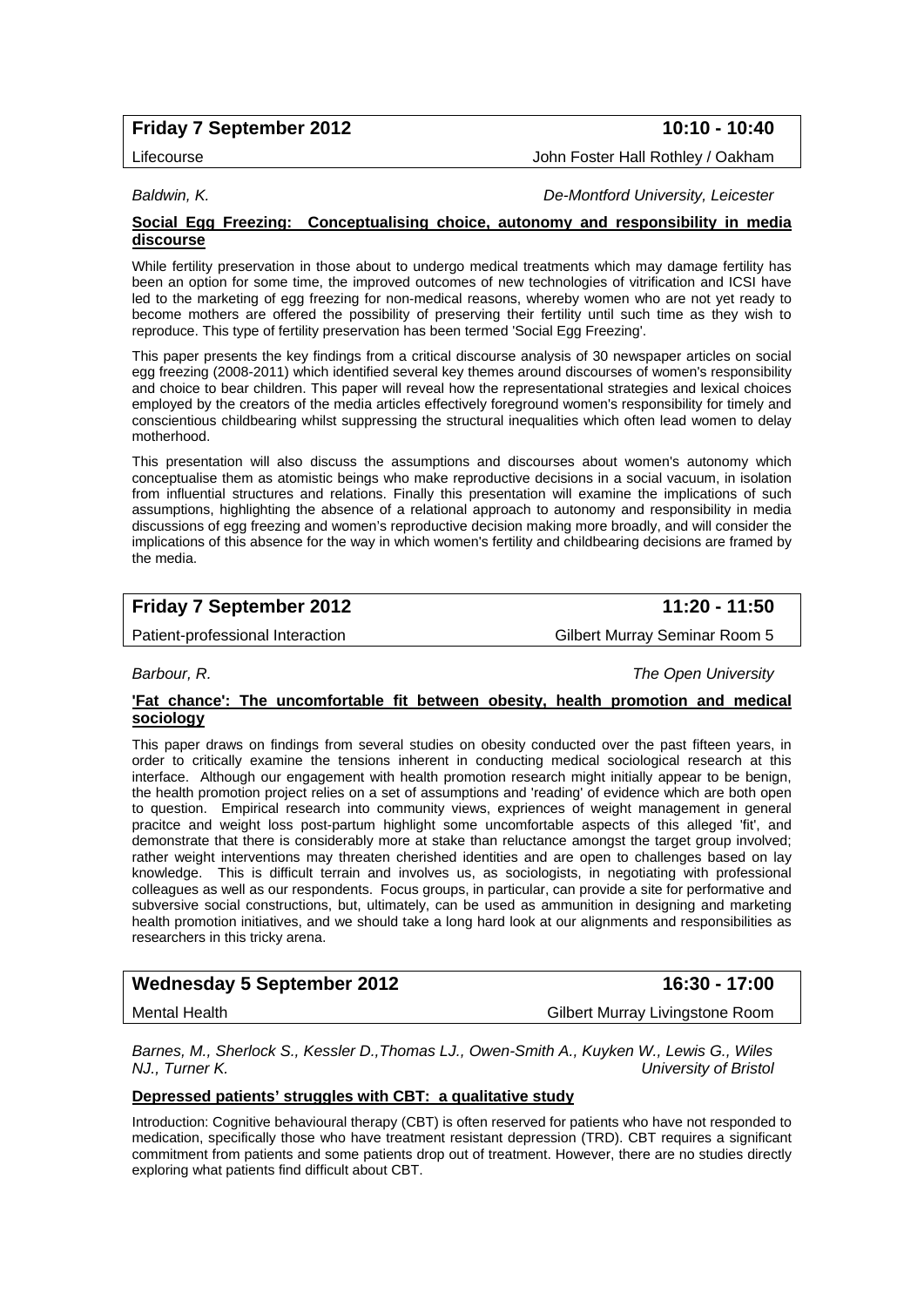## **Friday 7 September 2012** 10:10 - 10:40

Lifecourse John Foster Hall Rothley / Oakham

*Baldwin, K. De-Montford University, Leicester* 

#### **Social Egg Freezing: Conceptualising choice, autonomy and responsibility in media discourse**

While fertility preservation in those about to undergo medical treatments which may damage fertility has been an option for some time, the improved outcomes of new technologies of vitrification and ICSI have led to the marketing of egg freezing for non-medical reasons, whereby women who are not yet ready to become mothers are offered the possibility of preserving their fertility until such time as they wish to reproduce. This type of fertility preservation has been termed 'Social Egg Freezing'.

This paper presents the key findings from a critical discourse analysis of 30 newspaper articles on social egg freezing (2008-2011) which identified several key themes around discourses of women's responsibility and choice to bear children. This paper will reveal how the representational strategies and lexical choices employed by the creators of the media articles effectively foreground women's responsibility for timely and conscientious childbearing whilst suppressing the structural inequalities which often lead women to delay motherhood.

This presentation will also discuss the assumptions and discourses about women's autonomy which conceptualise them as atomistic beings who make reproductive decisions in a social vacuum, in isolation from influential structures and relations. Finally this presentation will examine the implications of such assumptions, highlighting the absence of a relational approach to autonomy and responsibility in media discussions of egg freezing and women's reproductive decision making more broadly, and will consider the implications of this absence for the way in which women's fertility and childbearing decisions are framed by the media.

## **Friday 7 September 2012** 11:20 - 11:50

Patient-professional Interaction and Gilbert Murray Seminar Room 5

*Barbour, R. The Open University* 

#### **'Fat chance': The uncomfortable fit between obesity, health promotion and medical sociology**

This paper draws on findings from several studies on obesity conducted over the past fifteen years, in order to critically examine the tensions inherent in conducting medical sociological research at this interface. Although our engagement with health promotion research might initially appear to be benign, the health promotion project relies on a set of assumptions and 'reading' of evidence which are both open to question. Empirical research into community views, expriences of weight management in general pracitce and weight loss post-partum highlight some uncomfortable aspects of this alleged 'fit', and demonstrate that there is considerably more at stake than reluctance amongst the target group involved; rather weight interventions may threaten cherished identities and are open to challenges based on lay knowledge. This is difficult terrain and involves us, as sociologists, in negotiating with professional colleagues as well as our respondents. Focus groups, in particular, can provide a site for performative and subversive social constructions, but, ultimately, can be used as ammunition in designing and marketing health promotion initiatives, and we should take a long hard look at our alignments and responsibilities as researchers in this tricky arena.

| <b>Wednesday 5 September 2012</b> | 16:30 - 17:00                   |
|-----------------------------------|---------------------------------|
| Mental Health                     | Gilbert Murray Livingstone Room |

*Barnes, M., Sherlock S., Kessler D.,Thomas LJ., Owen-Smith A., Kuyken W., Lewis G., Wiles NJ., Turner K. University of Bristol* 

## **Depressed patients' struggles with CBT: a qualitative study**

Introduction: Cognitive behavioural therapy (CBT) is often reserved for patients who have not responded to medication, specifically those who have treatment resistant depression (TRD). CBT requires a significant commitment from patients and some patients drop out of treatment. However, there are no studies directly exploring what patients find difficult about CBT.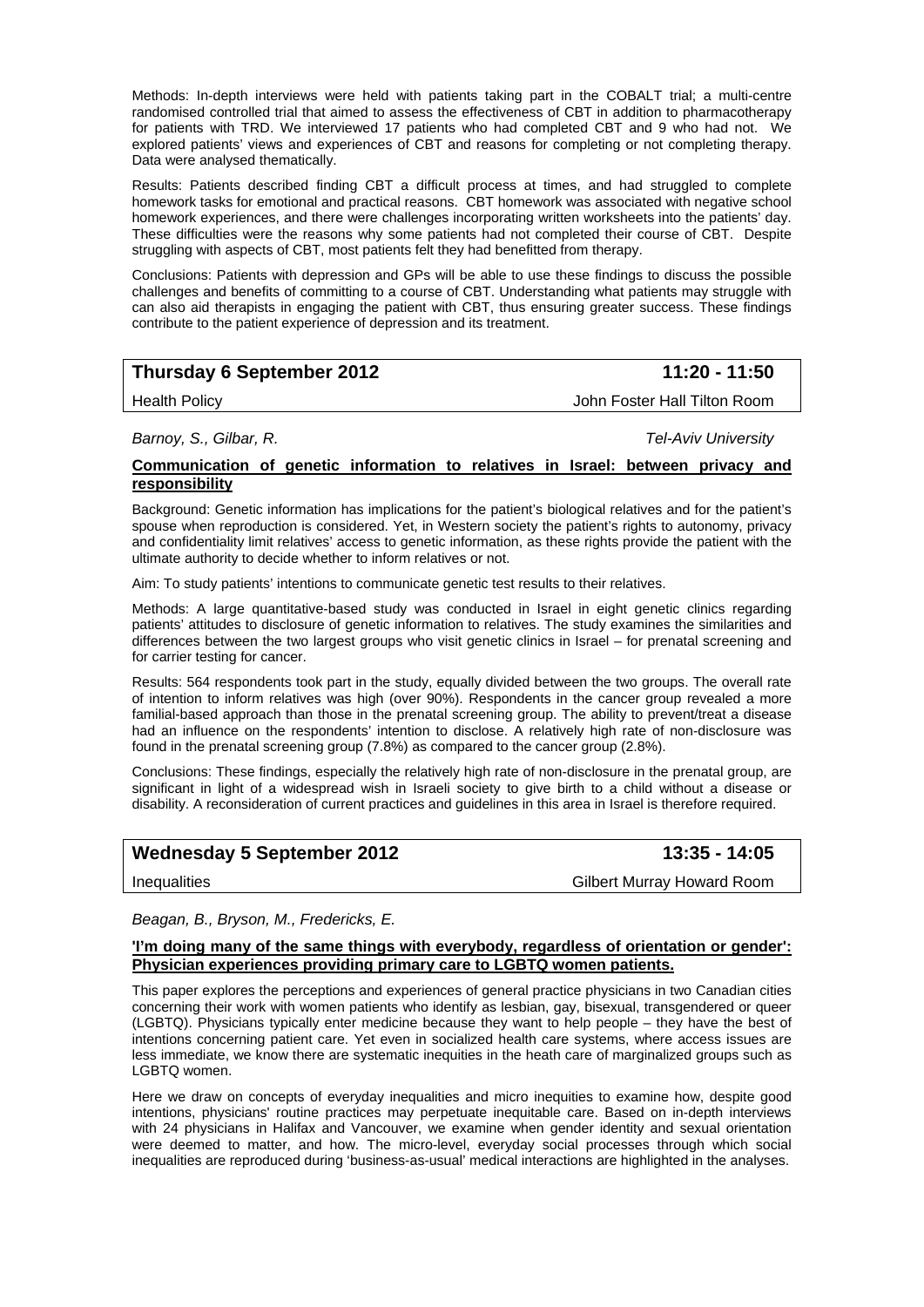Methods: In-depth interviews were held with patients taking part in the COBALT trial; a multi-centre randomised controlled trial that aimed to assess the effectiveness of CBT in addition to pharmacotherapy for patients with TRD. We interviewed 17 patients who had completed CBT and 9 who had not. We explored patients' views and experiences of CBT and reasons for completing or not completing therapy. Data were analysed thematically.

Results: Patients described finding CBT a difficult process at times, and had struggled to complete homework tasks for emotional and practical reasons. CBT homework was associated with negative school homework experiences, and there were challenges incorporating written worksheets into the patients' day. These difficulties were the reasons why some patients had not completed their course of CBT. Despite struggling with aspects of CBT, most patients felt they had benefitted from therapy.

Conclusions: Patients with depression and GPs will be able to use these findings to discuss the possible challenges and benefits of committing to a course of CBT. Understanding what patients may struggle with can also aid therapists in engaging the patient with CBT, thus ensuring greater success. These findings contribute to the patient experience of depression and its treatment.

| <b>Thursday 6 September 2012</b> | 11:20 - 11:50 |
|----------------------------------|---------------|
|                                  |               |

Health Policy John Foster Hall Tilton Room

*Barnoy, S., Gilbar, R. Tel-Aviv University* 

### **Communication of genetic information to relatives in Israel: between privacy and responsibility**

Background: Genetic information has implications for the patient's biological relatives and for the patient's spouse when reproduction is considered. Yet, in Western society the patient's rights to autonomy, privacy and confidentiality limit relatives' access to genetic information, as these rights provide the patient with the ultimate authority to decide whether to inform relatives or not.

Aim: To study patients' intentions to communicate genetic test results to their relatives.

Methods: A large quantitative-based study was conducted in Israel in eight genetic clinics regarding patients' attitudes to disclosure of genetic information to relatives. The study examines the similarities and differences between the two largest groups who visit genetic clinics in Israel – for prenatal screening and for carrier testing for cancer.

Results: 564 respondents took part in the study, equally divided between the two groups. The overall rate of intention to inform relatives was high (over 90%). Respondents in the cancer group revealed a more familial-based approach than those in the prenatal screening group. The ability to prevent/treat a disease had an influence on the respondents' intention to disclose. A relatively high rate of non-disclosure was found in the prenatal screening group (7.8%) as compared to the cancer group (2.8%).

Conclusions: These findings, especially the relatively high rate of non-disclosure in the prenatal group, are significant in light of a widespread wish in Israeli society to give birth to a child without a disease or disability. A reconsideration of current practices and guidelines in this area in Israel is therefore required.

## Wednesday 5 September 2012 **13:35 - 14:05**

Inequalities Gilbert Murray Howard Room

#### *Beagan, B., Bryson, M., Fredericks, E.*

#### **'I'm doing many of the same things with everybody, regardless of orientation or gender': Physician experiences providing primary care to LGBTQ women patients.**

This paper explores the perceptions and experiences of general practice physicians in two Canadian cities concerning their work with women patients who identify as lesbian, gay, bisexual, transgendered or queer (LGBTQ). Physicians typically enter medicine because they want to help people – they have the best of intentions concerning patient care. Yet even in socialized health care systems, where access issues are less immediate, we know there are systematic inequities in the heath care of marginalized groups such as LGBTQ women.

Here we draw on concepts of everyday inequalities and micro inequities to examine how, despite good intentions, physicians' routine practices may perpetuate inequitable care. Based on in-depth interviews with 24 physicians in Halifax and Vancouver, we examine when gender identity and sexual orientation were deemed to matter, and how. The micro-level, everyday social processes through which social inequalities are reproduced during 'business-as-usual' medical interactions are highlighted in the analyses.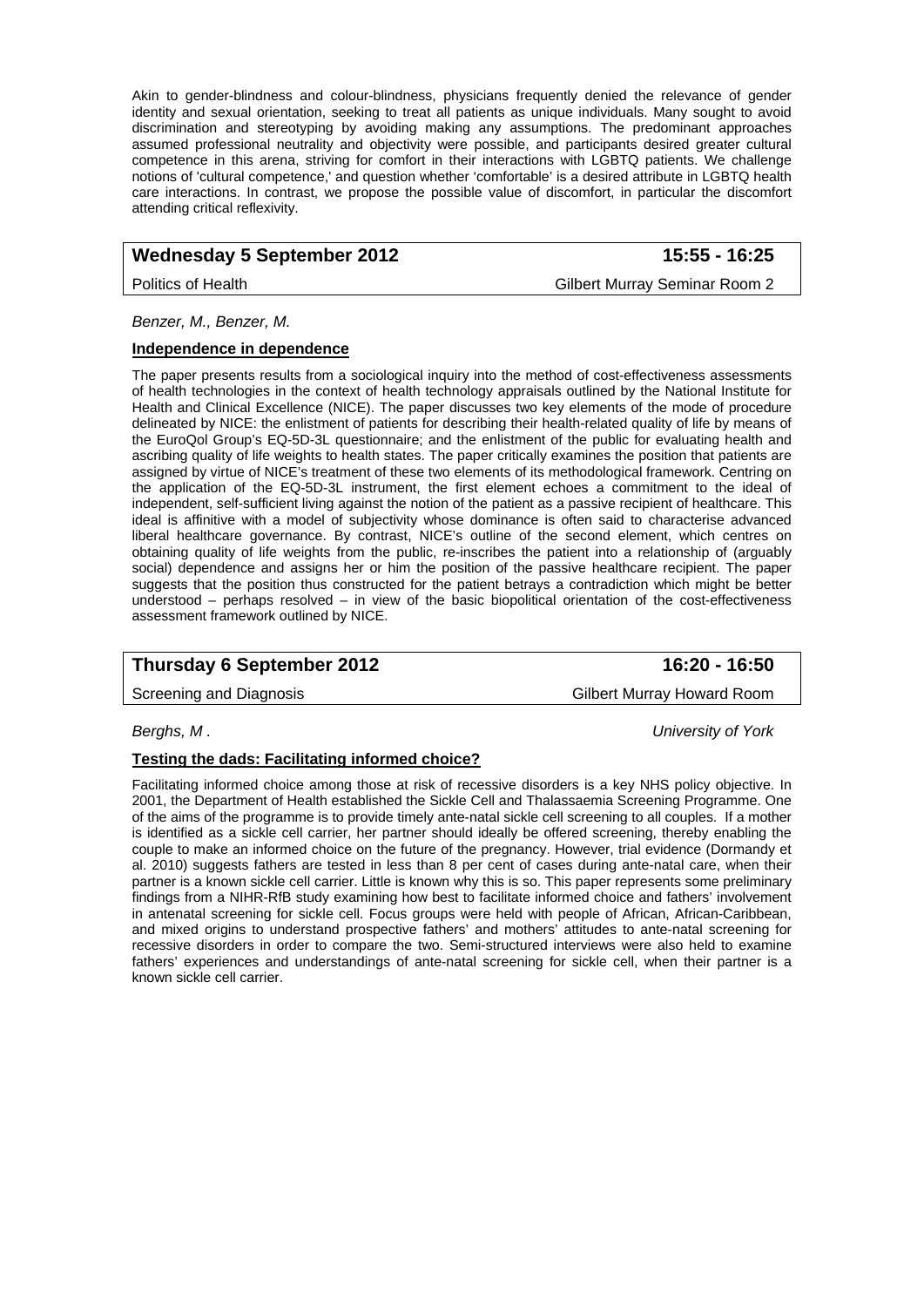Akin to gender-blindness and colour-blindness, physicians frequently denied the relevance of gender identity and sexual orientation, seeking to treat all patients as unique individuals. Many sought to avoid discrimination and stereotyping by avoiding making any assumptions. The predominant approaches assumed professional neutrality and objectivity were possible, and participants desired greater cultural competence in this arena, striving for comfort in their interactions with LGBTQ patients. We challenge notions of 'cultural competence,' and question whether 'comfortable' is a desired attribute in LGBTQ health care interactions. In contrast, we propose the possible value of discomfort, in particular the discomfort attending critical reflexivity.

## Wednesday 5 September 2012 **15:55 - 16:25**

Politics of Health Gilbert Murray Seminar Room 2

*Benzer, M., Benzer, M.* 

#### **Independence in dependence**

The paper presents results from a sociological inquiry into the method of cost-effectiveness assessments of health technologies in the context of health technology appraisals outlined by the National Institute for Health and Clinical Excellence (NICE). The paper discusses two key elements of the mode of procedure delineated by NICE: the enlistment of patients for describing their health-related quality of life by means of the EuroQol Group's EQ-5D-3L questionnaire; and the enlistment of the public for evaluating health and ascribing quality of life weights to health states. The paper critically examines the position that patients are assigned by virtue of NICE's treatment of these two elements of its methodological framework. Centring on the application of the EQ-5D-3L instrument, the first element echoes a commitment to the ideal of independent, self-sufficient living against the notion of the patient as a passive recipient of healthcare. This ideal is affinitive with a model of subjectivity whose dominance is often said to characterise advanced liberal healthcare governance. By contrast, NICE's outline of the second element, which centres on obtaining quality of life weights from the public, re-inscribes the patient into a relationship of (arguably social) dependence and assigns her or him the position of the passive healthcare recipient. The paper suggests that the position thus constructed for the patient betrays a contradiction which might be better understood – perhaps resolved – in view of the basic biopolitical orientation of the cost-effectiveness assessment framework outlined by NICE.

## **Thursday 6 September 2012** 16:20 - 16:50

Screening and Diagnosis **Gilbert Murray Howard Room** 

*Berghs, M . University of York* 

#### **Testing the dads: Facilitating informed choice?**

Facilitating informed choice among those at risk of recessive disorders is a key NHS policy objective. In 2001, the Department of Health established the Sickle Cell and Thalassaemia Screening Programme. One of the aims of the programme is to provide timely ante-natal sickle cell screening to all couples. If a mother is identified as a sickle cell carrier, her partner should ideally be offered screening, thereby enabling the couple to make an informed choice on the future of the pregnancy. However, trial evidence (Dormandy et al. 2010) suggests fathers are tested in less than 8 per cent of cases during ante-natal care, when their partner is a known sickle cell carrier. Little is known why this is so. This paper represents some preliminary findings from a NIHR-RfB study examining how best to facilitate informed choice and fathers' involvement in antenatal screening for sickle cell. Focus groups were held with people of African, African-Caribbean, and mixed origins to understand prospective fathers' and mothers' attitudes to ante-natal screening for recessive disorders in order to compare the two. Semi-structured interviews were also held to examine fathers' experiences and understandings of ante-natal screening for sickle cell, when their partner is a known sickle cell carrier.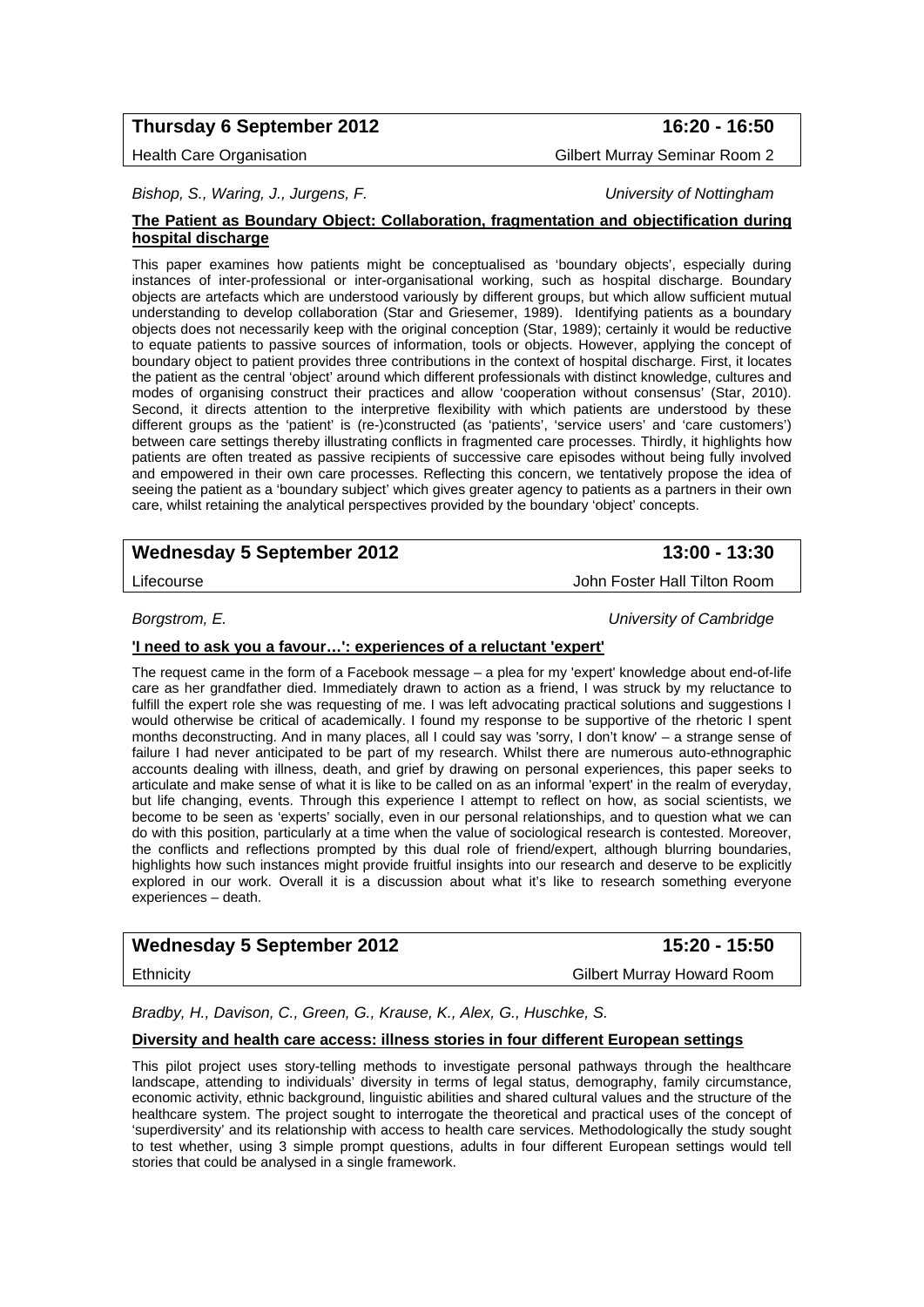## **Thursday 6 September 2012 16:20 - 16:50**

Health Care Organisation Gilbert Murray Seminar Room 2

*Bishop, S., Waring, J., Jurgens, F. University of Nottingham* 

#### **The Patient as Boundary Object: Collaboration, fragmentation and objectification during hospital discharge**

This paper examines how patients might be conceptualised as 'boundary objects', especially during instances of inter-professional or inter-organisational working, such as hospital discharge. Boundary objects are artefacts which are understood variously by different groups, but which allow sufficient mutual understanding to develop collaboration (Star and Griesemer, 1989). Identifying patients as a boundary objects does not necessarily keep with the original conception (Star, 1989); certainly it would be reductive to equate patients to passive sources of information, tools or objects. However, applying the concept of boundary object to patient provides three contributions in the context of hospital discharge. First, it locates the patient as the central 'object' around which different professionals with distinct knowledge, cultures and modes of organising construct their practices and allow 'cooperation without consensus' (Star, 2010). Second, it directs attention to the interpretive flexibility with which patients are understood by these different groups as the 'patient' is (re-)constructed (as 'patients', 'service users' and 'care customers') between care settings thereby illustrating conflicts in fragmented care processes. Thirdly, it highlights how patients are often treated as passive recipients of successive care episodes without being fully involved and empowered in their own care processes. Reflecting this concern, we tentatively propose the idea of seeing the patient as a 'boundary subject' which gives greater agency to patients as a partners in their own care, whilst retaining the analytical perspectives provided by the boundary 'object' concepts.

## Wednesday 5 September 2012 **13:00 - 13:30**

*Borgstrom, E. University of Cambridge* 

## **'I need to ask you a favour…': experiences of a reluctant 'expert'**

The request came in the form of a Facebook message – a plea for my 'expert' knowledge about end-of-life care as her grandfather died. Immediately drawn to action as a friend, I was struck by my reluctance to fulfill the expert role she was requesting of me. I was left advocating practical solutions and suggestions I would otherwise be critical of academically. I found my response to be supportive of the rhetoric I spent months deconstructing. And in many places, all I could say was 'sorry, I don't know' – a strange sense of failure I had never anticipated to be part of my research. Whilst there are numerous auto-ethnographic accounts dealing with illness, death, and grief by drawing on personal experiences, this paper seeks to articulate and make sense of what it is like to be called on as an informal 'expert' in the realm of everyday, but life changing, events. Through this experience I attempt to reflect on how, as social scientists, we become to be seen as 'experts' socially, even in our personal relationships, and to question what we can do with this position, particularly at a time when the value of sociological research is contested. Moreover, the conflicts and reflections prompted by this dual role of friend/expert, although blurring boundaries, highlights how such instances might provide fruitful insights into our research and deserve to be explicitly explored in our work. Overall it is a discussion about what it's like to research something everyone experiences – death.

## Wednesday 5 September 2012 **15:20 - 15:50**

Ethnicity Gilbert Murray Howard Room

*Bradby, H., Davison, C., Green, G., Krause, K., Alex, G., Huschke, S.* 

#### **Diversity and health care access: illness stories in four different European settings**

This pilot project uses story-telling methods to investigate personal pathways through the healthcare landscape, attending to individuals' diversity in terms of legal status, demography, family circumstance, economic activity, ethnic background, linguistic abilities and shared cultural values and the structure of the healthcare system. The project sought to interrogate the theoretical and practical uses of the concept of 'superdiversity' and its relationship with access to health care services. Methodologically the study sought to test whether, using 3 simple prompt questions, adults in four different European settings would tell stories that could be analysed in a single framework.

Lifecourse John Foster Hall Tilton Room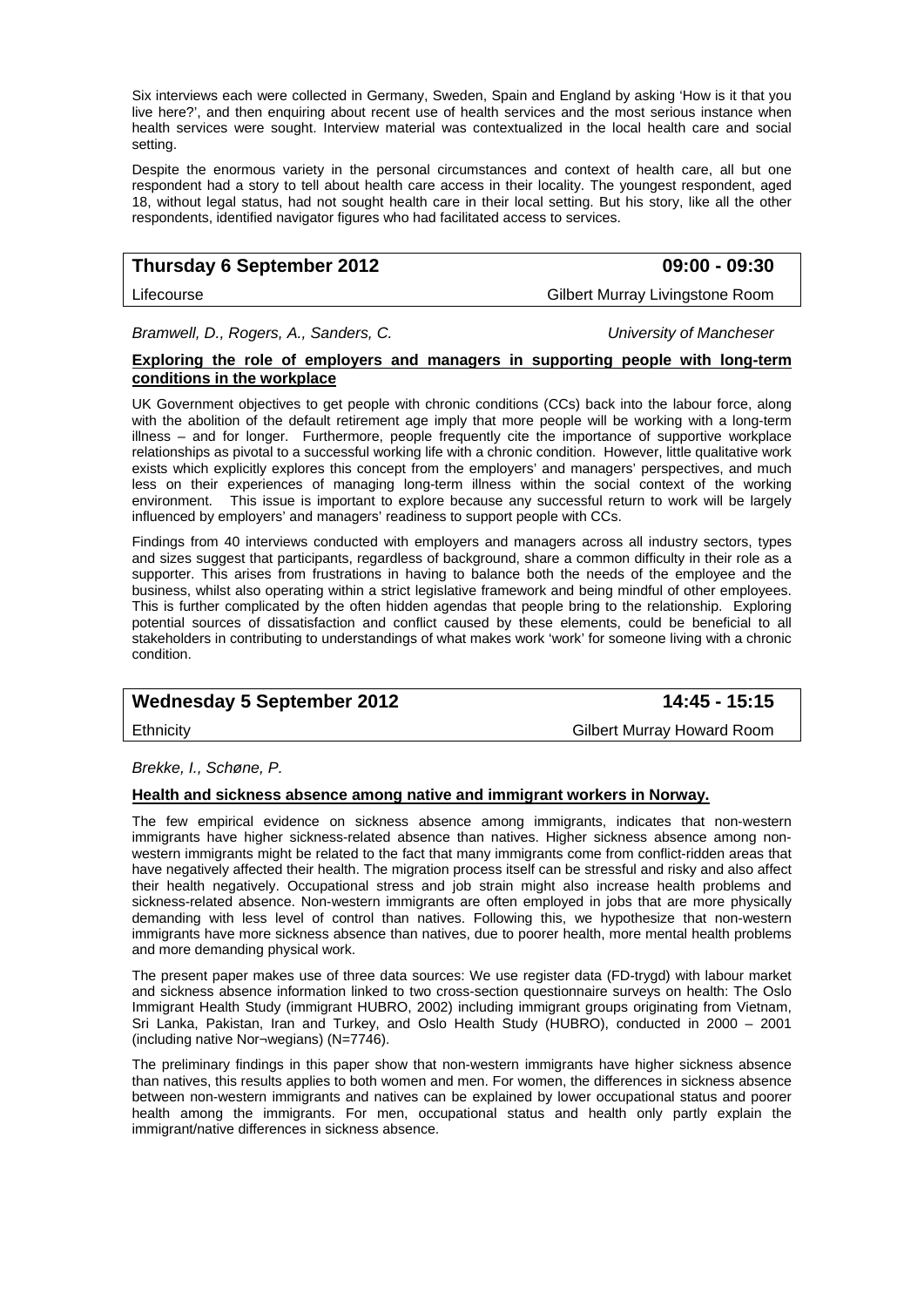Six interviews each were collected in Germany, Sweden, Spain and England by asking 'How is it that you live here?', and then enquiring about recent use of health services and the most serious instance when health services were sought. Interview material was contextualized in the local health care and social setting.

Despite the enormous variety in the personal circumstances and context of health care, all but one respondent had a story to tell about health care access in their locality. The youngest respondent, aged 18, without legal status, had not sought health care in their local setting. But his story, like all the other respondents, identified navigator figures who had facilitated access to services.

## **Thursday 6 September 2012 09:00 - 09:30**

Lifecourse Gilbert Murray Livingstone Room

*Bramwell, D., Rogers, A., Sanders, C. University of Mancheser* 

## **Exploring the role of employers and managers in supporting people with long-term conditions in the workplace**

UK Government objectives to get people with chronic conditions (CCs) back into the labour force, along with the abolition of the default retirement age imply that more people will be working with a long-term illness – and for longer. Furthermore, people frequently cite the importance of supportive workplace relationships as pivotal to a successful working life with a chronic condition. However, little qualitative work exists which explicitly explores this concept from the employers' and managers' perspectives, and much less on their experiences of managing long-term illness within the social context of the working environment. This issue is important to explore because any successful return to work will be largely influenced by employers' and managers' readiness to support people with CCs.

Findings from 40 interviews conducted with employers and managers across all industry sectors, types and sizes suggest that participants, regardless of background, share a common difficulty in their role as a supporter. This arises from frustrations in having to balance both the needs of the employee and the business, whilst also operating within a strict legislative framework and being mindful of other employees. This is further complicated by the often hidden agendas that people bring to the relationship. Exploring potential sources of dissatisfaction and conflict caused by these elements, could be beneficial to all stakeholders in contributing to understandings of what makes work 'work' for someone living with a chronic condition.

## Wednesday 5 September 2012 **14:45 - 15:15**

Ethnicity Gilbert Murray Howard Room

*Brekke, I., Schøne, P.* 

## **Health and sickness absence among native and immigrant workers in Norway.**

The few empirical evidence on sickness absence among immigrants, indicates that non-western immigrants have higher sickness-related absence than natives. Higher sickness absence among nonwestern immigrants might be related to the fact that many immigrants come from conflict-ridden areas that have negatively affected their health. The migration process itself can be stressful and risky and also affect their health negatively. Occupational stress and job strain might also increase health problems and sickness-related absence. Non-western immigrants are often employed in jobs that are more physically demanding with less level of control than natives. Following this, we hypothesize that non-western immigrants have more sickness absence than natives, due to poorer health, more mental health problems and more demanding physical work.

The present paper makes use of three data sources: We use register data (FD-trygd) with labour market and sickness absence information linked to two cross-section questionnaire surveys on health: The Oslo Immigrant Health Study (immigrant HUBRO, 2002) including immigrant groups originating from Vietnam, Sri Lanka, Pakistan, Iran and Turkey, and Oslo Health Study (HUBRO), conducted in 2000 – 2001 (including native Nor¬wegians) (N=7746).

The preliminary findings in this paper show that non-western immigrants have higher sickness absence than natives, this results applies to both women and men. For women, the differences in sickness absence between non-western immigrants and natives can be explained by lower occupational status and poorer health among the immigrants. For men, occupational status and health only partly explain the immigrant/native differences in sickness absence.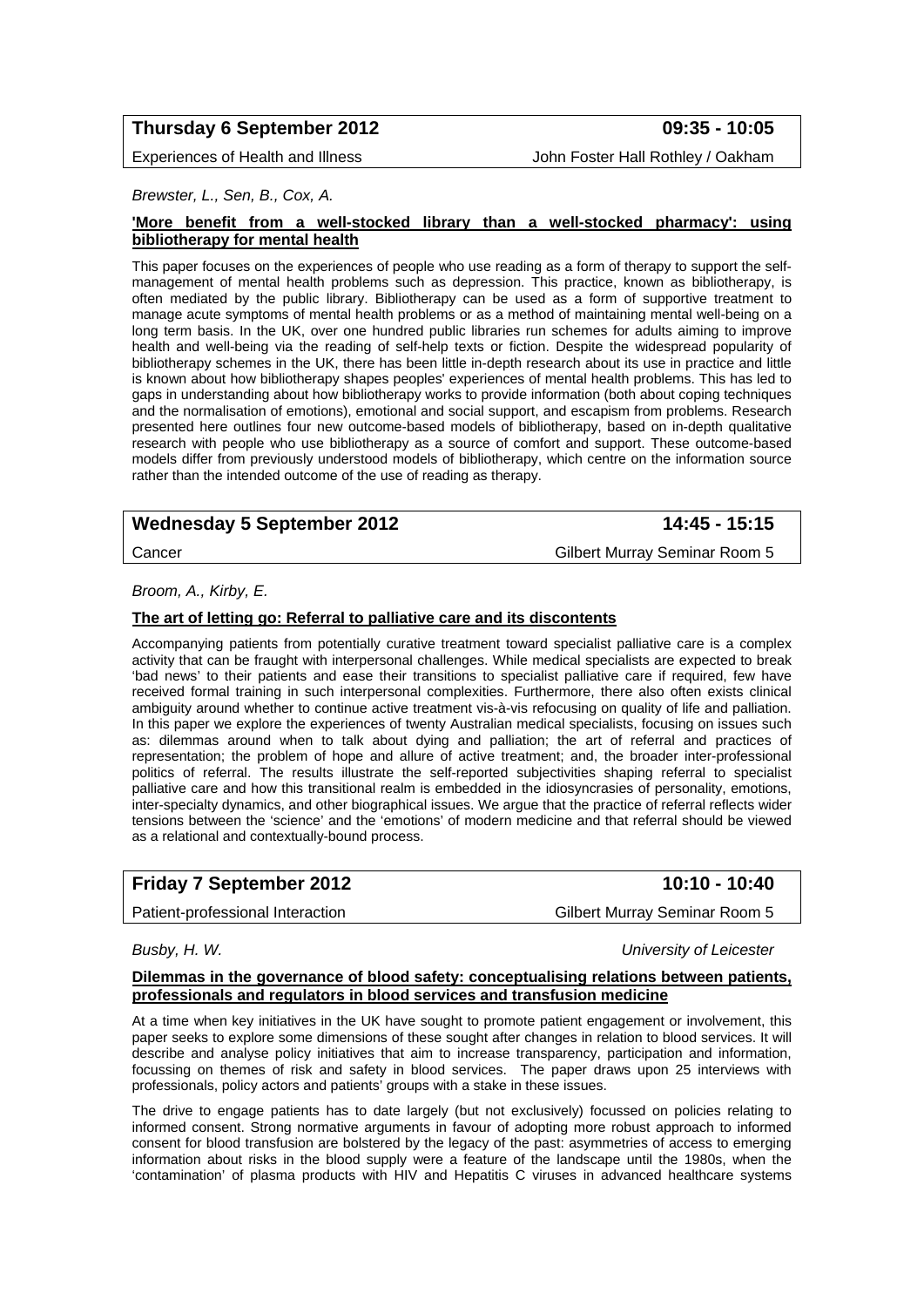## **Thursday 6 September 2012 09:35 - 10:05**

Experiences of Health and Illness **John Foster Hall Rothley / Oakham** 

#### *Brewster, L., Sen, B., Cox, A.*

#### **'More benefit from a well-stocked library than a well-stocked pharmacy': using bibliotherapy for mental health**

This paper focuses on the experiences of people who use reading as a form of therapy to support the selfmanagement of mental health problems such as depression. This practice, known as bibliotherapy, is often mediated by the public library. Bibliotherapy can be used as a form of supportive treatment to manage acute symptoms of mental health problems or as a method of maintaining mental well-being on a long term basis. In the UK, over one hundred public libraries run schemes for adults aiming to improve health and well-being via the reading of self-help texts or fiction. Despite the widespread popularity of bibliotherapy schemes in the UK, there has been little in-depth research about its use in practice and little is known about how bibliotherapy shapes peoples' experiences of mental health problems. This has led to gaps in understanding about how bibliotherapy works to provide information (both about coping techniques and the normalisation of emotions), emotional and social support, and escapism from problems. Research presented here outlines four new outcome-based models of bibliotherapy, based on in-depth qualitative research with people who use bibliotherapy as a source of comfort and support. These outcome-based models differ from previously understood models of bibliotherapy, which centre on the information source rather than the intended outcome of the use of reading as therapy.

## Wednesday 5 September 2012 **14:45 - 15:15**

Cancer Gilbert Murray Seminar Room 5

### *Broom, A., Kirby, E.*

### **The art of letting go: Referral to palliative care and its discontents**

Accompanying patients from potentially curative treatment toward specialist palliative care is a complex activity that can be fraught with interpersonal challenges. While medical specialists are expected to break 'bad news' to their patients and ease their transitions to specialist palliative care if required, few have received formal training in such interpersonal complexities. Furthermore, there also often exists clinical ambiguity around whether to continue active treatment vis-à-vis refocusing on quality of life and palliation. In this paper we explore the experiences of twenty Australian medical specialists, focusing on issues such as: dilemmas around when to talk about dying and palliation; the art of referral and practices of representation; the problem of hope and allure of active treatment; and, the broader inter-professional politics of referral. The results illustrate the self-reported subjectivities shaping referral to specialist palliative care and how this transitional realm is embedded in the idiosyncrasies of personality, emotions, inter-specialty dynamics, and other biographical issues. We argue that the practice of referral reflects wider tensions between the 'science' and the 'emotions' of modern medicine and that referral should be viewed as a relational and contextually-bound process.

## **Friday 7 September 2012** 10:10 - 10:40

Patient-professional Interaction Gilbert Murray Seminar Room 5

*Busby, H. W. University of Leicester* 

#### **Dilemmas in the governance of blood safety: conceptualising relations between patients, professionals and regulators in blood services and transfusion medicine**

At a time when key initiatives in the UK have sought to promote patient engagement or involvement, this paper seeks to explore some dimensions of these sought after changes in relation to blood services. It will describe and analyse policy initiatives that aim to increase transparency, participation and information, focussing on themes of risk and safety in blood services. The paper draws upon 25 interviews with professionals, policy actors and patients' groups with a stake in these issues.

The drive to engage patients has to date largely (but not exclusively) focussed on policies relating to informed consent. Strong normative arguments in favour of adopting more robust approach to informed consent for blood transfusion are bolstered by the legacy of the past: asymmetries of access to emerging information about risks in the blood supply were a feature of the landscape until the 1980s, when the 'contamination' of plasma products with HIV and Hepatitis C viruses in advanced healthcare systems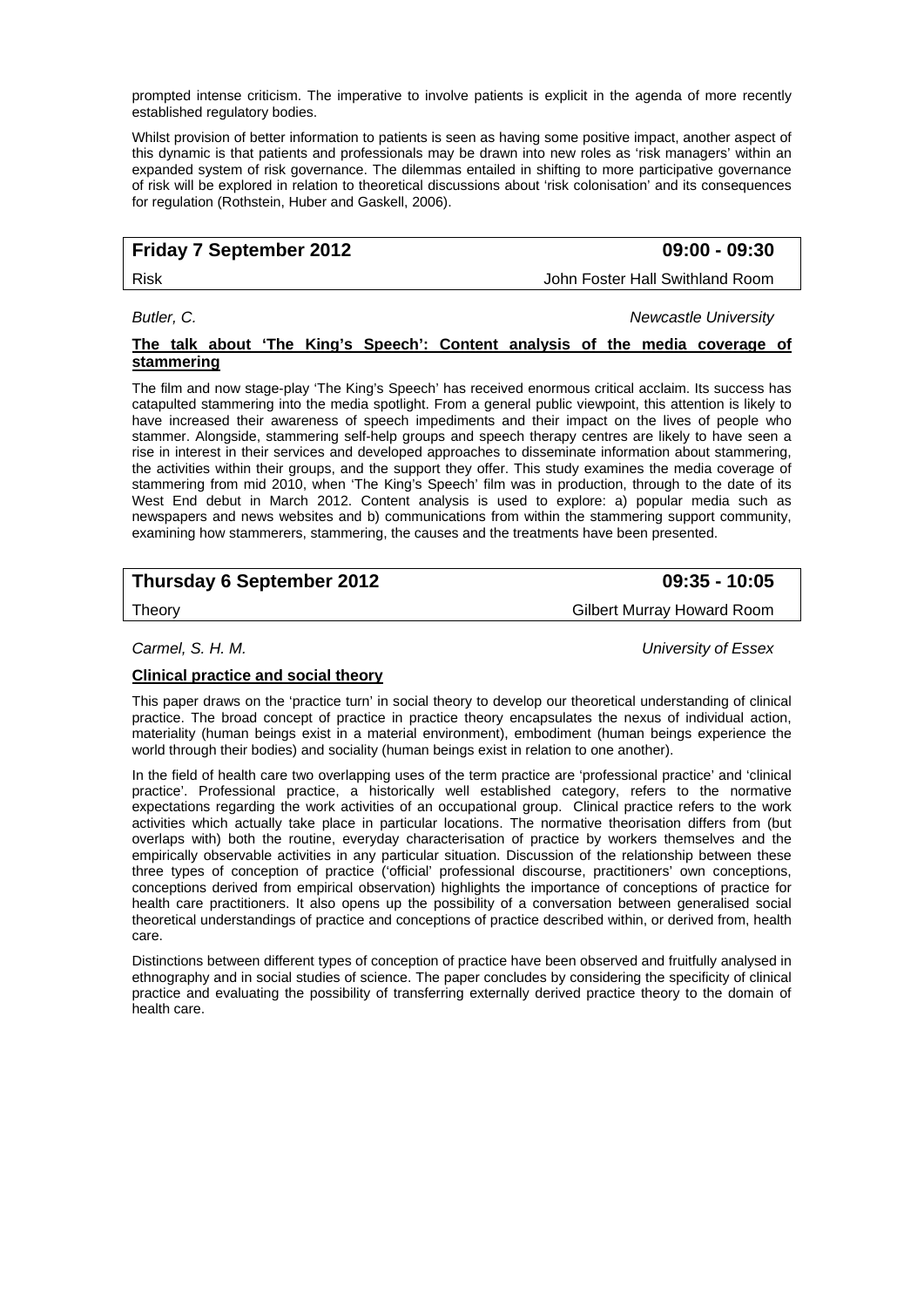prompted intense criticism. The imperative to involve patients is explicit in the agenda of more recently established regulatory bodies.

Whilst provision of better information to patients is seen as having some positive impact, another aspect of this dynamic is that patients and professionals may be drawn into new roles as 'risk managers' within an expanded system of risk governance. The dilemmas entailed in shifting to more participative governance of risk will be explored in relation to theoretical discussions about 'risk colonisation' and its consequences for regulation (Rothstein, Huber and Gaskell, 2006).

## **Friday 7 September 2012 09:00 - 09:30**

Risk John Foster Hall Swithland Room

*Butler, C. Newcastle University* 

#### **The talk about 'The King's Speech': Content analysis of the media coverage of stammering**

The film and now stage-play 'The King's Speech' has received enormous critical acclaim. Its success has catapulted stammering into the media spotlight. From a general public viewpoint, this attention is likely to have increased their awareness of speech impediments and their impact on the lives of people who stammer. Alongside, stammering self-help groups and speech therapy centres are likely to have seen a rise in interest in their services and developed approaches to disseminate information about stammering, the activities within their groups, and the support they offer. This study examines the media coverage of stammering from mid 2010, when 'The King's Speech' film was in production, through to the date of its West End debut in March 2012. Content analysis is used to explore: a) popular media such as newspapers and news websites and b) communications from within the stammering support community, examining how stammerers, stammering, the causes and the treatments have been presented.

## **Thursday 6 September 2012 09:35 - 10:05**

Theory Gilbert Murray Howard Room

*Carmel, S. H. M. University of Essex* 

## **Clinical practice and social theory**

This paper draws on the 'practice turn' in social theory to develop our theoretical understanding of clinical practice. The broad concept of practice in practice theory encapsulates the nexus of individual action, materiality (human beings exist in a material environment), embodiment (human beings experience the world through their bodies) and sociality (human beings exist in relation to one another).

In the field of health care two overlapping uses of the term practice are 'professional practice' and 'clinical practice'. Professional practice, a historically well established category, refers to the normative expectations regarding the work activities of an occupational group. Clinical practice refers to the work activities which actually take place in particular locations. The normative theorisation differs from (but overlaps with) both the routine, everyday characterisation of practice by workers themselves and the empirically observable activities in any particular situation. Discussion of the relationship between these three types of conception of practice ('official' professional discourse, practitioners' own conceptions, conceptions derived from empirical observation) highlights the importance of conceptions of practice for health care practitioners. It also opens up the possibility of a conversation between generalised social theoretical understandings of practice and conceptions of practice described within, or derived from, health care.

Distinctions between different types of conception of practice have been observed and fruitfully analysed in ethnography and in social studies of science. The paper concludes by considering the specificity of clinical practice and evaluating the possibility of transferring externally derived practice theory to the domain of health care.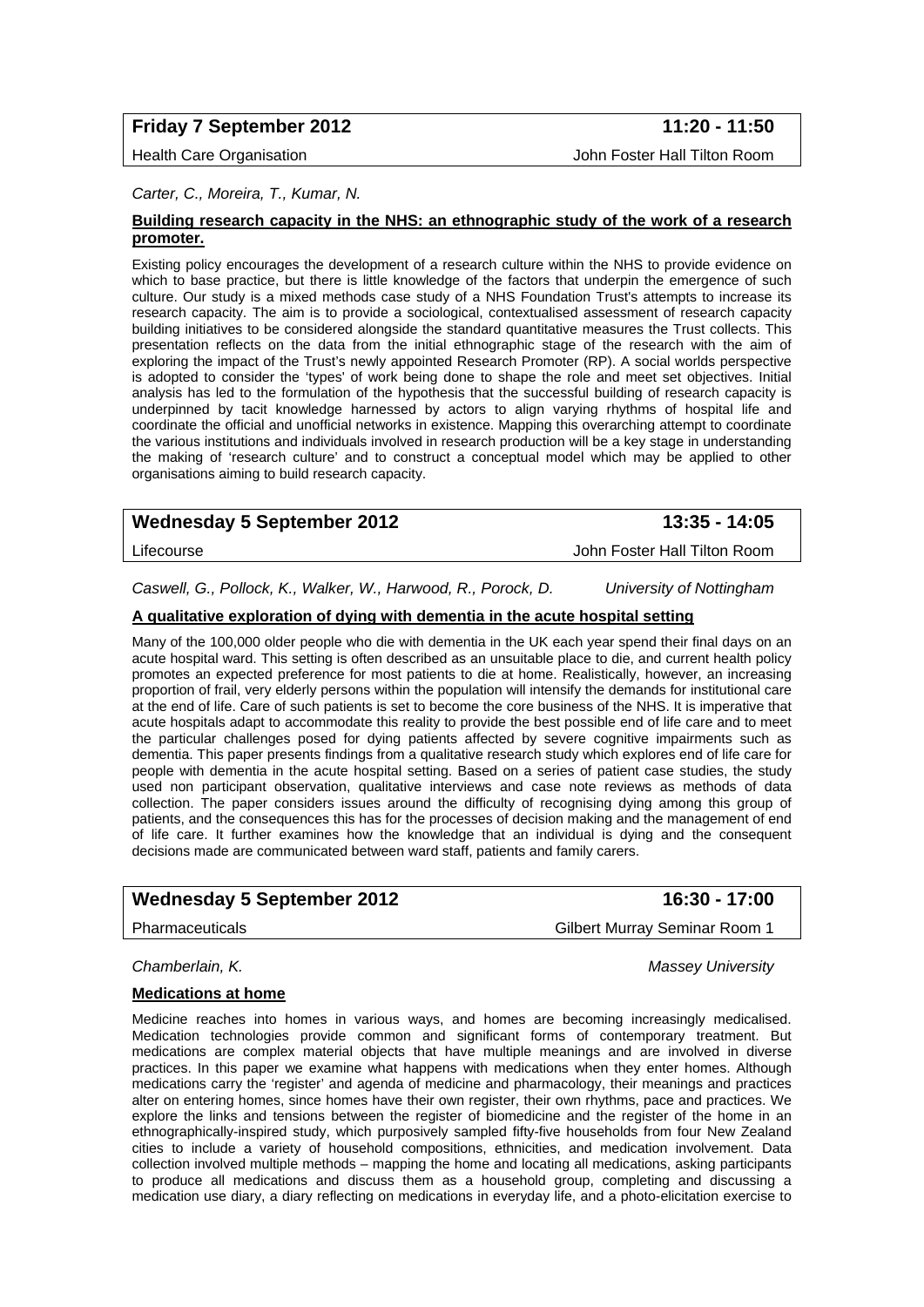## **Friday 7 September 2012** 11:20 - 11:50

Health Care Organisation John Foster Hall Tilton Room

#### *Carter, C., Moreira, T., Kumar, N.*

#### **Building research capacity in the NHS: an ethnographic study of the work of a research promoter.**

Existing policy encourages the development of a research culture within the NHS to provide evidence on which to base practice, but there is little knowledge of the factors that underpin the emergence of such culture. Our study is a mixed methods case study of a NHS Foundation Trust's attempts to increase its research capacity. The aim is to provide a sociological, contextualised assessment of research capacity building initiatives to be considered alongside the standard quantitative measures the Trust collects. This presentation reflects on the data from the initial ethnographic stage of the research with the aim of exploring the impact of the Trust's newly appointed Research Promoter (RP). A social worlds perspective is adopted to consider the 'types' of work being done to shape the role and meet set objectives. Initial analysis has led to the formulation of the hypothesis that the successful building of research capacity is underpinned by tacit knowledge harnessed by actors to align varying rhythms of hospital life and coordinate the official and unofficial networks in existence. Mapping this overarching attempt to coordinate the various institutions and individuals involved in research production will be a key stage in understanding the making of 'research culture' and to construct a conceptual model which may be applied to other organisations aiming to build research capacity.

## Wednesday 5 September 2012 **13:35 - 14:05**

*Caswell, G., Pollock, K., Walker, W., Harwood, R., Porock, D. University of Nottingham* 

#### **A qualitative exploration of dying with dementia in the acute hospital setting**

Many of the 100,000 older people who die with dementia in the UK each year spend their final days on an acute hospital ward. This setting is often described as an unsuitable place to die, and current health policy promotes an expected preference for most patients to die at home. Realistically, however, an increasing proportion of frail, very elderly persons within the population will intensify the demands for institutional care at the end of life. Care of such patients is set to become the core business of the NHS. It is imperative that acute hospitals adapt to accommodate this reality to provide the best possible end of life care and to meet the particular challenges posed for dying patients affected by severe cognitive impairments such as dementia. This paper presents findings from a qualitative research study which explores end of life care for people with dementia in the acute hospital setting. Based on a series of patient case studies, the study used non participant observation, qualitative interviews and case note reviews as methods of data collection. The paper considers issues around the difficulty of recognising dying among this group of patients, and the consequences this has for the processes of decision making and the management of end of life care. It further examines how the knowledge that an individual is dying and the consequent decisions made are communicated between ward staff, patients and family carers.

## Wednesday 5 September 2012 **16:30 - 17:00**

Pharmaceuticals Gilbert Murray Seminar Room 1

*Chamberlain, K. Massey University* 

#### **Medications at home**

Medicine reaches into homes in various ways, and homes are becoming increasingly medicalised. Medication technologies provide common and significant forms of contemporary treatment. But medications are complex material objects that have multiple meanings and are involved in diverse practices. In this paper we examine what happens with medications when they enter homes. Although medications carry the 'register' and agenda of medicine and pharmacology, their meanings and practices alter on entering homes, since homes have their own register, their own rhythms, pace and practices. We explore the links and tensions between the register of biomedicine and the register of the home in an ethnographically-inspired study, which purposively sampled fifty-five households from four New Zealand cities to include a variety of household compositions, ethnicities, and medication involvement. Data collection involved multiple methods – mapping the home and locating all medications, asking participants to produce all medications and discuss them as a household group, completing and discussing a medication use diary, a diary reflecting on medications in everyday life, and a photo-elicitation exercise to

Lifecourse John Foster Hall Tilton Room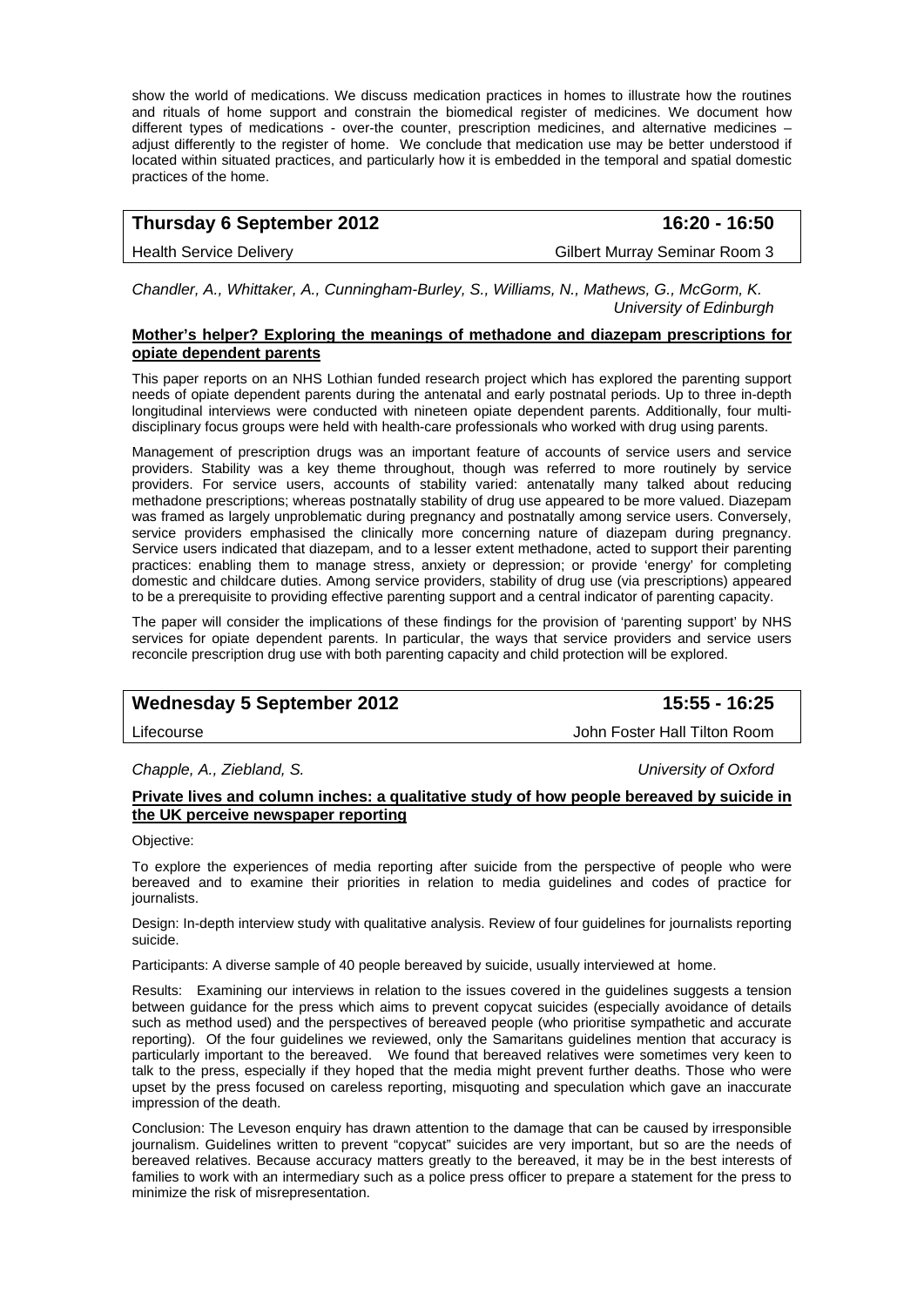show the world of medications. We discuss medication practices in homes to illustrate how the routines and rituals of home support and constrain the biomedical register of medicines. We document how different types of medications - over-the counter, prescription medicines, and alternative medicines – adjust differently to the register of home. We conclude that medication use may be better understood if located within situated practices, and particularly how it is embedded in the temporal and spatial domestic practices of the home.

## **Thursday 6 September 2012 16:20 - 16:50**

Health Service Delivery **Gilbert Murray Seminar Room 3** 

*Chandler, A., Whittaker, A., Cunningham-Burley, S., Williams, N., Mathews, G., McGorm, K. University of Edinburgh* 

### **Mother's helper? Exploring the meanings of methadone and diazepam prescriptions for opiate dependent parents**

This paper reports on an NHS Lothian funded research project which has explored the parenting support needs of opiate dependent parents during the antenatal and early postnatal periods. Up to three in-depth longitudinal interviews were conducted with nineteen opiate dependent parents. Additionally, four multidisciplinary focus groups were held with health-care professionals who worked with drug using parents.

Management of prescription drugs was an important feature of accounts of service users and service providers. Stability was a key theme throughout, though was referred to more routinely by service providers. For service users, accounts of stability varied: antenatally many talked about reducing methadone prescriptions; whereas postnatally stability of drug use appeared to be more valued. Diazepam was framed as largely unproblematic during pregnancy and postnatally among service users. Conversely, service providers emphasised the clinically more concerning nature of diazepam during pregnancy. Service users indicated that diazepam, and to a lesser extent methadone, acted to support their parenting practices: enabling them to manage stress, anxiety or depression; or provide 'energy' for completing domestic and childcare duties. Among service providers, stability of drug use (via prescriptions) appeared to be a prerequisite to providing effective parenting support and a central indicator of parenting capacity.

The paper will consider the implications of these findings for the provision of 'parenting support' by NHS services for opiate dependent parents. In particular, the ways that service providers and service users reconcile prescription drug use with both parenting capacity and child protection will be explored.

## Wednesday 5 September 2012 **15:55 - 16:25**

Lifecourse John Foster Hall Tilton Room

## *Chapple, A., Ziebland, S. University of Oxford*

### **Private lives and column inches: a qualitative study of how people bereaved by suicide in the UK perceive newspaper reporting**

Objective:

To explore the experiences of media reporting after suicide from the perspective of people who were bereaved and to examine their priorities in relation to media guidelines and codes of practice for journalists.

Design: In-depth interview study with qualitative analysis. Review of four guidelines for journalists reporting suicide.

Participants: A diverse sample of 40 people bereaved by suicide, usually interviewed at home.

Results: Examining our interviews in relation to the issues covered in the guidelines suggests a tension between guidance for the press which aims to prevent copycat suicides (especially avoidance of details such as method used) and the perspectives of bereaved people (who prioritise sympathetic and accurate reporting). Of the four guidelines we reviewed, only the Samaritans guidelines mention that accuracy is particularly important to the bereaved. We found that bereaved relatives were sometimes very keen to talk to the press, especially if they hoped that the media might prevent further deaths. Those who were upset by the press focused on careless reporting, misquoting and speculation which gave an inaccurate impression of the death.

Conclusion: The Leveson enquiry has drawn attention to the damage that can be caused by irresponsible journalism. Guidelines written to prevent "copycat" suicides are very important, but so are the needs of bereaved relatives. Because accuracy matters greatly to the bereaved, it may be in the best interests of families to work with an intermediary such as a police press officer to prepare a statement for the press to minimize the risk of misrepresentation.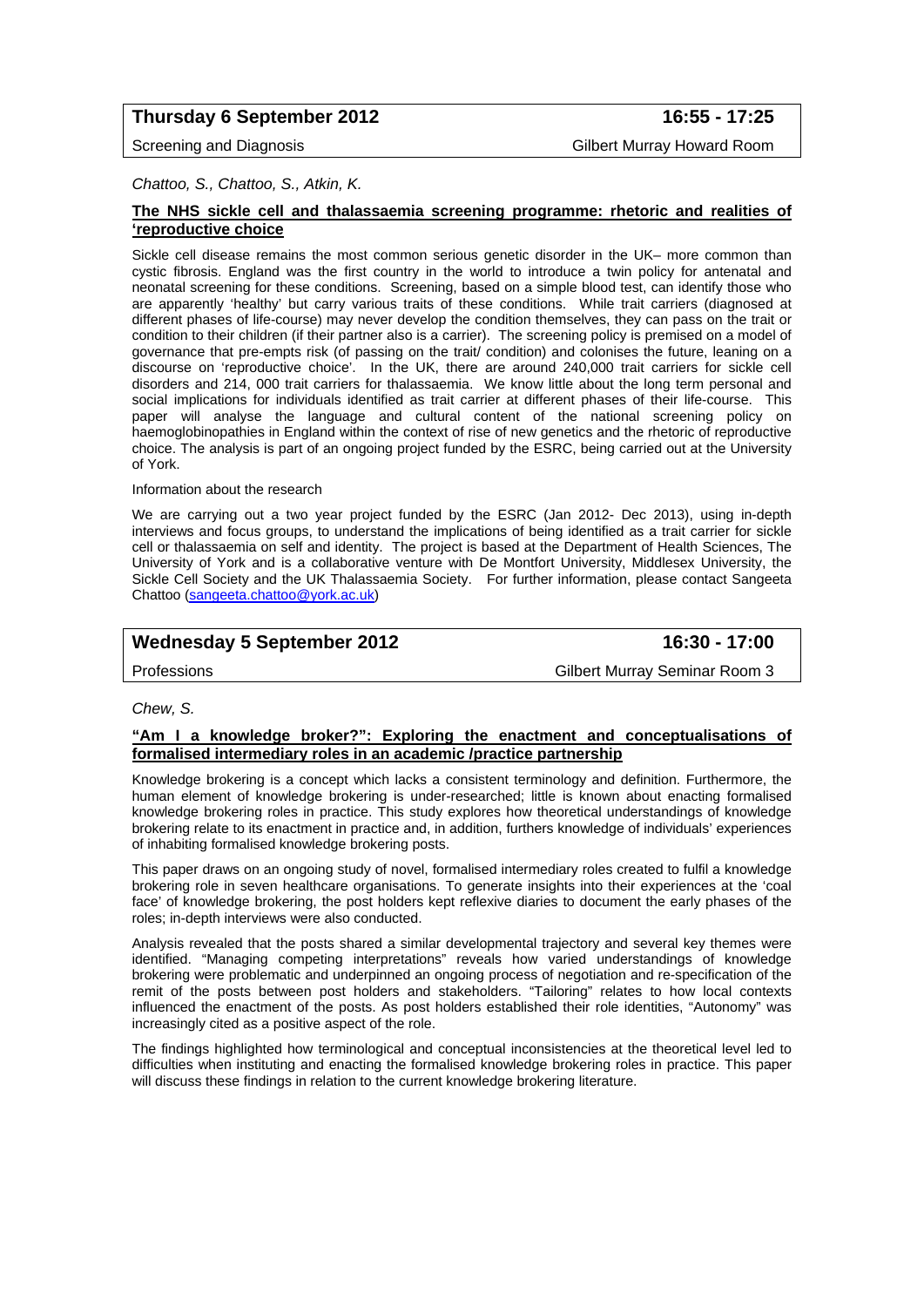## **Thursday 6 September 2012 16:55 - 17:25**

Screening and Diagnosis Gilbert Murray Howard Room

*Chattoo, S., Chattoo, S., Atkin, K.* 

#### **The NHS sickle cell and thalassaemia screening programme: rhetoric and realities of 'reproductive choice**

Sickle cell disease remains the most common serious genetic disorder in the UK– more common than cystic fibrosis. England was the first country in the world to introduce a twin policy for antenatal and neonatal screening for these conditions. Screening, based on a simple blood test, can identify those who are apparently 'healthy' but carry various traits of these conditions. While trait carriers (diagnosed at different phases of life-course) may never develop the condition themselves, they can pass on the trait or condition to their children (if their partner also is a carrier). The screening policy is premised on a model of governance that pre-empts risk (of passing on the trait/ condition) and colonises the future, leaning on a discourse on 'reproductive choice'. In the UK, there are around 240,000 trait carriers for sickle cell disorders and 214, 000 trait carriers for thalassaemia. We know little about the long term personal and social implications for individuals identified as trait carrier at different phases of their life-course. This paper will analyse the language and cultural content of the national screening policy on haemoglobinopathies in England within the context of rise of new genetics and the rhetoric of reproductive choice. The analysis is part of an ongoing project funded by the ESRC, being carried out at the University of York.

Information about the research

We are carrying out a two year project funded by the ESRC (Jan 2012- Dec 2013), using in-depth interviews and focus groups, to understand the implications of being identified as a trait carrier for sickle cell or thalassaemia on self and identity. The project is based at the Department of Health Sciences, The University of York and is a collaborative venture with De Montfort University, Middlesex University, the Sickle Cell Society and the UK Thalassaemia Society. For further information, please contact Sangeeta Chattoo (sangeeta.chattoo@york.ac.uk)

## Wednesday 5 September 2012 **16:30 - 17:00**

Professions Gilbert Murray Seminar Room 3

*Chew, S.* 

#### **"Am I a knowledge broker?": Exploring the enactment and conceptualisations of formalised intermediary roles in an academic /practice partnership**

Knowledge brokering is a concept which lacks a consistent terminology and definition. Furthermore, the human element of knowledge brokering is under-researched; little is known about enacting formalised knowledge brokering roles in practice. This study explores how theoretical understandings of knowledge brokering relate to its enactment in practice and, in addition, furthers knowledge of individuals' experiences of inhabiting formalised knowledge brokering posts.

This paper draws on an ongoing study of novel, formalised intermediary roles created to fulfil a knowledge brokering role in seven healthcare organisations. To generate insights into their experiences at the 'coal face' of knowledge brokering, the post holders kept reflexive diaries to document the early phases of the roles; in-depth interviews were also conducted.

Analysis revealed that the posts shared a similar developmental trajectory and several key themes were identified. "Managing competing interpretations" reveals how varied understandings of knowledge brokering were problematic and underpinned an ongoing process of negotiation and re-specification of the remit of the posts between post holders and stakeholders. "Tailoring" relates to how local contexts influenced the enactment of the posts. As post holders established their role identities, "Autonomy" was increasingly cited as a positive aspect of the role.

The findings highlighted how terminological and conceptual inconsistencies at the theoretical level led to difficulties when instituting and enacting the formalised knowledge brokering roles in practice. This paper will discuss these findings in relation to the current knowledge brokering literature.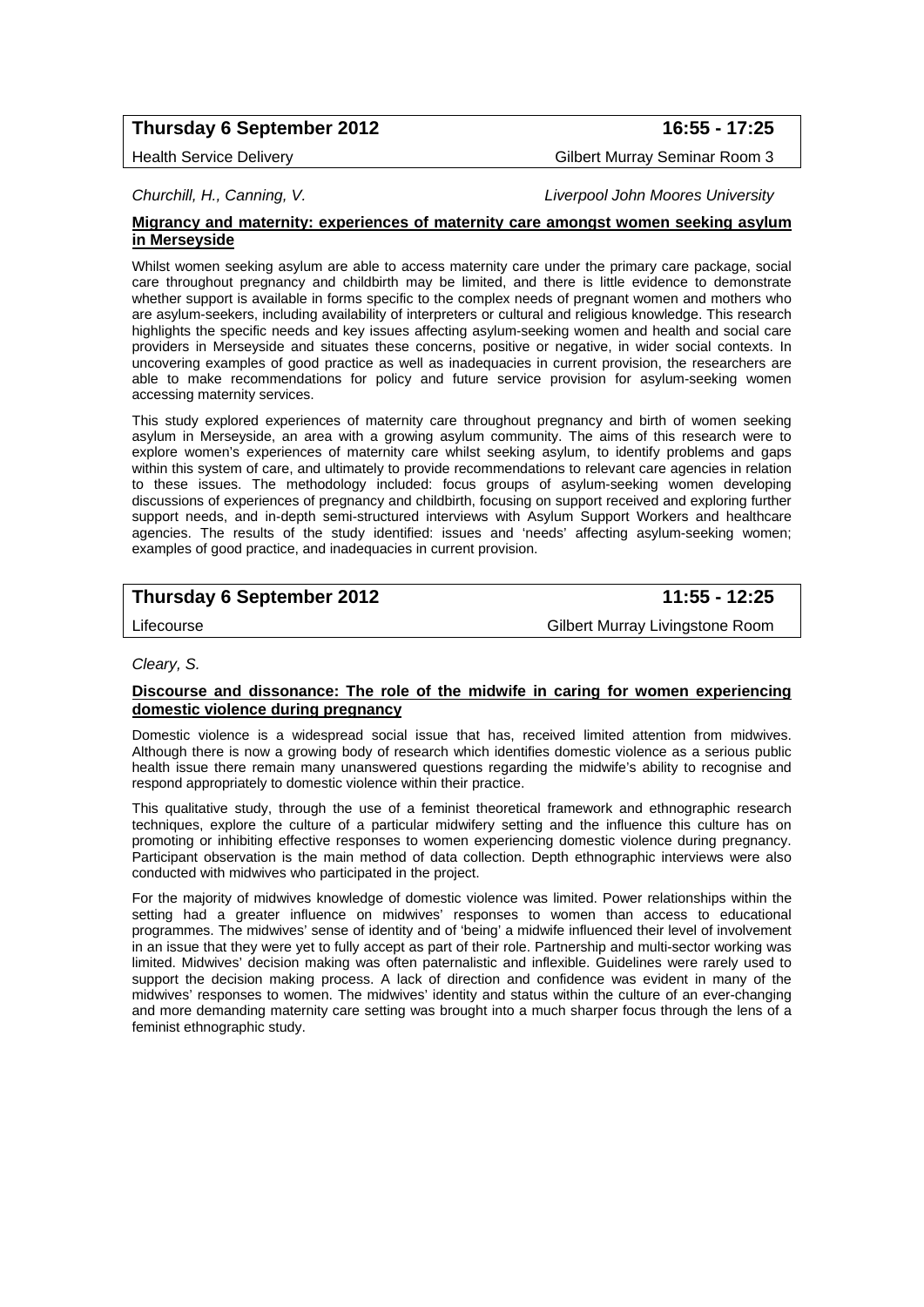## **Thursday 6 September 2012 16:55 - 17:25**

Health Service Delivery **Gilbert Murray Seminar Room 3** 

*Churchill, H., Canning, V. Liverpool John Moores University* 

#### **Migrancy and maternity: experiences of maternity care amongst women seeking asylum in Merseyside**

Whilst women seeking asylum are able to access maternity care under the primary care package, social care throughout pregnancy and childbirth may be limited, and there is little evidence to demonstrate whether support is available in forms specific to the complex needs of pregnant women and mothers who are asylum-seekers, including availability of interpreters or cultural and religious knowledge. This research highlights the specific needs and key issues affecting asylum-seeking women and health and social care providers in Merseyside and situates these concerns, positive or negative, in wider social contexts. In uncovering examples of good practice as well as inadequacies in current provision, the researchers are able to make recommendations for policy and future service provision for asylum-seeking women accessing maternity services.

This study explored experiences of maternity care throughout pregnancy and birth of women seeking asylum in Merseyside, an area with a growing asylum community. The aims of this research were to explore women's experiences of maternity care whilst seeking asylum, to identify problems and gaps within this system of care, and ultimately to provide recommendations to relevant care agencies in relation to these issues. The methodology included: focus groups of asylum-seeking women developing discussions of experiences of pregnancy and childbirth, focusing on support received and exploring further support needs, and in-depth semi-structured interviews with Asylum Support Workers and healthcare agencies. The results of the study identified: issues and 'needs' affecting asylum-seeking women; examples of good practice, and inadequacies in current provision.

## **Thursday 6 September 2012 11:55 - 12:25**

Lifecourse Gilbert Murray Livingstone Room

#### *Cleary, S.*

#### **Discourse and dissonance: The role of the midwife in caring for women experiencing domestic violence during pregnancy**

Domestic violence is a widespread social issue that has, received limited attention from midwives. Although there is now a growing body of research which identifies domestic violence as a serious public health issue there remain many unanswered questions regarding the midwife's ability to recognise and respond appropriately to domestic violence within their practice.

This qualitative study, through the use of a feminist theoretical framework and ethnographic research techniques, explore the culture of a particular midwifery setting and the influence this culture has on promoting or inhibiting effective responses to women experiencing domestic violence during pregnancy. Participant observation is the main method of data collection. Depth ethnographic interviews were also conducted with midwives who participated in the project.

For the majority of midwives knowledge of domestic violence was limited. Power relationships within the setting had a greater influence on midwives' responses to women than access to educational programmes. The midwives' sense of identity and of 'being' a midwife influenced their level of involvement in an issue that they were yet to fully accept as part of their role. Partnership and multi-sector working was limited. Midwives' decision making was often paternalistic and inflexible. Guidelines were rarely used to support the decision making process. A lack of direction and confidence was evident in many of the midwives' responses to women. The midwives' identity and status within the culture of an ever-changing and more demanding maternity care setting was brought into a much sharper focus through the lens of a feminist ethnographic study.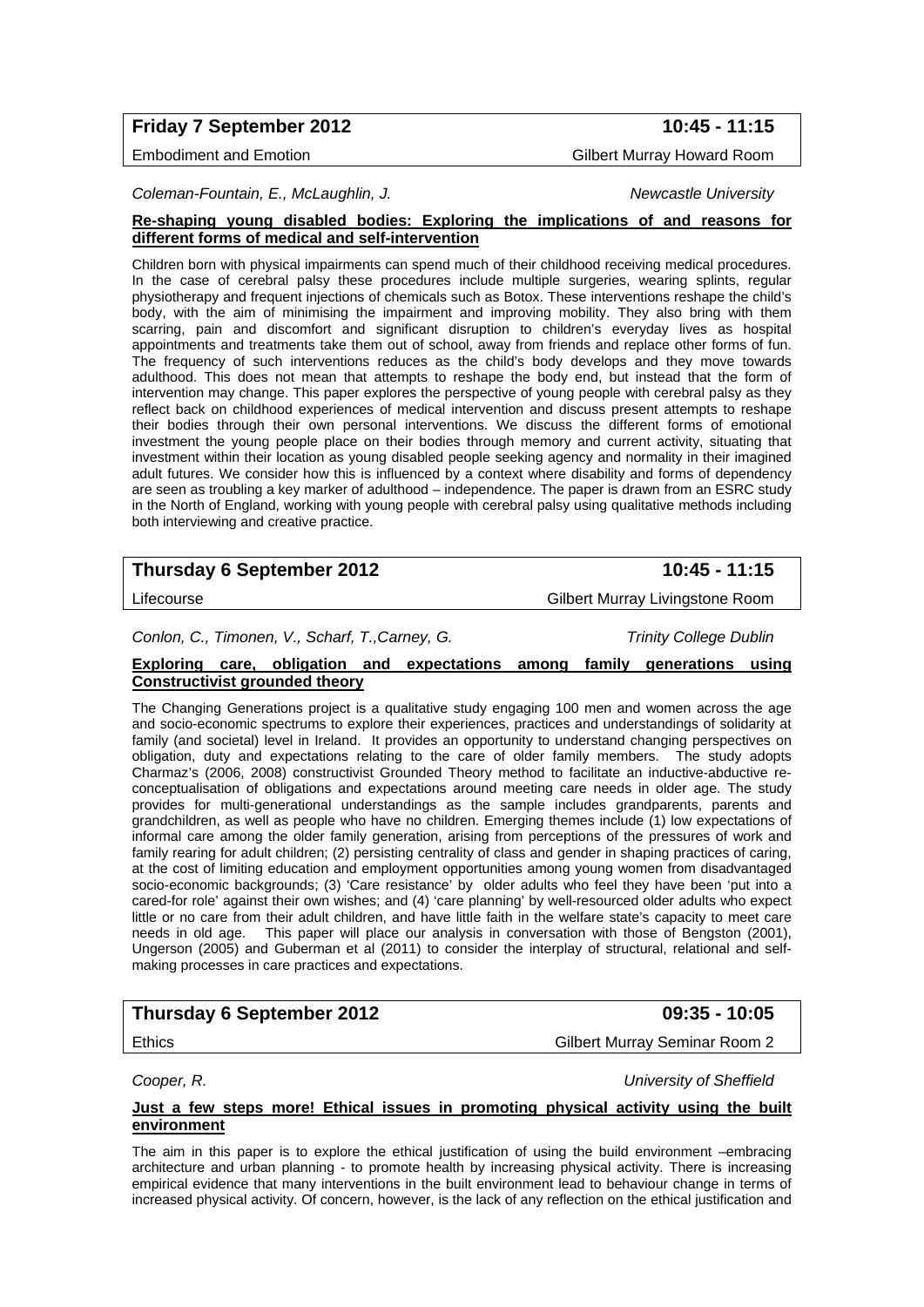## **Friday 7 September 2012** 10:45 - 11:15

Embodiment and Emotion Gilbert Murray Howard Room

*Coleman-Fountain, E., McLaughlin, J. Newcastle University* 

#### **Re-shaping young disabled bodies: Exploring the implications of and reasons for different forms of medical and self-intervention**

Children born with physical impairments can spend much of their childhood receiving medical procedures. In the case of cerebral palsy these procedures include multiple surgeries, wearing splints, regular physiotherapy and frequent injections of chemicals such as Botox. These interventions reshape the child's body, with the aim of minimising the impairment and improving mobility. They also bring with them scarring, pain and discomfort and significant disruption to children's everyday lives as hospital appointments and treatments take them out of school, away from friends and replace other forms of fun. The frequency of such interventions reduces as the child's body develops and they move towards adulthood. This does not mean that attempts to reshape the body end, but instead that the form of intervention may change. This paper explores the perspective of young people with cerebral palsy as they reflect back on childhood experiences of medical intervention and discuss present attempts to reshape their bodies through their own personal interventions. We discuss the different forms of emotional investment the young people place on their bodies through memory and current activity, situating that investment within their location as young disabled people seeking agency and normality in their imagined adult futures. We consider how this is influenced by a context where disability and forms of dependency are seen as troubling a key marker of adulthood – independence. The paper is drawn from an ESRC study in the North of England, working with young people with cerebral palsy using qualitative methods including both interviewing and creative practice.

## **Thursday 6 September 2012** 10:45 - 11:15

Lifecourse Gilbert Murray Livingstone Room

## *Conlon, C., Timonen, V., Scharf, T.,Carney, G. Trinity College Dublin*

## **Exploring care, obligation and expectations among family generations using Constructivist grounded theory**

The Changing Generations project is a qualitative study engaging 100 men and women across the age and socio-economic spectrums to explore their experiences, practices and understandings of solidarity at family (and societal) level in Ireland. It provides an opportunity to understand changing perspectives on obligation, duty and expectations relating to the care of older family members. The study adopts Charmaz's (2006, 2008) constructivist Grounded Theory method to facilitate an inductive-abductive reconceptualisation of obligations and expectations around meeting care needs in older age. The study provides for multi-generational understandings as the sample includes grandparents, parents and grandchildren, as well as people who have no children. Emerging themes include (1) low expectations of informal care among the older family generation, arising from perceptions of the pressures of work and family rearing for adult children; (2) persisting centrality of class and gender in shaping practices of caring, at the cost of limiting education and employment opportunities among young women from disadvantaged socio-economic backgrounds; (3) 'Care resistance' by older adults who feel they have been 'put into a cared-for role' against their own wishes; and (4) 'care planning' by well-resourced older adults who expect little or no care from their adult children, and have little faith in the welfare state's capacity to meet care needs in old age. This paper will place our analysis in conversation with those of Bengston (2001), Ungerson (2005) and Guberman et al (2011) to consider the interplay of structural, relational and selfmaking processes in care practices and expectations.

## **Thursday 6 September 2012 09:35 - 10:05**

Ethics Gilbert Murray Seminar Room 2

*Cooper, R. University of Sheffield* 

### **Just a few steps more! Ethical issues in promoting physical activity using the built environment**

The aim in this paper is to explore the ethical justification of using the build environment –embracing architecture and urban planning - to promote health by increasing physical activity. There is increasing empirical evidence that many interventions in the built environment lead to behaviour change in terms of increased physical activity. Of concern, however, is the lack of any reflection on the ethical justification and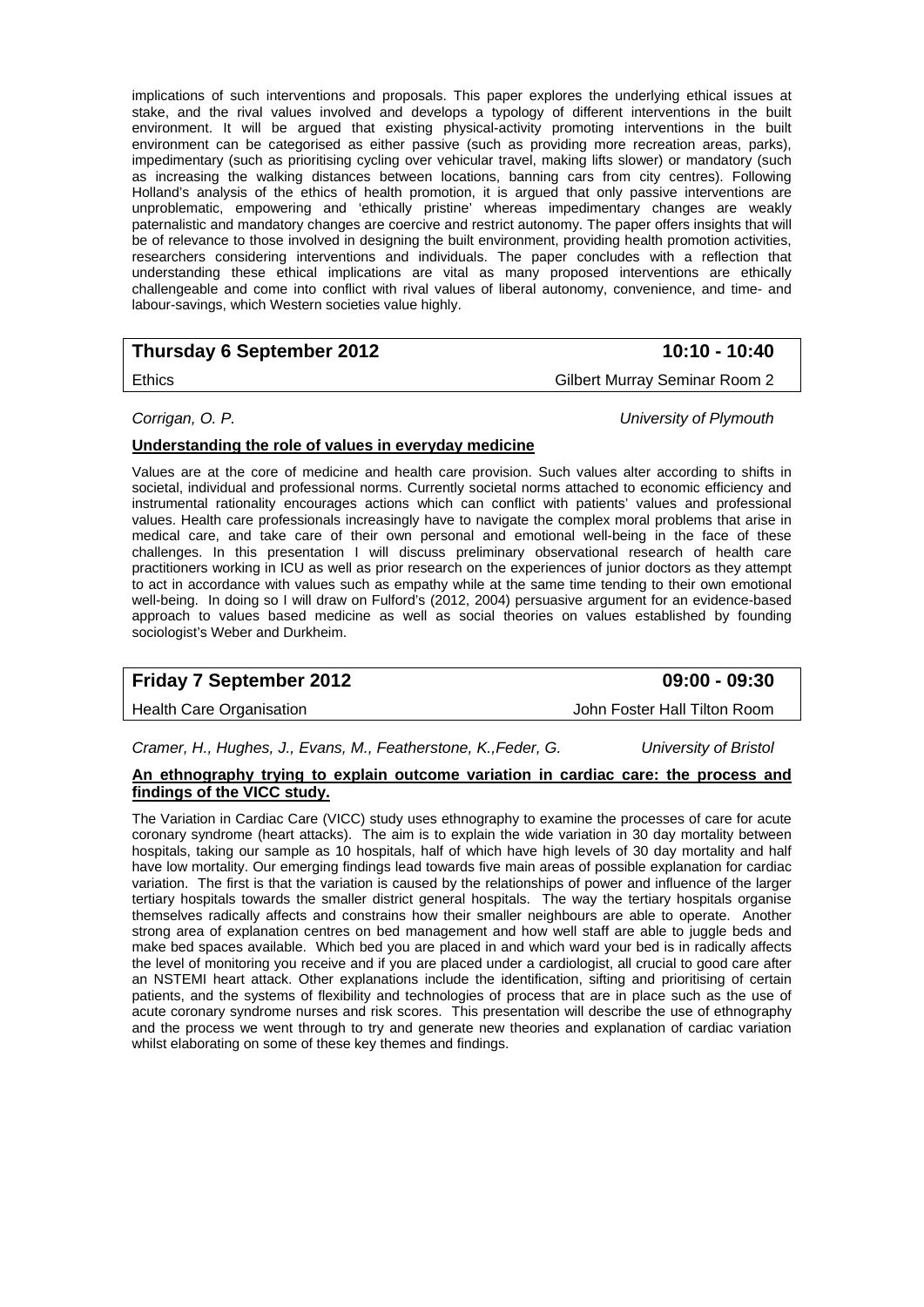implications of such interventions and proposals. This paper explores the underlying ethical issues at stake, and the rival values involved and develops a typology of different interventions in the built environment. It will be argued that existing physical-activity promoting interventions in the built environment can be categorised as either passive (such as providing more recreation areas, parks), impedimentary (such as prioritising cycling over vehicular travel, making lifts slower) or mandatory (such as increasing the walking distances between locations, banning cars from city centres). Following Holland's analysis of the ethics of health promotion, it is argued that only passive interventions are unproblematic, empowering and 'ethically pristine' whereas impedimentary changes are weakly paternalistic and mandatory changes are coercive and restrict autonomy. The paper offers insights that will be of relevance to those involved in designing the built environment, providing health promotion activities, researchers considering interventions and individuals. The paper concludes with a reflection that understanding these ethical implications are vital as many proposed interventions are ethically challengeable and come into conflict with rival values of liberal autonomy, convenience, and time- and labour-savings, which Western societies value highly.

## **Thursday 6 September 2012** 10:10 - 10:40

Ethics Gilbert Murray Seminar Room 2

*Corrigan, O. P. University of Plymouth* 

## **Understanding the role of values in everyday medicine**

Values are at the core of medicine and health care provision. Such values alter according to shifts in societal, individual and professional norms. Currently societal norms attached to economic efficiency and instrumental rationality encourages actions which can conflict with patients' values and professional values. Health care professionals increasingly have to navigate the complex moral problems that arise in medical care, and take care of their own personal and emotional well-being in the face of these challenges. In this presentation I will discuss preliminary observational research of health care practitioners working in ICU as well as prior research on the experiences of junior doctors as they attempt to act in accordance with values such as empathy while at the same time tending to their own emotional well-being. In doing so I will draw on Fulford's (2012, 2004) persuasive argument for an evidence-based approach to values based medicine as well as social theories on values established by founding sociologist's Weber and Durkheim.

## **Friday 7 September 2012 09:00 - 09:30**

*Cramer, H., Hughes, J., Evans, M., Featherstone, K.,Feder, G. University of Bristol* 

## **An ethnography trying to explain outcome variation in cardiac care: the process and findings of the VICC study.**

The Variation in Cardiac Care (VICC) study uses ethnography to examine the processes of care for acute coronary syndrome (heart attacks). The aim is to explain the wide variation in 30 day mortality between hospitals, taking our sample as 10 hospitals, half of which have high levels of 30 day mortality and half have low mortality. Our emerging findings lead towards five main areas of possible explanation for cardiac variation. The first is that the variation is caused by the relationships of power and influence of the larger tertiary hospitals towards the smaller district general hospitals. The way the tertiary hospitals organise themselves radically affects and constrains how their smaller neighbours are able to operate. Another strong area of explanation centres on bed management and how well staff are able to juggle beds and make bed spaces available. Which bed you are placed in and which ward your bed is in radically affects the level of monitoring you receive and if you are placed under a cardiologist, all crucial to good care after an NSTEMI heart attack. Other explanations include the identification, sifting and prioritising of certain patients, and the systems of flexibility and technologies of process that are in place such as the use of acute coronary syndrome nurses and risk scores. This presentation will describe the use of ethnography and the process we went through to try and generate new theories and explanation of cardiac variation whilst elaborating on some of these key themes and findings.

Health Care Organisation John Foster Hall Tilton Room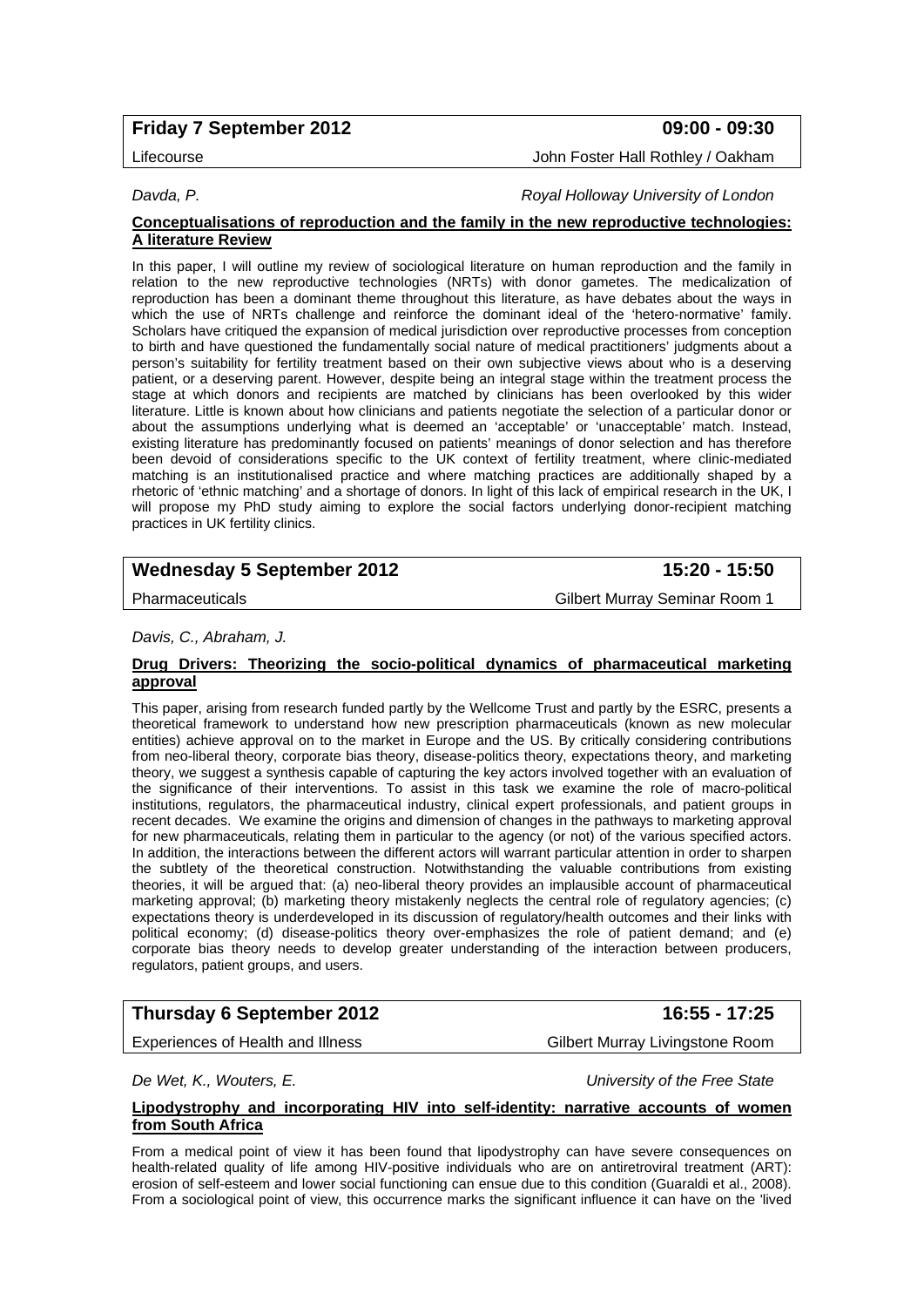## **Friday 7 September 2012 09:00 - 09:30**

Lifecourse John Foster Hall Rothley / Oakham

*Davda, P. Royal Holloway University of London* 

#### **Conceptualisations of reproduction and the family in the new reproductive technologies: A literature Review**

In this paper. I will outline my review of sociological literature on human reproduction and the family in relation to the new reproductive technologies (NRTs) with donor gametes. The medicalization of reproduction has been a dominant theme throughout this literature, as have debates about the ways in which the use of NRTs challenge and reinforce the dominant ideal of the 'hetero-normative' family. Scholars have critiqued the expansion of medical jurisdiction over reproductive processes from conception to birth and have questioned the fundamentally social nature of medical practitioners' judgments about a person's suitability for fertility treatment based on their own subjective views about who is a deserving patient, or a deserving parent. However, despite being an integral stage within the treatment process the stage at which donors and recipients are matched by clinicians has been overlooked by this wider literature. Little is known about how clinicians and patients negotiate the selection of a particular donor or about the assumptions underlying what is deemed an 'acceptable' or 'unacceptable' match. Instead, existing literature has predominantly focused on patients' meanings of donor selection and has therefore been devoid of considerations specific to the UK context of fertility treatment, where clinic-mediated matching is an institutionalised practice and where matching practices are additionally shaped by a rhetoric of 'ethnic matching' and a shortage of donors. In light of this lack of empirical research in the UK, I will propose my PhD study aiming to explore the social factors underlying donor-recipient matching practices in UK fertility clinics.

## **Wednesday 5 September 2012 15:20 - 15:50**

Pharmaceuticals **Contract Contract Contract Contract Contract Contract Contract Contract Contract Contract Contract Contract Contract Contract Contract Contract Contract Contract Contract Contract Contract Contract Contrac** 

#### *Davis, C., Abraham, J.*

#### **Drug Drivers: Theorizing the socio-political dynamics of pharmaceutical marketing approval**

This paper, arising from research funded partly by the Wellcome Trust and partly by the ESRC, presents a theoretical framework to understand how new prescription pharmaceuticals (known as new molecular entities) achieve approval on to the market in Europe and the US. By critically considering contributions from neo-liberal theory, corporate bias theory, disease-politics theory, expectations theory, and marketing theory, we suggest a synthesis capable of capturing the key actors involved together with an evaluation of the significance of their interventions. To assist in this task we examine the role of macro-political institutions, regulators, the pharmaceutical industry, clinical expert professionals, and patient groups in recent decades. We examine the origins and dimension of changes in the pathways to marketing approval for new pharmaceuticals, relating them in particular to the agency (or not) of the various specified actors. In addition, the interactions between the different actors will warrant particular attention in order to sharpen the subtlety of the theoretical construction. Notwithstanding the valuable contributions from existing theories, it will be argued that: (a) neo-liberal theory provides an implausible account of pharmaceutical marketing approval; (b) marketing theory mistakenly neglects the central role of regulatory agencies; (c) expectations theory is underdeveloped in its discussion of regulatory/health outcomes and their links with political economy; (d) disease-politics theory over-emphasizes the role of patient demand; and (e) corporate bias theory needs to develop greater understanding of the interaction between producers, regulators, patient groups, and users.

## **Thursday 6 September 2012 16:55 - 17:25**

Experiences of Health and Illness Gilbert Murray Livingstone Room

*De Wet, K., Wouters, E. University of the Free State* 

### **Lipodystrophy and incorporating HIV into self-identity: narrative accounts of women from South Africa**

From a medical point of view it has been found that lipodystrophy can have severe consequences on health-related quality of life among HIV-positive individuals who are on antiretroviral treatment (ART): erosion of self-esteem and lower social functioning can ensue due to this condition (Guaraldi et al., 2008). From a sociological point of view, this occurrence marks the significant influence it can have on the 'lived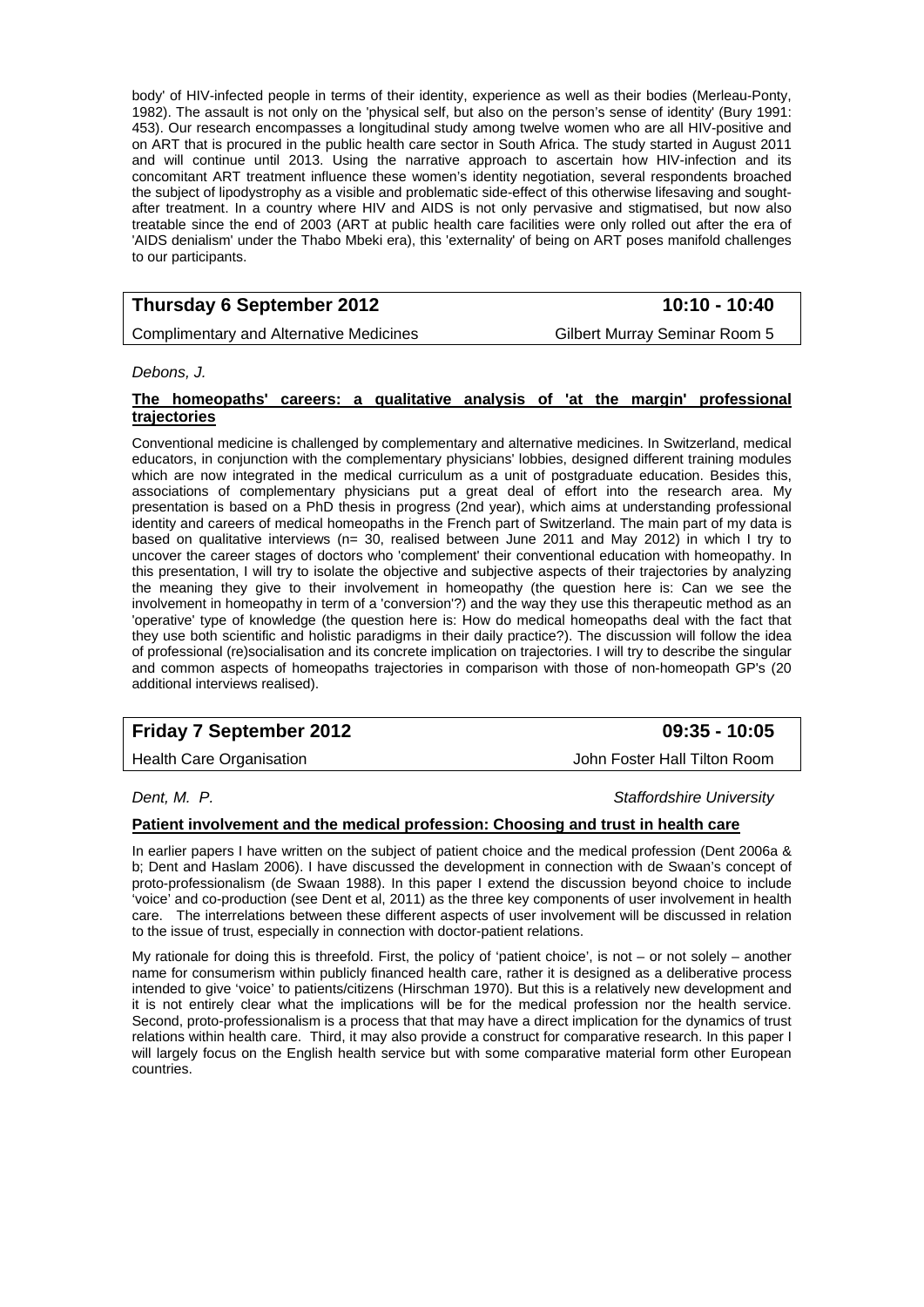body' of HIV-infected people in terms of their identity, experience as well as their bodies (Merleau-Ponty, 1982). The assault is not only on the 'physical self, but also on the person's sense of identity' (Bury 1991: 453). Our research encompasses a longitudinal study among twelve women who are all HIV-positive and on ART that is procured in the public health care sector in South Africa. The study started in August 2011 and will continue until 2013. Using the narrative approach to ascertain how HIV-infection and its concomitant ART treatment influence these women's identity negotiation, several respondents broached the subject of lipodystrophy as a visible and problematic side-effect of this otherwise lifesaving and soughtafter treatment. In a country where HIV and AIDS is not only pervasive and stigmatised, but now also treatable since the end of 2003 (ART at public health care facilities were only rolled out after the era of 'AIDS denialism' under the Thabo Mbeki era), this 'externality' of being on ART poses manifold challenges to our participants.

## **Thursday 6 September 2012** 10:10 - 10:40

Complimentary and Alternative Medicines Gilbert Murray Seminar Room 5

*Debons, J.* 

### **The homeopaths' careers: a qualitative analysis of 'at the margin' professional trajectories**

Conventional medicine is challenged by complementary and alternative medicines. In Switzerland, medical educators, in conjunction with the complementary physicians' lobbies, designed different training modules which are now integrated in the medical curriculum as a unit of postgraduate education. Besides this, associations of complementary physicians put a great deal of effort into the research area. My presentation is based on a PhD thesis in progress (2nd year), which aims at understanding professional identity and careers of medical homeopaths in the French part of Switzerland. The main part of my data is based on qualitative interviews (n= 30, realised between June 2011 and May 2012) in which I try to uncover the career stages of doctors who 'complement' their conventional education with homeopathy. In this presentation, I will try to isolate the objective and subjective aspects of their trajectories by analyzing the meaning they give to their involvement in homeopathy (the question here is: Can we see the involvement in homeopathy in term of a 'conversion'?) and the way they use this therapeutic method as an 'operative' type of knowledge (the question here is: How do medical homeopaths deal with the fact that they use both scientific and holistic paradigms in their daily practice?). The discussion will follow the idea of professional (re)socialisation and its concrete implication on trajectories. I will try to describe the singular and common aspects of homeopaths trajectories in comparison with those of non-homeopath GP's (20 additional interviews realised).

## **Friday 7 September 2012 09:35 - 10:05**

Health Care Organisation **Health Care Organisation** John Foster Hall Tilton Room

*Dent, M. P. Staffordshire University* 

## **Patient involvement and the medical profession: Choosing and trust in health care**

In earlier papers I have written on the subject of patient choice and the medical profession (Dent 2006a & b; Dent and Haslam 2006). I have discussed the development in connection with de Swaan's concept of proto-professionalism (de Swaan 1988). In this paper I extend the discussion beyond choice to include 'voice' and co-production (see Dent et al, 2011) as the three key components of user involvement in health The interrelations between these different aspects of user involvement will be discussed in relation to the issue of trust, especially in connection with doctor-patient relations.

My rationale for doing this is threefold. First, the policy of 'patient choice', is not – or not solely – another name for consumerism within publicly financed health care, rather it is designed as a deliberative process intended to give 'voice' to patients/citizens (Hirschman 1970). But this is a relatively new development and it is not entirely clear what the implications will be for the medical profession nor the health service. Second, proto-professionalism is a process that that may have a direct implication for the dynamics of trust relations within health care. Third, it may also provide a construct for comparative research. In this paper I will largely focus on the English health service but with some comparative material form other European countries.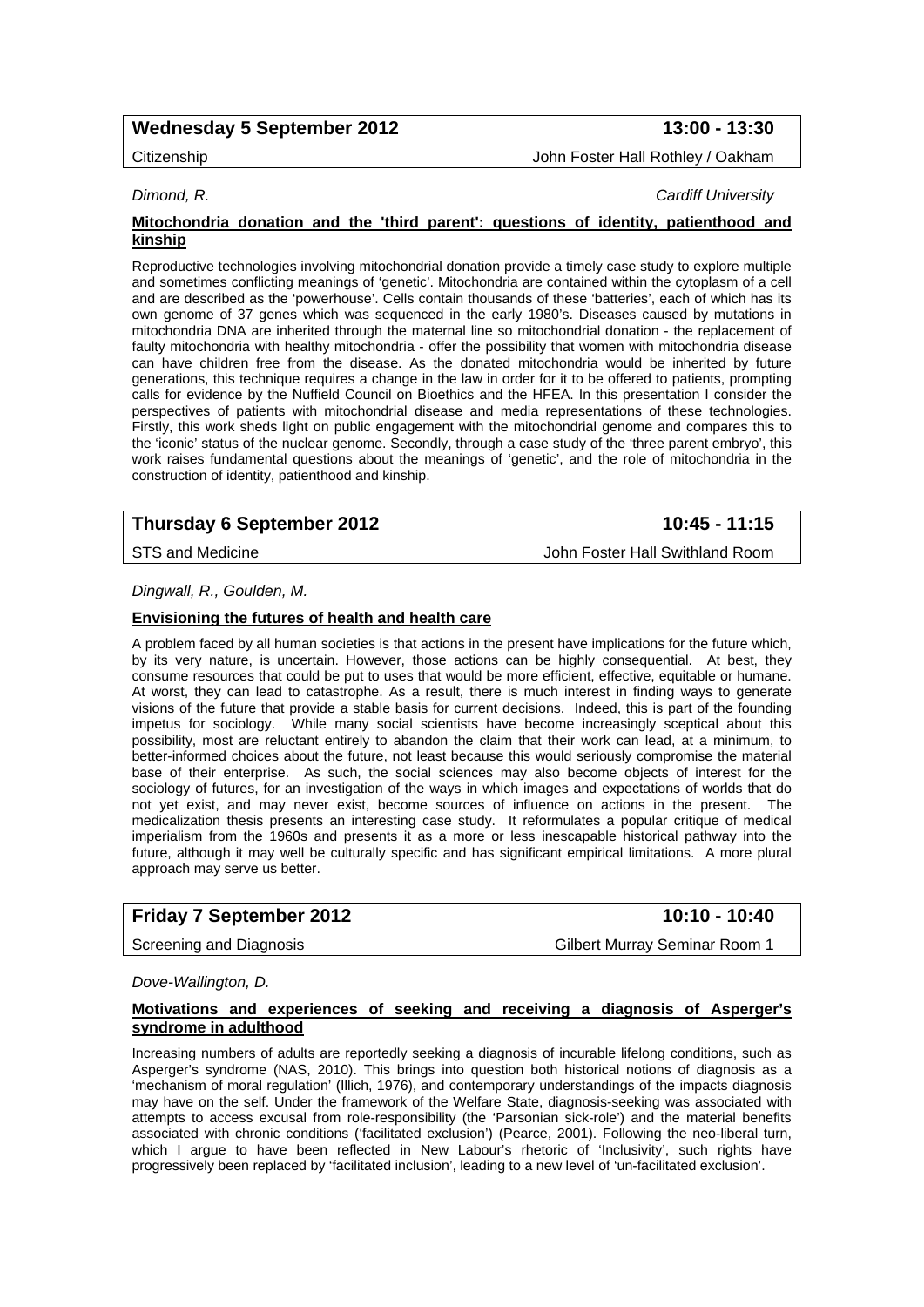## Wednesday 5 September 2012 **13:00 - 13:30**

## Citizenship John Foster Hall Rothley / Oakham

*Dimond, R. Cardiff University* 

#### **Mitochondria donation and the 'third parent': questions of identity, patienthood and kinship**

Reproductive technologies involving mitochondrial donation provide a timely case study to explore multiple and sometimes conflicting meanings of 'genetic'. Mitochondria are contained within the cytoplasm of a cell and are described as the 'powerhouse'. Cells contain thousands of these 'batteries', each of which has its own genome of 37 genes which was sequenced in the early 1980's. Diseases caused by mutations in mitochondria DNA are inherited through the maternal line so mitochondrial donation - the replacement of faulty mitochondria with healthy mitochondria - offer the possibility that women with mitochondria disease can have children free from the disease. As the donated mitochondria would be inherited by future generations, this technique requires a change in the law in order for it to be offered to patients, prompting calls for evidence by the Nuffield Council on Bioethics and the HFEA. In this presentation I consider the perspectives of patients with mitochondrial disease and media representations of these technologies. Firstly, this work sheds light on public engagement with the mitochondrial genome and compares this to the 'iconic' status of the nuclear genome. Secondly, through a case study of the 'three parent embryo', this work raises fundamental questions about the meanings of 'genetic', and the role of mitochondria in the construction of identity, patienthood and kinship.

## **Thursday 6 September 2012** 10:45 - 11:15

STS and Medicine **John Foster Hall Swithland Room** 

#### *Dingwall, R., Goulden, M.*

#### **Envisioning the futures of health and health care**

A problem faced by all human societies is that actions in the present have implications for the future which, by its very nature, is uncertain. However, those actions can be highly consequential. At best, they consume resources that could be put to uses that would be more efficient, effective, equitable or humane. At worst, they can lead to catastrophe. As a result, there is much interest in finding ways to generate visions of the future that provide a stable basis for current decisions. Indeed, this is part of the founding impetus for sociology. While many social scientists have become increasingly sceptical about this possibility, most are reluctant entirely to abandon the claim that their work can lead, at a minimum, to better-informed choices about the future, not least because this would seriously compromise the material base of their enterprise. As such, the social sciences may also become objects of interest for the sociology of futures, for an investigation of the ways in which images and expectations of worlds that do not yet exist, and may never exist, become sources of influence on actions in the present. The medicalization thesis presents an interesting case study. It reformulates a popular critique of medical imperialism from the 1960s and presents it as a more or less inescapable historical pathway into the future, although it may well be culturally specific and has significant empirical limitations. A more plural approach may serve us better.

## **Friday 7 September 2012** 10:10 - 10:40

Screening and Diagnosis Gilbert Murray Seminar Room 1

#### *Dove-Wallington, D.*

#### **Motivations and experiences of seeking and receiving a diagnosis of Asperger's syndrome in adulthood**

Increasing numbers of adults are reportedly seeking a diagnosis of incurable lifelong conditions, such as Asperger's syndrome (NAS, 2010). This brings into question both historical notions of diagnosis as a 'mechanism of moral regulation' (Illich, 1976), and contemporary understandings of the impacts diagnosis may have on the self. Under the framework of the Welfare State, diagnosis-seeking was associated with attempts to access excusal from role-responsibility (the 'Parsonian sick-role') and the material benefits associated with chronic conditions ('facilitated exclusion') (Pearce, 2001). Following the neo-liberal turn, which I argue to have been reflected in New Labour's rhetoric of 'Inclusivity', such rights have progressively been replaced by 'facilitated inclusion', leading to a new level of 'un-facilitated exclusion'.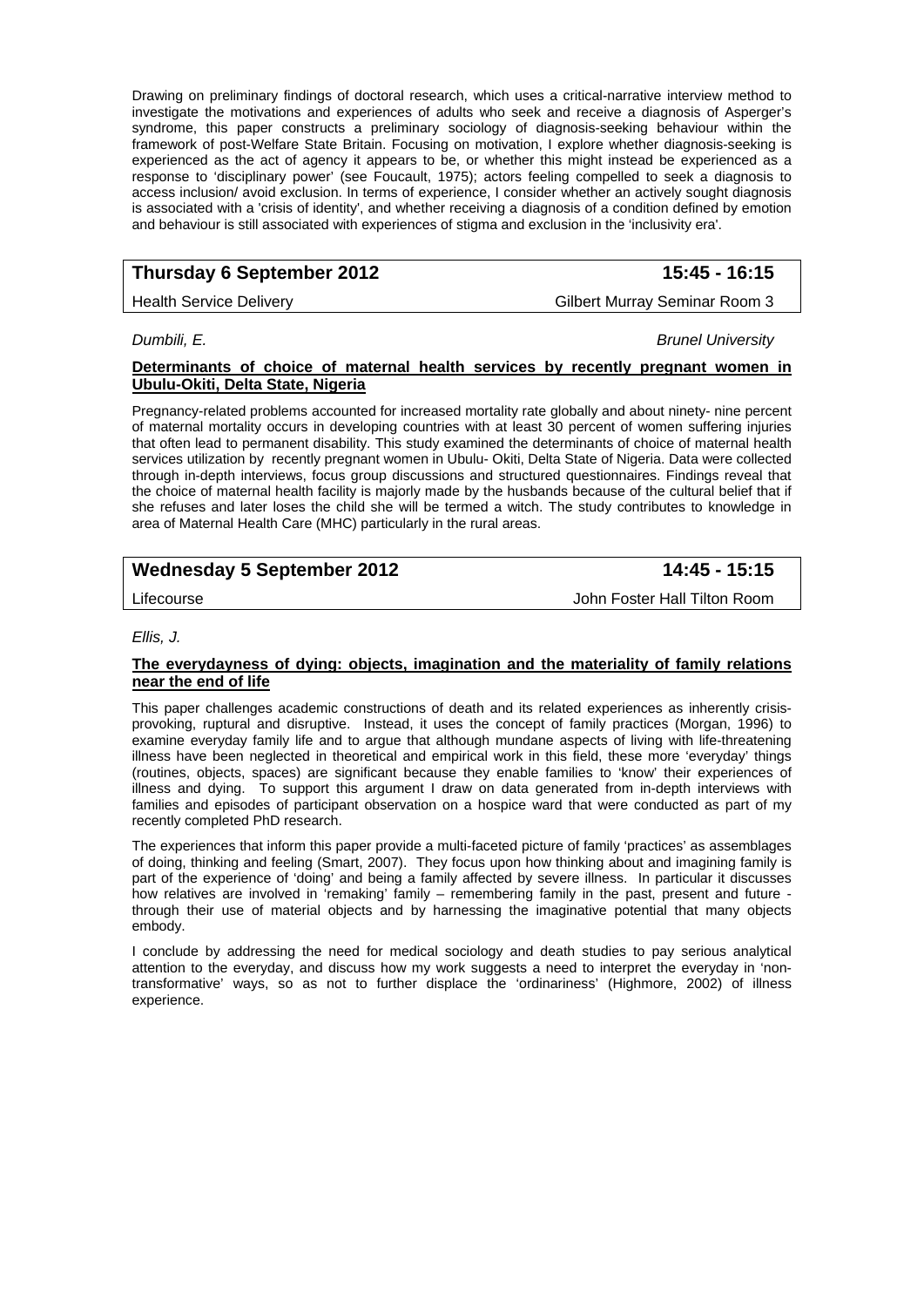Drawing on preliminary findings of doctoral research, which uses a critical-narrative interview method to investigate the motivations and experiences of adults who seek and receive a diagnosis of Asperger's syndrome, this paper constructs a preliminary sociology of diagnosis-seeking behaviour within the framework of post-Welfare State Britain. Focusing on motivation, I explore whether diagnosis-seeking is experienced as the act of agency it appears to be, or whether this might instead be experienced as a response to 'disciplinary power' (see Foucault, 1975); actors feeling compelled to seek a diagnosis to access inclusion/ avoid exclusion. In terms of experience, I consider whether an actively sought diagnosis is associated with a 'crisis of identity', and whether receiving a diagnosis of a condition defined by emotion and behaviour is still associated with experiences of stigma and exclusion in the 'inclusivity era'.

## **Thursday 6 September 2012 15:45 - 16:15**

## Health Service Delivery **Gilbert Murray Seminar Room 3** Gilbert Murray Seminar Room 3

*Dumbili, E. Brunel University* 

#### **Determinants of choice of maternal health services by recently pregnant women in Ubulu-Okiti, Delta State, Nigeria**

Pregnancy-related problems accounted for increased mortality rate globally and about ninety- nine percent of maternal mortality occurs in developing countries with at least 30 percent of women suffering injuries that often lead to permanent disability. This study examined the determinants of choice of maternal health services utilization by recently pregnant women in Ubulu- Okiti, Delta State of Nigeria. Data were collected through in-depth interviews, focus group discussions and structured questionnaires. Findings reveal that the choice of maternal health facility is majorly made by the husbands because of the cultural belief that if she refuses and later loses the child she will be termed a witch. The study contributes to knowledge in area of Maternal Health Care (MHC) particularly in the rural areas.

## Wednesday 5 September 2012 **14:45 - 15:15**

Lifecourse John Foster Hall Tilton Room

#### *Ellis, J.*

#### **The everydayness of dying: objects, imagination and the materiality of family relations near the end of life**

This paper challenges academic constructions of death and its related experiences as inherently crisisprovoking, ruptural and disruptive. Instead, it uses the concept of family practices (Morgan, 1996) to examine everyday family life and to argue that although mundane aspects of living with life-threatening illness have been neglected in theoretical and empirical work in this field, these more 'everyday' things (routines, objects, spaces) are significant because they enable families to 'know' their experiences of illness and dying. To support this argument I draw on data generated from in-depth interviews with families and episodes of participant observation on a hospice ward that were conducted as part of my recently completed PhD research.

The experiences that inform this paper provide a multi-faceted picture of family 'practices' as assemblages of doing, thinking and feeling (Smart, 2007). They focus upon how thinking about and imagining family is part of the experience of 'doing' and being a family affected by severe illness. In particular it discusses how relatives are involved in 'remaking' family – remembering family in the past, present and future through their use of material objects and by harnessing the imaginative potential that many objects embody.

I conclude by addressing the need for medical sociology and death studies to pay serious analytical attention to the everyday, and discuss how my work suggests a need to interpret the everyday in 'nontransformative' ways, so as not to further displace the 'ordinariness' (Highmore, 2002) of illness experience.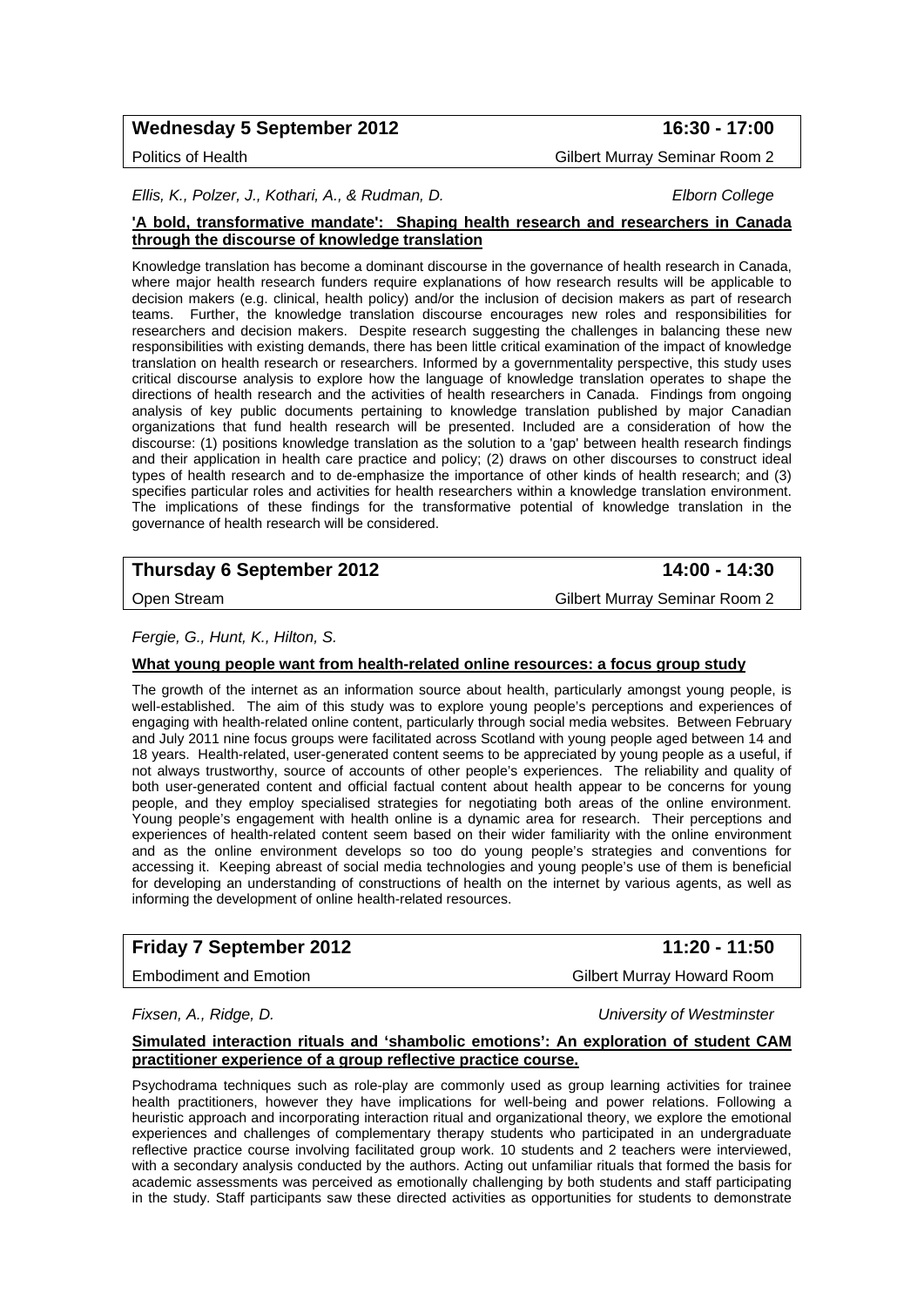## Wednesday 5 September 2012 **16:30 - 17:00**

Politics of Health Gilbert Murray Seminar Room 2

*Ellis, K., Polzer, J., Kothari, A., & Rudman, D. Elborn College* 

#### **'A bold, transformative mandate': Shaping health research and researchers in Canada through the discourse of knowledge translation**

Knowledge translation has become a dominant discourse in the governance of health research in Canada, where major health research funders require explanations of how research results will be applicable to decision makers (e.g. clinical, health policy) and/or the inclusion of decision makers as part of research teams. Further, the knowledge translation discourse encourages new roles and responsibilities for researchers and decision makers. Despite research suggesting the challenges in balancing these new responsibilities with existing demands, there has been little critical examination of the impact of knowledge translation on health research or researchers. Informed by a governmentality perspective, this study uses critical discourse analysis to explore how the language of knowledge translation operates to shape the directions of health research and the activities of health researchers in Canada. Findings from ongoing analysis of key public documents pertaining to knowledge translation published by major Canadian organizations that fund health research will be presented. Included are a consideration of how the discourse: (1) positions knowledge translation as the solution to a 'gap' between health research findings and their application in health care practice and policy; (2) draws on other discourses to construct ideal types of health research and to de-emphasize the importance of other kinds of health research; and (3) specifies particular roles and activities for health researchers within a knowledge translation environment. The implications of these findings for the transformative potential of knowledge translation in the governance of health research will be considered.

## **Thursday 6 September 2012** 14:00 - 14:30

Open Stream Gilbert Murray Seminar Room 2

*Fergie, G., Hunt, K., Hilton, S.* 

#### **What young people want from health-related online resources: a focus group study**

The growth of the internet as an information source about health, particularly amongst young people, is well-established. The aim of this study was to explore young people's perceptions and experiences of engaging with health-related online content, particularly through social media websites. Between February and July 2011 nine focus groups were facilitated across Scotland with young people aged between 14 and 18 years. Health-related, user-generated content seems to be appreciated by young people as a useful, if not always trustworthy, source of accounts of other people's experiences. The reliability and quality of both user-generated content and official factual content about health appear to be concerns for young people, and they employ specialised strategies for negotiating both areas of the online environment. Young people's engagement with health online is a dynamic area for research. Their perceptions and experiences of health-related content seem based on their wider familiarity with the online environment and as the online environment develops so too do young people's strategies and conventions for accessing it. Keeping abreast of social media technologies and young people's use of them is beneficial for developing an understanding of constructions of health on the internet by various agents, as well as informing the development of online health-related resources.

## **Friday 7 September 2012** 11:20 - 11:50

*Fixsen, A., Ridge, D. University of Westminster* 

#### **Simulated interaction rituals and 'shambolic emotions': An exploration of student CAM practitioner experience of a group reflective practice course.**

Psychodrama techniques such as role-play are commonly used as group learning activities for trainee health practitioners, however they have implications for well-being and power relations. Following a heuristic approach and incorporating interaction ritual and organizational theory, we explore the emotional experiences and challenges of complementary therapy students who participated in an undergraduate reflective practice course involving facilitated group work. 10 students and 2 teachers were interviewed, with a secondary analysis conducted by the authors. Acting out unfamiliar rituals that formed the basis for academic assessments was perceived as emotionally challenging by both students and staff participating in the study. Staff participants saw these directed activities as opportunities for students to demonstrate

Embodiment and Emotion Gilbert Murray Howard Room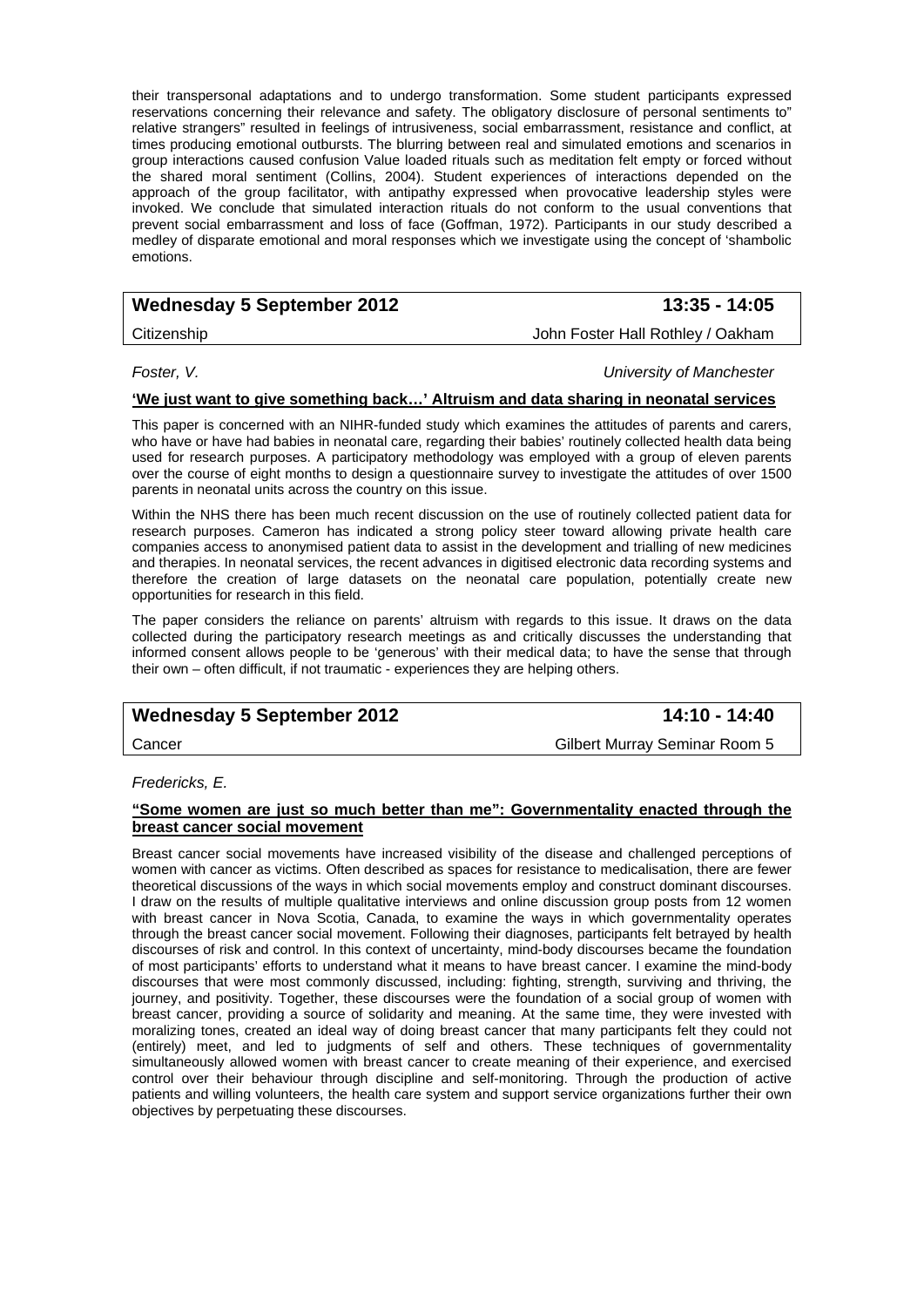their transpersonal adaptations and to undergo transformation. Some student participants expressed reservations concerning their relevance and safety. The obligatory disclosure of personal sentiments to" relative strangers" resulted in feelings of intrusiveness, social embarrassment, resistance and conflict, at times producing emotional outbursts. The blurring between real and simulated emotions and scenarios in group interactions caused confusion Value loaded rituals such as meditation felt empty or forced without the shared moral sentiment (Collins, 2004). Student experiences of interactions depended on the approach of the group facilitator, with antipathy expressed when provocative leadership styles were invoked. We conclude that simulated interaction rituals do not conform to the usual conventions that prevent social embarrassment and loss of face (Goffman, 1972). Participants in our study described a medley of disparate emotional and moral responses which we investigate using the concept of 'shambolic emotions.

## **Wednesday 5 September 2012** 13:35 - 14:05

Citizenship John Foster Hall Rothley / Oakham

*Foster, V. University of Manchester* 

## **'We just want to give something back…' Altruism and data sharing in neonatal services**

This paper is concerned with an NIHR-funded study which examines the attitudes of parents and carers, who have or have had babies in neonatal care, regarding their babies' routinely collected health data being used for research purposes. A participatory methodology was employed with a group of eleven parents over the course of eight months to design a questionnaire survey to investigate the attitudes of over 1500 parents in neonatal units across the country on this issue.

Within the NHS there has been much recent discussion on the use of routinely collected patient data for research purposes. Cameron has indicated a strong policy steer toward allowing private health care companies access to anonymised patient data to assist in the development and trialling of new medicines and therapies. In neonatal services, the recent advances in digitised electronic data recording systems and therefore the creation of large datasets on the neonatal care population, potentially create new opportunities for research in this field.

The paper considers the reliance on parents' altruism with regards to this issue. It draws on the data collected during the participatory research meetings as and critically discusses the understanding that informed consent allows people to be 'generous' with their medical data; to have the sense that through their own – often difficult, if not traumatic - experiences they are helping others.

## **Wednesday 5 September 2012** 14:10 - 14:40

Cancer Gilbert Murray Seminar Room 5

*Fredericks, E.* 

#### **"Some women are just so much better than me": Governmentality enacted through the breast cancer social movement**

Breast cancer social movements have increased visibility of the disease and challenged perceptions of women with cancer as victims. Often described as spaces for resistance to medicalisation, there are fewer theoretical discussions of the ways in which social movements employ and construct dominant discourses. I draw on the results of multiple qualitative interviews and online discussion group posts from 12 women with breast cancer in Nova Scotia, Canada, to examine the ways in which governmentality operates through the breast cancer social movement. Following their diagnoses, participants felt betrayed by health discourses of risk and control. In this context of uncertainty, mind-body discourses became the foundation of most participants' efforts to understand what it means to have breast cancer. I examine the mind-body discourses that were most commonly discussed, including: fighting, strength, surviving and thriving, the journey, and positivity. Together, these discourses were the foundation of a social group of women with breast cancer, providing a source of solidarity and meaning. At the same time, they were invested with moralizing tones, created an ideal way of doing breast cancer that many participants felt they could not (entirely) meet, and led to judgments of self and others. These techniques of governmentality simultaneously allowed women with breast cancer to create meaning of their experience, and exercised control over their behaviour through discipline and self-monitoring. Through the production of active patients and willing volunteers, the health care system and support service organizations further their own objectives by perpetuating these discourses.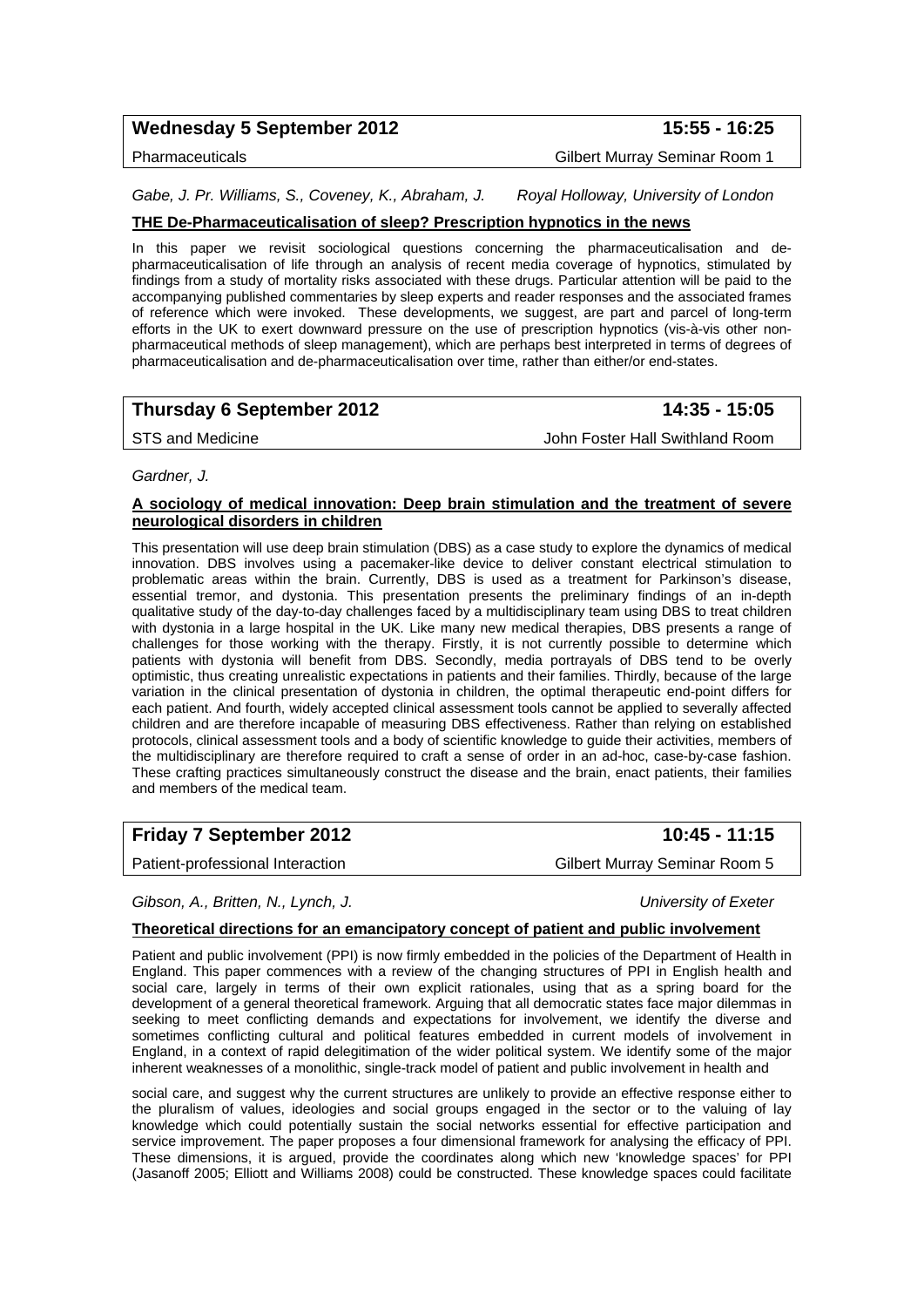## Wednesday 5 September 2012 **15:55 - 16:25**

Pharmaceuticals Gilbert Murray Seminar Room 1

*Gabe, J. Pr. Williams, S., Coveney, K., Abraham, J. Royal Holloway, University of London* 

## **THE De-Pharmaceuticalisation of sleep? Prescription hypnotics in the news**

In this paper we revisit sociological questions concerning the pharmaceuticalisation and depharmaceuticalisation of life through an analysis of recent media coverage of hypnotics, stimulated by findings from a study of mortality risks associated with these drugs. Particular attention will be paid to the accompanying published commentaries by sleep experts and reader responses and the associated frames of reference which were invoked. These developments, we suggest, are part and parcel of long-term efforts in the UK to exert downward pressure on the use of prescription hypnotics (vis-à-vis other nonpharmaceutical methods of sleep management), which are perhaps best interpreted in terms of degrees of pharmaceuticalisation and de-pharmaceuticalisation over time, rather than either/or end-states.

## **Thursday 6 September 2012 14:35 - 15:05**

STS and Medicine **John Foster Hall Swithland Room** 

### *Gardner, J.*

## **A sociology of medical innovation: Deep brain stimulation and the treatment of severe neurological disorders in children**

This presentation will use deep brain stimulation (DBS) as a case study to explore the dynamics of medical innovation. DBS involves using a pacemaker-like device to deliver constant electrical stimulation to problematic areas within the brain. Currently, DBS is used as a treatment for Parkinson's disease, essential tremor, and dystonia. This presentation presents the preliminary findings of an in-depth qualitative study of the day-to-day challenges faced by a multidisciplinary team using DBS to treat children with dystonia in a large hospital in the UK. Like many new medical therapies, DBS presents a range of challenges for those working with the therapy. Firstly, it is not currently possible to determine which patients with dystonia will benefit from DBS. Secondly, media portrayals of DBS tend to be overly optimistic, thus creating unrealistic expectations in patients and their families. Thirdly, because of the large variation in the clinical presentation of dystonia in children, the optimal therapeutic end-point differs for each patient. And fourth, widely accepted clinical assessment tools cannot be applied to severally affected children and are therefore incapable of measuring DBS effectiveness. Rather than relying on established protocols, clinical assessment tools and a body of scientific knowledge to guide their activities, members of the multidisciplinary are therefore required to craft a sense of order in an ad-hoc, case-by-case fashion. These crafting practices simultaneously construct the disease and the brain, enact patients, their families and members of the medical team.

| <b>Friday 7 September 2012</b> |  |
|--------------------------------|--|
|--------------------------------|--|

## Patient-professional Interaction Cilbert Murray Seminar Room 5

*Gibson, A., Britten, N., Lynch, J. University of Exeter* 

**Friday 7 September 2012 10:45 - 11:15** 

## **Theoretical directions for an emancipatory concept of patient and public involvement**

Patient and public involvement (PPI) is now firmly embedded in the policies of the Department of Health in England. This paper commences with a review of the changing structures of PPI in English health and social care, largely in terms of their own explicit rationales, using that as a spring board for the development of a general theoretical framework. Arguing that all democratic states face major dilemmas in seeking to meet conflicting demands and expectations for involvement, we identify the diverse and sometimes conflicting cultural and political features embedded in current models of involvement in England, in a context of rapid delegitimation of the wider political system. We identify some of the major inherent weaknesses of a monolithic, single-track model of patient and public involvement in health and

social care, and suggest why the current structures are unlikely to provide an effective response either to the pluralism of values, ideologies and social groups engaged in the sector or to the valuing of lay knowledge which could potentially sustain the social networks essential for effective participation and service improvement. The paper proposes a four dimensional framework for analysing the efficacy of PPI. These dimensions, it is argued, provide the coordinates along which new 'knowledge spaces' for PPI (Jasanoff 2005; Elliott and Williams 2008) could be constructed. These knowledge spaces could facilitate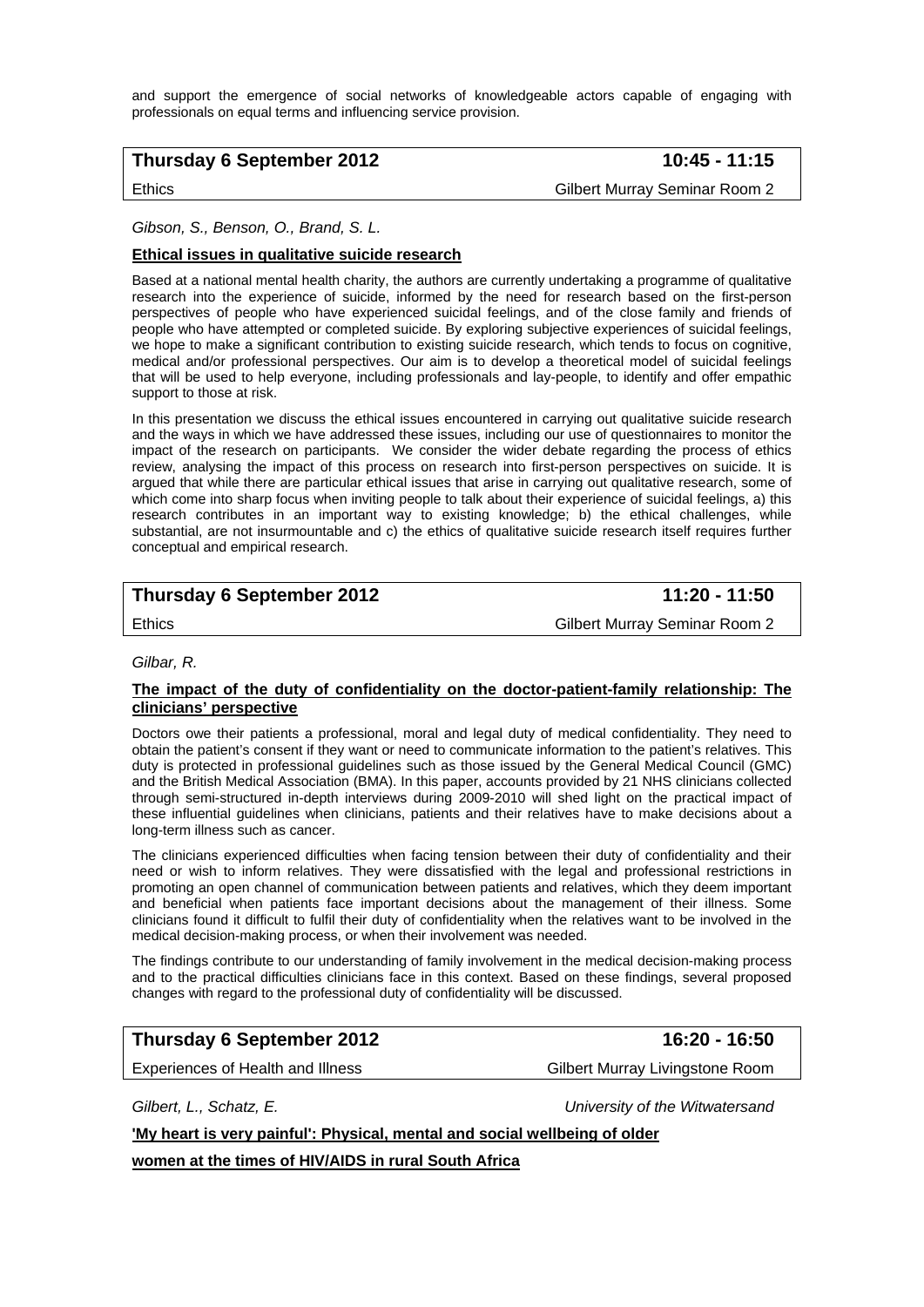and support the emergence of social networks of knowledgeable actors capable of engaging with professionals on equal terms and influencing service provision.

## **Thursday 6 September 2012** 10:45 - 11:15

Ethics Gilbert Murray Seminar Room 2

#### *Gibson, S., Benson, O., Brand, S. L.*

#### **Ethical issues in qualitative suicide research**

Based at a national mental health charity, the authors are currently undertaking a programme of qualitative research into the experience of suicide, informed by the need for research based on the first-person perspectives of people who have experienced suicidal feelings, and of the close family and friends of people who have attempted or completed suicide. By exploring subjective experiences of suicidal feelings, we hope to make a significant contribution to existing suicide research, which tends to focus on cognitive, medical and/or professional perspectives. Our aim is to develop a theoretical model of suicidal feelings that will be used to help everyone, including professionals and lay-people, to identify and offer empathic support to those at risk.

In this presentation we discuss the ethical issues encountered in carrying out qualitative suicide research and the ways in which we have addressed these issues, including our use of questionnaires to monitor the impact of the research on participants. We consider the wider debate regarding the process of ethics review, analysing the impact of this process on research into first-person perspectives on suicide. It is argued that while there are particular ethical issues that arise in carrying out qualitative research, some of which come into sharp focus when inviting people to talk about their experience of suicidal feelings, a) this research contributes in an important way to existing knowledge; b) the ethical challenges, while substantial, are not insurmountable and c) the ethics of qualitative suicide research itself requires further conceptual and empirical research.

## **Thursday 6 September 2012** 11:20 - 11:50

Ethics Gilbert Murray Seminar Room 2

#### *Gilbar, R.*

#### **The impact of the duty of confidentiality on the doctor-patient-family relationship: The clinicians' perspective**

Doctors owe their patients a professional, moral and legal duty of medical confidentiality. They need to obtain the patient's consent if they want or need to communicate information to the patient's relatives. This duty is protected in professional guidelines such as those issued by the General Medical Council (GMC) and the British Medical Association (BMA). In this paper, accounts provided by 21 NHS clinicians collected through semi-structured in-depth interviews during 2009-2010 will shed light on the practical impact of these influential guidelines when clinicians, patients and their relatives have to make decisions about a long-term illness such as cancer.

The clinicians experienced difficulties when facing tension between their duty of confidentiality and their need or wish to inform relatives. They were dissatisfied with the legal and professional restrictions in promoting an open channel of communication between patients and relatives, which they deem important and beneficial when patients face important decisions about the management of their illness. Some clinicians found it difficult to fulfil their duty of confidentiality when the relatives want to be involved in the medical decision-making process, or when their involvement was needed.

The findings contribute to our understanding of family involvement in the medical decision-making process and to the practical difficulties clinicians face in this context. Based on these findings, several proposed changes with regard to the professional duty of confidentiality will be discussed.

## **Thursday 6 September 2012 16:20 - 16:50**

Experiences of Health and Illness Gilbert Murray Livingstone Room

*Gilbert, L., Schatz, E. University of the Witwatersand* 

**'My heart is very painful': Physical, mental and social wellbeing of older**

**women at the times of HIV/AIDS in rural South Africa**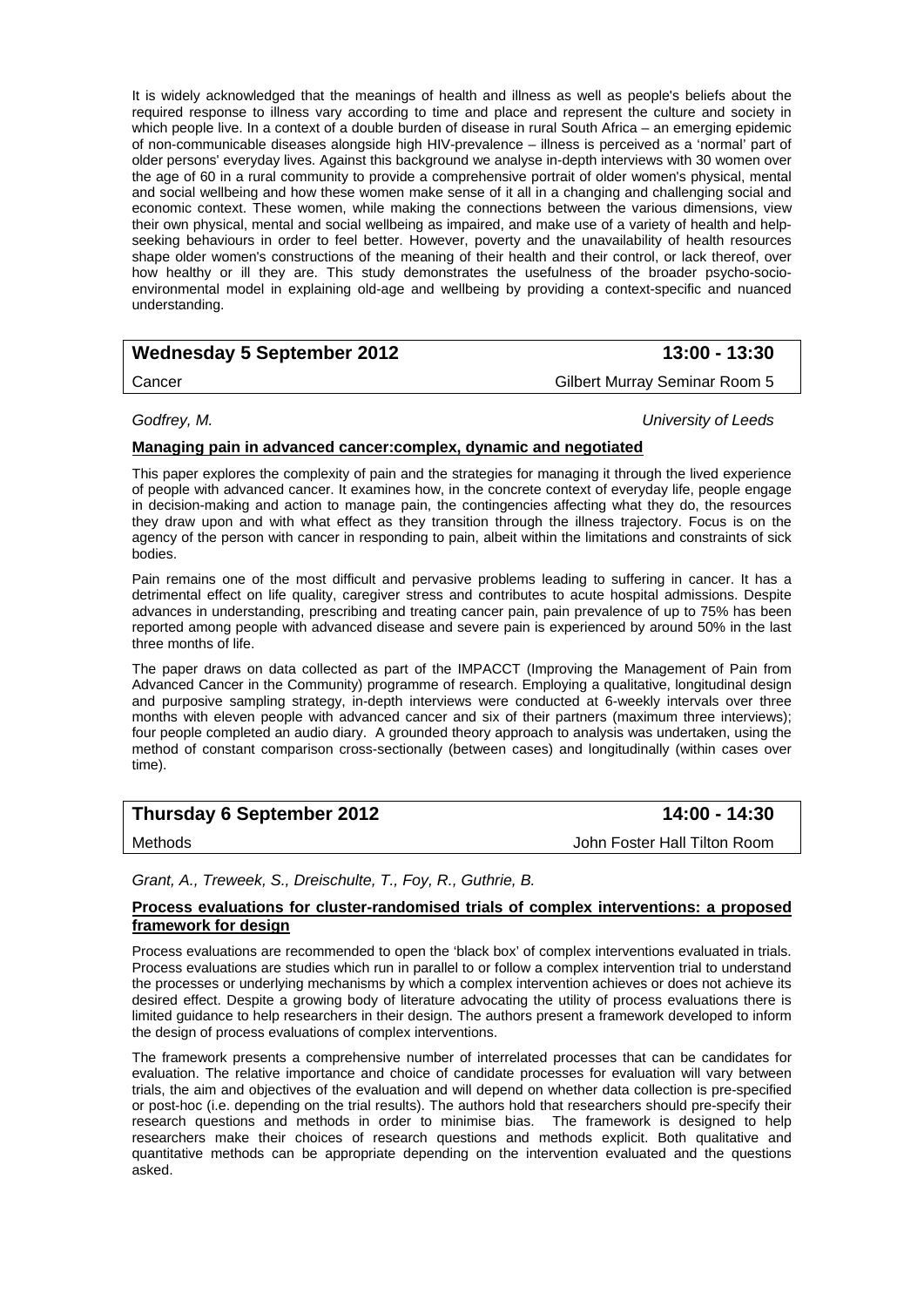It is widely acknowledged that the meanings of health and illness as well as people's beliefs about the required response to illness vary according to time and place and represent the culture and society in which people live. In a context of a double burden of disease in rural South Africa – an emerging epidemic of non-communicable diseases alongside high HIV-prevalence – illness is perceived as a 'normal' part of older persons' everyday lives. Against this background we analyse in-depth interviews with 30 women over the age of 60 in a rural community to provide a comprehensive portrait of older women's physical, mental and social wellbeing and how these women make sense of it all in a changing and challenging social and economic context. These women, while making the connections between the various dimensions, view their own physical, mental and social wellbeing as impaired, and make use of a variety of health and helpseeking behaviours in order to feel better. However, poverty and the unavailability of health resources shape older women's constructions of the meaning of their health and their control, or lack thereof, over how healthy or ill they are. This study demonstrates the usefulness of the broader psycho-socioenvironmental model in explaining old-age and wellbeing by providing a context-specific and nuanced understanding.

## Wednesday 5 September 2012 **13:00 - 13:30**

Cancer Gilbert Murray Seminar Room 5

*Godfrey, M. University of Leeds* 

### **Managing pain in advanced cancer:complex, dynamic and negotiated**

This paper explores the complexity of pain and the strategies for managing it through the lived experience of people with advanced cancer. It examines how, in the concrete context of everyday life, people engage in decision-making and action to manage pain, the contingencies affecting what they do, the resources they draw upon and with what effect as they transition through the illness trajectory. Focus is on the agency of the person with cancer in responding to pain, albeit within the limitations and constraints of sick bodies.

Pain remains one of the most difficult and pervasive problems leading to suffering in cancer. It has a detrimental effect on life quality, caregiver stress and contributes to acute hospital admissions. Despite advances in understanding, prescribing and treating cancer pain, pain prevalence of up to 75% has been reported among people with advanced disease and severe pain is experienced by around 50% in the last three months of life.

The paper draws on data collected as part of the IMPACCT (Improving the Management of Pain from Advanced Cancer in the Community) programme of research. Employing a qualitative, longitudinal design and purposive sampling strategy, in-depth interviews were conducted at 6-weekly intervals over three months with eleven people with advanced cancer and six of their partners (maximum three interviews); four people completed an audio diary. A grounded theory approach to analysis was undertaken, using the method of constant comparison cross-sectionally (between cases) and longitudinally (within cases over time).

## **Thursday 6 September 2012** 14:00 - 14:30

Methods John Foster Hall Tilton Room

## *Grant, A., Treweek, S., Dreischulte, T., Foy, R., Guthrie, B.*

#### **Process evaluations for cluster-randomised trials of complex interventions: a proposed framework for design**

Process evaluations are recommended to open the 'black box' of complex interventions evaluated in trials. Process evaluations are studies which run in parallel to or follow a complex intervention trial to understand the processes or underlying mechanisms by which a complex intervention achieves or does not achieve its desired effect. Despite a growing body of literature advocating the utility of process evaluations there is limited guidance to help researchers in their design. The authors present a framework developed to inform the design of process evaluations of complex interventions.

The framework presents a comprehensive number of interrelated processes that can be candidates for evaluation. The relative importance and choice of candidate processes for evaluation will vary between trials, the aim and objectives of the evaluation and will depend on whether data collection is pre-specified or post-hoc (i.e. depending on the trial results). The authors hold that researchers should pre-specify their research questions and methods in order to minimise bias. The framework is designed to help researchers make their choices of research questions and methods explicit. Both qualitative and quantitative methods can be appropriate depending on the intervention evaluated and the questions asked.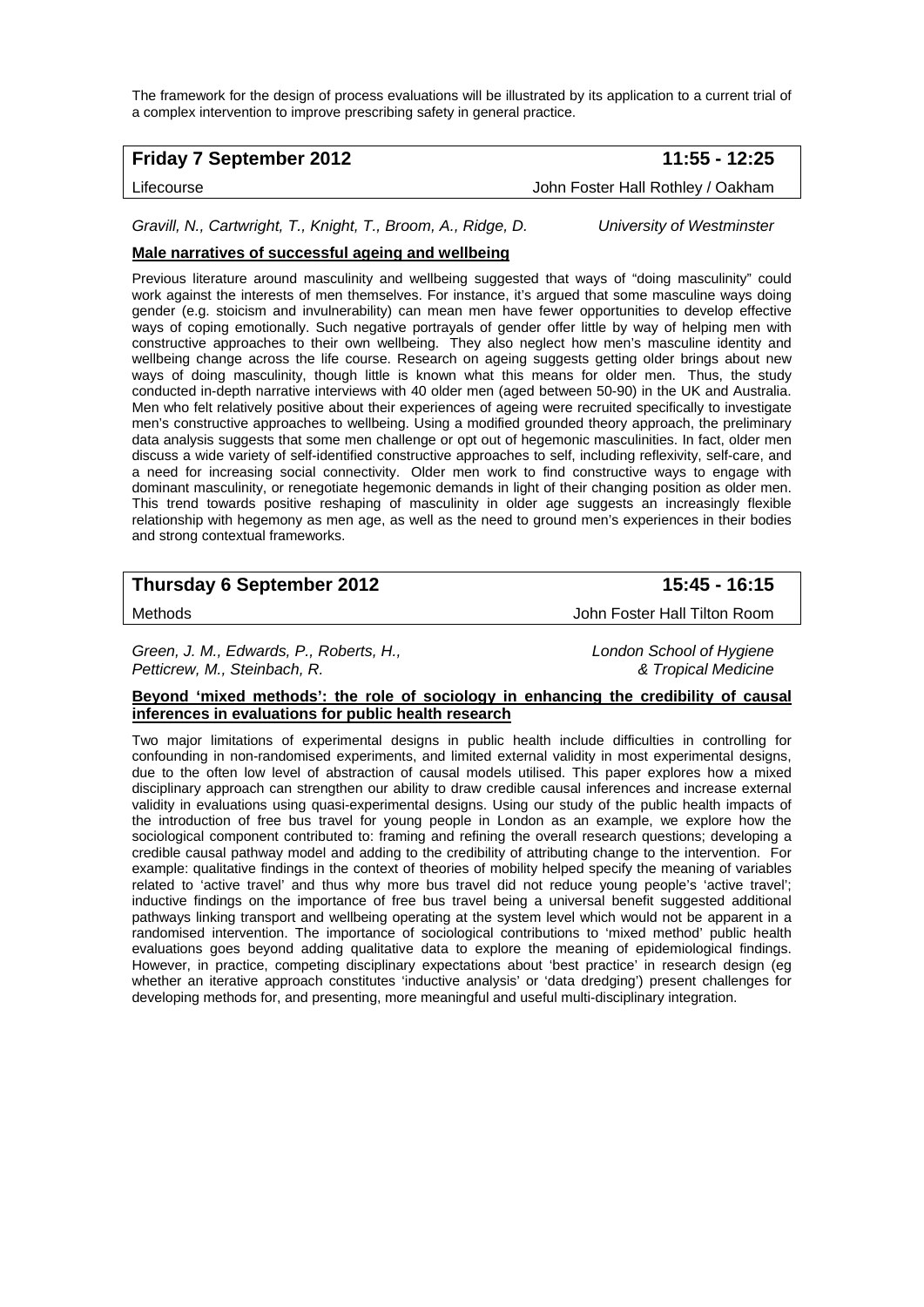The framework for the design of process evaluations will be illustrated by its application to a current trial of a complex intervention to improve prescribing safety in general practice.

## **Friday 7 September 2012 11:55 - 12:25**

Lifecourse John Foster Hall Rothley / Oakham

*Gravill, N., Cartwright, T., Knight, T., Broom, A., Ridge, D. University of Westminster* 

## **Male narratives of successful ageing and wellbeing**

Previous literature around masculinity and wellbeing suggested that ways of "doing masculinity" could work against the interests of men themselves. For instance, it's argued that some masculine ways doing gender (e.g. stoicism and invulnerability) can mean men have fewer opportunities to develop effective ways of coping emotionally. Such negative portrayals of gender offer little by way of helping men with constructive approaches to their own wellbeing. They also neglect how men's masculine identity and wellbeing change across the life course. Research on ageing suggests getting older brings about new ways of doing masculinity, though little is known what this means for older men. Thus, the study conducted in-depth narrative interviews with 40 older men (aged between 50-90) in the UK and Australia. Men who felt relatively positive about their experiences of ageing were recruited specifically to investigate men's constructive approaches to wellbeing. Using a modified grounded theory approach, the preliminary data analysis suggests that some men challenge or opt out of hegemonic masculinities. In fact, older men discuss a wide variety of self-identified constructive approaches to self, including reflexivity, self-care, and a need for increasing social connectivity. Older men work to find constructive ways to engage with dominant masculinity, or renegotiate hegemonic demands in light of their changing position as older men. This trend towards positive reshaping of masculinity in older age suggests an increasingly flexible relationship with hegemony as men age, as well as the need to ground men's experiences in their bodies and strong contextual frameworks.

## **Thursday 6 September 2012** 15:45 - 16:15

Methods John Foster Hall Tilton Room

*Green, J. M., Edwards, P., Roberts, H., London School of Hygiene Petticrew, M., Steinbach, R. & Tropical Medicine* 

**Beyond 'mixed methods': the role of sociology in enhancing the credibility of causal inferences in evaluations for public health research**

Two major limitations of experimental designs in public health include difficulties in controlling for confounding in non-randomised experiments, and limited external validity in most experimental designs, due to the often low level of abstraction of causal models utilised. This paper explores how a mixed disciplinary approach can strengthen our ability to draw credible causal inferences and increase external validity in evaluations using quasi-experimental designs. Using our study of the public health impacts of the introduction of free bus travel for young people in London as an example, we explore how the sociological component contributed to: framing and refining the overall research questions; developing a credible causal pathway model and adding to the credibility of attributing change to the intervention. For example: qualitative findings in the context of theories of mobility helped specify the meaning of variables related to 'active travel' and thus why more bus travel did not reduce young people's 'active travel'; inductive findings on the importance of free bus travel being a universal benefit suggested additional pathways linking transport and wellbeing operating at the system level which would not be apparent in a randomised intervention. The importance of sociological contributions to 'mixed method' public health evaluations goes beyond adding qualitative data to explore the meaning of epidemiological findings. However, in practice, competing disciplinary expectations about 'best practice' in research design (eg whether an iterative approach constitutes 'inductive analysis' or 'data dredging') present challenges for developing methods for, and presenting, more meaningful and useful multi-disciplinary integration.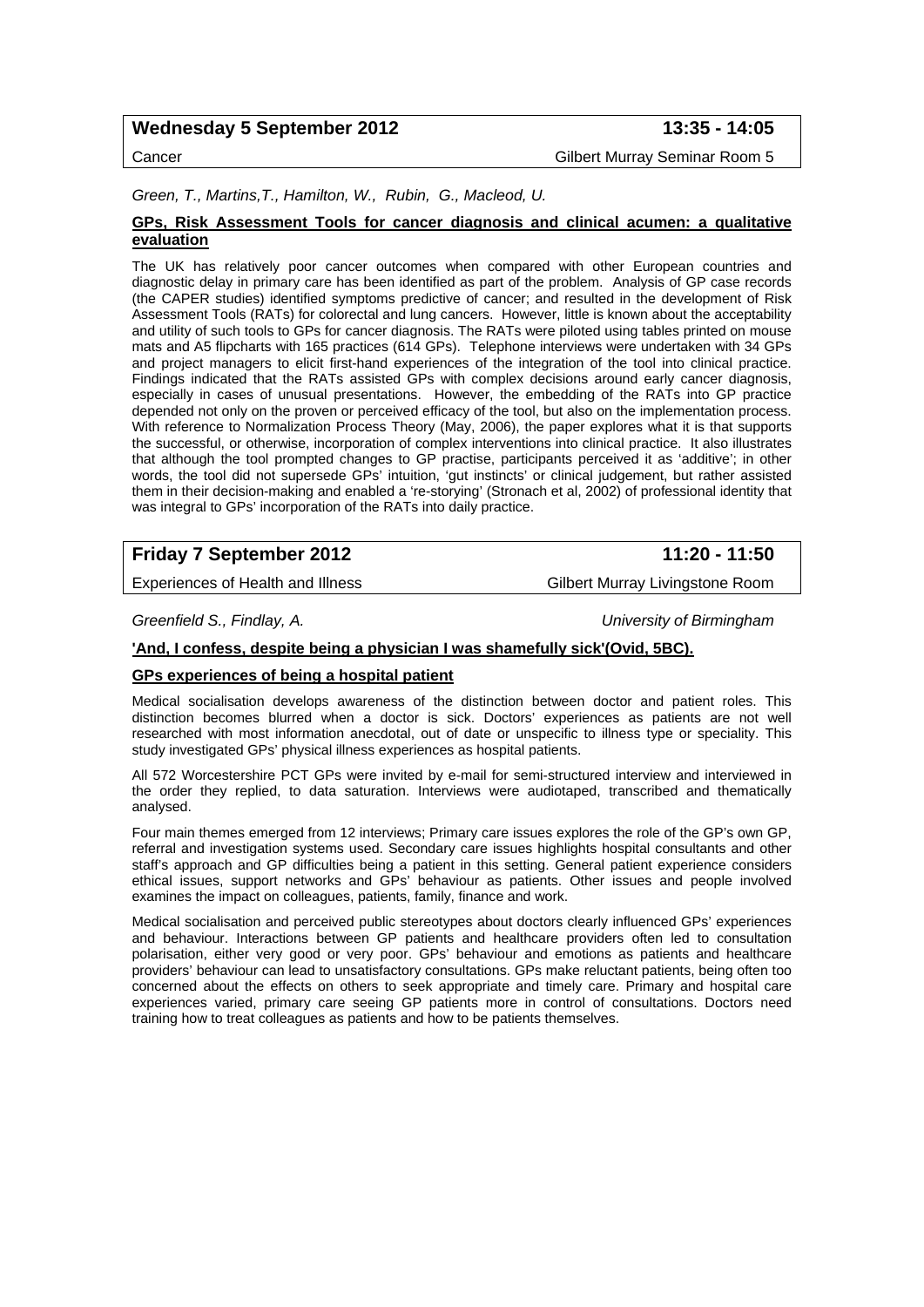## Wednesday 5 September 2012 **13:35 - 14:05**

Cancer Gilbert Murray Seminar Room 5

## *Green, T., Martins,T., Hamilton, W., Rubin, G., Macleod, U.*

#### **GPs, Risk Assessment Tools for cancer diagnosis and clinical acumen: a qualitative evaluation**

The UK has relatively poor cancer outcomes when compared with other European countries and diagnostic delay in primary care has been identified as part of the problem. Analysis of GP case records (the CAPER studies) identified symptoms predictive of cancer; and resulted in the development of Risk Assessment Tools (RATs) for colorectal and lung cancers. However, little is known about the acceptability and utility of such tools to GPs for cancer diagnosis. The RATs were piloted using tables printed on mouse mats and A5 flipcharts with 165 practices (614 GPs). Telephone interviews were undertaken with 34 GPs and project managers to elicit first-hand experiences of the integration of the tool into clinical practice. Findings indicated that the RATs assisted GPs with complex decisions around early cancer diagnosis, especially in cases of unusual presentations. However, the embedding of the RATs into GP practice depended not only on the proven or perceived efficacy of the tool, but also on the implementation process. With reference to Normalization Process Theory (May, 2006), the paper explores what it is that supports the successful, or otherwise, incorporation of complex interventions into clinical practice. It also illustrates that although the tool prompted changes to GP practise, participants perceived it as 'additive'; in other words, the tool did not supersede GPs' intuition, 'gut instincts' or clinical judgement, but rather assisted them in their decision-making and enabled a 're-storying' (Stronach et al, 2002) of professional identity that was integral to GPs' incorporation of the RATs into daily practice.

## **Friday 7 September 2012** 11:20 - 11:50

Experiences of Health and Illness Gilbert Murray Livingstone Room

*Greenfield S., Findlay, A. University of Birmingham* 

## **'And, I confess, despite being a physician I was shamefully sick'(Ovid, 5BC).**

#### **GPs experiences of being a hospital patient**

Medical socialisation develops awareness of the distinction between doctor and patient roles. This distinction becomes blurred when a doctor is sick. Doctors' experiences as patients are not well researched with most information anecdotal, out of date or unspecific to illness type or speciality. This study investigated GPs' physical illness experiences as hospital patients.

All 572 Worcestershire PCT GPs were invited by e-mail for semi-structured interview and interviewed in the order they replied, to data saturation. Interviews were audiotaped, transcribed and thematically analysed.

Four main themes emerged from 12 interviews; Primary care issues explores the role of the GP's own GP, referral and investigation systems used. Secondary care issues highlights hospital consultants and other staff's approach and GP difficulties being a patient in this setting. General patient experience considers ethical issues, support networks and GPs' behaviour as patients. Other issues and people involved examines the impact on colleagues, patients, family, finance and work.

Medical socialisation and perceived public stereotypes about doctors clearly influenced GPs' experiences and behaviour. Interactions between GP patients and healthcare providers often led to consultation polarisation, either very good or very poor. GPs' behaviour and emotions as patients and healthcare providers' behaviour can lead to unsatisfactory consultations. GPs make reluctant patients, being often too concerned about the effects on others to seek appropriate and timely care. Primary and hospital care experiences varied, primary care seeing GP patients more in control of consultations. Doctors need training how to treat colleagues as patients and how to be patients themselves.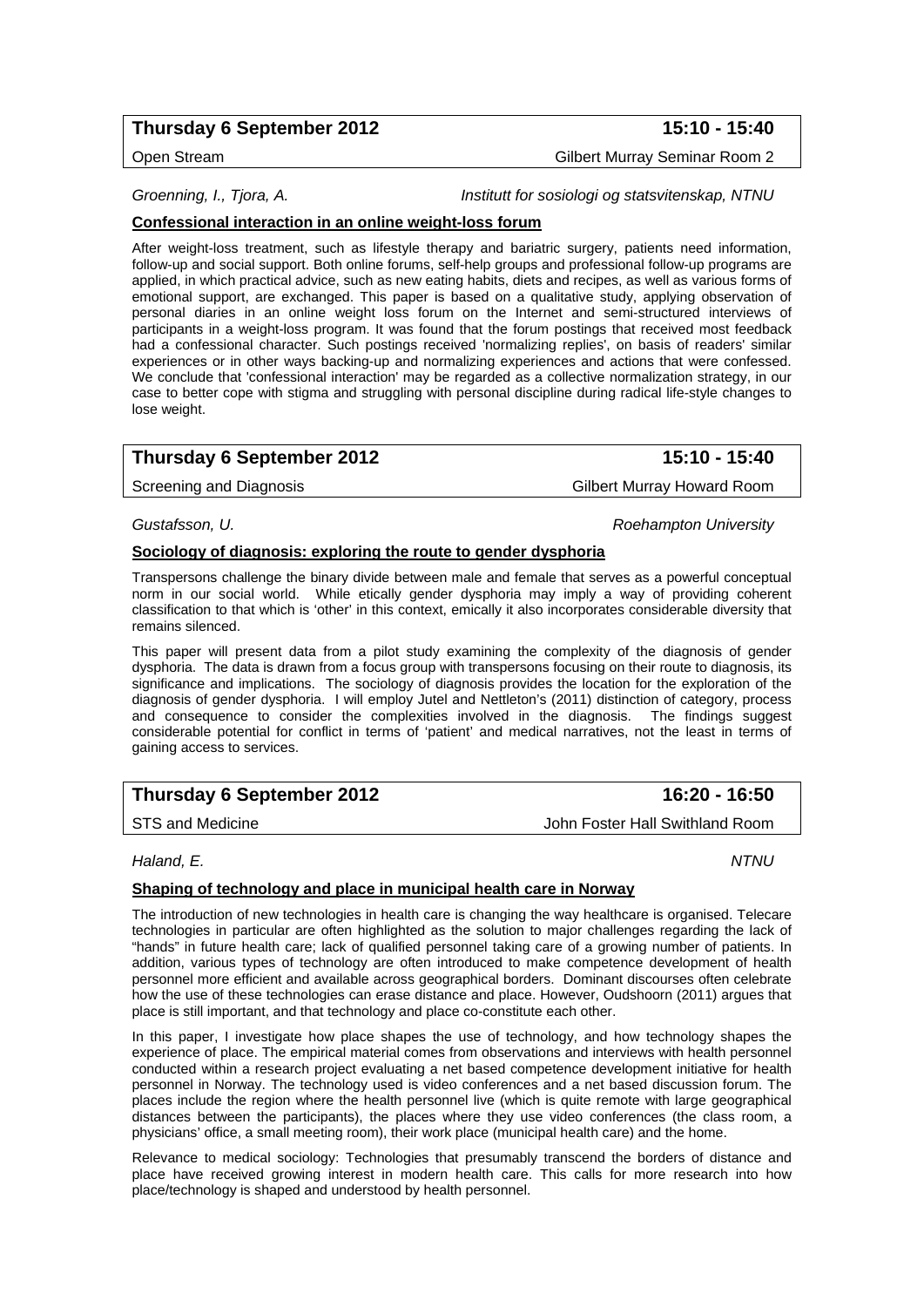## **Thursday 6 September 2012 15:10 - 15:40**

Open Stream Gilbert Murray Seminar Room 2

*Groenning, I., Tjora, A. Institutt for sosiologi og statsvitenskap, NTNU* 

## **Confessional interaction in an online weight-loss forum**

After weight-loss treatment, such as lifestyle therapy and bariatric surgery, patients need information, follow-up and social support. Both online forums, self-help groups and professional follow-up programs are applied, in which practical advice, such as new eating habits, diets and recipes, as well as various forms of emotional support, are exchanged. This paper is based on a qualitative study, applying observation of personal diaries in an online weight loss forum on the Internet and semi-structured interviews of participants in a weight-loss program. It was found that the forum postings that received most feedback had a confessional character. Such postings received 'normalizing replies', on basis of readers' similar experiences or in other ways backing-up and normalizing experiences and actions that were confessed. We conclude that 'confessional interaction' may be regarded as a collective normalization strategy, in our case to better cope with stigma and struggling with personal discipline during radical life-style changes to lose weight.

## **Thursday 6 September 2012 15:10 - 15:40**

Screening and Diagnosis **Gilbert Murray Howard Room** 

#### *Gustafsson, U. Roehampton University*

## **Sociology of diagnosis: exploring the route to gender dysphoria**

Transpersons challenge the binary divide between male and female that serves as a powerful conceptual norm in our social world. While etically gender dysphoria may imply a way of providing coherent classification to that which is 'other' in this context, emically it also incorporates considerable diversity that remains silenced.

This paper will present data from a pilot study examining the complexity of the diagnosis of gender dysphoria. The data is drawn from a focus group with transpersons focusing on their route to diagnosis, its significance and implications. The sociology of diagnosis provides the location for the exploration of the diagnosis of gender dysphoria. I will employ Jutel and Nettleton's (2011) distinction of category, process and consequence to consider the complexities involved in the diagnosis. The findings suggest considerable potential for conflict in terms of 'patient' and medical narratives, not the least in terms of gaining access to services.

## **Thursday 6 September 2012** 16:20 - 16:50

STS and Medicine **John Foster Hall Swithland Room** 

*Haland, E. NTNU* 

## **Shaping of technology and place in municipal health care in Norway**

The introduction of new technologies in health care is changing the way healthcare is organised. Telecare technologies in particular are often highlighted as the solution to major challenges regarding the lack of "hands" in future health care; lack of qualified personnel taking care of a growing number of patients. In addition, various types of technology are often introduced to make competence development of health personnel more efficient and available across geographical borders. Dominant discourses often celebrate how the use of these technologies can erase distance and place. However, Oudshoorn (2011) argues that place is still important, and that technology and place co-constitute each other.

In this paper, I investigate how place shapes the use of technology, and how technology shapes the experience of place. The empirical material comes from observations and interviews with health personnel conducted within a research project evaluating a net based competence development initiative for health personnel in Norway. The technology used is video conferences and a net based discussion forum. The places include the region where the health personnel live (which is quite remote with large geographical distances between the participants), the places where they use video conferences (the class room, a physicians' office, a small meeting room), their work place (municipal health care) and the home.

Relevance to medical sociology: Technologies that presumably transcend the borders of distance and place have received growing interest in modern health care. This calls for more research into how place/technology is shaped and understood by health personnel.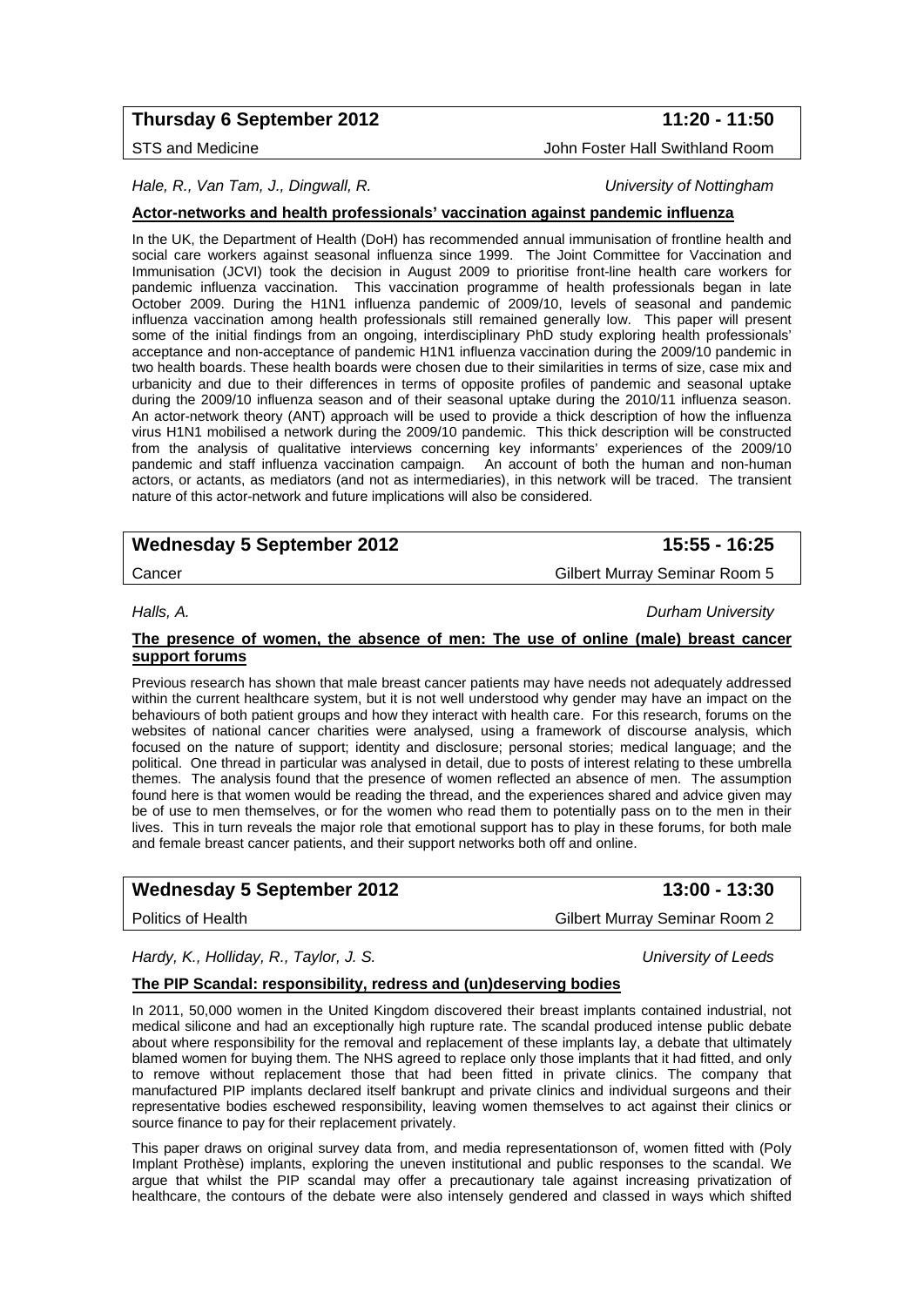## **Thursday 6 September 2012** 11:20 - 11:50

*Hale, R., Van Tam, J., Dingwall, R. University of Nottingham* 

**Actor-networks and health professionals' vaccination against pandemic influenza**

In the UK, the Department of Health (DoH) has recommended annual immunisation of frontline health and social care workers against seasonal influenza since 1999. The Joint Committee for Vaccination and Immunisation (JCVI) took the decision in August 2009 to prioritise front-line health care workers for pandemic influenza vaccination. This vaccination programme of health professionals began in late October 2009. During the H1N1 influenza pandemic of 2009/10, levels of seasonal and pandemic influenza vaccination among health professionals still remained generally low. This paper will present some of the initial findings from an ongoing, interdisciplinary PhD study exploring health professionals' acceptance and non-acceptance of pandemic H1N1 influenza vaccination during the 2009/10 pandemic in two health boards. These health boards were chosen due to their similarities in terms of size, case mix and urbanicity and due to their differences in terms of opposite profiles of pandemic and seasonal uptake during the 2009/10 influenza season and of their seasonal uptake during the 2010/11 influenza season. An actor-network theory (ANT) approach will be used to provide a thick description of how the influenza virus H1N1 mobilised a network during the 2009/10 pandemic. This thick description will be constructed from the analysis of qualitative interviews concerning key informants' experiences of the 2009/10 pandemic and staff influenza vaccination campaign. An account of both the human and non-human actors, or actants, as mediators (and not as intermediaries), in this network will be traced. The transient nature of this actor-network and future implications will also be considered.

## **Wednesday 5 September 2012 15:55 - 16:25**

Cancer Gilbert Murray Seminar Room 5

*Halls, A. Durham University* 

### **The presence of women, the absence of men: The use of online (male) breast cancer support forums**

Previous research has shown that male breast cancer patients may have needs not adequately addressed within the current healthcare system, but it is not well understood why gender may have an impact on the behaviours of both patient groups and how they interact with health care. For this research, forums on the websites of national cancer charities were analysed, using a framework of discourse analysis, which focused on the nature of support; identity and disclosure; personal stories; medical language; and the political. One thread in particular was analysed in detail, due to posts of interest relating to these umbrella themes. The analysis found that the presence of women reflected an absence of men. The assumption found here is that women would be reading the thread, and the experiences shared and advice given may be of use to men themselves, or for the women who read them to potentially pass on to the men in their lives. This in turn reveals the major role that emotional support has to play in these forums, for both male and female breast cancer patients, and their support networks both off and online.

## Wednesday 5 September 2012 **13:00 - 13:30**

Politics of Health Gilbert Murray Seminar Room 2

*Hardy, K., Holliday, R., Taylor, J. S. University of Leeds* 

## **The PIP Scandal: responsibility, redress and (un)deserving bodies**

In 2011, 50,000 women in the United Kingdom discovered their breast implants contained industrial, not medical silicone and had an exceptionally high rupture rate. The scandal produced intense public debate about where responsibility for the removal and replacement of these implants lay, a debate that ultimately blamed women for buying them. The NHS agreed to replace only those implants that it had fitted, and only to remove without replacement those that had been fitted in private clinics. The company that manufactured PIP implants declared itself bankrupt and private clinics and individual surgeons and their representative bodies eschewed responsibility, leaving women themselves to act against their clinics or source finance to pay for their replacement privately.

This paper draws on original survey data from, and media representationson of, women fitted with (Poly Implant Prothèse) implants, exploring the uneven institutional and public responses to the scandal. We argue that whilst the PIP scandal may offer a precautionary tale against increasing privatization of healthcare, the contours of the debate were also intensely gendered and classed in ways which shifted

STS and Medicine **John Foster Hall Swithland Room**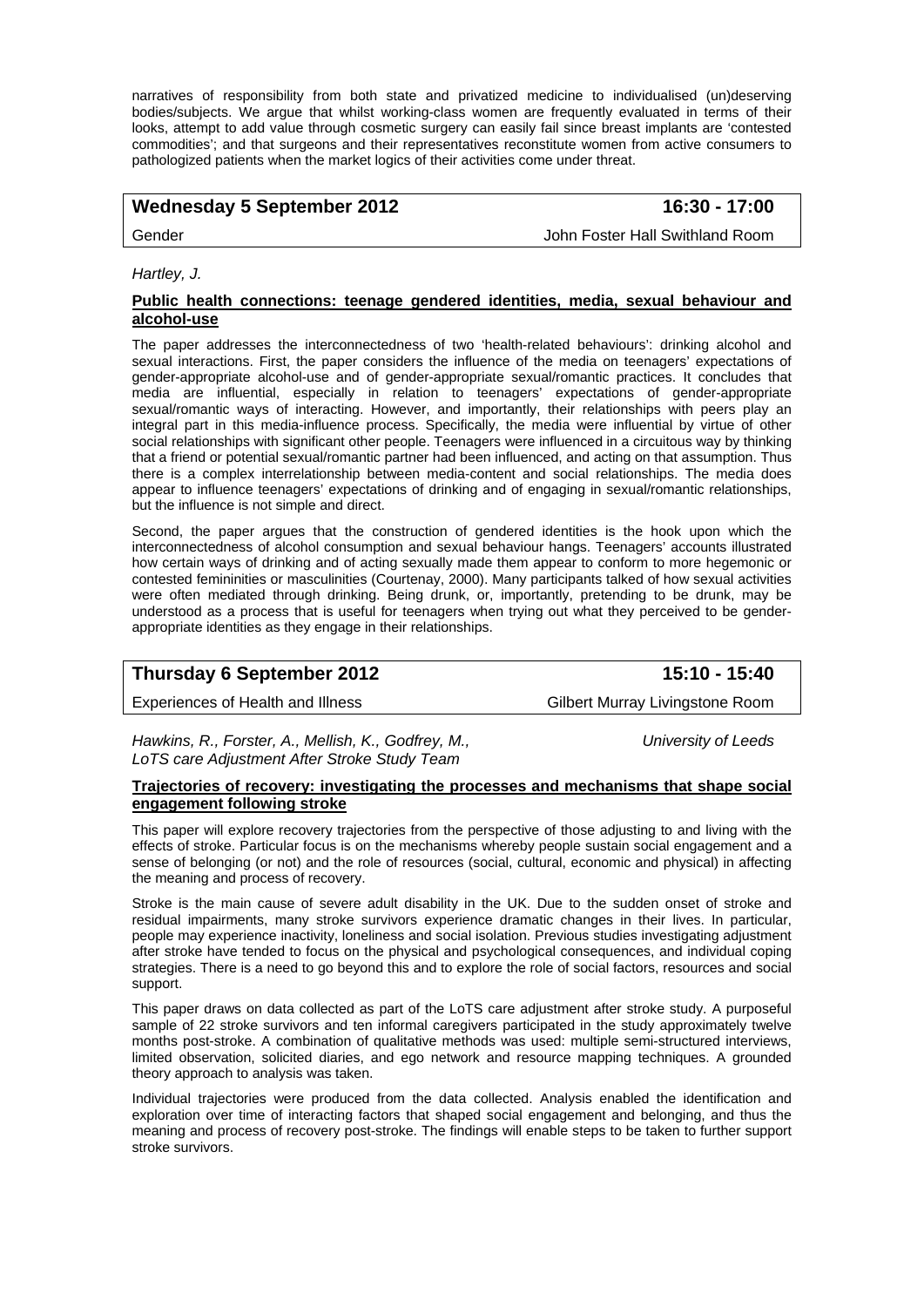narratives of responsibility from both state and privatized medicine to individualised (un)deserving bodies/subjects. We argue that whilst working-class women are frequently evaluated in terms of their looks, attempt to add value through cosmetic surgery can easily fail since breast implants are 'contested commodities'; and that surgeons and their representatives reconstitute women from active consumers to pathologized patients when the market logics of their activities come under threat.

## Wednesday 5 September 2012 **16:30 - 17:00**

Gender John Foster Hall Swithland Room

*Hartley, J.* 

#### **Public health connections: teenage gendered identities, media, sexual behaviour and alcohol-use**

The paper addresses the interconnectedness of two 'health-related behaviours': drinking alcohol and sexual interactions. First, the paper considers the influence of the media on teenagers' expectations of gender-appropriate alcohol-use and of gender-appropriate sexual/romantic practices. It concludes that media are influential, especially in relation to teenagers' expectations of gender-appropriate sexual/romantic ways of interacting. However, and importantly, their relationships with peers play an integral part in this media-influence process. Specifically, the media were influential by virtue of other social relationships with significant other people. Teenagers were influenced in a circuitous way by thinking that a friend or potential sexual/romantic partner had been influenced, and acting on that assumption. Thus there is a complex interrelationship between media-content and social relationships. The media does appear to influence teenagers' expectations of drinking and of engaging in sexual/romantic relationships, but the influence is not simple and direct.

Second, the paper argues that the construction of gendered identities is the hook upon which the interconnectedness of alcohol consumption and sexual behaviour hangs. Teenagers' accounts illustrated how certain ways of drinking and of acting sexually made them appear to conform to more hegemonic or contested femininities or masculinities (Courtenay, 2000). Many participants talked of how sexual activities were often mediated through drinking. Being drunk, or, importantly, pretending to be drunk, may be understood as a process that is useful for teenagers when trying out what they perceived to be genderappropriate identities as they engage in their relationships.

| Thursday 6 September 2012         | 15:10 - 15:40                   |
|-----------------------------------|---------------------------------|
| Experiences of Health and Illness | Gilbert Murray Livingstone Room |

*Hawkins, R., Forster, A., Mellish, K., Godfrey, M., University of Leeds LoTS care Adjustment After Stroke Study Team* 

**Trajectories of recovery: investigating the processes and mechanisms that shape social engagement following stroke**

This paper will explore recovery trajectories from the perspective of those adjusting to and living with the effects of stroke. Particular focus is on the mechanisms whereby people sustain social engagement and a sense of belonging (or not) and the role of resources (social, cultural, economic and physical) in affecting the meaning and process of recovery.

Stroke is the main cause of severe adult disability in the UK. Due to the sudden onset of stroke and residual impairments, many stroke survivors experience dramatic changes in their lives. In particular, people may experience inactivity, loneliness and social isolation. Previous studies investigating adjustment after stroke have tended to focus on the physical and psychological consequences, and individual coping strategies. There is a need to go beyond this and to explore the role of social factors, resources and social support.

This paper draws on data collected as part of the LoTS care adjustment after stroke study. A purposeful sample of 22 stroke survivors and ten informal caregivers participated in the study approximately twelve months post-stroke. A combination of qualitative methods was used: multiple semi-structured interviews, limited observation, solicited diaries, and ego network and resource mapping techniques. A grounded theory approach to analysis was taken.

Individual trajectories were produced from the data collected. Analysis enabled the identification and exploration over time of interacting factors that shaped social engagement and belonging, and thus the meaning and process of recovery post-stroke. The findings will enable steps to be taken to further support stroke survivors.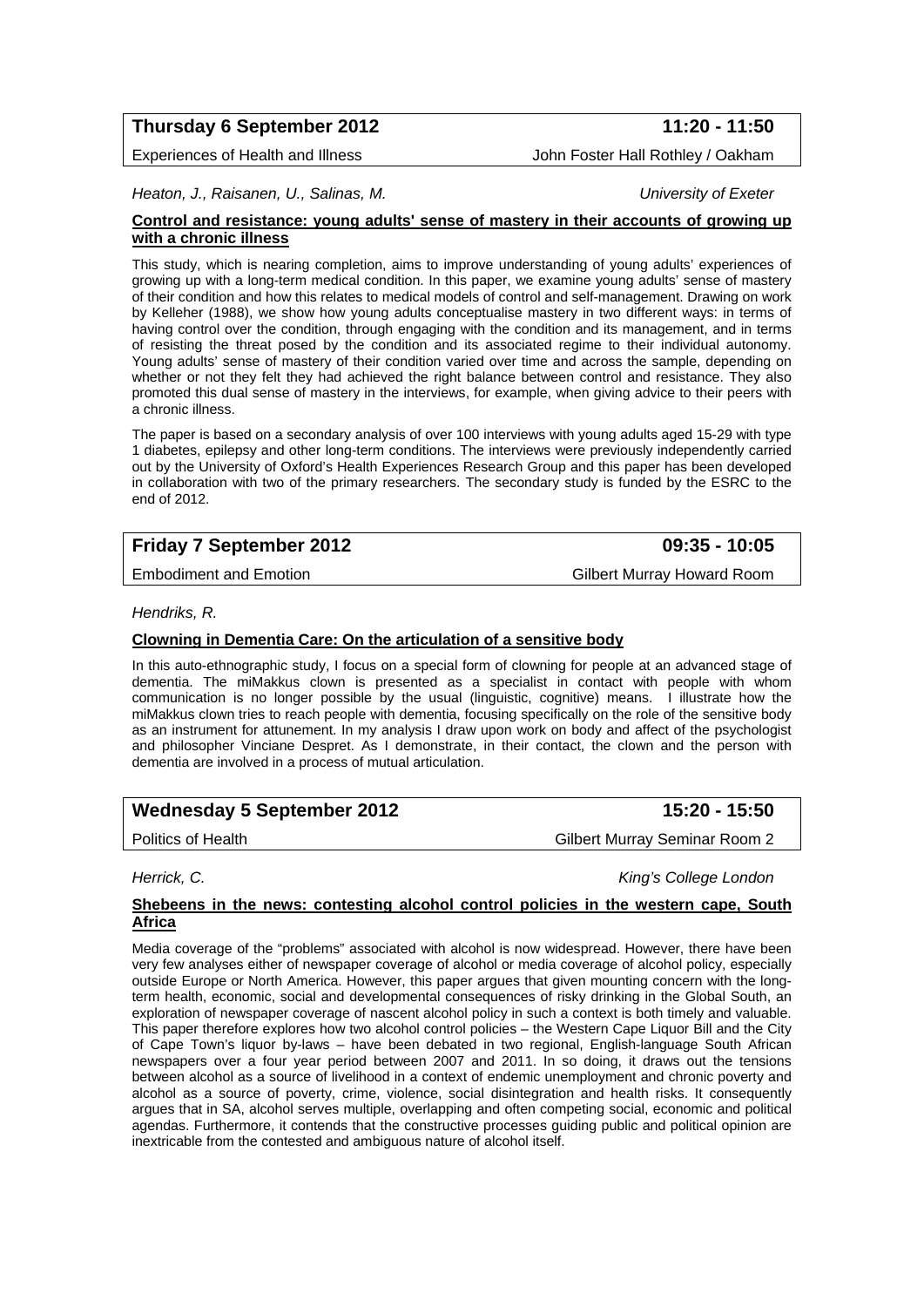## **Thursday 6 September 2012** 11:20 - 11:50

Experiences of Health and Illness John Foster Hall Rothley / Oakham

*Heaton, J., Raisanen, U., Salinas, M. University of Exeter* 

#### **Control and resistance: young adults' sense of mastery in their accounts of growing up with a chronic illness**

This study, which is nearing completion, aims to improve understanding of young adults' experiences of growing up with a long-term medical condition. In this paper, we examine young adults' sense of mastery of their condition and how this relates to medical models of control and self-management. Drawing on work by Kelleher (1988), we show how young adults conceptualise mastery in two different ways: in terms of having control over the condition, through engaging with the condition and its management, and in terms of resisting the threat posed by the condition and its associated regime to their individual autonomy. Young adults' sense of mastery of their condition varied over time and across the sample, depending on whether or not they felt they had achieved the right balance between control and resistance. They also promoted this dual sense of mastery in the interviews, for example, when giving advice to their peers with a chronic illness.

The paper is based on a secondary analysis of over 100 interviews with young adults aged 15-29 with type 1 diabetes, epilepsy and other long-term conditions. The interviews were previously independently carried out by the University of Oxford's Health Experiences Research Group and this paper has been developed in collaboration with two of the primary researchers. The secondary study is funded by the ESRC to the end of 2012.

## **Friday 7 September 2012 09:35 - 10:05**

Embodiment and Emotion Gilbert Murray Howard Room

### *Hendriks, R.*

## **Clowning in Dementia Care: On the articulation of a sensitive body**

In this auto-ethnographic study, I focus on a special form of clowning for people at an advanced stage of dementia. The miMakkus clown is presented as a specialist in contact with people with whom communication is no longer possible by the usual (linguistic, cognitive) means. I illustrate how the miMakkus clown tries to reach people with dementia, focusing specifically on the role of the sensitive body as an instrument for attunement. In my analysis I draw upon work on body and affect of the psychologist and philosopher Vinciane Despret. As I demonstrate, in their contact, the clown and the person with dementia are involved in a process of mutual articulation.

**Wednesday 5 September 2012 15:20 - 15:50** 

Politics of Health Gilbert Murray Seminar Room 2

*Herrick, C. King's College London* 

### **Shebeens in the news: contesting alcohol control policies in the western cape, South Africa**

Media coverage of the "problems" associated with alcohol is now widespread. However, there have been very few analyses either of newspaper coverage of alcohol or media coverage of alcohol policy, especially outside Europe or North America. However, this paper argues that given mounting concern with the longterm health, economic, social and developmental consequences of risky drinking in the Global South, an exploration of newspaper coverage of nascent alcohol policy in such a context is both timely and valuable. This paper therefore explores how two alcohol control policies – the Western Cape Liquor Bill and the City of Cape Town's liquor by-laws – have been debated in two regional, English-language South African newspapers over a four year period between 2007 and 2011. In so doing, it draws out the tensions between alcohol as a source of livelihood in a context of endemic unemployment and chronic poverty and alcohol as a source of poverty, crime, violence, social disintegration and health risks. It consequently argues that in SA, alcohol serves multiple, overlapping and often competing social, economic and political agendas. Furthermore, it contends that the constructive processes guiding public and political opinion are inextricable from the contested and ambiguous nature of alcohol itself.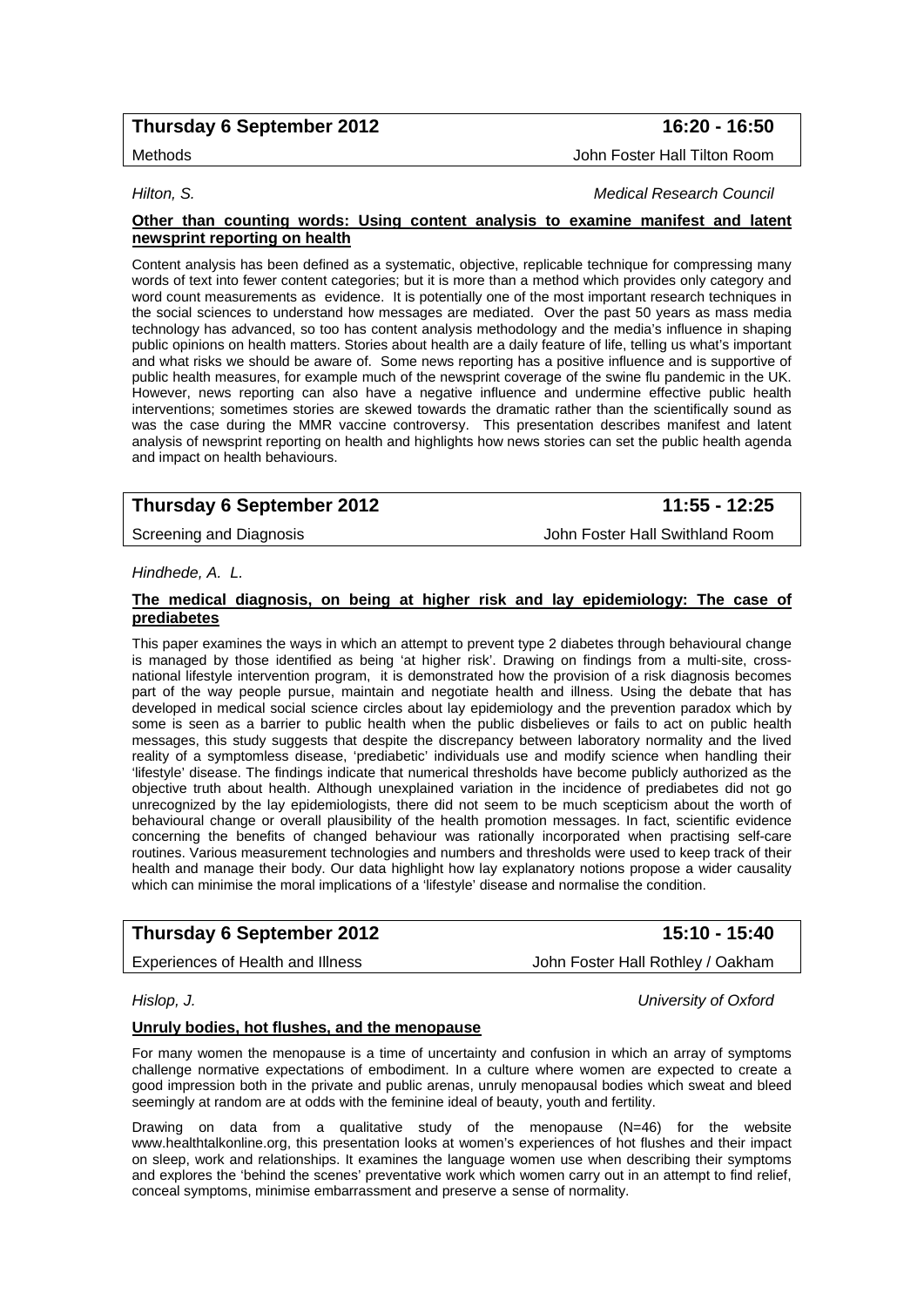## **Thursday 6 September 2012 16:20 - 16:50**

#### *Hilton, S. Medical Research Council*

#### **Other than counting words: Using content analysis to examine manifest and latent newsprint reporting on health**

Content analysis has been defined as a systematic, objective, replicable technique for compressing many words of text into fewer content categories; but it is more than a method which provides only category and word count measurements as evidence. It is potentially one of the most important research techniques in the social sciences to understand how messages are mediated. Over the past 50 years as mass media technology has advanced, so too has content analysis methodology and the media's influence in shaping public opinions on health matters. Stories about health are a daily feature of life, telling us what's important and what risks we should be aware of. Some news reporting has a positive influence and is supportive of public health measures, for example much of the newsprint coverage of the swine flu pandemic in the UK. However, news reporting can also have a negative influence and undermine effective public health interventions; sometimes stories are skewed towards the dramatic rather than the scientifically sound as was the case during the MMR vaccine controversy. This presentation describes manifest and latent analysis of newsprint reporting on health and highlights how news stories can set the public health agenda and impact on health behaviours.

## **Thursday 6 September 2012 11:55 - 12:25**

Screening and Diagnosis John Foster Hall Swithland Room

#### *Hindhede, A. L.*

#### **The medical diagnosis, on being at higher risk and lay epidemiology: The case of prediabetes**

This paper examines the ways in which an attempt to prevent type 2 diabetes through behavioural change is managed by those identified as being 'at higher risk'. Drawing on findings from a multi-site, crossnational lifestyle intervention program, it is demonstrated how the provision of a risk diagnosis becomes part of the way people pursue, maintain and negotiate health and illness. Using the debate that has developed in medical social science circles about lay epidemiology and the prevention paradox which by some is seen as a barrier to public health when the public disbelieves or fails to act on public health messages, this study suggests that despite the discrepancy between laboratory normality and the lived reality of a symptomless disease, 'prediabetic' individuals use and modify science when handling their 'lifestyle' disease. The findings indicate that numerical thresholds have become publicly authorized as the objective truth about health. Although unexplained variation in the incidence of prediabetes did not go unrecognized by the lay epidemiologists, there did not seem to be much scepticism about the worth of behavioural change or overall plausibility of the health promotion messages. In fact, scientific evidence concerning the benefits of changed behaviour was rationally incorporated when practising self-care routines. Various measurement technologies and numbers and thresholds were used to keep track of their health and manage their body. Our data highlight how lay explanatory notions propose a wider causality which can minimise the moral implications of a 'lifestyle' disease and normalise the condition.

## **Thursday 6 September 2012 15:10 - 15:40**

Experiences of Health and Illness **South Accord Foster Hall Rothley / Oakham** 

*Hislop, J. University of Oxford* 

### **Unruly bodies, hot flushes, and the menopause**

For many women the menopause is a time of uncertainty and confusion in which an array of symptoms challenge normative expectations of embodiment. In a culture where women are expected to create a good impression both in the private and public arenas, unruly menopausal bodies which sweat and bleed seemingly at random are at odds with the feminine ideal of beauty, youth and fertility.

Drawing on data from a qualitative study of the menopause (N=46) for the website www.healthtalkonline.org, this presentation looks at women's experiences of hot flushes and their impact on sleep, work and relationships. It examines the language women use when describing their symptoms and explores the 'behind the scenes' preventative work which women carry out in an attempt to find relief, conceal symptoms, minimise embarrassment and preserve a sense of normality.

Methods John Foster Hall Tilton Room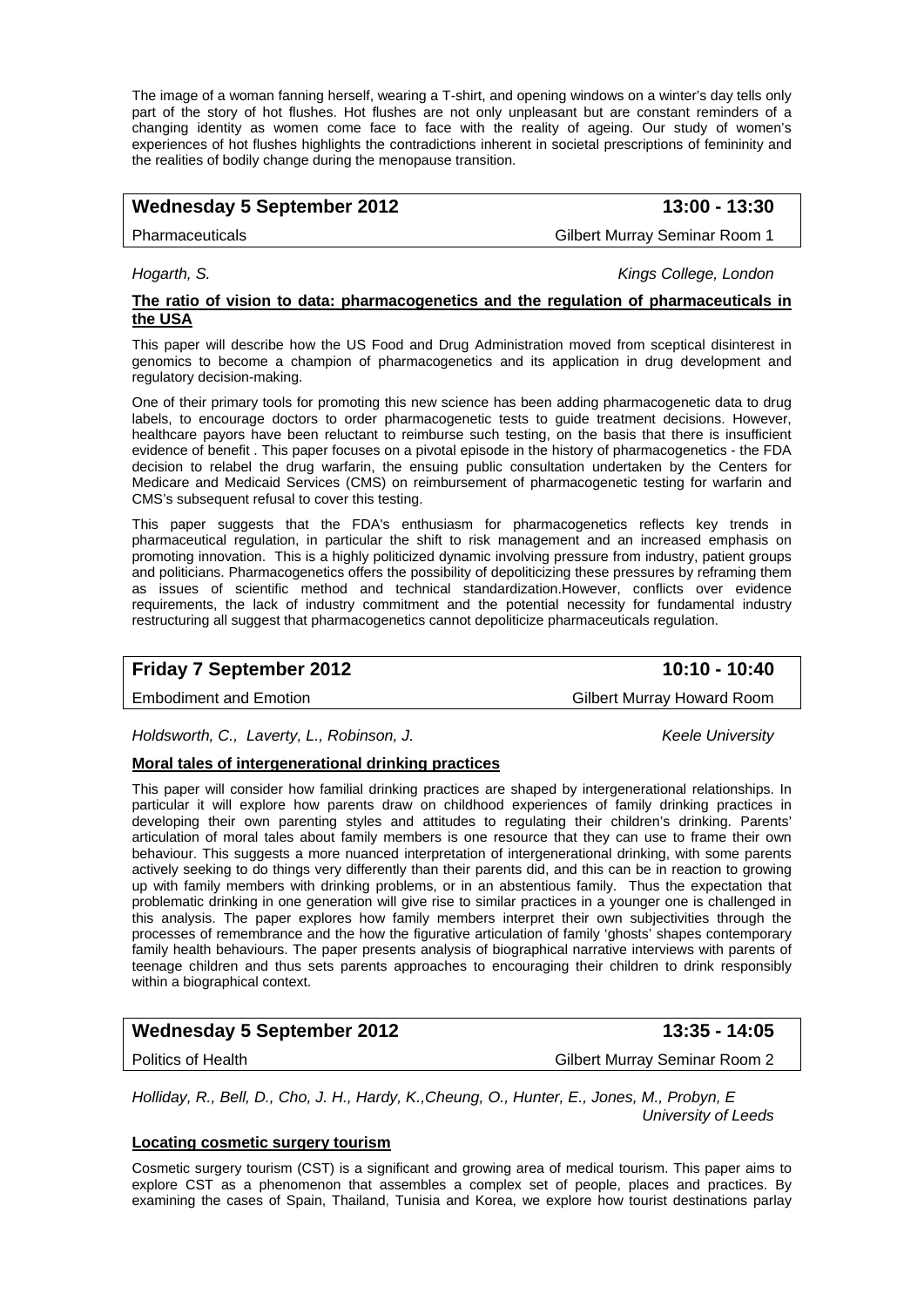The image of a woman fanning herself, wearing a T-shirt, and opening windows on a winter's day tells only part of the story of hot flushes. Hot flushes are not only unpleasant but are constant reminders of a changing identity as women come face to face with the reality of ageing. Our study of women's experiences of hot flushes highlights the contradictions inherent in societal prescriptions of femininity and the realities of bodily change during the menopause transition.

## Wednesday 5 September 2012 **13:00 - 13:30**

Pharmaceuticals Gilbert Murray Seminar Room 1

*Hogarth, S. Kings College, London* 

#### **The ratio of vision to data: pharmacogenetics and the regulation of pharmaceuticals in the USA**

This paper will describe how the US Food and Drug Administration moved from sceptical disinterest in genomics to become a champion of pharmacogenetics and its application in drug development and regulatory decision-making.

One of their primary tools for promoting this new science has been adding pharmacogenetic data to drug labels, to encourage doctors to order pharmacogenetic tests to guide treatment decisions. However, healthcare payors have been reluctant to reimburse such testing, on the basis that there is insufficient evidence of benefit . This paper focuses on a pivotal episode in the history of pharmacogenetics - the FDA decision to relabel the drug warfarin, the ensuing public consultation undertaken by the Centers for Medicare and Medicaid Services (CMS) on reimbursement of pharmacogenetic testing for warfarin and CMS's subsequent refusal to cover this testing.

This paper suggests that the FDA's enthusiasm for pharmacogenetics reflects key trends in pharmaceutical regulation, in particular the shift to risk management and an increased emphasis on promoting innovation. This is a highly politicized dynamic involving pressure from industry, patient groups and politicians. Pharmacogenetics offers the possibility of depoliticizing these pressures by reframing them as issues of scientific method and technical standardization.However, conflicts over evidence requirements, the lack of industry commitment and the potential necessity for fundamental industry restructuring all suggest that pharmacogenetics cannot depoliticize pharmaceuticals regulation.

## **Friday 7 September 2012** 10:10 - 10:40

Embodiment and Emotion Communication Cilbert Murray Howard Room

*Holdsworth, C., Laverty, L., Robinson, J. Keele University* 

## **Moral tales of intergenerational drinking practices**

This paper will consider how familial drinking practices are shaped by intergenerational relationships. In particular it will explore how parents draw on childhood experiences of family drinking practices in developing their own parenting styles and attitudes to regulating their children's drinking. Parents' articulation of moral tales about family members is one resource that they can use to frame their own behaviour. This suggests a more nuanced interpretation of intergenerational drinking, with some parents actively seeking to do things very differently than their parents did, and this can be in reaction to growing up with family members with drinking problems, or in an abstentious family. Thus the expectation that problematic drinking in one generation will give rise to similar practices in a younger one is challenged in this analysis. The paper explores how family members interpret their own subjectivities through the processes of remembrance and the how the figurative articulation of family 'ghosts' shapes contemporary family health behaviours. The paper presents analysis of biographical narrative interviews with parents of teenage children and thus sets parents approaches to encouraging their children to drink responsibly within a biographical context.

## Wednesday 5 September 2012 **13:35 - 14:05**

Politics of Health Gilbert Murray Seminar Room 2

*Holliday, R., Bell, D., Cho, J. H., Hardy, K.,Cheung, O., Hunter, E., Jones, M., Probyn, E University of Leeds* 

#### **Locating cosmetic surgery tourism**

Cosmetic surgery tourism (CST) is a significant and growing area of medical tourism. This paper aims to explore CST as a phenomenon that assembles a complex set of people, places and practices. By examining the cases of Spain, Thailand, Tunisia and Korea, we explore how tourist destinations parlay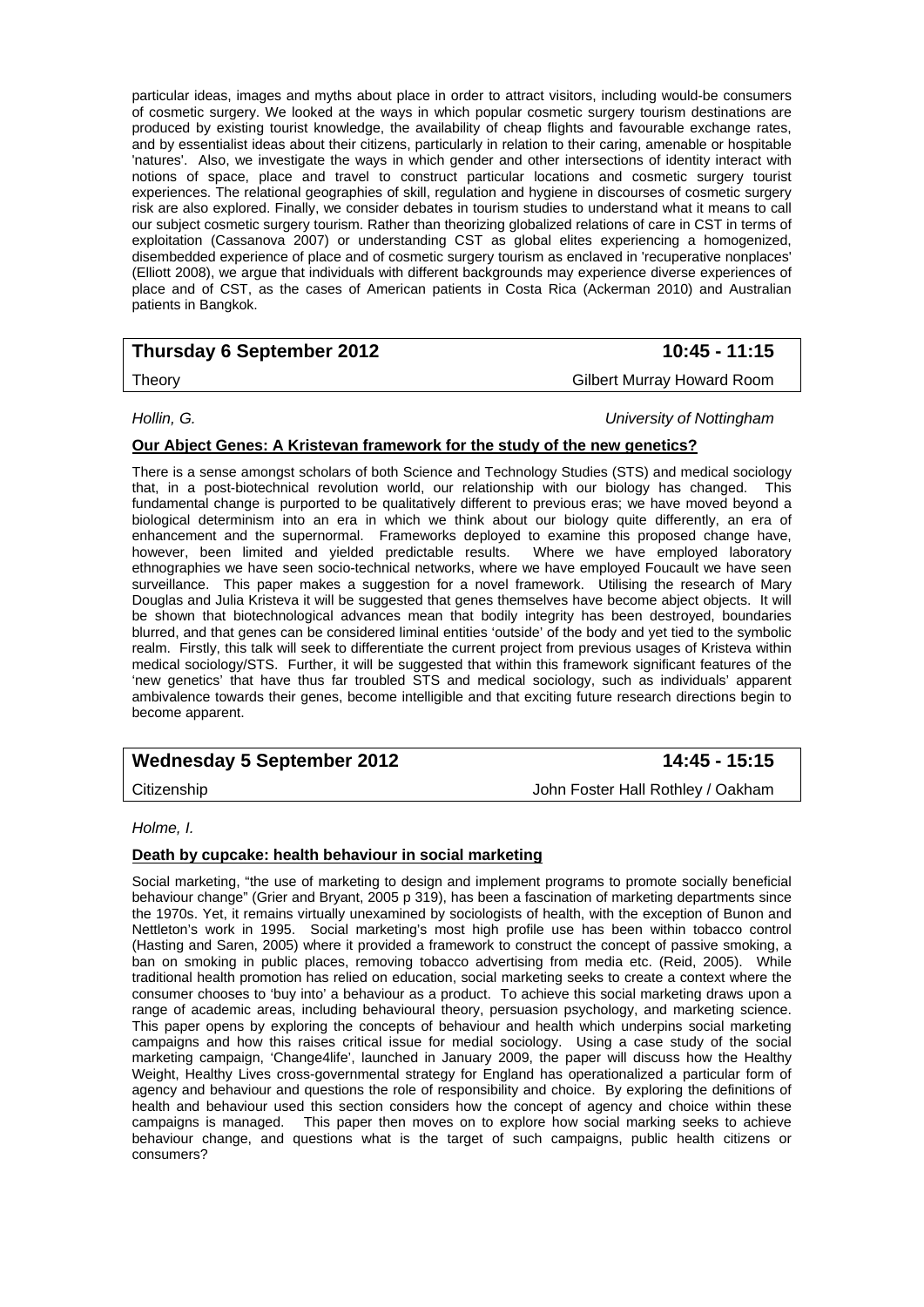particular ideas, images and myths about place in order to attract visitors, including would-be consumers of cosmetic surgery. We looked at the ways in which popular cosmetic surgery tourism destinations are produced by existing tourist knowledge, the availability of cheap flights and favourable exchange rates, and by essentialist ideas about their citizens, particularly in relation to their caring, amenable or hospitable 'natures'. Also, we investigate the ways in which gender and other intersections of identity interact with notions of space, place and travel to construct particular locations and cosmetic surgery tourist experiences. The relational geographies of skill, regulation and hygiene in discourses of cosmetic surgery risk are also explored. Finally, we consider debates in tourism studies to understand what it means to call our subject cosmetic surgery tourism. Rather than theorizing globalized relations of care in CST in terms of exploitation (Cassanova 2007) or understanding CST as global elites experiencing a homogenized, disembedded experience of place and of cosmetic surgery tourism as enclaved in 'recuperative nonplaces' (Elliott 2008), we argue that individuals with different backgrounds may experience diverse experiences of place and of CST, as the cases of American patients in Costa Rica (Ackerman 2010) and Australian patients in Bangkok.

## **Thursday 6 September 2012** 10:45 - 11:15

Theory Gilbert Murray Howard Room

*Hollin, G. University of Nottingham* 

## **Our Abject Genes: A Kristevan framework for the study of the new genetics?**

There is a sense amongst scholars of both Science and Technology Studies (STS) and medical sociology that, in a post-biotechnical revolution world, our relationship with our biology has changed. This fundamental change is purported to be qualitatively different to previous eras; we have moved beyond a biological determinism into an era in which we think about our biology quite differently, an era of enhancement and the supernormal. Frameworks deployed to examine this proposed change have, however, been limited and yielded predictable results. Where we have employed laboratory ethnographies we have seen socio-technical networks, where we have employed Foucault we have seen surveillance. This paper makes a suggestion for a novel framework. Utilising the research of Mary Douglas and Julia Kristeva it will be suggested that genes themselves have become abject objects. It will be shown that biotechnological advances mean that bodily integrity has been destroyed, boundaries blurred, and that genes can be considered liminal entities 'outside' of the body and yet tied to the symbolic realm. Firstly, this talk will seek to differentiate the current project from previous usages of Kristeva within medical sociology/STS. Further, it will be suggested that within this framework significant features of the 'new genetics' that have thus far troubled STS and medical sociology, such as individuals' apparent ambivalence towards their genes, become intelligible and that exciting future research directions begin to become apparent.

## Wednesday 5 September 2012 **14:45 - 15:15**

Citizenship John Foster Hall Rothley / Oakham

## *Holme, I.*

## **Death by cupcake: health behaviour in social marketing**

Social marketing, "the use of marketing to design and implement programs to promote socially beneficial behaviour change" (Grier and Bryant, 2005 p 319), has been a fascination of marketing departments since the 1970s. Yet, it remains virtually unexamined by sociologists of health, with the exception of Bunon and Nettleton's work in 1995. Social marketing's most high profile use has been within tobacco control (Hasting and Saren, 2005) where it provided a framework to construct the concept of passive smoking, a ban on smoking in public places, removing tobacco advertising from media etc. (Reid, 2005). While traditional health promotion has relied on education, social marketing seeks to create a context where the consumer chooses to 'buy into' a behaviour as a product. To achieve this social marketing draws upon a range of academic areas, including behavioural theory, persuasion psychology, and marketing science. This paper opens by exploring the concepts of behaviour and health which underpins social marketing campaigns and how this raises critical issue for medial sociology. Using a case study of the social marketing campaign, 'Change4life', launched in January 2009, the paper will discuss how the Healthy Weight, Healthy Lives cross-governmental strategy for England has operationalized a particular form of agency and behaviour and questions the role of responsibility and choice. By exploring the definitions of health and behaviour used this section considers how the concept of agency and choice within these campaigns is managed. This paper then moves on to explore how social marking seeks to achieve behaviour change, and questions what is the target of such campaigns, public health citizens or consumers?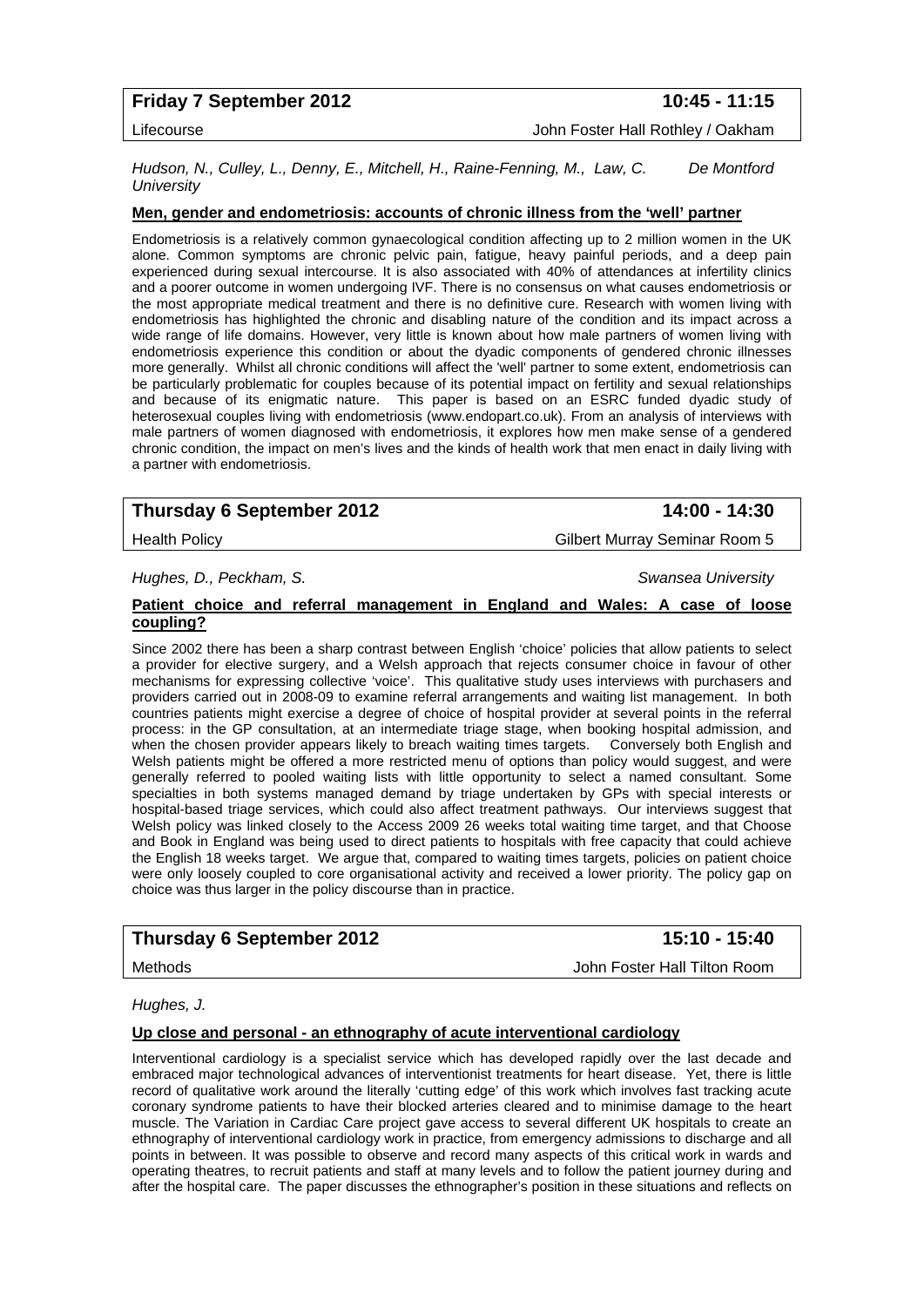## **Friday 7 September 2012** 10:45 - 11:15

Lifecourse John Foster Hall Rothley / Oakham

*Hudson, N., Culley, L., Denny, E., Mitchell, H., Raine-Fenning, M., Law, C. De Montford University* 

#### **Men, gender and endometriosis: accounts of chronic illness from the 'well' partner**

Endometriosis is a relatively common gynaecological condition affecting up to 2 million women in the UK alone. Common symptoms are chronic pelvic pain, fatigue, heavy painful periods, and a deep pain experienced during sexual intercourse. It is also associated with 40% of attendances at infertility clinics and a poorer outcome in women undergoing IVF. There is no consensus on what causes endometriosis or the most appropriate medical treatment and there is no definitive cure. Research with women living with endometriosis has highlighted the chronic and disabling nature of the condition and its impact across a wide range of life domains. However, very little is known about how male partners of women living with endometriosis experience this condition or about the dyadic components of gendered chronic illnesses more generally. Whilst all chronic conditions will affect the 'well' partner to some extent, endometriosis can be particularly problematic for couples because of its potential impact on fertility and sexual relationships and because of its enigmatic nature. This paper is based on an ESRC funded dyadic study of heterosexual couples living with endometriosis (www.endopart.co.uk). From an analysis of interviews with male partners of women diagnosed with endometriosis, it explores how men make sense of a gendered chronic condition, the impact on men's lives and the kinds of health work that men enact in daily living with a partner with endometriosis.

## **Thursday 6 September 2012 14:00 - 14:30**

Health Policy Gilbert Murray Seminar Room 5

*Hughes, D., Peckham, S. Swansea University* 

#### **Patient choice and referral management in England and Wales: A case of loose coupling?**

Since 2002 there has been a sharp contrast between English 'choice' policies that allow patients to select a provider for elective surgery, and a Welsh approach that rejects consumer choice in favour of other mechanisms for expressing collective 'voice'. This qualitative study uses interviews with purchasers and providers carried out in 2008-09 to examine referral arrangements and waiting list management. In both countries patients might exercise a degree of choice of hospital provider at several points in the referral process: in the GP consultation, at an intermediate triage stage, when booking hospital admission, and when the chosen provider appears likely to breach waiting times targets. Conversely both English and Welsh patients might be offered a more restricted menu of options than policy would suggest, and were generally referred to pooled waiting lists with little opportunity to select a named consultant. Some specialties in both systems managed demand by triage undertaken by GPs with special interests or hospital-based triage services, which could also affect treatment pathways. Our interviews suggest that Welsh policy was linked closely to the Access 2009 26 weeks total waiting time target, and that Choose and Book in England was being used to direct patients to hospitals with free capacity that could achieve the English 18 weeks target. We argue that, compared to waiting times targets, policies on patient choice were only loosely coupled to core organisational activity and received a lower priority. The policy gap on choice was thus larger in the policy discourse than in practice.

## **Thursday 6 September 2012** 15:10 - 15:40

Methods John Foster Hall Tilton Room

*Hughes, J.* 

#### **Up close and personal - an ethnography of acute interventional cardiology**

Interventional cardiology is a specialist service which has developed rapidly over the last decade and embraced major technological advances of interventionist treatments for heart disease. Yet, there is little record of qualitative work around the literally 'cutting edge' of this work which involves fast tracking acute coronary syndrome patients to have their blocked arteries cleared and to minimise damage to the heart muscle. The Variation in Cardiac Care project gave access to several different UK hospitals to create an ethnography of interventional cardiology work in practice, from emergency admissions to discharge and all points in between. It was possible to observe and record many aspects of this critical work in wards and operating theatres, to recruit patients and staff at many levels and to follow the patient journey during and after the hospital care. The paper discusses the ethnographer's position in these situations and reflects on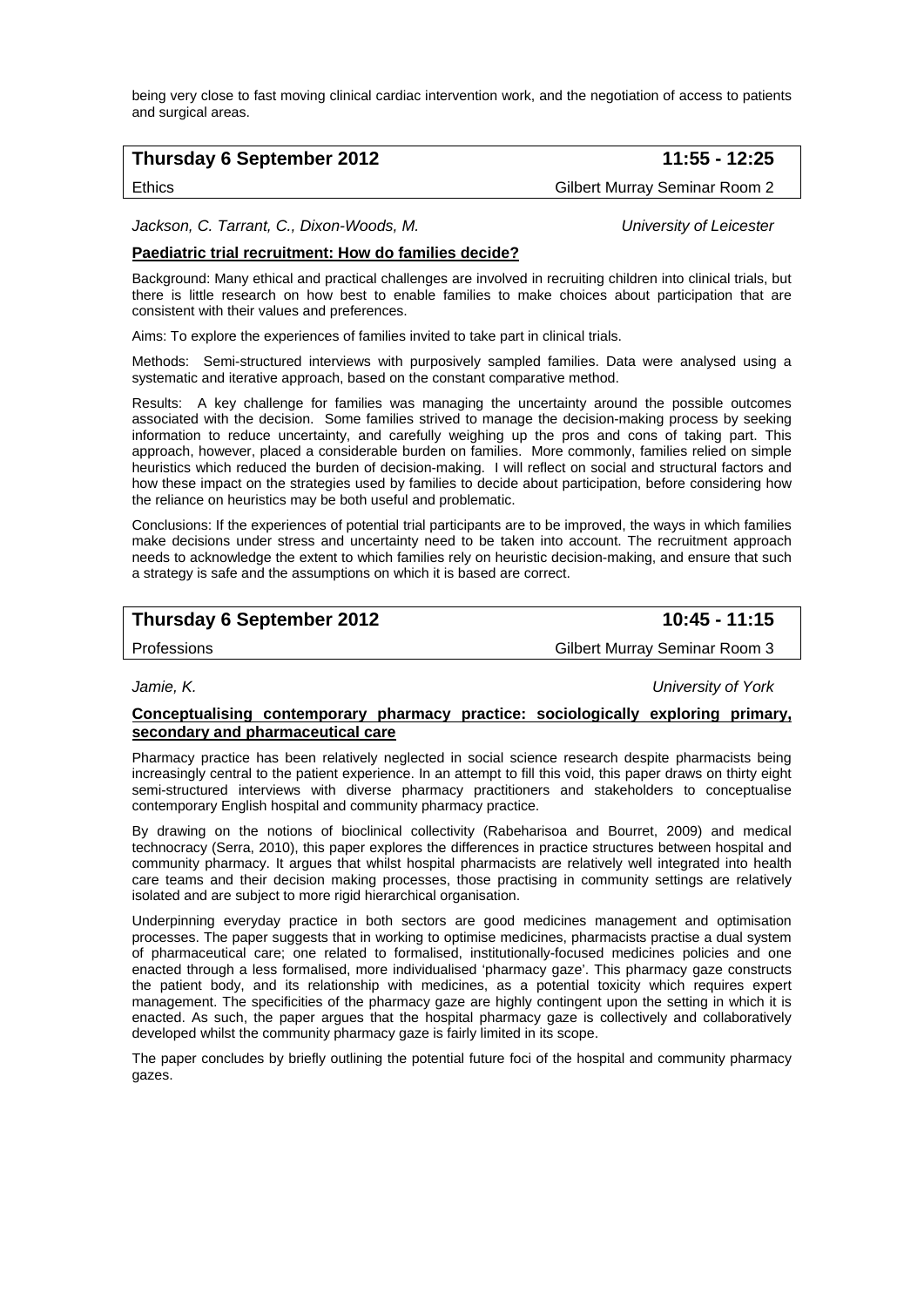being very close to fast moving clinical cardiac intervention work, and the negotiation of access to patients and surgical areas.

## **Thursday 6 September 2012 11:55 - 12:25**

Ethics Gilbert Murray Seminar Room 2

*Jackson, C. Tarrant, C., Dixon-Woods, M. University of Leicester* 

### **Paediatric trial recruitment: How do families decide?**

Background: Many ethical and practical challenges are involved in recruiting children into clinical trials, but there is little research on how best to enable families to make choices about participation that are consistent with their values and preferences.

Aims: To explore the experiences of families invited to take part in clinical trials.

Methods: Semi-structured interviews with purposively sampled families. Data were analysed using a systematic and iterative approach, based on the constant comparative method.

Results: A key challenge for families was managing the uncertainty around the possible outcomes associated with the decision. Some families strived to manage the decision-making process by seeking information to reduce uncertainty, and carefully weighing up the pros and cons of taking part. This approach, however, placed a considerable burden on families. More commonly, families relied on simple heuristics which reduced the burden of decision-making. I will reflect on social and structural factors and how these impact on the strategies used by families to decide about participation, before considering how the reliance on heuristics may be both useful and problematic.

Conclusions: If the experiences of potential trial participants are to be improved, the ways in which families make decisions under stress and uncertainty need to be taken into account. The recruitment approach needs to acknowledge the extent to which families rely on heuristic decision-making, and ensure that such a strategy is safe and the assumptions on which it is based are correct.

## **Thursday 6 September 2012** 10:45 - 11:15

Professions Gilbert Murray Seminar Room 3

*Jamie, K. University of York* 

#### **Conceptualising contemporary pharmacy practice: sociologically exploring primary, secondary and pharmaceutical care**

Pharmacy practice has been relatively neglected in social science research despite pharmacists being increasingly central to the patient experience. In an attempt to fill this void, this paper draws on thirty eight semi-structured interviews with diverse pharmacy practitioners and stakeholders to conceptualise contemporary English hospital and community pharmacy practice.

By drawing on the notions of bioclinical collectivity (Rabeharisoa and Bourret, 2009) and medical technocracy (Serra, 2010), this paper explores the differences in practice structures between hospital and community pharmacy. It argues that whilst hospital pharmacists are relatively well integrated into health care teams and their decision making processes, those practising in community settings are relatively isolated and are subject to more rigid hierarchical organisation.

Underpinning everyday practice in both sectors are good medicines management and optimisation processes. The paper suggests that in working to optimise medicines, pharmacists practise a dual system of pharmaceutical care; one related to formalised, institutionally-focused medicines policies and one enacted through a less formalised, more individualised 'pharmacy gaze'. This pharmacy gaze constructs the patient body, and its relationship with medicines, as a potential toxicity which requires expert management. The specificities of the pharmacy gaze are highly contingent upon the setting in which it is enacted. As such, the paper argues that the hospital pharmacy gaze is collectively and collaboratively developed whilst the community pharmacy gaze is fairly limited in its scope.

The paper concludes by briefly outlining the potential future foci of the hospital and community pharmacy gazes.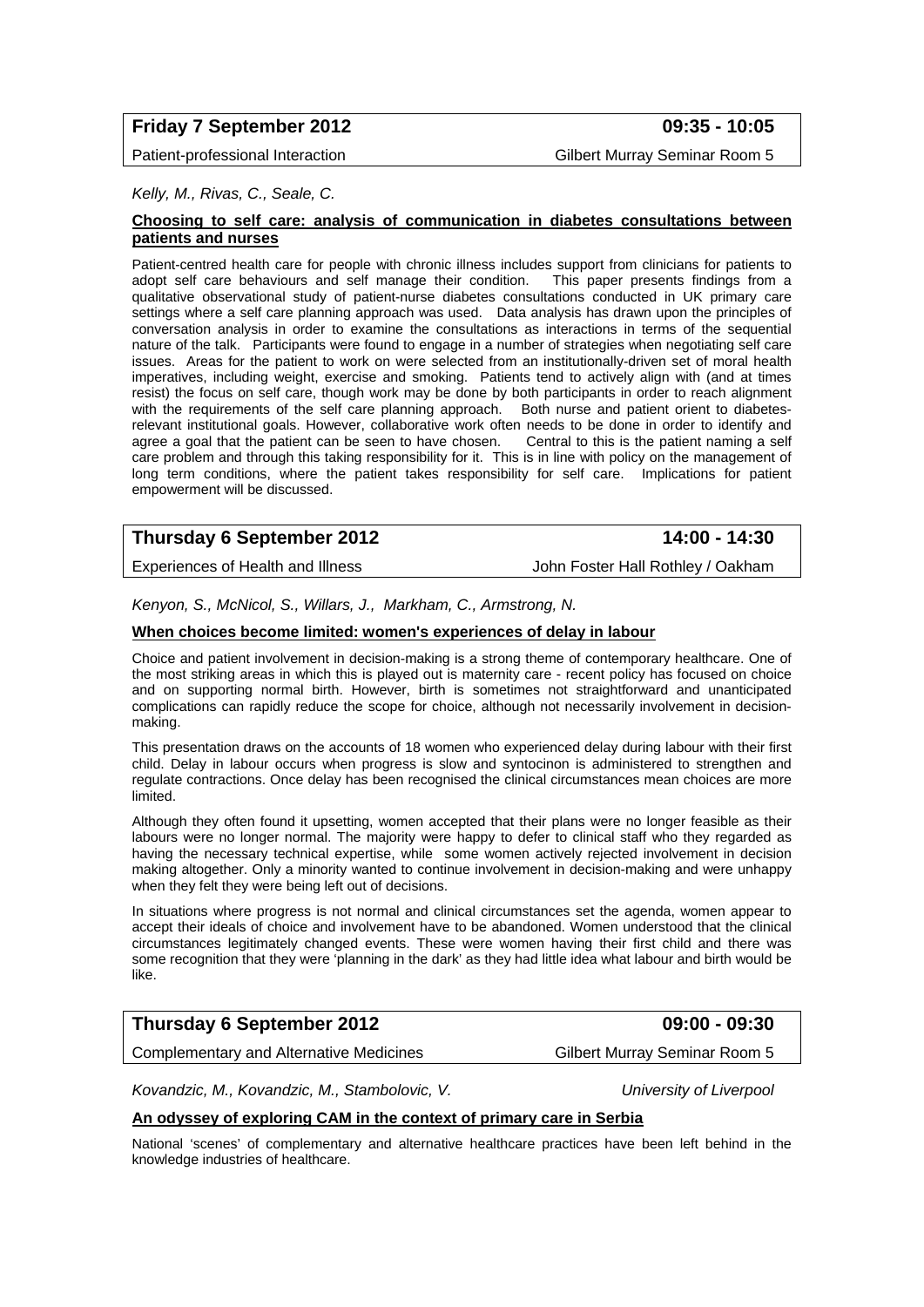# **Friday 7 September 2012 09:35 - 10:05**

Patient-professional Interaction Gilbert Murray Seminar Room 5

*Kelly, M., Rivas, C., Seale, C.* 

#### **Choosing to self care: analysis of communication in diabetes consultations between patients and nurses**

Patient-centred health care for people with chronic illness includes support from clinicians for patients to adopt self care behaviours and self manage their condition. This paper presents findings from a qualitative observational study of patient-nurse diabetes consultations conducted in UK primary care settings where a self care planning approach was used. Data analysis has drawn upon the principles of conversation analysis in order to examine the consultations as interactions in terms of the sequential nature of the talk. Participants were found to engage in a number of strategies when negotiating self care issues. Areas for the patient to work on were selected from an institutionally-driven set of moral health imperatives, including weight, exercise and smoking. Patients tend to actively align with (and at times resist) the focus on self care, though work may be done by both participants in order to reach alignment with the requirements of the self care planning approach. Both nurse and patient orient to diabetesrelevant institutional goals. However, collaborative work often needs to be done in order to identify and agree a goal that the patient can be seen to have chosen. Central to this is the patient naming a self care problem and through this taking responsibility for it. This is in line with policy on the management of long term conditions, where the patient takes responsibility for self care. Implications for patient empowerment will be discussed.

# **Thursday 6 September 2012** 14:00 - 14:30

Experiences of Health and Illness John Foster Hall Rothley / Oakham

*Kenyon, S., McNicol, S., Willars, J., Markham, C., Armstrong, N.* 

#### **When choices become limited: women's experiences of delay in labour**

Choice and patient involvement in decision-making is a strong theme of contemporary healthcare. One of the most striking areas in which this is played out is maternity care - recent policy has focused on choice and on supporting normal birth. However, birth is sometimes not straightforward and unanticipated complications can rapidly reduce the scope for choice, although not necessarily involvement in decisionmaking.

This presentation draws on the accounts of 18 women who experienced delay during labour with their first child. Delay in labour occurs when progress is slow and syntocinon is administered to strengthen and regulate contractions. Once delay has been recognised the clinical circumstances mean choices are more limited.

Although they often found it upsetting, women accepted that their plans were no longer feasible as their labours were no longer normal. The majority were happy to defer to clinical staff who they regarded as having the necessary technical expertise, while some women actively rejected involvement in decision making altogether. Only a minority wanted to continue involvement in decision-making and were unhappy when they felt they were being left out of decisions.

In situations where progress is not normal and clinical circumstances set the agenda, women appear to accept their ideals of choice and involvement have to be abandoned. Women understood that the clinical circumstances legitimately changed events. These were women having their first child and there was some recognition that they were 'planning in the dark' as they had little idea what labour and birth would be like.

# **Thursday 6 September 2012 09:00 - 09:30**

Complementary and Alternative Medicines Gilbert Murray Seminar Room 5

*Kovandzic, M., Kovandzic, M., Stambolovic, V. University of Liverpool* 

#### **An odyssey of exploring CAM in the context of primary care in Serbia**

National 'scenes' of complementary and alternative healthcare practices have been left behind in the knowledge industries of healthcare.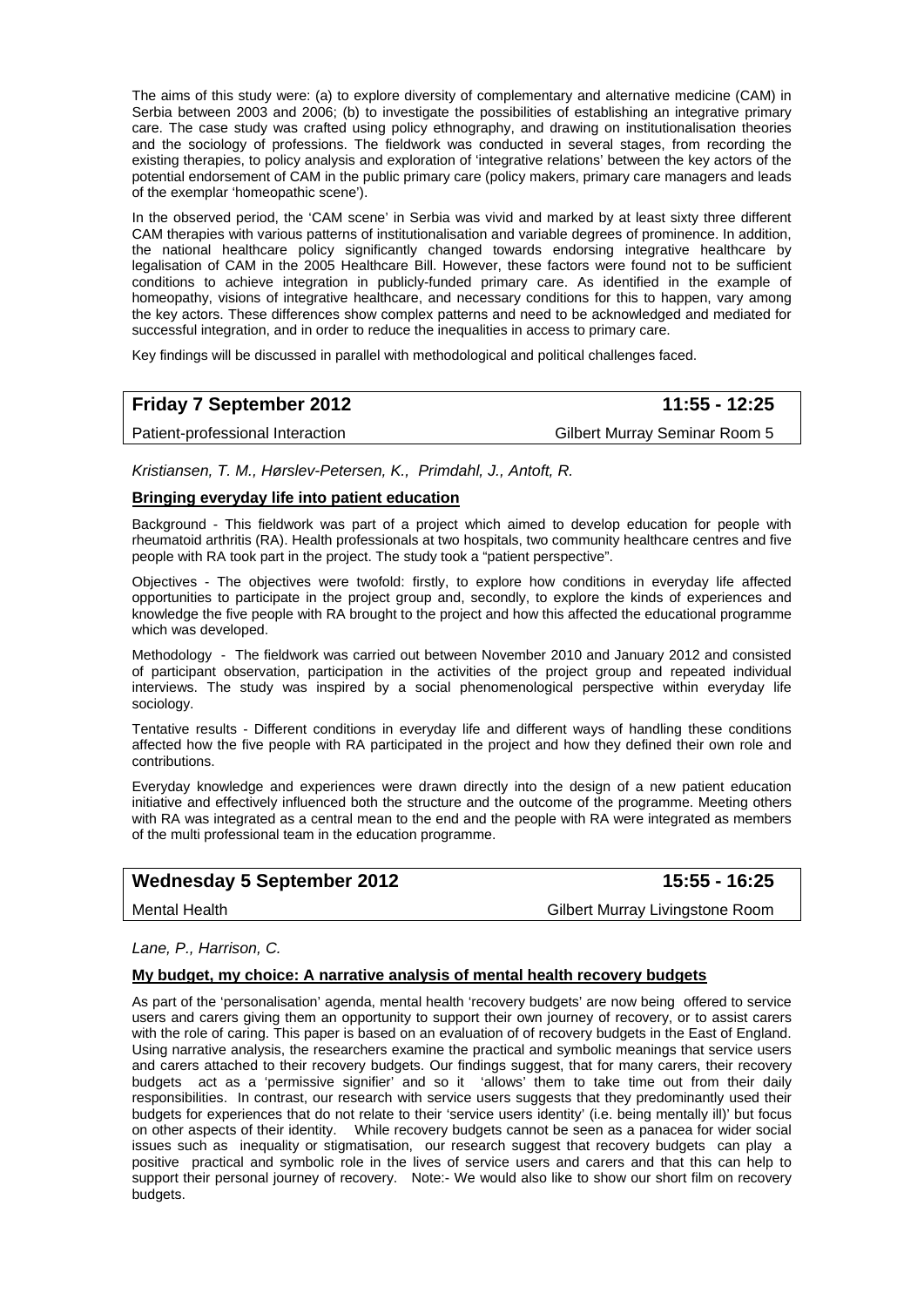The aims of this study were: (a) to explore diversity of complementary and alternative medicine (CAM) in Serbia between 2003 and 2006; (b) to investigate the possibilities of establishing an integrative primary care. The case study was crafted using policy ethnography, and drawing on institutionalisation theories and the sociology of professions. The fieldwork was conducted in several stages, from recording the existing therapies, to policy analysis and exploration of 'integrative relations' between the key actors of the potential endorsement of CAM in the public primary care (policy makers, primary care managers and leads of the exemplar 'homeopathic scene').

In the observed period, the 'CAM scene' in Serbia was vivid and marked by at least sixty three different CAM therapies with various patterns of institutionalisation and variable degrees of prominence. In addition, the national healthcare policy significantly changed towards endorsing integrative healthcare by legalisation of CAM in the 2005 Healthcare Bill. However, these factors were found not to be sufficient conditions to achieve integration in publicly-funded primary care. As identified in the example of homeopathy, visions of integrative healthcare, and necessary conditions for this to happen, vary among the key actors. These differences show complex patterns and need to be acknowledged and mediated for successful integration, and in order to reduce the inequalities in access to primary care.

Key findings will be discussed in parallel with methodological and political challenges faced.

# **Friday 7 September 2012 11:55 - 12:25**

Patient-professional Interaction and Gilbert Murray Seminar Room 5

*Kristiansen, T. M., Hørslev-Petersen, K., Primdahl, J., Antoft, R.* 

#### **Bringing everyday life into patient education**

Background - This fieldwork was part of a project which aimed to develop education for people with rheumatoid arthritis (RA). Health professionals at two hospitals, two community healthcare centres and five people with RA took part in the project. The study took a "patient perspective".

Objectives - The objectives were twofold: firstly, to explore how conditions in everyday life affected opportunities to participate in the project group and, secondly, to explore the kinds of experiences and knowledge the five people with RA brought to the project and how this affected the educational programme which was developed.

Methodology - The fieldwork was carried out between November 2010 and January 2012 and consisted of participant observation, participation in the activities of the project group and repeated individual interviews. The study was inspired by a social phenomenological perspective within everyday life sociology.

Tentative results - Different conditions in everyday life and different ways of handling these conditions affected how the five people with RA participated in the project and how they defined their own role and contributions.

Everyday knowledge and experiences were drawn directly into the design of a new patient education initiative and effectively influenced both the structure and the outcome of the programme. Meeting others with RA was integrated as a central mean to the end and the people with RA were integrated as members of the multi professional team in the education programme.

# Wednesday 5 September 2012 **15:55 - 16:25**

Mental Health Gilbert Murray Livingstone Room

#### *Lane, P., Harrison, C.*

#### **My budget, my choice: A narrative analysis of mental health recovery budgets**

As part of the 'personalisation' agenda, mental health 'recovery budgets' are now being offered to service users and carers giving them an opportunity to support their own journey of recovery, or to assist carers with the role of caring. This paper is based on an evaluation of of recovery budgets in the East of England. Using narrative analysis, the researchers examine the practical and symbolic meanings that service users and carers attached to their recovery budgets. Our findings suggest, that for many carers, their recovery budgets act as a 'permissive signifier' and so it 'allows' them to take time out from their daily responsibilities. In contrast, our research with service users suggests that they predominantly used their budgets for experiences that do not relate to their 'service users identity' (i.e. being mentally ill)' but focus on other aspects of their identity. While recovery budgets cannot be seen as a panacea for wider social issues such as inequality or stigmatisation, our research suggest that recovery budgets can play a positive practical and symbolic role in the lives of service users and carers and that this can help to support their personal journey of recovery. Note:- We would also like to show our short film on recovery budgets.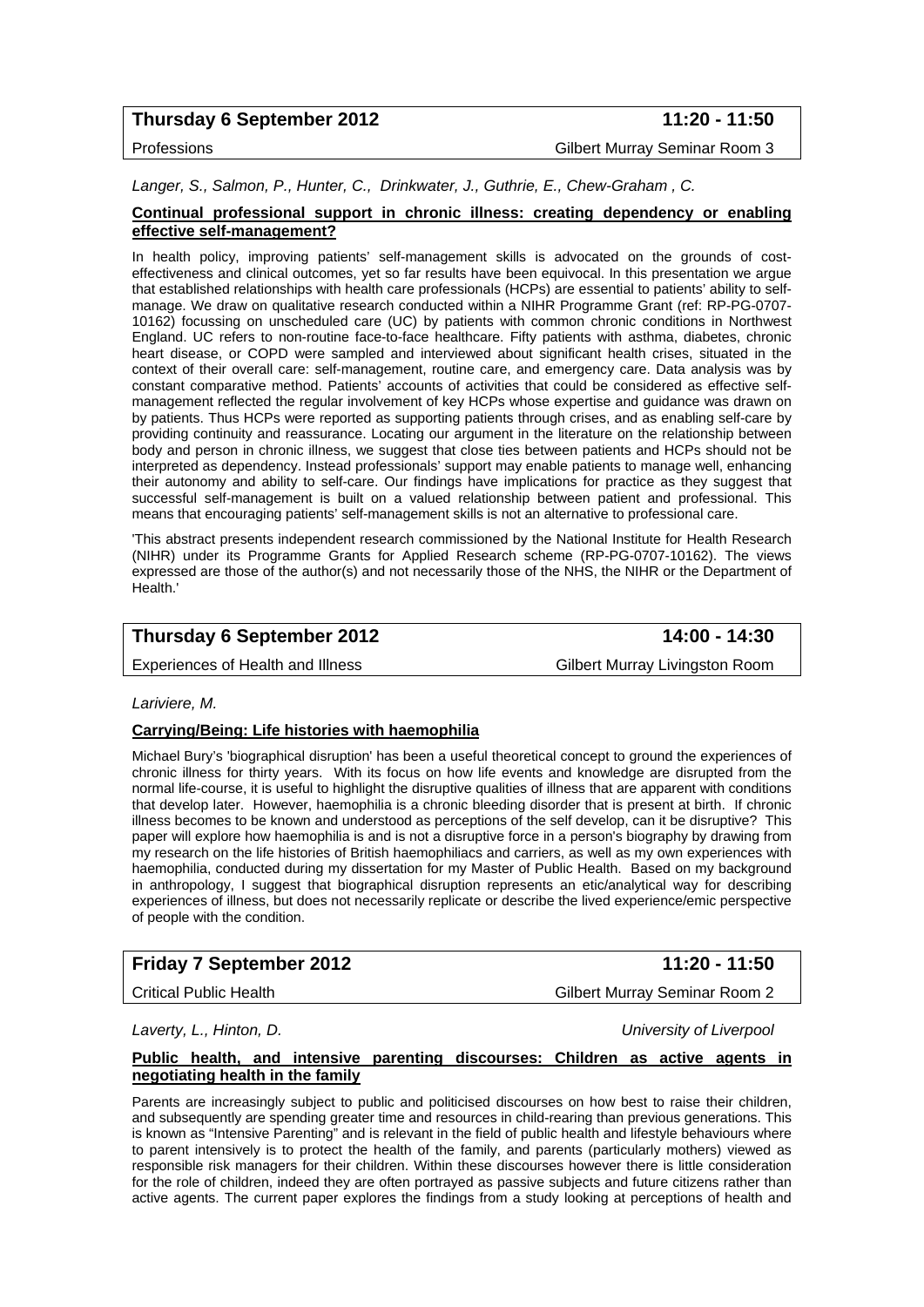# **Thursday 6 September 2012** 11:20 - 11:50

Professions Gilbert Murray Seminar Room 3

*Langer, S., Salmon, P., Hunter, C., Drinkwater, J., Guthrie, E., Chew-Graham , C.* 

#### **Continual professional support in chronic illness: creating dependency or enabling effective self-management?**

In health policy, improving patients' self-management skills is advocated on the grounds of costeffectiveness and clinical outcomes, yet so far results have been equivocal. In this presentation we argue that established relationships with health care professionals (HCPs) are essential to patients' ability to selfmanage. We draw on qualitative research conducted within a NIHR Programme Grant (ref: RP-PG-0707- 10162) focussing on unscheduled care (UC) by patients with common chronic conditions in Northwest England. UC refers to non-routine face-to-face healthcare. Fifty patients with asthma, diabetes, chronic heart disease, or COPD were sampled and interviewed about significant health crises, situated in the context of their overall care: self-management, routine care, and emergency care. Data analysis was by constant comparative method. Patients' accounts of activities that could be considered as effective selfmanagement reflected the regular involvement of key HCPs whose expertise and guidance was drawn on by patients. Thus HCPs were reported as supporting patients through crises, and as enabling self-care by providing continuity and reassurance. Locating our argument in the literature on the relationship between body and person in chronic illness, we suggest that close ties between patients and HCPs should not be interpreted as dependency. Instead professionals' support may enable patients to manage well, enhancing their autonomy and ability to self-care. Our findings have implications for practice as they suggest that successful self-management is built on a valued relationship between patient and professional. This means that encouraging patients' self-management skills is not an alternative to professional care.

'This abstract presents independent research commissioned by the National Institute for Health Research (NIHR) under its Programme Grants for Applied Research scheme (RP-PG-0707-10162). The views expressed are those of the author(s) and not necessarily those of the NHS, the NIHR or the Department of Health.'

# **Thursday 6 September 2012** 14:00 - 14:30

Experiences of Health and Illness Gilbert Murray Livingston Room

*Lariviere, M.* 

#### **Carrying/Being: Life histories with haemophilia**

Michael Bury's 'biographical disruption' has been a useful theoretical concept to ground the experiences of chronic illness for thirty years. With its focus on how life events and knowledge are disrupted from the normal life-course, it is useful to highlight the disruptive qualities of illness that are apparent with conditions that develop later. However, haemophilia is a chronic bleeding disorder that is present at birth. If chronic illness becomes to be known and understood as perceptions of the self develop, can it be disruptive? This paper will explore how haemophilia is and is not a disruptive force in a person's biography by drawing from my research on the life histories of British haemophiliacs and carriers, as well as my own experiences with haemophilia, conducted during my dissertation for my Master of Public Health. Based on my background in anthropology, I suggest that biographical disruption represents an etic/analytical way for describing experiences of illness, but does not necessarily replicate or describe the lived experience/emic perspective of people with the condition.

# **Friday 7 September 2012 11:20 - 11:50**

Critical Public Health Gilbert Murray Seminar Room 2

*Laverty, L., Hinton, D. University of Liverpool* 

#### **Public health, and intensive parenting discourses: Children as active agents in negotiating health in the family**

Parents are increasingly subject to public and politicised discourses on how best to raise their children, and subsequently are spending greater time and resources in child-rearing than previous generations. This is known as "Intensive Parenting" and is relevant in the field of public health and lifestyle behaviours where to parent intensively is to protect the health of the family, and parents (particularly mothers) viewed as responsible risk managers for their children. Within these discourses however there is little consideration for the role of children, indeed they are often portrayed as passive subjects and future citizens rather than active agents. The current paper explores the findings from a study looking at perceptions of health and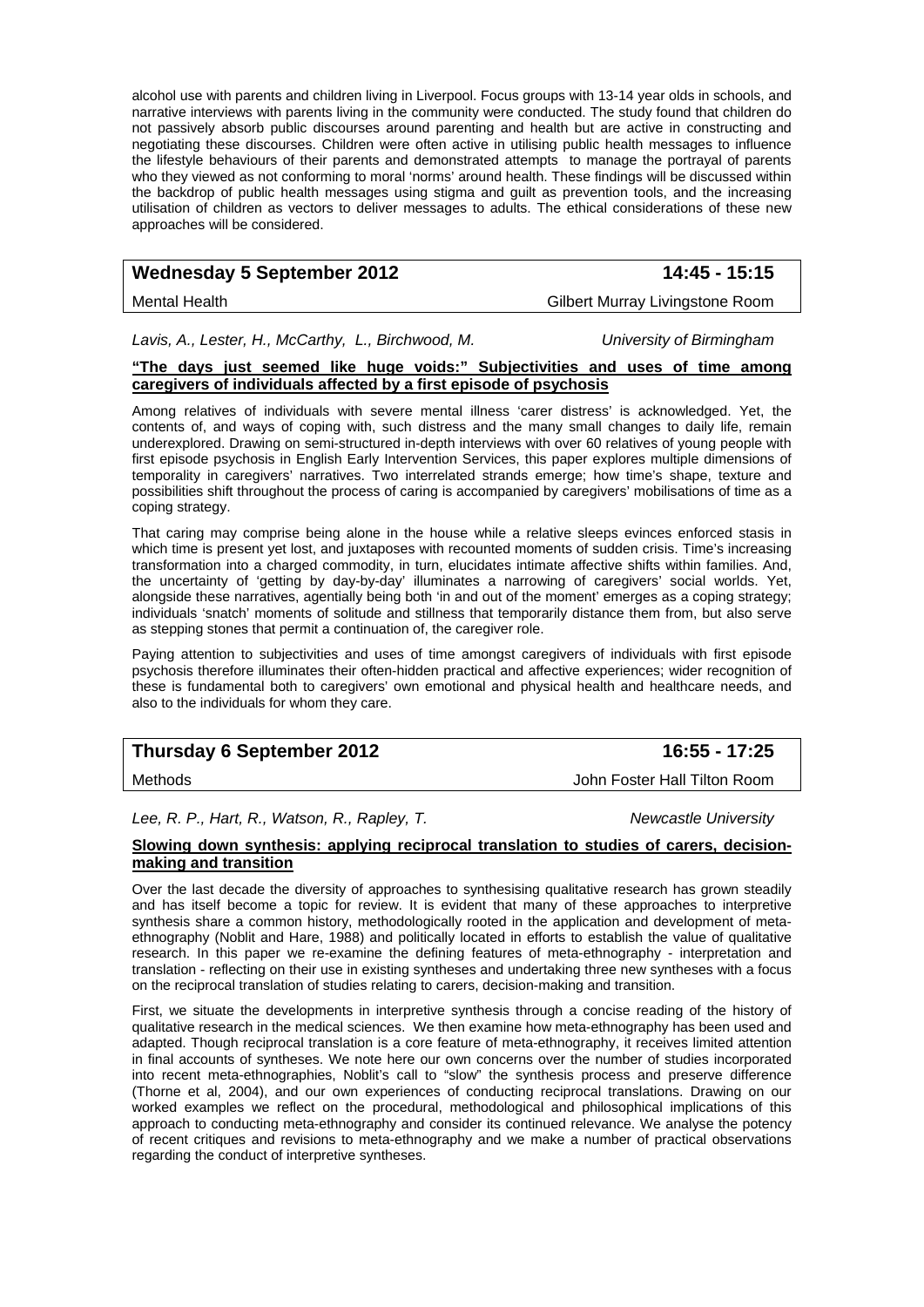alcohol use with parents and children living in Liverpool. Focus groups with 13-14 year olds in schools, and narrative interviews with parents living in the community were conducted. The study found that children do not passively absorb public discourses around parenting and health but are active in constructing and negotiating these discourses. Children were often active in utilising public health messages to influence the lifestyle behaviours of their parents and demonstrated attempts to manage the portrayal of parents who they viewed as not conforming to moral 'norms' around health. These findings will be discussed within the backdrop of public health messages using stigma and guilt as prevention tools, and the increasing utilisation of children as vectors to deliver messages to adults. The ethical considerations of these new approaches will be considered.

# Wednesday 5 September 2012 **14:45 - 15:15**

Mental Health Gilbert Murray Livingstone Room

*Lavis, A., Lester, H., McCarthy, L., Birchwood, M. University of Birmingham* 

#### **"The days just seemed like huge voids:" Subjectivities and uses of time among caregivers of individuals affected by a first episode of psychosis**

Among relatives of individuals with severe mental illness 'carer distress' is acknowledged. Yet, the contents of, and ways of coping with, such distress and the many small changes to daily life, remain underexplored. Drawing on semi-structured in-depth interviews with over 60 relatives of young people with first episode psychosis in English Early Intervention Services, this paper explores multiple dimensions of temporality in caregivers' narratives. Two interrelated strands emerge; how time's shape, texture and possibilities shift throughout the process of caring is accompanied by caregivers' mobilisations of time as a coping strategy.

That caring may comprise being alone in the house while a relative sleeps evinces enforced stasis in which time is present yet lost, and juxtaposes with recounted moments of sudden crisis. Time's increasing transformation into a charged commodity, in turn, elucidates intimate affective shifts within families. And, the uncertainty of 'getting by day-by-day' illuminates a narrowing of caregivers' social worlds. Yet, alongside these narratives, agentially being both 'in and out of the moment' emerges as a coping strategy; individuals 'snatch' moments of solitude and stillness that temporarily distance them from, but also serve as stepping stones that permit a continuation of, the caregiver role.

Paying attention to subjectivities and uses of time amongst caregivers of individuals with first episode psychosis therefore illuminates their often-hidden practical and affective experiences; wider recognition of these is fundamental both to caregivers' own emotional and physical health and healthcare needs, and also to the individuals for whom they care.

# **Thursday 6 September 2012** 16:55 - 17:25

Lee, R. P., Hart, R., Watson, R., Rapley, T. Newcastle University **Newcastle University** 

**Slowing down synthesis: applying reciprocal translation to studies of carers, decisionmaking and transition**

Over the last decade the diversity of approaches to synthesising qualitative research has grown steadily and has itself become a topic for review. It is evident that many of these approaches to interpretive synthesis share a common history, methodologically rooted in the application and development of metaethnography (Noblit and Hare, 1988) and politically located in efforts to establish the value of qualitative research. In this paper we re-examine the defining features of meta-ethnography - interpretation and translation - reflecting on their use in existing syntheses and undertaking three new syntheses with a focus on the reciprocal translation of studies relating to carers, decision-making and transition.

First, we situate the developments in interpretive synthesis through a concise reading of the history of qualitative research in the medical sciences. We then examine how meta-ethnography has been used and adapted. Though reciprocal translation is a core feature of meta-ethnography, it receives limited attention in final accounts of syntheses. We note here our own concerns over the number of studies incorporated into recent meta-ethnographies, Noblit's call to "slow" the synthesis process and preserve difference (Thorne et al, 2004), and our own experiences of conducting reciprocal translations. Drawing on our worked examples we reflect on the procedural, methodological and philosophical implications of this approach to conducting meta-ethnography and consider its continued relevance. We analyse the potency of recent critiques and revisions to meta-ethnography and we make a number of practical observations regarding the conduct of interpretive syntheses.

Methods John Foster Hall Tilton Room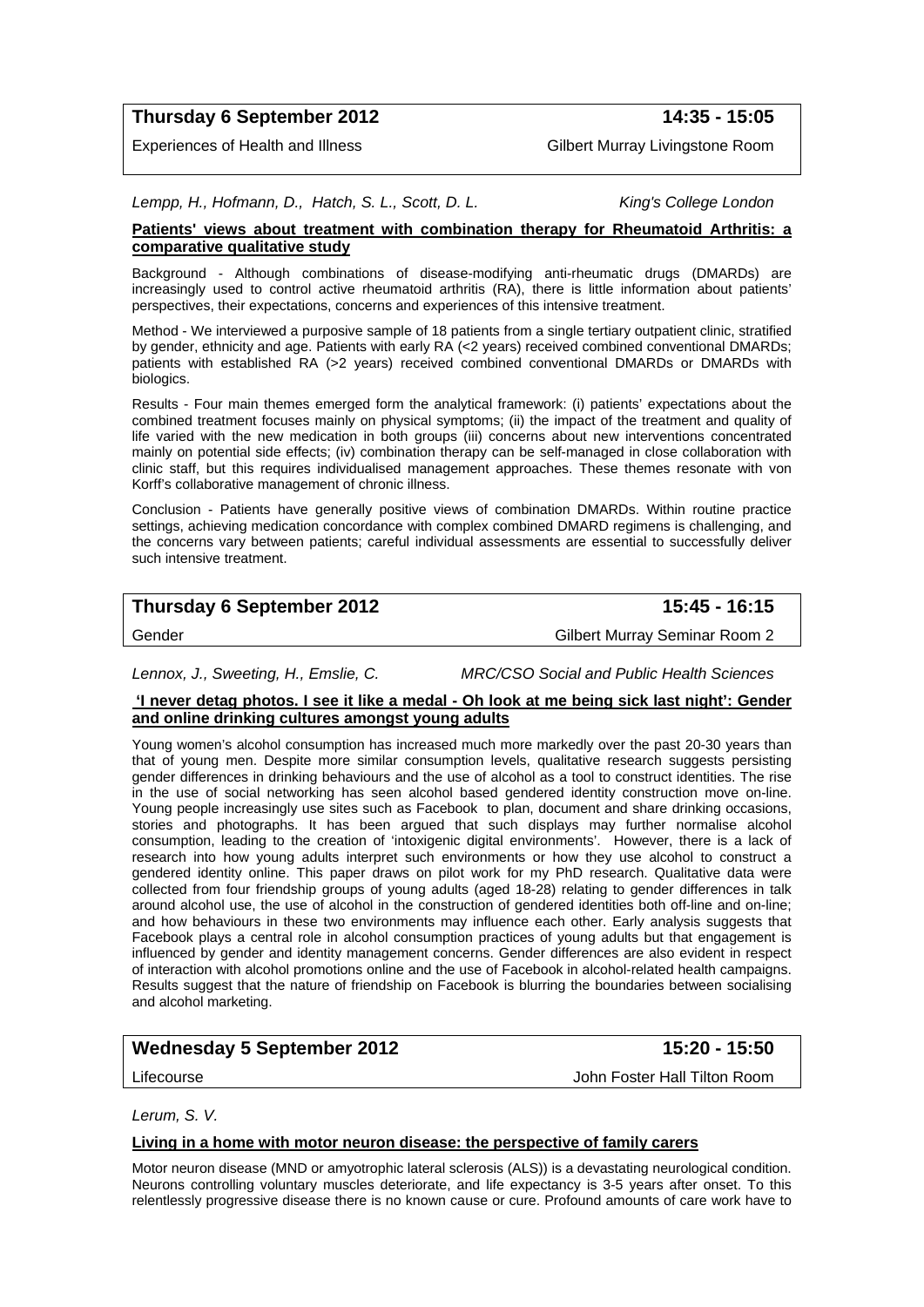# **Thursday 6 September 2012 14:35 - 15:05**

Experiences of Health and Illness Gilbert Murray Livingstone Room

*Lempp, H., Hofmann, D., Hatch, S. L., Scott, D. L. King's College London* 

### **Patients' views about treatment with combination therapy for Rheumatoid Arthritis: a comparative qualitative study**

Background - Although combinations of disease-modifying anti-rheumatic drugs (DMARDs) are increasingly used to control active rheumatoid arthritis (RA), there is little information about patients' perspectives, their expectations, concerns and experiences of this intensive treatment.

Method - We interviewed a purposive sample of 18 patients from a single tertiary outpatient clinic, stratified by gender, ethnicity and age. Patients with early RA (<2 years) received combined conventional DMARDs; patients with established RA (>2 years) received combined conventional DMARDs or DMARDs with biologics.

Results - Four main themes emerged form the analytical framework: (i) patients' expectations about the combined treatment focuses mainly on physical symptoms; (ii) the impact of the treatment and quality of life varied with the new medication in both groups (iii) concerns about new interventions concentrated mainly on potential side effects; (iv) combination therapy can be self-managed in close collaboration with clinic staff, but this requires individualised management approaches. These themes resonate with von Korff's collaborative management of chronic illness.

Conclusion - Patients have generally positive views of combination DMARDs. Within routine practice settings, achieving medication concordance with complex combined DMARD regimens is challenging, and the concerns vary between patients; careful individual assessments are essential to successfully deliver such intensive treatment.

# **Thursday 6 September 2012** 15:45 - 16:15

Gender General Gilbert Murray Seminar Room 2

*Lennox, J., Sweeting, H., Emslie, C. MRC/CSO Social and Public Health Sciences* 

#### **'I never detag photos. I see it like a medal - Oh look at me being sick last night': Gender and online drinking cultures amongst young adults**

Young women's alcohol consumption has increased much more markedly over the past 20-30 years than that of young men. Despite more similar consumption levels, qualitative research suggests persisting gender differences in drinking behaviours and the use of alcohol as a tool to construct identities. The rise in the use of social networking has seen alcohol based gendered identity construction move on-line. Young people increasingly use sites such as Facebook to plan, document and share drinking occasions, stories and photographs. It has been argued that such displays may further normalise alcohol consumption, leading to the creation of 'intoxigenic digital environments'. However, there is a lack of research into how young adults interpret such environments or how they use alcohol to construct a gendered identity online. This paper draws on pilot work for my PhD research. Qualitative data were collected from four friendship groups of young adults (aged 18-28) relating to gender differences in talk around alcohol use, the use of alcohol in the construction of gendered identities both off-line and on-line; and how behaviours in these two environments may influence each other. Early analysis suggests that Facebook plays a central role in alcohol consumption practices of young adults but that engagement is influenced by gender and identity management concerns. Gender differences are also evident in respect of interaction with alcohol promotions online and the use of Facebook in alcohol-related health campaigns. Results suggest that the nature of friendship on Facebook is blurring the boundaries between socialising and alcohol marketing.

# **Wednesday 5 September 2012 15:20 - 15:50**

Lifecourse John Foster Hall Tilton Room

*Lerum, S. V.* 

#### **Living in a home with motor neuron disease: the perspective of family carers**

Motor neuron disease (MND or amyotrophic lateral sclerosis (ALS)) is a devastating neurological condition. Neurons controlling voluntary muscles deteriorate, and life expectancy is 3-5 years after onset. To this relentlessly progressive disease there is no known cause or cure. Profound amounts of care work have to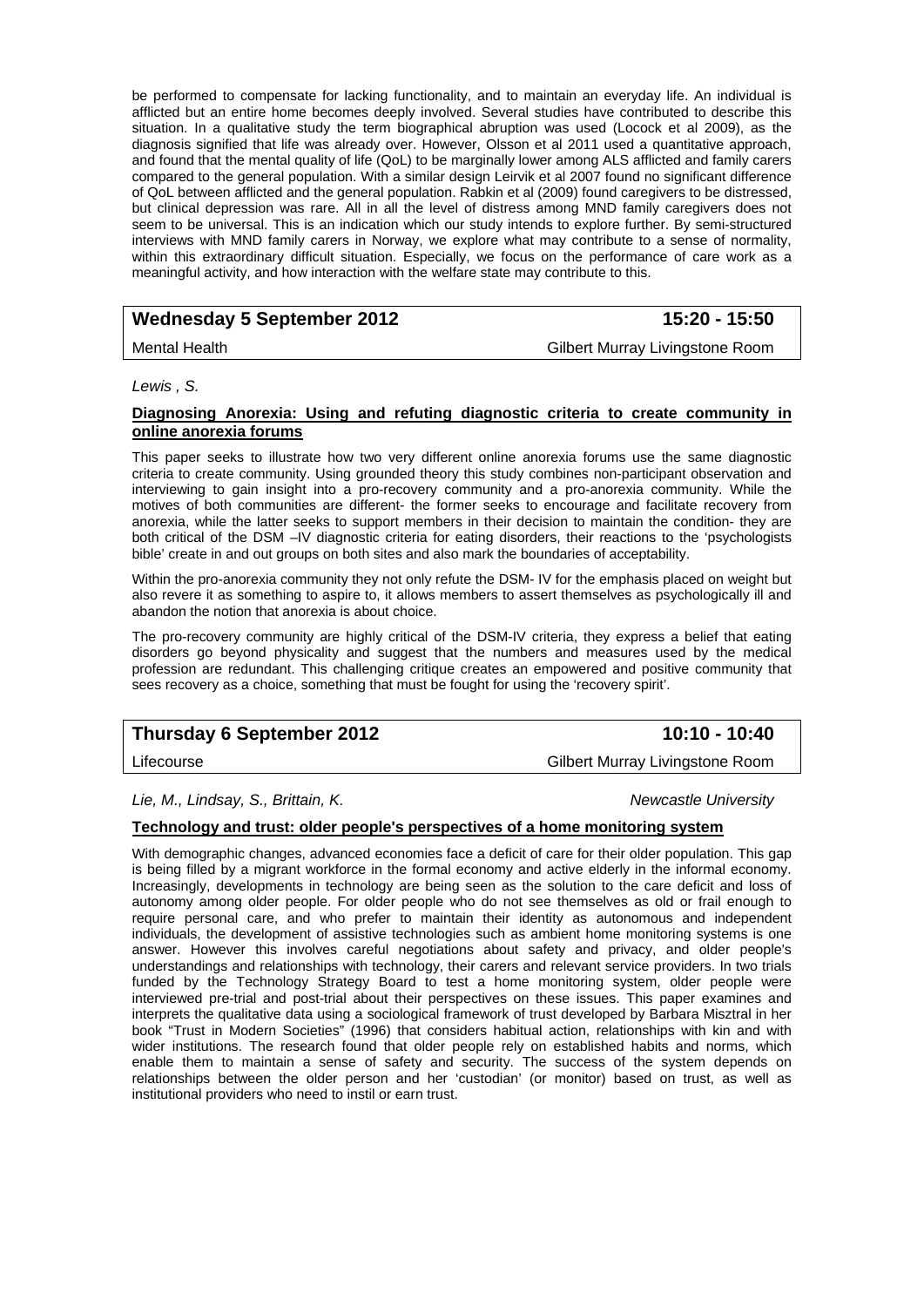be performed to compensate for lacking functionality, and to maintain an everyday life. An individual is afflicted but an entire home becomes deeply involved. Several studies have contributed to describe this situation. In a qualitative study the term biographical abruption was used (Locock et al 2009), as the diagnosis signified that life was already over. However, Olsson et al 2011 used a quantitative approach, and found that the mental quality of life (QoL) to be marginally lower among ALS afflicted and family carers compared to the general population. With a similar design Leirvik et al 2007 found no significant difference of QoL between afflicted and the general population. Rabkin et al (2009) found caregivers to be distressed, but clinical depression was rare. All in all the level of distress among MND family caregivers does not seem to be universal. This is an indication which our study intends to explore further. By semi-structured interviews with MND family carers in Norway, we explore what may contribute to a sense of normality, within this extraordinary difficult situation. Especially, we focus on the performance of care work as a meaningful activity, and how interaction with the welfare state may contribute to this.

# Wednesday 5 September 2012 **15:20 - 15:50**

Mental Health Gilbert Murray Livingstone Room

#### *Lewis , S.*

#### **Diagnosing Anorexia: Using and refuting diagnostic criteria to create community in online anorexia forums**

This paper seeks to illustrate how two very different online anorexia forums use the same diagnostic criteria to create community. Using grounded theory this study combines non-participant observation and interviewing to gain insight into a pro-recovery community and a pro-anorexia community. While the motives of both communities are different- the former seeks to encourage and facilitate recovery from anorexia, while the latter seeks to support members in their decision to maintain the condition- they are both critical of the DSM –IV diagnostic criteria for eating disorders, their reactions to the 'psychologists bible' create in and out groups on both sites and also mark the boundaries of acceptability.

Within the pro-anorexia community they not only refute the DSM- IV for the emphasis placed on weight but also revere it as something to aspire to, it allows members to assert themselves as psychologically ill and abandon the notion that anorexia is about choice.

The pro-recovery community are highly critical of the DSM-IV criteria, they express a belief that eating disorders go beyond physicality and suggest that the numbers and measures used by the medical profession are redundant. This challenging critique creates an empowered and positive community that sees recovery as a choice, something that must be fought for using the 'recovery spirit'.

# **Thursday 6 September 2012** 10:10 - 10:40

Lifecourse Gilbert Murray Livingstone Room

*Lie, M., Lindsay, S., Brittain, K. Newcastle University* 

#### **Technology and trust: older people's perspectives of a home monitoring system**

With demographic changes, advanced economies face a deficit of care for their older population. This gap is being filled by a migrant workforce in the formal economy and active elderly in the informal economy. Increasingly, developments in technology are being seen as the solution to the care deficit and loss of autonomy among older people. For older people who do not see themselves as old or frail enough to require personal care, and who prefer to maintain their identity as autonomous and independent individuals, the development of assistive technologies such as ambient home monitoring systems is one answer. However this involves careful negotiations about safety and privacy, and older people's understandings and relationships with technology, their carers and relevant service providers. In two trials funded by the Technology Strategy Board to test a home monitoring system, older people were interviewed pre-trial and post-trial about their perspectives on these issues. This paper examines and interprets the qualitative data using a sociological framework of trust developed by Barbara Misztral in her book "Trust in Modern Societies" (1996) that considers habitual action, relationships with kin and with wider institutions. The research found that older people rely on established habits and norms, which enable them to maintain a sense of safety and security. The success of the system depends on relationships between the older person and her 'custodian' (or monitor) based on trust, as well as institutional providers who need to instil or earn trust.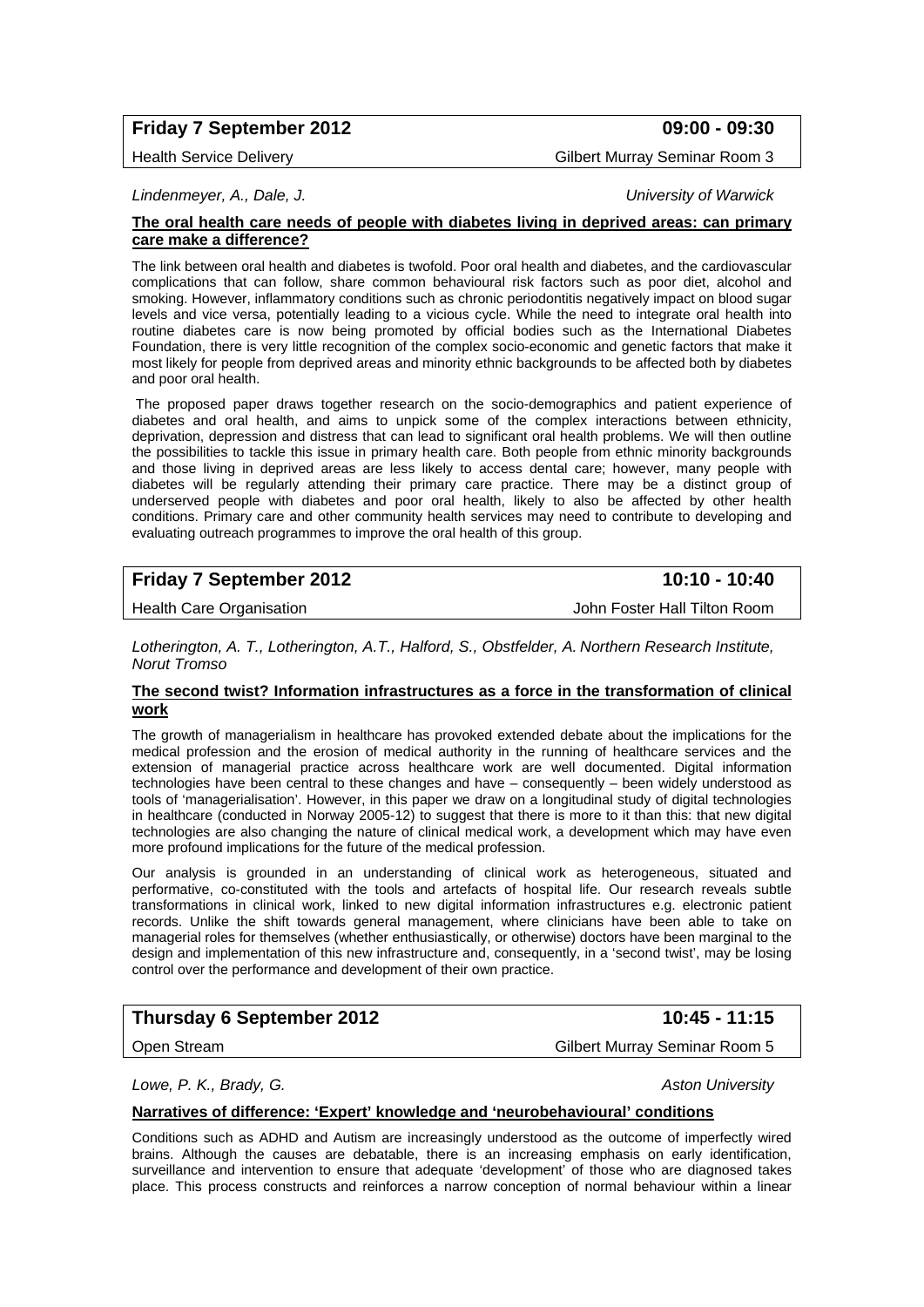# **Friday 7 September 2012 09:00 - 09:30**

Health Service Delivery **Gilbert Murray Seminar Room 3** 

*Lindenmeyer, A., Dale, J. University of Warwick* 

#### **The oral health care needs of people with diabetes living in deprived areas: can primary care make a difference?**

The link between oral health and diabetes is twofold. Poor oral health and diabetes, and the cardiovascular complications that can follow, share common behavioural risk factors such as poor diet, alcohol and smoking. However, inflammatory conditions such as chronic periodontitis negatively impact on blood sugar levels and vice versa, potentially leading to a vicious cycle. While the need to integrate oral health into routine diabetes care is now being promoted by official bodies such as the International Diabetes Foundation, there is very little recognition of the complex socio-economic and genetic factors that make it most likely for people from deprived areas and minority ethnic backgrounds to be affected both by diabetes and poor oral health.

 The proposed paper draws together research on the socio-demographics and patient experience of diabetes and oral health, and aims to unpick some of the complex interactions between ethnicity, deprivation, depression and distress that can lead to significant oral health problems. We will then outline the possibilities to tackle this issue in primary health care. Both people from ethnic minority backgrounds and those living in deprived areas are less likely to access dental care; however, many people with diabetes will be regularly attending their primary care practice. There may be a distinct group of underserved people with diabetes and poor oral health, likely to also be affected by other health conditions. Primary care and other community health services may need to contribute to developing and evaluating outreach programmes to improve the oral health of this group.

# **Friday 7 September 2012** 10:10 - 10:40

Health Care Organisation John Foster Hall Tilton Room

*Lotherington, A. T., Lotherington, A.T., Halford, S., Obstfelder, A. Northern Research Institute, Norut Tromso* 

#### **The second twist? Information infrastructures as a force in the transformation of clinical work**

The growth of managerialism in healthcare has provoked extended debate about the implications for the medical profession and the erosion of medical authority in the running of healthcare services and the extension of managerial practice across healthcare work are well documented. Digital information technologies have been central to these changes and have – consequently – been widely understood as tools of 'managerialisation'. However, in this paper we draw on a longitudinal study of digital technologies in healthcare (conducted in Norway 2005-12) to suggest that there is more to it than this: that new digital technologies are also changing the nature of clinical medical work, a development which may have even more profound implications for the future of the medical profession.

Our analysis is grounded in an understanding of clinical work as heterogeneous, situated and performative, co-constituted with the tools and artefacts of hospital life. Our research reveals subtle transformations in clinical work, linked to new digital information infrastructures e.g. electronic patient records. Unlike the shift towards general management, where clinicians have been able to take on managerial roles for themselves (whether enthusiastically, or otherwise) doctors have been marginal to the design and implementation of this new infrastructure and, consequently, in a 'second twist', may be losing control over the performance and development of their own practice.

# **Thursday 6 September 2012** 10:45 - 11:15

Open Stream Gilbert Murray Seminar Room 5

*Lowe, P. K., Brady, G. Aston University* 

#### **Narratives of difference: 'Expert' knowledge and 'neurobehavioural' conditions**

Conditions such as ADHD and Autism are increasingly understood as the outcome of imperfectly wired brains. Although the causes are debatable, there is an increasing emphasis on early identification, surveillance and intervention to ensure that adequate 'development' of those who are diagnosed takes place. This process constructs and reinforces a narrow conception of normal behaviour within a linear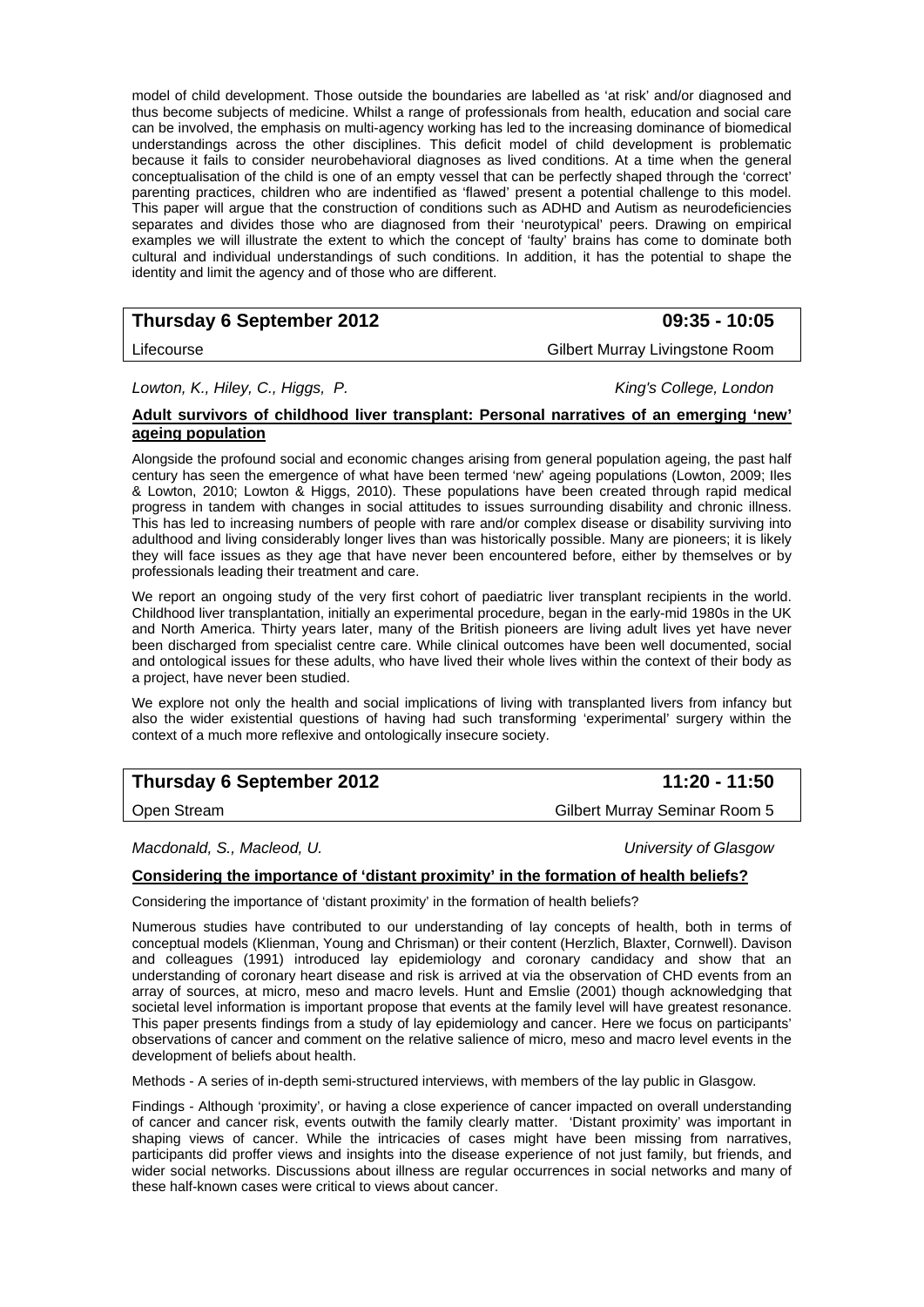model of child development. Those outside the boundaries are labelled as 'at risk' and/or diagnosed and thus become subjects of medicine. Whilst a range of professionals from health, education and social care can be involved, the emphasis on multi-agency working has led to the increasing dominance of biomedical understandings across the other disciplines. This deficit model of child development is problematic because it fails to consider neurobehavioral diagnoses as lived conditions. At a time when the general conceptualisation of the child is one of an empty vessel that can be perfectly shaped through the 'correct' parenting practices, children who are indentified as 'flawed' present a potential challenge to this model. This paper will argue that the construction of conditions such as ADHD and Autism as neurodeficiencies separates and divides those who are diagnosed from their 'neurotypical' peers. Drawing on empirical examples we will illustrate the extent to which the concept of 'faulty' brains has come to dominate both cultural and individual understandings of such conditions. In addition, it has the potential to shape the identity and limit the agency and of those who are different.

# **Thursday 6 September 2012 09:35 - 10:05**

Lifecourse Gilbert Murray Livingstone Room

*Lowton, K., Hiley, C., Higgs, P. King's College, London* 

#### **Adult survivors of childhood liver transplant: Personal narratives of an emerging 'new' ageing population**

Alongside the profound social and economic changes arising from general population ageing, the past half century has seen the emergence of what have been termed 'new' ageing populations (Lowton, 2009; Iles & Lowton, 2010; Lowton & Higgs, 2010). These populations have been created through rapid medical progress in tandem with changes in social attitudes to issues surrounding disability and chronic illness. This has led to increasing numbers of people with rare and/or complex disease or disability surviving into adulthood and living considerably longer lives than was historically possible. Many are pioneers; it is likely they will face issues as they age that have never been encountered before, either by themselves or by professionals leading their treatment and care.

We report an ongoing study of the very first cohort of paediatric liver transplant recipients in the world. Childhood liver transplantation, initially an experimental procedure, began in the early-mid 1980s in the UK and North America. Thirty years later, many of the British pioneers are living adult lives yet have never been discharged from specialist centre care. While clinical outcomes have been well documented, social and ontological issues for these adults, who have lived their whole lives within the context of their body as a project, have never been studied.

We explore not only the health and social implications of living with transplanted livers from infancy but also the wider existential questions of having had such transforming 'experimental' surgery within the context of a much more reflexive and ontologically insecure society.

# **Thursday 6 September 2012** 11:20 - 11:50

*Macdonald, S., Macleod, U. University of Glasgow* 

### **Considering the importance of 'distant proximity' in the formation of health beliefs?**

Considering the importance of 'distant proximity' in the formation of health beliefs?

Numerous studies have contributed to our understanding of lay concepts of health, both in terms of conceptual models (Klienman, Young and Chrisman) or their content (Herzlich, Blaxter, Cornwell). Davison and colleagues (1991) introduced lay epidemiology and coronary candidacy and show that an understanding of coronary heart disease and risk is arrived at via the observation of CHD events from an array of sources, at micro, meso and macro levels. Hunt and Emslie (2001) though acknowledging that societal level information is important propose that events at the family level will have greatest resonance. This paper presents findings from a study of lay epidemiology and cancer. Here we focus on participants' observations of cancer and comment on the relative salience of micro, meso and macro level events in the development of beliefs about health.

Methods - A series of in-depth semi-structured interviews, with members of the lay public in Glasgow.

Findings - Although 'proximity', or having a close experience of cancer impacted on overall understanding of cancer and cancer risk, events outwith the family clearly matter. 'Distant proximity' was important in shaping views of cancer. While the intricacies of cases might have been missing from narratives, participants did proffer views and insights into the disease experience of not just family, but friends, and wider social networks. Discussions about illness are regular occurrences in social networks and many of these half-known cases were critical to views about cancer.

Open Stream Gilbert Murray Seminar Room 5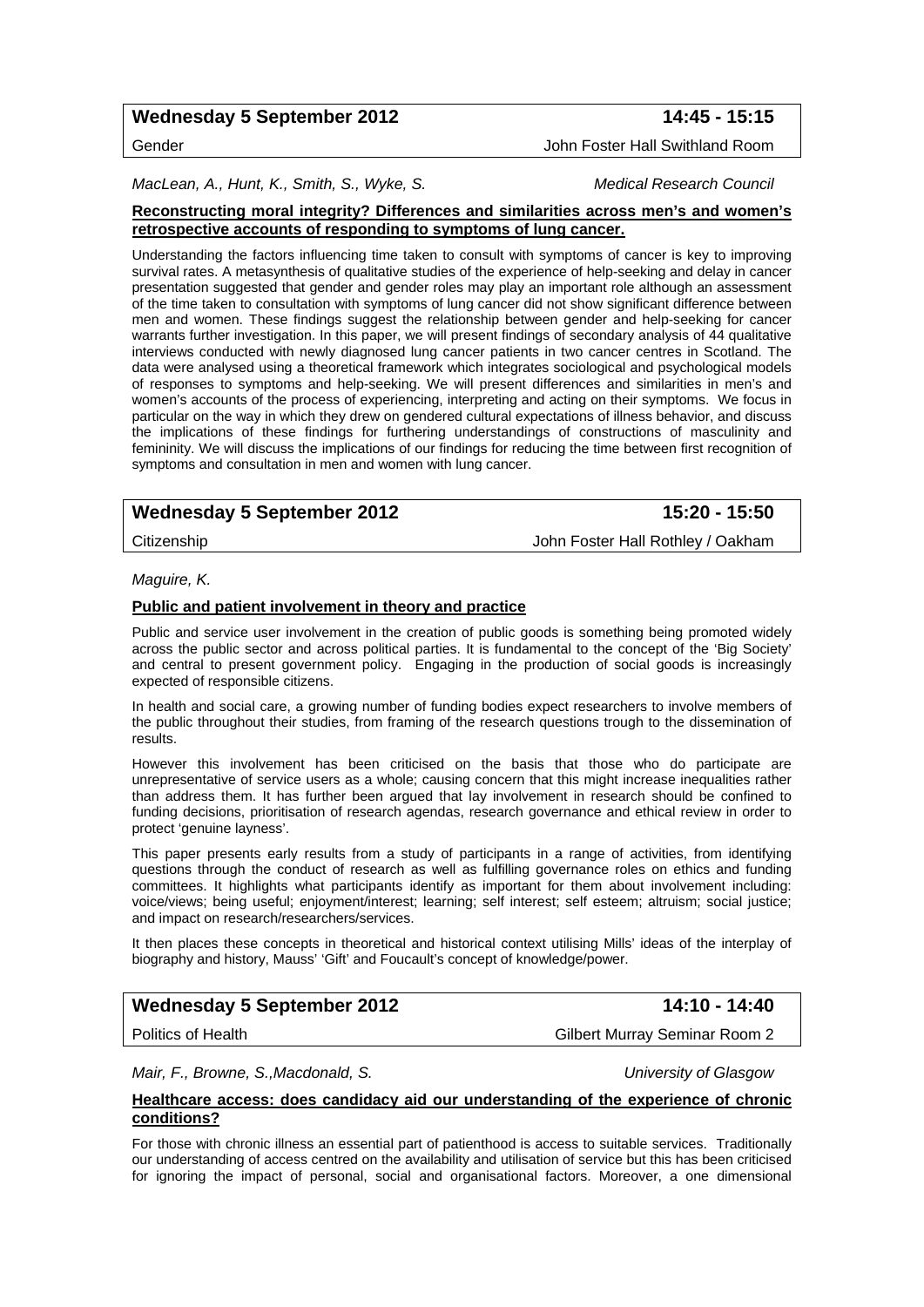# Wednesday 5 September 2012 **14:45 - 15:15**

#### Gender John Foster Hall Swithland Room

MacLean, A., Hunt, K., Smith, S., Wyke, S. Metal **Medical Research Council Medical** Research Council

#### **Reconstructing moral integrity? Differences and similarities across men's and women's retrospective accounts of responding to symptoms of lung cancer.**

Understanding the factors influencing time taken to consult with symptoms of cancer is key to improving survival rates. A metasynthesis of qualitative studies of the experience of help-seeking and delay in cancer presentation suggested that gender and gender roles may play an important role although an assessment of the time taken to consultation with symptoms of lung cancer did not show significant difference between men and women. These findings suggest the relationship between gender and help-seeking for cancer warrants further investigation. In this paper, we will present findings of secondary analysis of 44 qualitative interviews conducted with newly diagnosed lung cancer patients in two cancer centres in Scotland. The data were analysed using a theoretical framework which integrates sociological and psychological models of responses to symptoms and help-seeking. We will present differences and similarities in men's and women's accounts of the process of experiencing, interpreting and acting on their symptoms. We focus in particular on the way in which they drew on gendered cultural expectations of illness behavior, and discuss the implications of these findings for furthering understandings of constructions of masculinity and femininity. We will discuss the implications of our findings for reducing the time between first recognition of symptoms and consultation in men and women with lung cancer.

# Wednesday 5 September 2012 **15:20 - 15:50**

Citizenship John Foster Hall Rothley / Oakham

#### *Maguire, K.*

#### **Public and patient involvement in theory and practice**

Public and service user involvement in the creation of public goods is something being promoted widely across the public sector and across political parties. It is fundamental to the concept of the 'Big Society' and central to present government policy. Engaging in the production of social goods is increasingly expected of responsible citizens.

In health and social care, a growing number of funding bodies expect researchers to involve members of the public throughout their studies, from framing of the research questions trough to the dissemination of results.

However this involvement has been criticised on the basis that those who do participate are unrepresentative of service users as a whole; causing concern that this might increase inequalities rather than address them. It has further been argued that lay involvement in research should be confined to funding decisions, prioritisation of research agendas, research governance and ethical review in order to protect 'genuine layness'.

This paper presents early results from a study of participants in a range of activities, from identifying questions through the conduct of research as well as fulfilling governance roles on ethics and funding committees. It highlights what participants identify as important for them about involvement including: voice/views; being useful; enjoyment/interest; learning; self interest; self esteem; altruism; social justice; and impact on research/researchers/services.

It then places these concepts in theoretical and historical context utilising Mills' ideas of the interplay of biography and history, Mauss' 'Gift' and Foucault's concept of knowledge/power.

# Wednesday 5 September 2012 **14:10 - 14:40**

Politics of Health Gilbert Murray Seminar Room 2

*Mair, F., Browne, S.,Macdonald, S. University of Glasgow* 

#### **Healthcare access: does candidacy aid our understanding of the experience of chronic conditions?**

For those with chronic illness an essential part of patienthood is access to suitable services. Traditionally our understanding of access centred on the availability and utilisation of service but this has been criticised for ignoring the impact of personal, social and organisational factors. Moreover, a one dimensional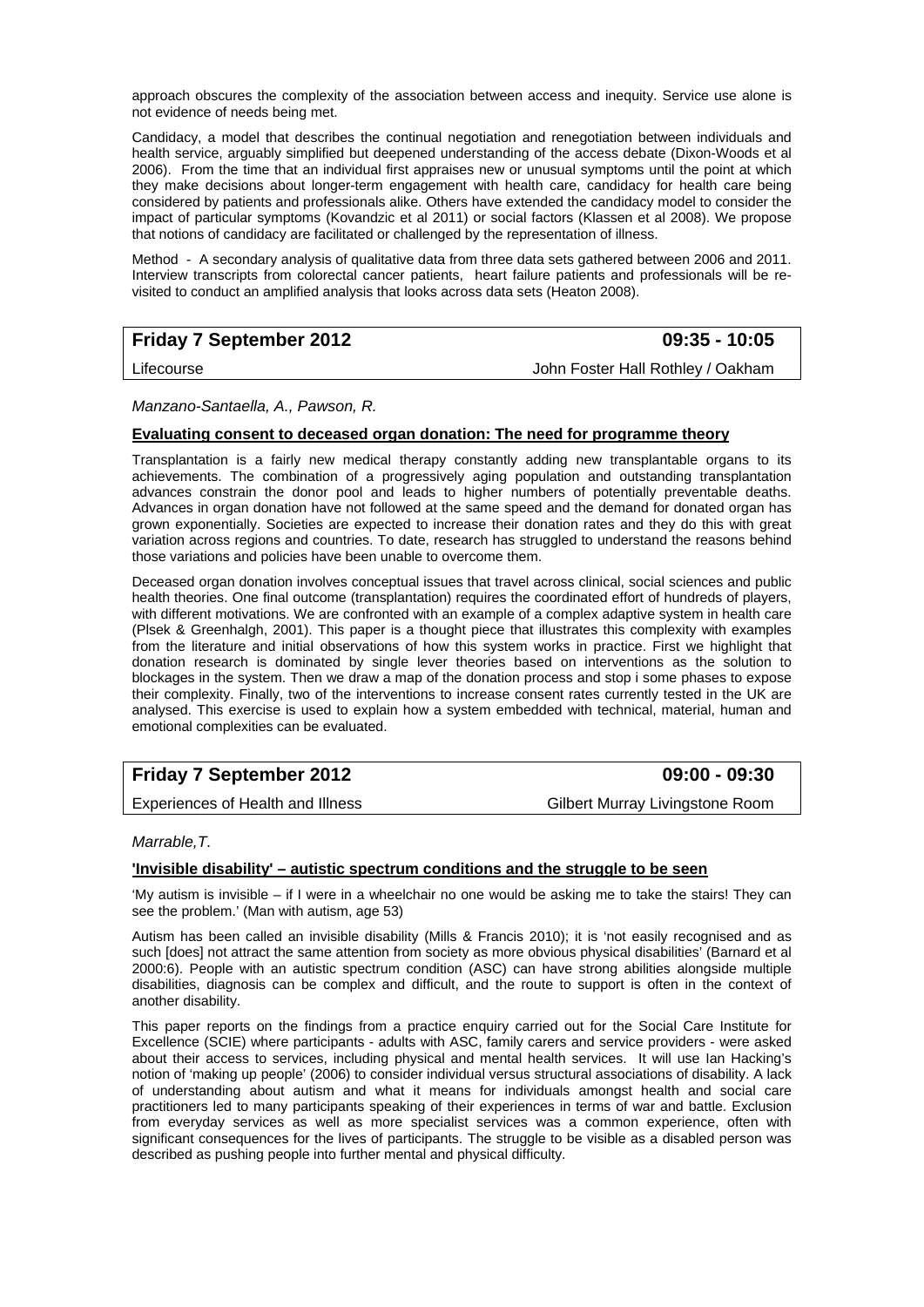approach obscures the complexity of the association between access and inequity. Service use alone is not evidence of needs being met.

Candidacy, a model that describes the continual negotiation and renegotiation between individuals and health service, arguably simplified but deepened understanding of the access debate (Dixon-Woods et al 2006). From the time that an individual first appraises new or unusual symptoms until the point at which they make decisions about longer-term engagement with health care, candidacy for health care being considered by patients and professionals alike. Others have extended the candidacy model to consider the impact of particular symptoms (Kovandzic et al 2011) or social factors (Klassen et al 2008). We propose that notions of candidacy are facilitated or challenged by the representation of illness.

Method - A secondary analysis of qualitative data from three data sets gathered between 2006 and 2011. Interview transcripts from colorectal cancer patients, heart failure patients and professionals will be revisited to conduct an amplified analysis that looks across data sets (Heaton 2008).

# **Friday 7 September 2012 09:35 - 10:05**

Lifecourse John Foster Hall Rothley / Oakham

*Manzano-Santaella, A., Pawson, R.* 

### **Evaluating consent to deceased organ donation: The need for programme theory**

Transplantation is a fairly new medical therapy constantly adding new transplantable organs to its achievements. The combination of a progressively aging population and outstanding transplantation advances constrain the donor pool and leads to higher numbers of potentially preventable deaths. Advances in organ donation have not followed at the same speed and the demand for donated organ has grown exponentially. Societies are expected to increase their donation rates and they do this with great variation across regions and countries. To date, research has struggled to understand the reasons behind those variations and policies have been unable to overcome them.

Deceased organ donation involves conceptual issues that travel across clinical, social sciences and public health theories. One final outcome (transplantation) requires the coordinated effort of hundreds of players, with different motivations. We are confronted with an example of a complex adaptive system in health care (Plsek & Greenhalgh, 2001). This paper is a thought piece that illustrates this complexity with examples from the literature and initial observations of how this system works in practice. First we highlight that donation research is dominated by single lever theories based on interventions as the solution to blockages in the system. Then we draw a map of the donation process and stop i some phases to expose their complexity. Finally, two of the interventions to increase consent rates currently tested in the UK are analysed. This exercise is used to explain how a system embedded with technical, material, human and emotional complexities can be evaluated.

# **Friday 7 September 2012 09:00 - 09:30**

Experiences of Health and Illness Gilbert Murray Livingstone Room

*Marrable,T.* 

#### **'Invisible disability' – autistic spectrum conditions and the struggle to be seen**

'My autism is invisible – if I were in a wheelchair no one would be asking me to take the stairs! They can see the problem.' (Man with autism, age 53)

Autism has been called an invisible disability (Mills & Francis 2010); it is 'not easily recognised and as such [does] not attract the same attention from society as more obvious physical disabilities' (Barnard et al 2000:6). People with an autistic spectrum condition (ASC) can have strong abilities alongside multiple disabilities, diagnosis can be complex and difficult, and the route to support is often in the context of another disability.

This paper reports on the findings from a practice enquiry carried out for the Social Care Institute for Excellence (SCIE) where participants - adults with ASC, family carers and service providers - were asked about their access to services, including physical and mental health services. It will use Ian Hacking's notion of 'making up people' (2006) to consider individual versus structural associations of disability. A lack of understanding about autism and what it means for individuals amongst health and social care practitioners led to many participants speaking of their experiences in terms of war and battle. Exclusion from everyday services as well as more specialist services was a common experience, often with significant consequences for the lives of participants. The struggle to be visible as a disabled person was described as pushing people into further mental and physical difficulty.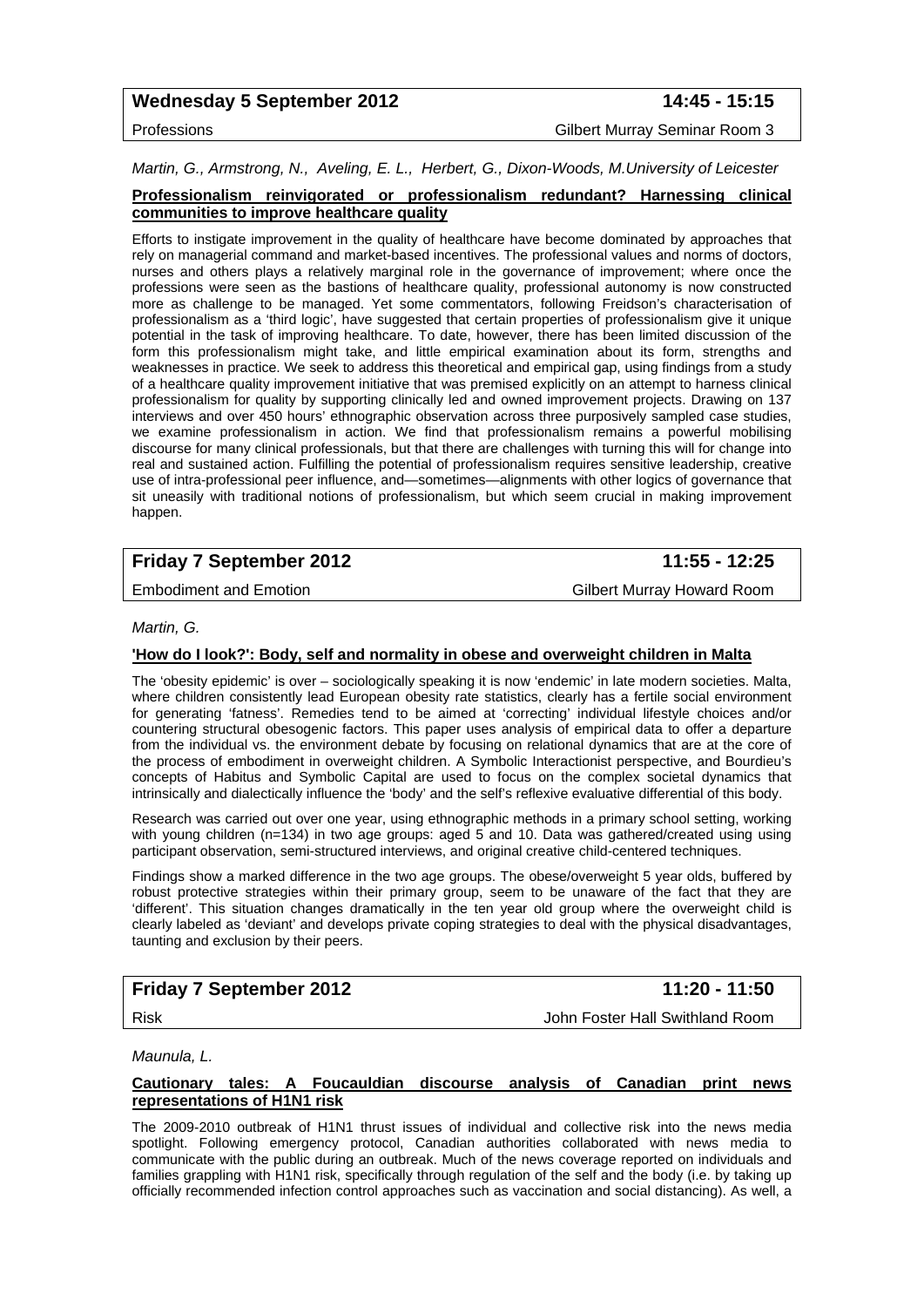# Wednesday 5 September 2012 **14:45 - 15:15**

Professions Gilbert Murray Seminar Room 3

*Martin, G., Armstrong, N., Aveling, E. L., Herbert, G., Dixon-Woods, M.University of Leicester* 

#### **Professionalism reinvigorated or professionalism redundant? Harnessing clinical communities to improve healthcare quality**

Efforts to instigate improvement in the quality of healthcare have become dominated by approaches that rely on managerial command and market-based incentives. The professional values and norms of doctors, nurses and others plays a relatively marginal role in the governance of improvement; where once the professions were seen as the bastions of healthcare quality, professional autonomy is now constructed more as challenge to be managed. Yet some commentators, following Freidson's characterisation of professionalism as a 'third logic', have suggested that certain properties of professionalism give it unique potential in the task of improving healthcare. To date, however, there has been limited discussion of the form this professionalism might take, and little empirical examination about its form, strengths and weaknesses in practice. We seek to address this theoretical and empirical gap, using findings from a study of a healthcare quality improvement initiative that was premised explicitly on an attempt to harness clinical professionalism for quality by supporting clinically led and owned improvement projects. Drawing on 137 interviews and over 450 hours' ethnographic observation across three purposively sampled case studies, we examine professionalism in action. We find that professionalism remains a powerful mobilising discourse for many clinical professionals, but that there are challenges with turning this will for change into real and sustained action. Fulfilling the potential of professionalism requires sensitive leadership, creative use of intra-professional peer influence, and—sometimes—alignments with other logics of governance that sit uneasily with traditional notions of professionalism, but which seem crucial in making improvement happen.

# **Friday 7 September 2012 11:55 - 12:25**

Embodiment and Emotion Gilbert Murray Howard Room

*Martin, G.* 

# **'How do I look?': Body, self and normality in obese and overweight children in Malta**

The 'obesity epidemic' is over – sociologically speaking it is now 'endemic' in late modern societies. Malta, where children consistently lead European obesity rate statistics, clearly has a fertile social environment for generating 'fatness'. Remedies tend to be aimed at 'correcting' individual lifestyle choices and/or countering structural obesogenic factors. This paper uses analysis of empirical data to offer a departure from the individual vs. the environment debate by focusing on relational dynamics that are at the core of the process of embodiment in overweight children. A Symbolic Interactionist perspective, and Bourdieu's concepts of Habitus and Symbolic Capital are used to focus on the complex societal dynamics that intrinsically and dialectically influence the 'body' and the self's reflexive evaluative differential of this body.

Research was carried out over one year, using ethnographic methods in a primary school setting, working with young children (n=134) in two age groups: aged 5 and 10. Data was gathered/created using using participant observation, semi-structured interviews, and original creative child-centered techniques.

Findings show a marked difference in the two age groups. The obese/overweight 5 year olds, buffered by robust protective strategies within their primary group, seem to be unaware of the fact that they are 'different'. This situation changes dramatically in the ten year old group where the overweight child is clearly labeled as 'deviant' and develops private coping strategies to deal with the physical disadvantages, taunting and exclusion by their peers.

# **Friday 7 September 2012 11:20 - 11:50**

Risk John Foster Hall Swithland Room

*Maunula, L.* 

#### **Cautionary tales: A Foucauldian discourse analysis of Canadian print news representations of H1N1 risk**

The 2009-2010 outbreak of H1N1 thrust issues of individual and collective risk into the news media spotlight. Following emergency protocol, Canadian authorities collaborated with news media to communicate with the public during an outbreak. Much of the news coverage reported on individuals and families grappling with H1N1 risk, specifically through regulation of the self and the body (i.e. by taking up officially recommended infection control approaches such as vaccination and social distancing). As well, a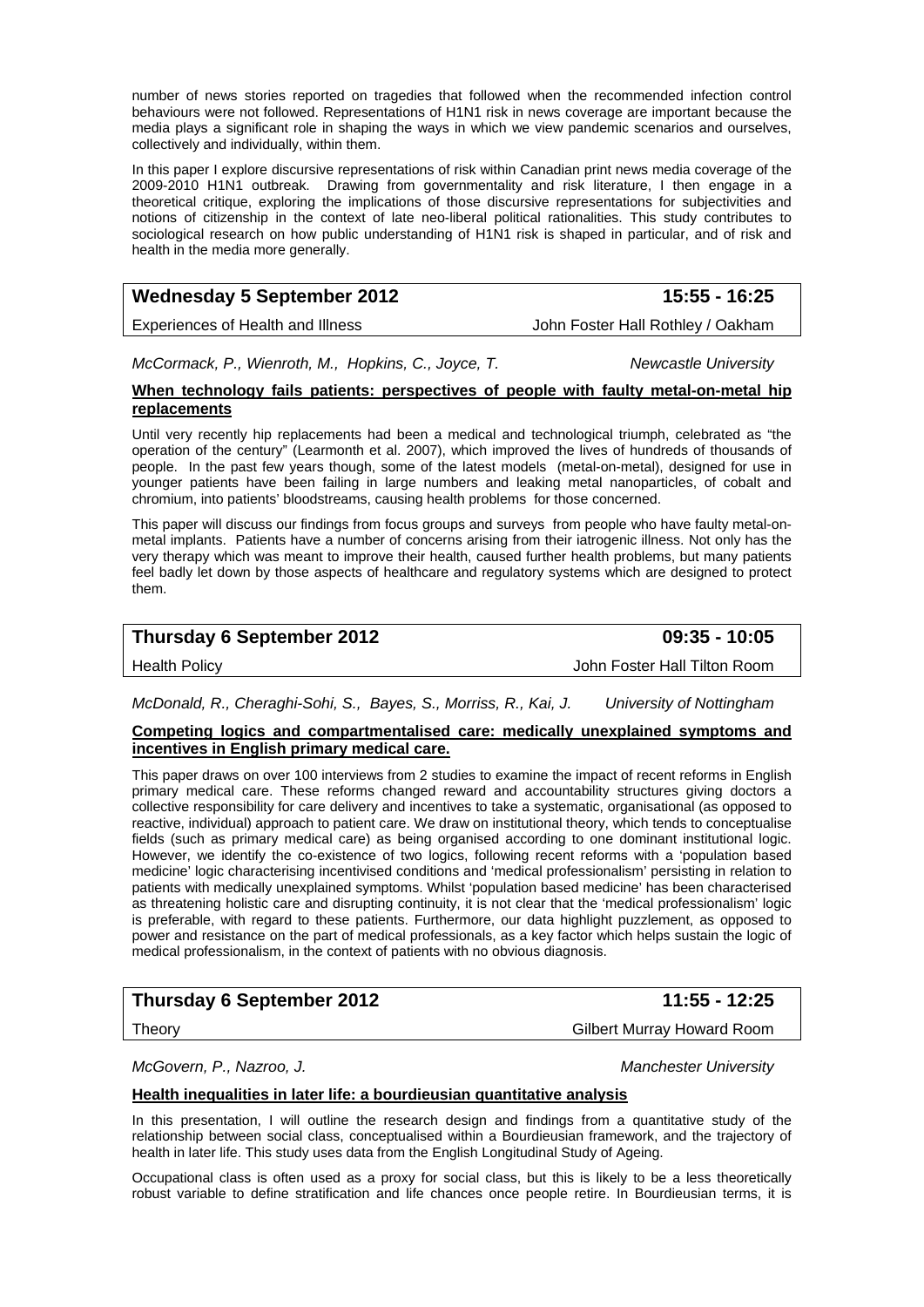number of news stories reported on tragedies that followed when the recommended infection control behaviours were not followed. Representations of H1N1 risk in news coverage are important because the media plays a significant role in shaping the ways in which we view pandemic scenarios and ourselves, collectively and individually, within them.

In this paper I explore discursive representations of risk within Canadian print news media coverage of the 2009-2010 H1N1 outbreak. Drawing from governmentality and risk literature, I then engage in a theoretical critique, exploring the implications of those discursive representations for subjectivities and notions of citizenship in the context of late neo-liberal political rationalities. This study contributes to sociological research on how public understanding of H1N1 risk is shaped in particular, and of risk and health in the media more generally.

# Wednesday 5 September 2012 **15:55 - 16:25**

Experiences of Health and Illness **John Foster Hall Rothley / Oakham** 

*McCormack, P., Wienroth, M., Hopkins, C., Joyce, T.* Newcastle University

#### **When technology fails patients: perspectives of people with faulty metal-on-metal hip replacements**

Until very recently hip replacements had been a medical and technological triumph, celebrated as "the operation of the century" (Learmonth et al. 2007), which improved the lives of hundreds of thousands of people. In the past few years though, some of the latest models (metal-on-metal), designed for use in younger patients have been failing in large numbers and leaking metal nanoparticles, of cobalt and chromium, into patients' bloodstreams, causing health problems for those concerned.

This paper will discuss our findings from focus groups and surveys from people who have faulty metal-onmetal implants. Patients have a number of concerns arising from their iatrogenic illness. Not only has the very therapy which was meant to improve their health, caused further health problems, but many patients feel badly let down by those aspects of healthcare and regulatory systems which are designed to protect them.

# **Thursday 6 September 2012 09:35 - 10:05**

Health Policy John Foster Hall Tilton Room

### *McDonald, R., Cheraghi-Sohi, S., Bayes, S., Morriss, R., Kai, J. University of Nottingham*

#### **Competing logics and compartmentalised care: medically unexplained symptoms and incentives in English primary medical care.**

This paper draws on over 100 interviews from 2 studies to examine the impact of recent reforms in English primary medical care. These reforms changed reward and accountability structures giving doctors a collective responsibility for care delivery and incentives to take a systematic, organisational (as opposed to reactive, individual) approach to patient care. We draw on institutional theory, which tends to conceptualise fields (such as primary medical care) as being organised according to one dominant institutional logic. However, we identify the co-existence of two logics, following recent reforms with a 'population based medicine' logic characterising incentivised conditions and 'medical professionalism' persisting in relation to patients with medically unexplained symptoms. Whilst 'population based medicine' has been characterised as threatening holistic care and disrupting continuity, it is not clear that the 'medical professionalism' logic is preferable, with regard to these patients. Furthermore, our data highlight puzzlement, as opposed to power and resistance on the part of medical professionals, as a key factor which helps sustain the logic of medical professionalism, in the context of patients with no obvious diagnosis.

# **Thursday 6 September 2012 11:55 - 12:25**

Theory Gilbert Murray Howard Room

*McGovern, P., Nazroo, J. Manchester University* 

## **Health inequalities in later life: a bourdieusian quantitative analysis**

In this presentation, I will outline the research design and findings from a quantitative study of the relationship between social class, conceptualised within a Bourdieusian framework, and the trajectory of health in later life. This study uses data from the English Longitudinal Study of Ageing.

Occupational class is often used as a proxy for social class, but this is likely to be a less theoretically robust variable to define stratification and life chances once people retire. In Bourdieusian terms, it is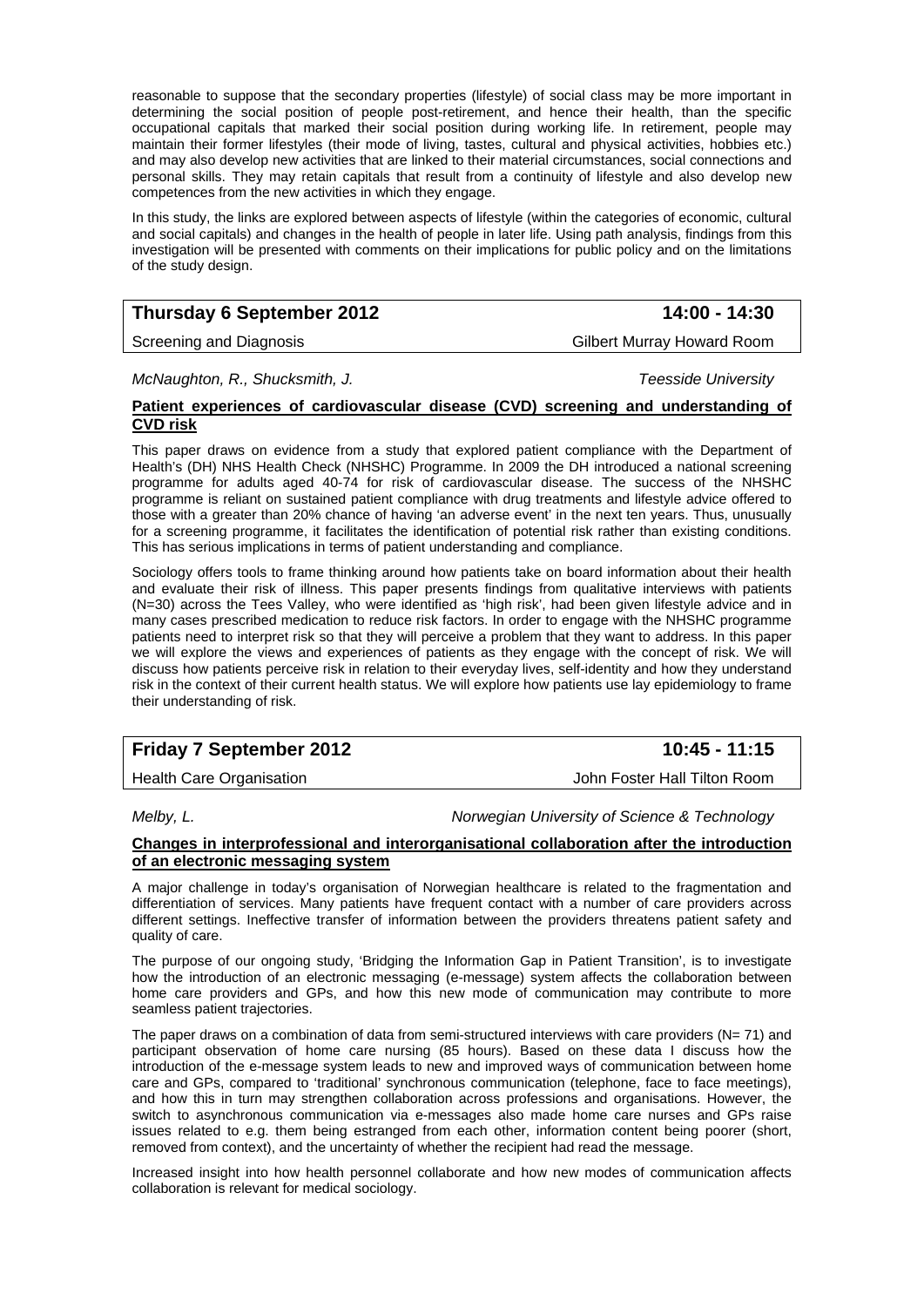reasonable to suppose that the secondary properties (lifestyle) of social class may be more important in determining the social position of people post-retirement, and hence their health, than the specific occupational capitals that marked their social position during working life. In retirement, people may maintain their former lifestyles (their mode of living, tastes, cultural and physical activities, hobbies etc.) and may also develop new activities that are linked to their material circumstances, social connections and personal skills. They may retain capitals that result from a continuity of lifestyle and also develop new competences from the new activities in which they engage.

In this study, the links are explored between aspects of lifestyle (within the categories of economic, cultural and social capitals) and changes in the health of people in later life. Using path analysis, findings from this investigation will be presented with comments on their implications for public policy and on the limitations of the study design.

# **Thursday 6 September 2012 14:00 - 14:30**

#### Screening and Diagnosis **Gilbert Murray Howard Room**

*McNaughton, R., Shucksmith, J. Teesside University* 

#### **Patient experiences of cardiovascular disease (CVD) screening and understanding of CVD risk**

This paper draws on evidence from a study that explored patient compliance with the Department of Health's (DH) NHS Health Check (NHSHC) Programme. In 2009 the DH introduced a national screening programme for adults aged 40-74 for risk of cardiovascular disease. The success of the NHSHC programme is reliant on sustained patient compliance with drug treatments and lifestyle advice offered to those with a greater than 20% chance of having 'an adverse event' in the next ten years. Thus, unusually for a screening programme, it facilitates the identification of potential risk rather than existing conditions. This has serious implications in terms of patient understanding and compliance.

Sociology offers tools to frame thinking around how patients take on board information about their health and evaluate their risk of illness. This paper presents findings from qualitative interviews with patients (N=30) across the Tees Valley, who were identified as 'high risk', had been given lifestyle advice and in many cases prescribed medication to reduce risk factors. In order to engage with the NHSHC programme patients need to interpret risk so that they will perceive a problem that they want to address. In this paper we will explore the views and experiences of patients as they engage with the concept of risk. We will discuss how patients perceive risk in relation to their everyday lives, self-identity and how they understand risk in the context of their current health status. We will explore how patients use lay epidemiology to frame their understanding of risk.

# **Friday 7 September 2012** 10:45 - 11:15

Health Care Organisation John Foster Hall Tilton Room

*Melby, L. Norwegian University of Science & Technology* 

#### **Changes in interprofessional and interorganisational collaboration after the introduction of an electronic messaging system**

A major challenge in today's organisation of Norwegian healthcare is related to the fragmentation and differentiation of services. Many patients have frequent contact with a number of care providers across different settings. Ineffective transfer of information between the providers threatens patient safety and quality of care.

The purpose of our ongoing study, 'Bridging the Information Gap in Patient Transition', is to investigate how the introduction of an electronic messaging (e-message) system affects the collaboration between home care providers and GPs, and how this new mode of communication may contribute to more seamless patient trajectories.

The paper draws on a combination of data from semi-structured interviews with care providers ( $N= 71$ ) and participant observation of home care nursing (85 hours). Based on these data I discuss how the introduction of the e-message system leads to new and improved ways of communication between home care and GPs, compared to 'traditional' synchronous communication (telephone, face to face meetings), and how this in turn may strengthen collaboration across professions and organisations. However, the switch to asynchronous communication via e-messages also made home care nurses and GPs raise issues related to e.g. them being estranged from each other, information content being poorer (short, removed from context), and the uncertainty of whether the recipient had read the message.

Increased insight into how health personnel collaborate and how new modes of communication affects collaboration is relevant for medical sociology.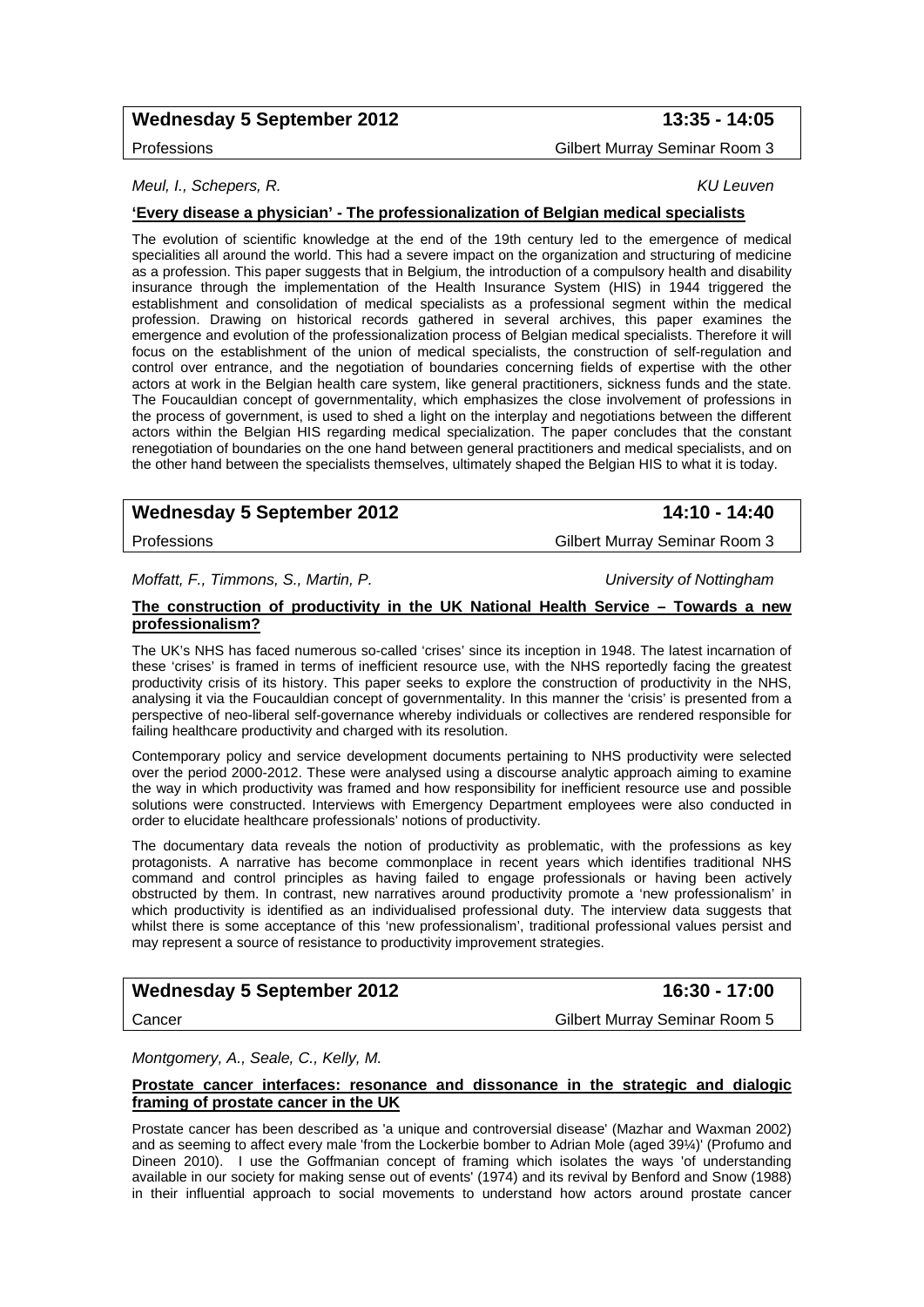# Wednesday 5 September 2012 **13:35 - 14:05**

*Meul, I., Schepers, R. KU Leuven* 

#### **'Every disease a physician' - The professionalization of Belgian medical specialists**

The evolution of scientific knowledge at the end of the 19th century led to the emergence of medical specialities all around the world. This had a severe impact on the organization and structuring of medicine as a profession. This paper suggests that in Belgium, the introduction of a compulsory health and disability insurance through the implementation of the Health Insurance System (HIS) in 1944 triggered the establishment and consolidation of medical specialists as a professional segment within the medical profession. Drawing on historical records gathered in several archives, this paper examines the emergence and evolution of the professionalization process of Belgian medical specialists. Therefore it will focus on the establishment of the union of medical specialists, the construction of self-regulation and control over entrance, and the negotiation of boundaries concerning fields of expertise with the other actors at work in the Belgian health care system, like general practitioners, sickness funds and the state. The Foucauldian concept of governmentality, which emphasizes the close involvement of professions in the process of government, is used to shed a light on the interplay and negotiations between the different actors within the Belgian HIS regarding medical specialization. The paper concludes that the constant renegotiation of boundaries on the one hand between general practitioners and medical specialists, and on the other hand between the specialists themselves, ultimately shaped the Belgian HIS to what it is today.

# Wednesday 5 September 2012 **14:10 - 14:40**

Professions Gilbert Murray Seminar Room 3

*Moffatt, F., Timmons, S., Martin, P. University of Nottingham* 

#### **The construction of productivity in the UK National Health Service – Towards a new professionalism?**

The UK's NHS has faced numerous so-called 'crises' since its inception in 1948. The latest incarnation of these 'crises' is framed in terms of inefficient resource use, with the NHS reportedly facing the greatest productivity crisis of its history. This paper seeks to explore the construction of productivity in the NHS, analysing it via the Foucauldian concept of governmentality. In this manner the 'crisis' is presented from a perspective of neo-liberal self-governance whereby individuals or collectives are rendered responsible for failing healthcare productivity and charged with its resolution.

Contemporary policy and service development documents pertaining to NHS productivity were selected over the period 2000-2012. These were analysed using a discourse analytic approach aiming to examine the way in which productivity was framed and how responsibility for inefficient resource use and possible solutions were constructed. Interviews with Emergency Department employees were also conducted in order to elucidate healthcare professionals' notions of productivity.

The documentary data reveals the notion of productivity as problematic, with the professions as key protagonists. A narrative has become commonplace in recent years which identifies traditional NHS command and control principles as having failed to engage professionals or having been actively obstructed by them. In contrast, new narratives around productivity promote a 'new professionalism' in which productivity is identified as an individualised professional duty. The interview data suggests that whilst there is some acceptance of this 'new professionalism', traditional professional values persist and may represent a source of resistance to productivity improvement strategies.

# Wednesday 5 September 2012 **16:30 - 17:00**

Cancer Gilbert Murray Seminar Room 5

*Montgomery, A., Seale, C., Kelly, M.* 

#### **Prostate cancer interfaces: resonance and dissonance in the strategic and dialogic framing of prostate cancer in the UK**

Prostate cancer has been described as 'a unique and controversial disease' (Mazhar and Waxman 2002) and as seeming to affect every male 'from the Lockerbie bomber to Adrian Mole (aged 39¼)' (Profumo and Dineen 2010). I use the Goffmanian concept of framing which isolates the ways 'of understanding available in our society for making sense out of events' (1974) and its revival by Benford and Snow (1988) in their influential approach to social movements to understand how actors around prostate cancer

Professions Gilbert Murray Seminar Room 3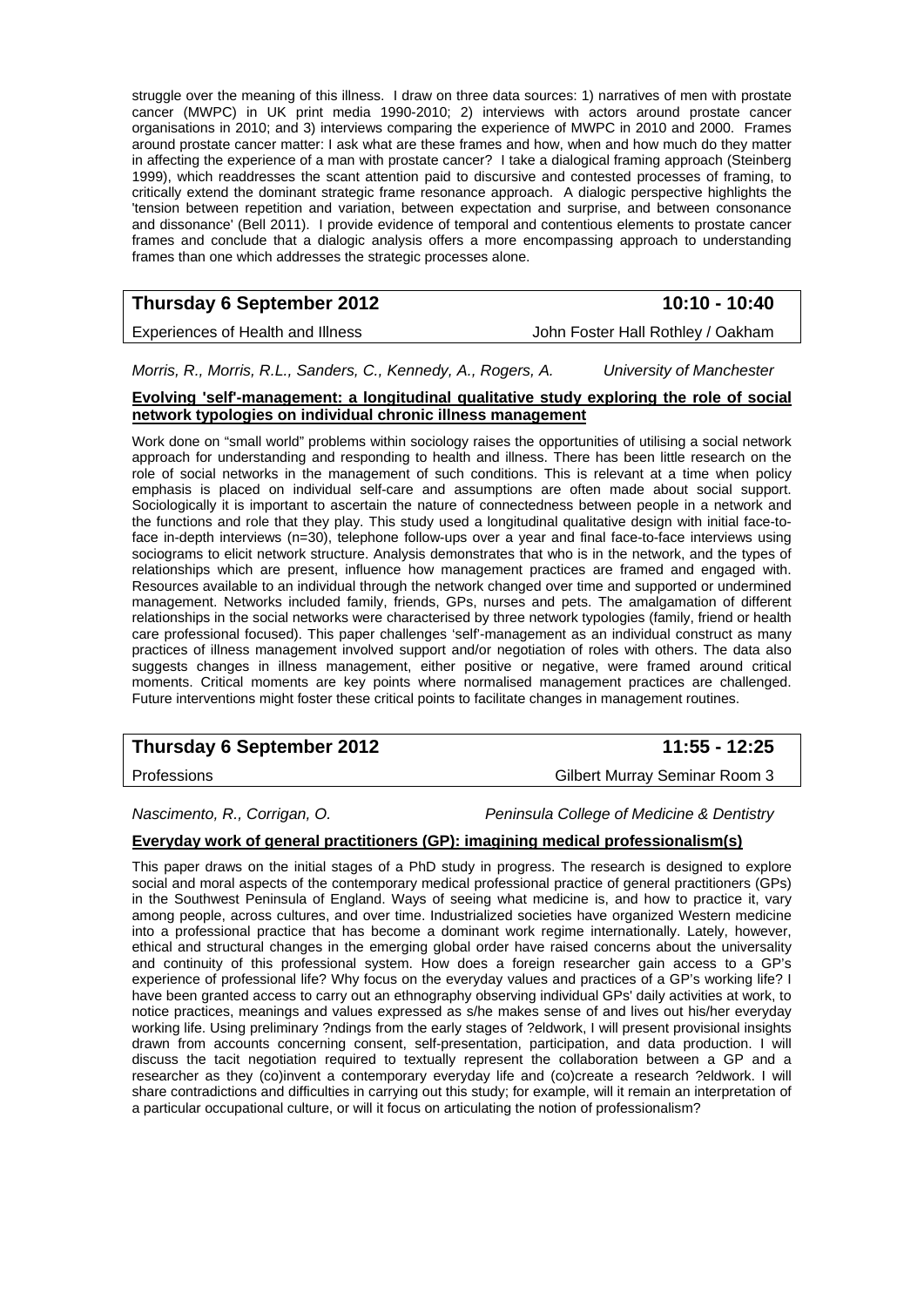struggle over the meaning of this illness. I draw on three data sources: 1) narratives of men with prostate cancer (MWPC) in UK print media 1990-2010; 2) interviews with actors around prostate cancer organisations in 2010; and 3) interviews comparing the experience of MWPC in 2010 and 2000. Frames around prostate cancer matter: I ask what are these frames and how, when and how much do they matter in affecting the experience of a man with prostate cancer? I take a dialogical framing approach (Steinberg 1999), which readdresses the scant attention paid to discursive and contested processes of framing, to critically extend the dominant strategic frame resonance approach. A dialogic perspective highlights the 'tension between repetition and variation, between expectation and surprise, and between consonance and dissonance' (Bell 2011). I provide evidence of temporal and contentious elements to prostate cancer frames and conclude that a dialogic analysis offers a more encompassing approach to understanding frames than one which addresses the strategic processes alone.

# **Thursday 6 September 2012** 10:10 - 10:40

Experiences of Health and Illness **John Foster Hall Rothley / Oakham** 

*Morris, R., Morris, R.L., Sanders, C., Kennedy, A., Rogers, A. University of Manchester* 

#### **Evolving 'self'-management: a longitudinal qualitative study exploring the role of social network typologies on individual chronic illness management**

Work done on "small world" problems within sociology raises the opportunities of utilising a social network approach for understanding and responding to health and illness. There has been little research on the role of social networks in the management of such conditions. This is relevant at a time when policy emphasis is placed on individual self-care and assumptions are often made about social support. Sociologically it is important to ascertain the nature of connectedness between people in a network and the functions and role that they play. This study used a longitudinal qualitative design with initial face-toface in-depth interviews (n=30), telephone follow-ups over a year and final face-to-face interviews using sociograms to elicit network structure. Analysis demonstrates that who is in the network, and the types of relationships which are present, influence how management practices are framed and engaged with. Resources available to an individual through the network changed over time and supported or undermined management. Networks included family, friends, GPs, nurses and pets. The amalgamation of different relationships in the social networks were characterised by three network typologies (family, friend or health care professional focused). This paper challenges 'self'-management as an individual construct as many practices of illness management involved support and/or negotiation of roles with others. The data also suggests changes in illness management, either positive or negative, were framed around critical moments. Critical moments are key points where normalised management practices are challenged. Future interventions might foster these critical points to facilitate changes in management routines.

# **Thursday 6 September 2012 11:55 - 12:25**

Professions Gilbert Murray Seminar Room 3

*Nascimento, R., Corrigan, O. Peninsula College of Medicine & Dentistry* 

### **Everyday work of general practitioners (GP): imagining medical professionalism(s)**

This paper draws on the initial stages of a PhD study in progress. The research is designed to explore social and moral aspects of the contemporary medical professional practice of general practitioners (GPs) in the Southwest Peninsula of England. Ways of seeing what medicine is, and how to practice it, vary among people, across cultures, and over time. Industrialized societies have organized Western medicine into a professional practice that has become a dominant work regime internationally. Lately, however, ethical and structural changes in the emerging global order have raised concerns about the universality and continuity of this professional system. How does a foreign researcher gain access to a GP's experience of professional life? Why focus on the everyday values and practices of a GP's working life? I have been granted access to carry out an ethnography observing individual GPs' daily activities at work, to notice practices, meanings and values expressed as s/he makes sense of and lives out his/her everyday working life. Using preliminary ?ndings from the early stages of ?eldwork, I will present provisional insights drawn from accounts concerning consent, self-presentation, participation, and data production. I will discuss the tacit negotiation required to textually represent the collaboration between a GP and a researcher as they (co)invent a contemporary everyday life and (co)create a research ?eldwork. I will share contradictions and difficulties in carrying out this study; for example, will it remain an interpretation of a particular occupational culture, or will it focus on articulating the notion of professionalism?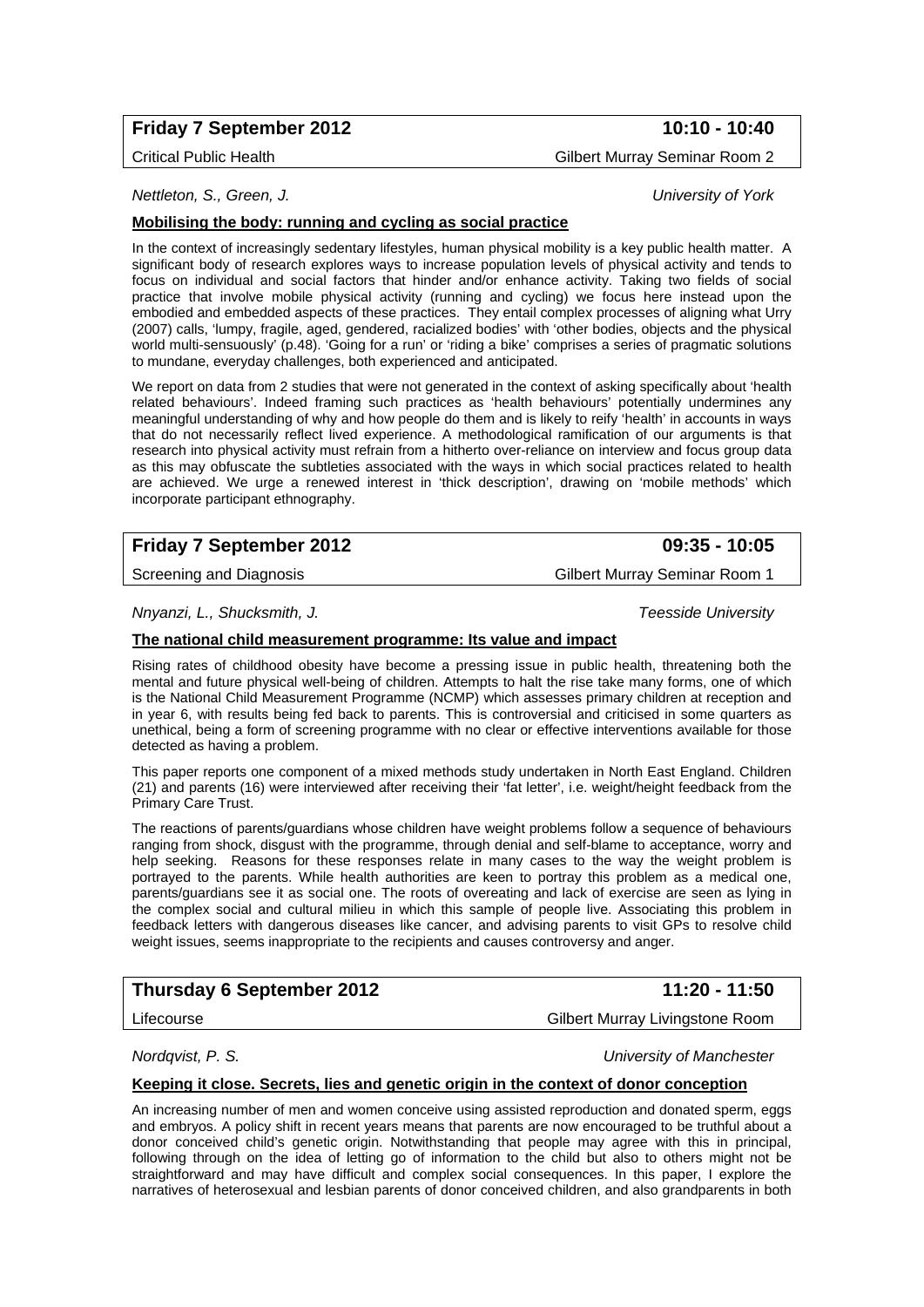# **Friday 7 September 2012** 10:10 - 10:40

Critical Public Health Gilbert Murray Seminar Room 2

*Nettleton, S., Green, J. University of York* 

## **Mobilising the body: running and cycling as social practice**

In the context of increasingly sedentary lifestyles, human physical mobility is a key public health matter. A significant body of research explores ways to increase population levels of physical activity and tends to focus on individual and social factors that hinder and/or enhance activity. Taking two fields of social practice that involve mobile physical activity (running and cycling) we focus here instead upon the embodied and embedded aspects of these practices. They entail complex processes of aligning what Urry (2007) calls, 'lumpy, fragile, aged, gendered, racialized bodies' with 'other bodies, objects and the physical world multi-sensuously' (p.48). 'Going for a run' or 'riding a bike' comprises a series of pragmatic solutions to mundane, everyday challenges, both experienced and anticipated.

We report on data from 2 studies that were not generated in the context of asking specifically about 'health related behaviours'. Indeed framing such practices as 'health behaviours' potentially undermines any meaningful understanding of why and how people do them and is likely to reify 'health' in accounts in ways that do not necessarily reflect lived experience. A methodological ramification of our arguments is that research into physical activity must refrain from a hitherto over-reliance on interview and focus group data as this may obfuscate the subtleties associated with the ways in which social practices related to health are achieved. We urge a renewed interest in 'thick description', drawing on 'mobile methods' which incorporate participant ethnography.

# **Friday 7 September 2012 09:35 - 10:05**

Screening and Diagnosis **Screening and Diagnosis Gilbert Murray Seminar Room 1** 

*Nnyanzi, L., Shucksmith, J. Teesside University* 

#### **The national child measurement programme: Its value and impact**

Rising rates of childhood obesity have become a pressing issue in public health, threatening both the mental and future physical well-being of children. Attempts to halt the rise take many forms, one of which is the National Child Measurement Programme (NCMP) which assesses primary children at reception and in year 6, with results being fed back to parents. This is controversial and criticised in some quarters as unethical, being a form of screening programme with no clear or effective interventions available for those detected as having a problem.

This paper reports one component of a mixed methods study undertaken in North East England. Children (21) and parents (16) were interviewed after receiving their 'fat letter', i.e. weight/height feedback from the Primary Care Trust.

The reactions of parents/guardians whose children have weight problems follow a sequence of behaviours ranging from shock, disgust with the programme, through denial and self-blame to acceptance, worry and help seeking. Reasons for these responses relate in many cases to the way the weight problem is portrayed to the parents. While health authorities are keen to portray this problem as a medical one, parents/guardians see it as social one. The roots of overeating and lack of exercise are seen as lying in the complex social and cultural milieu in which this sample of people live. Associating this problem in feedback letters with dangerous diseases like cancer, and advising parents to visit GPs to resolve child weight issues, seems inappropriate to the recipients and causes controversy and anger.

# **Thursday 6 September 2012** 11:20 - 11:50

*Nordqvist, P. S. University of Manchester* 

### **Keeping it close. Secrets, lies and genetic origin in the context of donor conception**

An increasing number of men and women conceive using assisted reproduction and donated sperm, eggs and embryos. A policy shift in recent years means that parents are now encouraged to be truthful about a donor conceived child's genetic origin. Notwithstanding that people may agree with this in principal, following through on the idea of letting go of information to the child but also to others might not be straightforward and may have difficult and complex social consequences. In this paper, I explore the narratives of heterosexual and lesbian parents of donor conceived children, and also grandparents in both

Lifecourse Gilbert Murray Livingstone Room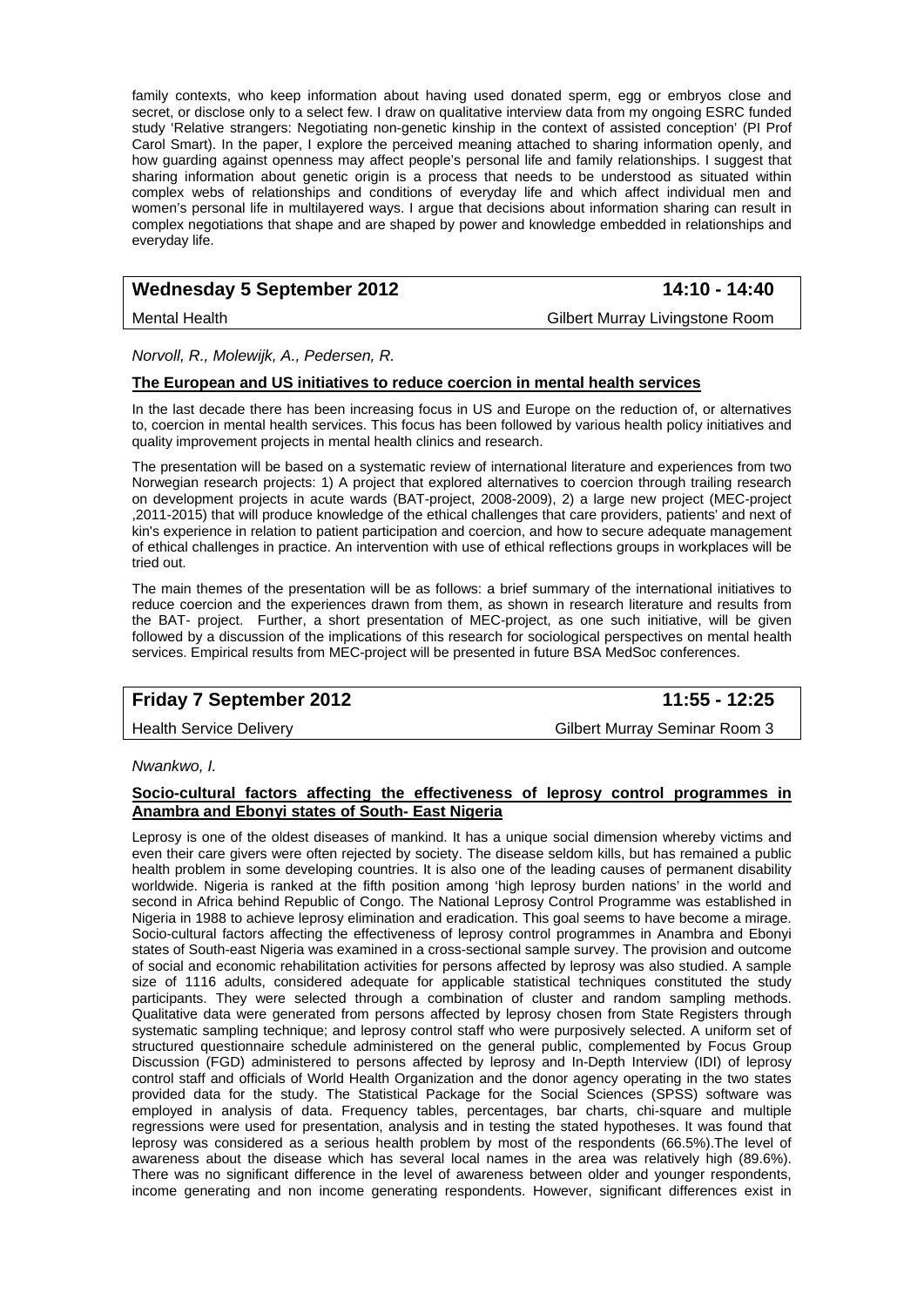family contexts, who keep information about having used donated sperm, egg or embryos close and secret, or disclose only to a select few. I draw on qualitative interview data from my ongoing ESRC funded study 'Relative strangers: Negotiating non-genetic kinship in the context of assisted conception' (PI Prof Carol Smart). In the paper, I explore the perceived meaning attached to sharing information openly, and how guarding against openness may affect people's personal life and family relationships. I suggest that sharing information about genetic origin is a process that needs to be understood as situated within complex webs of relationships and conditions of everyday life and which affect individual men and women's personal life in multilayered ways. I argue that decisions about information sharing can result in complex negotiations that shape and are shaped by power and knowledge embedded in relationships and everyday life.

# Wednesday 5 September 2012 **14:10 - 14:40**

Mental Health Gilbert Murray Livingstone Room

*Norvoll, R., Molewijk, A., Pedersen, R.* 

#### **The European and US initiatives to reduce coercion in mental health services**

In the last decade there has been increasing focus in US and Europe on the reduction of, or alternatives to, coercion in mental health services. This focus has been followed by various health policy initiatives and quality improvement projects in mental health clinics and research.

The presentation will be based on a systematic review of international literature and experiences from two Norwegian research projects: 1) A project that explored alternatives to coercion through trailing research on development projects in acute wards (BAT-project, 2008-2009), 2) a large new project (MEC-project ,2011-2015) that will produce knowledge of the ethical challenges that care providers, patients' and next of kin's experience in relation to patient participation and coercion, and how to secure adequate management of ethical challenges in practice. An intervention with use of ethical reflections groups in workplaces will be tried out.

The main themes of the presentation will be as follows: a brief summary of the international initiatives to reduce coercion and the experiences drawn from them, as shown in research literature and results from the BAT- project. Further, a short presentation of MEC-project, as one such initiative, will be given followed by a discussion of the implications of this research for sociological perspectives on mental health services. Empirical results from MEC-project will be presented in future BSA MedSoc conferences.

# **Friday 7 September 2012 11:55 - 12:25**

Health Service Delivery Gilbert Murray Seminar Room 3

*Nwankwo, I.* 

#### **Socio-cultural factors affecting the effectiveness of leprosy control programmes in Anambra and Ebonyi states of South- East Nigeria**

Leprosy is one of the oldest diseases of mankind. It has a unique social dimension whereby victims and even their care givers were often rejected by society. The disease seldom kills, but has remained a public health problem in some developing countries. It is also one of the leading causes of permanent disability worldwide. Nigeria is ranked at the fifth position among 'high leprosy burden nations' in the world and second in Africa behind Republic of Congo. The National Leprosy Control Programme was established in Nigeria in 1988 to achieve leprosy elimination and eradication. This goal seems to have become a mirage. Socio-cultural factors affecting the effectiveness of leprosy control programmes in Anambra and Ebonyi states of South-east Nigeria was examined in a cross-sectional sample survey. The provision and outcome of social and economic rehabilitation activities for persons affected by leprosy was also studied. A sample size of 1116 adults, considered adequate for applicable statistical techniques constituted the study participants. They were selected through a combination of cluster and random sampling methods. Qualitative data were generated from persons affected by leprosy chosen from State Registers through systematic sampling technique; and leprosy control staff who were purposively selected. A uniform set of structured questionnaire schedule administered on the general public, complemented by Focus Group Discussion (FGD) administered to persons affected by leprosy and In-Depth Interview (IDI) of leprosy control staff and officials of World Health Organization and the donor agency operating in the two states provided data for the study. The Statistical Package for the Social Sciences (SPSS) software was employed in analysis of data. Frequency tables, percentages, bar charts, chi-square and multiple regressions were used for presentation, analysis and in testing the stated hypotheses. It was found that leprosy was considered as a serious health problem by most of the respondents (66.5%).The level of awareness about the disease which has several local names in the area was relatively high (89.6%). There was no significant difference in the level of awareness between older and younger respondents, income generating and non income generating respondents. However, significant differences exist in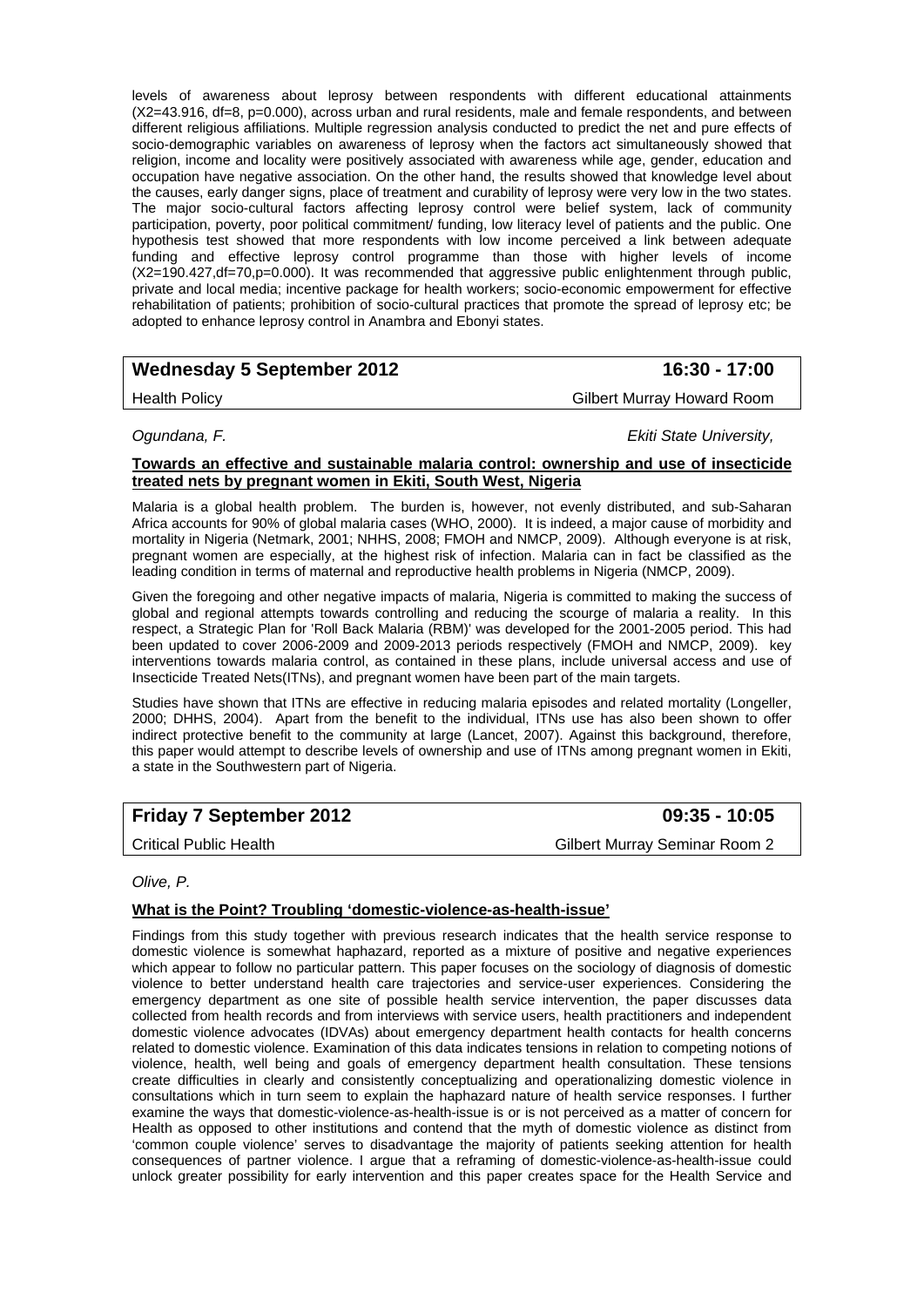levels of awareness about leprosy between respondents with different educational attainments (X2=43.916, df=8, p=0.000), across urban and rural residents, male and female respondents, and between different religious affiliations. Multiple regression analysis conducted to predict the net and pure effects of socio-demographic variables on awareness of leprosy when the factors act simultaneously showed that religion, income and locality were positively associated with awareness while age, gender, education and occupation have negative association. On the other hand, the results showed that knowledge level about the causes, early danger signs, place of treatment and curability of leprosy were very low in the two states. The major socio-cultural factors affecting leprosy control were belief system, lack of community participation, poverty, poor political commitment/ funding, low literacy level of patients and the public. One hypothesis test showed that more respondents with low income perceived a link between adequate funding and effective leprosy control programme than those with higher levels of income (X2=190.427,df=70,p=0.000). It was recommended that aggressive public enlightenment through public, private and local media; incentive package for health workers; socio-economic empowerment for effective rehabilitation of patients; prohibition of socio-cultural practices that promote the spread of leprosy etc; be adopted to enhance leprosy control in Anambra and Ebonyi states.

# Wednesday 5 September 2012 **16:30 - 17:00**

Health Policy Gilbert Murray Howard Room

*Ogundana, F. Ekiti State University,* 

### **Towards an effective and sustainable malaria control: ownership and use of insecticide treated nets by pregnant women in Ekiti, South West, Nigeria**

Malaria is a global health problem. The burden is, however, not evenly distributed, and sub-Saharan Africa accounts for 90% of global malaria cases (WHO, 2000). It is indeed, a major cause of morbidity and mortality in Nigeria (Netmark, 2001; NHHS, 2008; FMOH and NMCP, 2009). Although everyone is at risk, pregnant women are especially, at the highest risk of infection. Malaria can in fact be classified as the leading condition in terms of maternal and reproductive health problems in Nigeria (NMCP, 2009).

Given the foregoing and other negative impacts of malaria, Nigeria is committed to making the success of global and regional attempts towards controlling and reducing the scourge of malaria a reality. In this respect, a Strategic Plan for 'Roll Back Malaria (RBM)' was developed for the 2001-2005 period. This had been updated to cover 2006-2009 and 2009-2013 periods respectively (FMOH and NMCP, 2009). key interventions towards malaria control, as contained in these plans, include universal access and use of Insecticide Treated Nets(ITNs), and pregnant women have been part of the main targets.

Studies have shown that ITNs are effective in reducing malaria episodes and related mortality (Longeller, 2000; DHHS, 2004). Apart from the benefit to the individual, ITNs use has also been shown to offer indirect protective benefit to the community at large (Lancet, 2007). Against this background, therefore, this paper would attempt to describe levels of ownership and use of ITNs among pregnant women in Ekiti, a state in the Southwestern part of Nigeria.

# **Friday 7 September 2012 09:35 - 10:05**

Critical Public Health Gilbert Murray Seminar Room 2

### *Olive, P.*

# **What is the Point? Troubling 'domestic-violence-as-health-issue'**

Findings from this study together with previous research indicates that the health service response to domestic violence is somewhat haphazard, reported as a mixture of positive and negative experiences which appear to follow no particular pattern. This paper focuses on the sociology of diagnosis of domestic violence to better understand health care trajectories and service-user experiences. Considering the emergency department as one site of possible health service intervention, the paper discusses data collected from health records and from interviews with service users, health practitioners and independent domestic violence advocates (IDVAs) about emergency department health contacts for health concerns related to domestic violence. Examination of this data indicates tensions in relation to competing notions of violence, health, well being and goals of emergency department health consultation. These tensions create difficulties in clearly and consistently conceptualizing and operationalizing domestic violence in consultations which in turn seem to explain the haphazard nature of health service responses. I further examine the ways that domestic-violence-as-health-issue is or is not perceived as a matter of concern for Health as opposed to other institutions and contend that the myth of domestic violence as distinct from 'common couple violence' serves to disadvantage the majority of patients seeking attention for health consequences of partner violence. I argue that a reframing of domestic-violence-as-health-issue could unlock greater possibility for early intervention and this paper creates space for the Health Service and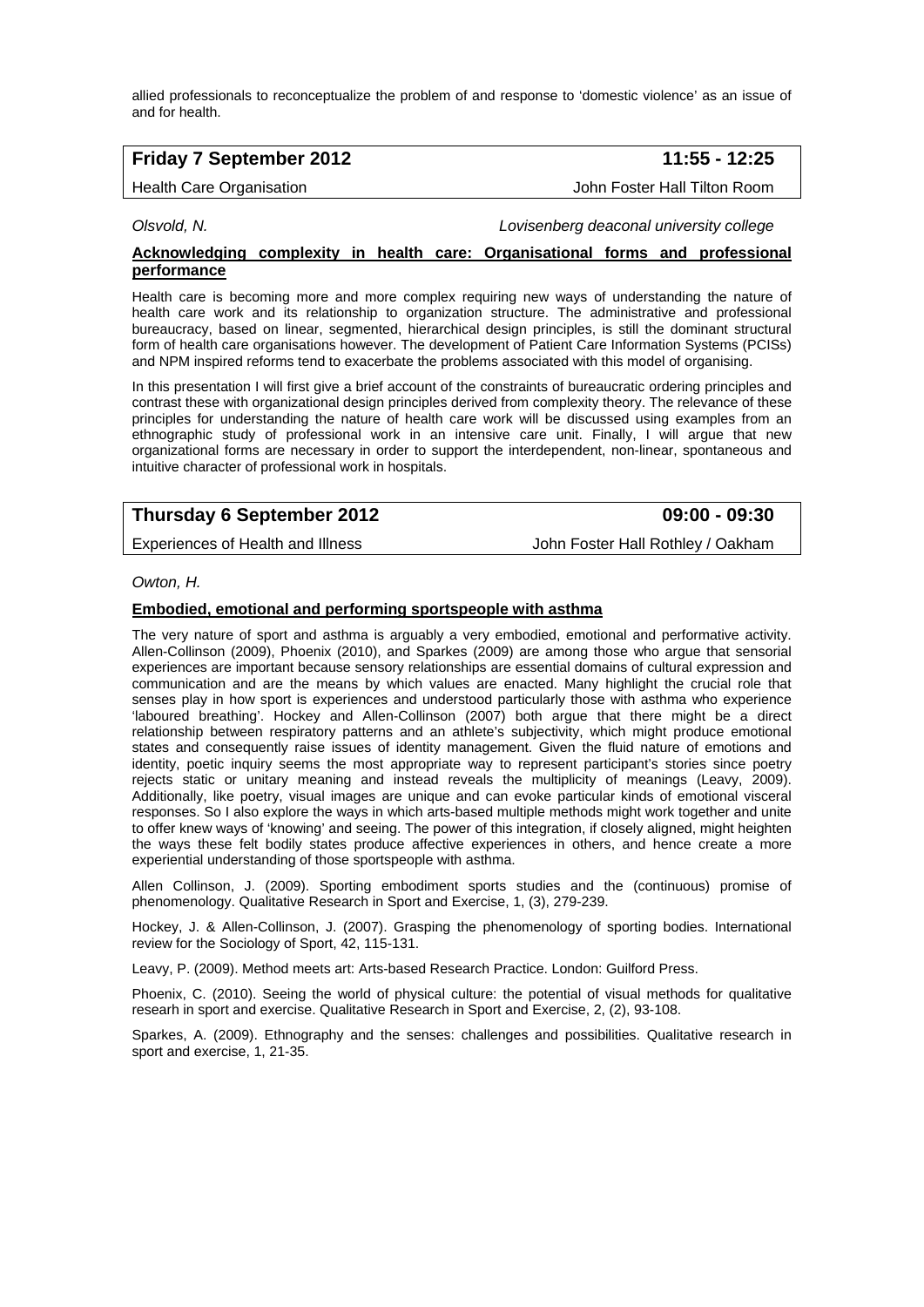allied professionals to reconceptualize the problem of and response to 'domestic violence' as an issue of and for health.

# **Friday 7 September 2012 11:55 - 12:25**

Health Care Organisation John Foster Hall Tilton Room

*Olsvold, N. Lovisenberg deaconal university college* 

#### **Acknowledging complexity in health care: Organisational forms and professional performance**

Health care is becoming more and more complex requiring new ways of understanding the nature of health care work and its relationship to organization structure. The administrative and professional bureaucracy, based on linear, segmented, hierarchical design principles, is still the dominant structural form of health care organisations however. The development of Patient Care Information Systems (PCISs) and NPM inspired reforms tend to exacerbate the problems associated with this model of organising.

In this presentation I will first give a brief account of the constraints of bureaucratic ordering principles and contrast these with organizational design principles derived from complexity theory. The relevance of these principles for understanding the nature of health care work will be discussed using examples from an ethnographic study of professional work in an intensive care unit. Finally, I will argue that new organizational forms are necessary in order to support the interdependent, non-linear, spontaneous and intuitive character of professional work in hospitals.

# **Thursday 6 September 2012 09:00 - 09:30**

Experiences of Health and Illness John Foster Hall Rothley / Oakham

#### *Owton, H.*

#### **Embodied, emotional and performing sportspeople with asthma**

The very nature of sport and asthma is arguably a very embodied, emotional and performative activity. Allen-Collinson (2009), Phoenix (2010), and Sparkes (2009) are among those who argue that sensorial experiences are important because sensory relationships are essential domains of cultural expression and communication and are the means by which values are enacted. Many highlight the crucial role that senses play in how sport is experiences and understood particularly those with asthma who experience 'laboured breathing'. Hockey and Allen-Collinson (2007) both argue that there might be a direct relationship between respiratory patterns and an athlete's subjectivity, which might produce emotional states and consequently raise issues of identity management. Given the fluid nature of emotions and identity, poetic inquiry seems the most appropriate way to represent participant's stories since poetry rejects static or unitary meaning and instead reveals the multiplicity of meanings (Leavy, 2009). Additionally, like poetry, visual images are unique and can evoke particular kinds of emotional visceral responses. So I also explore the ways in which arts-based multiple methods might work together and unite to offer knew ways of 'knowing' and seeing. The power of this integration, if closely aligned, might heighten the ways these felt bodily states produce affective experiences in others, and hence create a more experiential understanding of those sportspeople with asthma.

Allen Collinson, J. (2009). Sporting embodiment sports studies and the (continuous) promise of phenomenology. Qualitative Research in Sport and Exercise, 1, (3), 279-239.

Hockey, J. & Allen-Collinson, J. (2007). Grasping the phenomenology of sporting bodies. International review for the Sociology of Sport, 42, 115-131.

Leavy, P. (2009). Method meets art: Arts-based Research Practice. London: Guilford Press.

Phoenix, C. (2010). Seeing the world of physical culture: the potential of visual methods for qualitative researh in sport and exercise. Qualitative Research in Sport and Exercise, 2, (2), 93-108.

Sparkes, A. (2009). Ethnography and the senses: challenges and possibilities. Qualitative research in sport and exercise, 1, 21-35.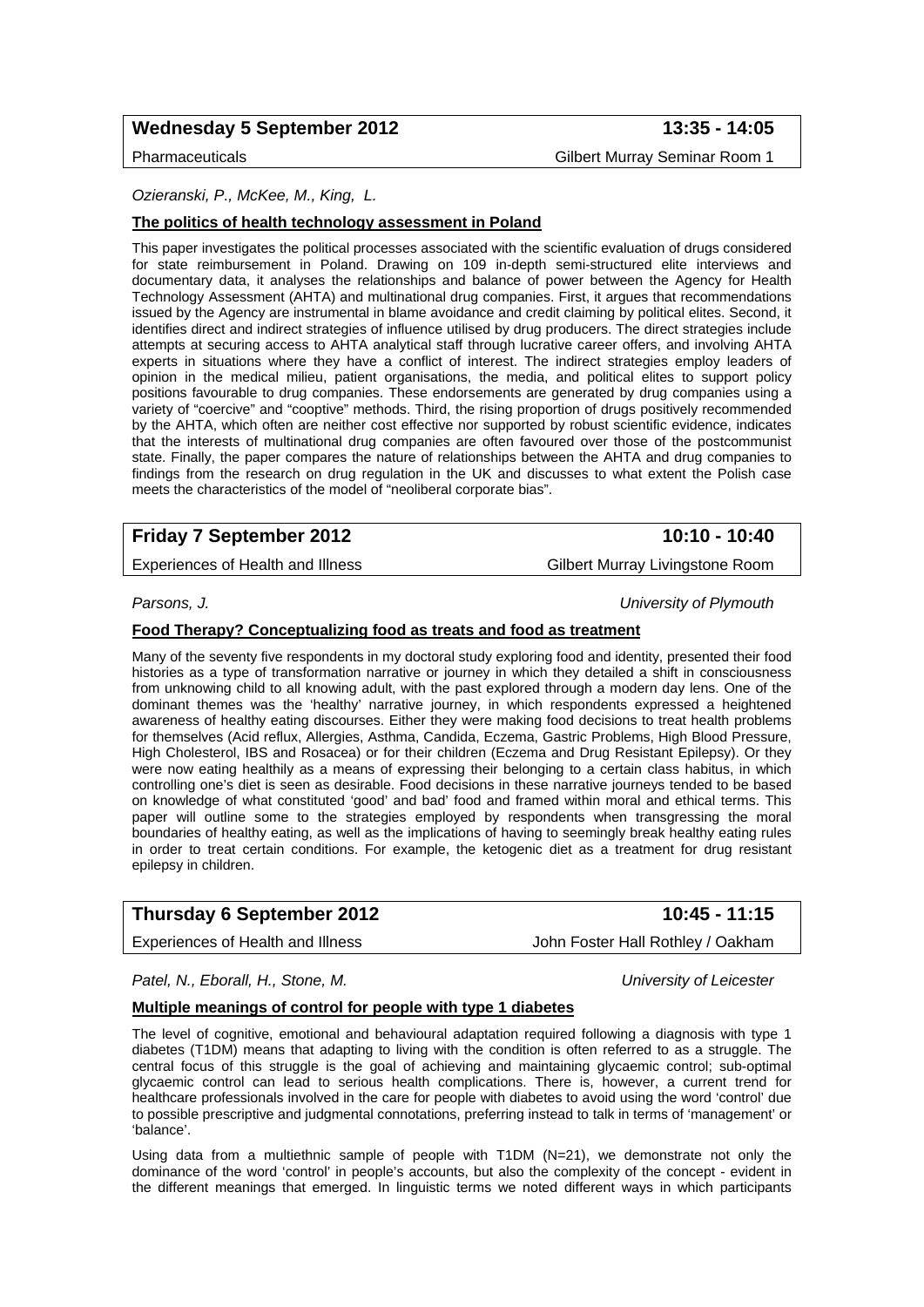# Wednesday 5 September 2012 **13:35 - 14:05**

Pharmaceuticals Gilbert Murray Seminar Room 1

## *Ozieranski, P., McKee, M., King, L.*

### **The politics of health technology assessment in Poland**

This paper investigates the political processes associated with the scientific evaluation of drugs considered for state reimbursement in Poland. Drawing on 109 in-depth semi-structured elite interviews and documentary data, it analyses the relationships and balance of power between the Agency for Health Technology Assessment (AHTA) and multinational drug companies. First, it argues that recommendations issued by the Agency are instrumental in blame avoidance and credit claiming by political elites. Second, it identifies direct and indirect strategies of influence utilised by drug producers. The direct strategies include attempts at securing access to AHTA analytical staff through lucrative career offers, and involving AHTA experts in situations where they have a conflict of interest. The indirect strategies employ leaders of opinion in the medical milieu, patient organisations, the media, and political elites to support policy positions favourable to drug companies. These endorsements are generated by drug companies using a variety of "coercive" and "cooptive" methods. Third, the rising proportion of drugs positively recommended by the AHTA, which often are neither cost effective nor supported by robust scientific evidence, indicates that the interests of multinational drug companies are often favoured over those of the postcommunist state. Finally, the paper compares the nature of relationships between the AHTA and drug companies to findings from the research on drug regulation in the UK and discusses to what extent the Polish case meets the characteristics of the model of "neoliberal corporate bias".

# **Friday 7 September 2012** 10:10 - 10:40

Experiences of Health and Illness Gilbert Murray Livingstone Room

*Parsons, J. University of Plymouth* 

#### **Food Therapy? Conceptualizing food as treats and food as treatment**

Many of the seventy five respondents in my doctoral study exploring food and identity, presented their food histories as a type of transformation narrative or journey in which they detailed a shift in consciousness from unknowing child to all knowing adult, with the past explored through a modern day lens. One of the dominant themes was the 'healthy' narrative journey, in which respondents expressed a heightened awareness of healthy eating discourses. Either they were making food decisions to treat health problems for themselves (Acid reflux, Allergies, Asthma, Candida, Eczema, Gastric Problems, High Blood Pressure, High Cholesterol, IBS and Rosacea) or for their children (Eczema and Drug Resistant Epilepsy). Or they were now eating healthily as a means of expressing their belonging to a certain class habitus, in which controlling one's diet is seen as desirable. Food decisions in these narrative journeys tended to be based on knowledge of what constituted 'good' and bad' food and framed within moral and ethical terms. This paper will outline some to the strategies employed by respondents when transgressing the moral boundaries of healthy eating, as well as the implications of having to seemingly break healthy eating rules in order to treat certain conditions. For example, the ketogenic diet as a treatment for drug resistant epilepsy in children.

# **Thursday 6 September 2012** 10:45 - 11:15

Experiences of Health and Illness **John Foster Hall Rothley / Oakham** 

*Patel, N., Eborall, H., Stone, M. University of Leicester* 

#### **Multiple meanings of control for people with type 1 diabetes**

The level of cognitive, emotional and behavioural adaptation required following a diagnosis with type 1 diabetes (T1DM) means that adapting to living with the condition is often referred to as a struggle. The central focus of this struggle is the goal of achieving and maintaining glycaemic control; sub-optimal glycaemic control can lead to serious health complications. There is, however, a current trend for healthcare professionals involved in the care for people with diabetes to avoid using the word 'control' due to possible prescriptive and judgmental connotations, preferring instead to talk in terms of 'management' or 'balance'.

Using data from a multiethnic sample of people with T1DM (N=21), we demonstrate not only the dominance of the word 'control' in people's accounts, but also the complexity of the concept - evident in the different meanings that emerged. In linguistic terms we noted different ways in which participants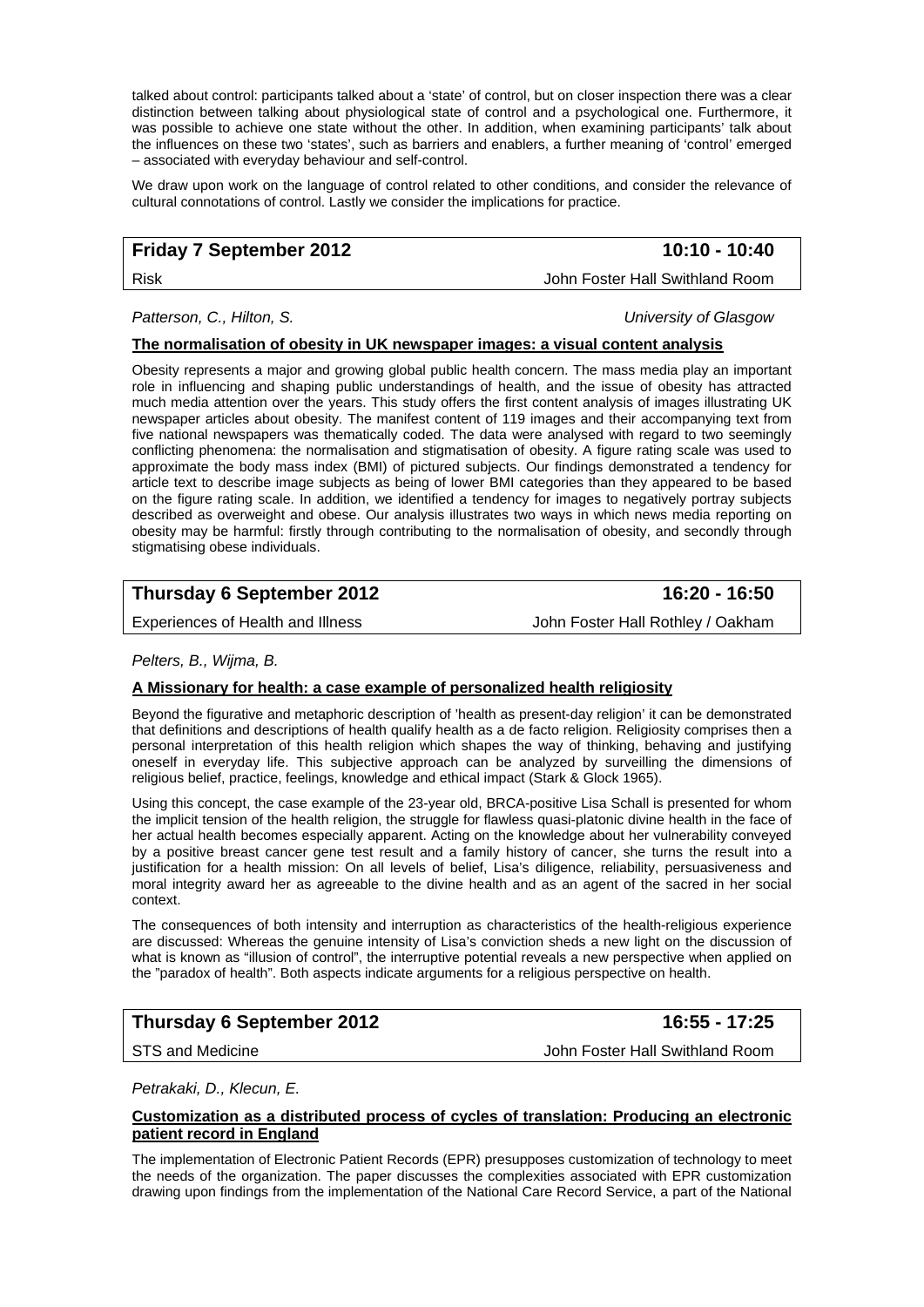talked about control: participants talked about a 'state' of control, but on closer inspection there was a clear distinction between talking about physiological state of control and a psychological one. Furthermore, it was possible to achieve one state without the other. In addition, when examining participants' talk about the influences on these two 'states', such as barriers and enablers, a further meaning of 'control' emerged – associated with everyday behaviour and self-control.

We draw upon work on the language of control related to other conditions, and consider the relevance of cultural connotations of control. Lastly we consider the implications for practice.

# **Friday 7 September 2012** 10:10 - 10:40

Risk John Foster Hall Swithland Room

#### *Patterson, C., Hilton, S. University of Glasgow*

#### **The normalisation of obesity in UK newspaper images: a visual content analysis**

Obesity represents a major and growing global public health concern. The mass media play an important role in influencing and shaping public understandings of health, and the issue of obesity has attracted much media attention over the years. This study offers the first content analysis of images illustrating UK newspaper articles about obesity. The manifest content of 119 images and their accompanying text from five national newspapers was thematically coded. The data were analysed with regard to two seemingly conflicting phenomena: the normalisation and stigmatisation of obesity. A figure rating scale was used to approximate the body mass index (BMI) of pictured subjects. Our findings demonstrated a tendency for article text to describe image subjects as being of lower BMI categories than they appeared to be based on the figure rating scale. In addition, we identified a tendency for images to negatively portray subjects described as overweight and obese. Our analysis illustrates two ways in which news media reporting on obesity may be harmful: firstly through contributing to the normalisation of obesity, and secondly through stigmatising obese individuals.

# **Thursday 6 September 2012** 16:20 - 16:50

Experiences of Health and Illness **John Foster Hall Rothley / Oakham** 

#### *Pelters, B., Wijma, B.*

### **A Missionary for health: a case example of personalized health religiosity**

Beyond the figurative and metaphoric description of 'health as present-day religion' it can be demonstrated that definitions and descriptions of health qualify health as a de facto religion. Religiosity comprises then a personal interpretation of this health religion which shapes the way of thinking, behaving and justifying oneself in everyday life. This subjective approach can be analyzed by surveilling the dimensions of religious belief, practice, feelings, knowledge and ethical impact (Stark & Glock 1965).

Using this concept, the case example of the 23-year old, BRCA-positive Lisa Schall is presented for whom the implicit tension of the health religion, the struggle for flawless quasi-platonic divine health in the face of her actual health becomes especially apparent. Acting on the knowledge about her vulnerability conveyed by a positive breast cancer gene test result and a family history of cancer, she turns the result into a justification for a health mission: On all levels of belief, Lisa's diligence, reliability, persuasiveness and moral integrity award her as agreeable to the divine health and as an agent of the sacred in her social context.

The consequences of both intensity and interruption as characteristics of the health-religious experience are discussed: Whereas the genuine intensity of Lisa's conviction sheds a new light on the discussion of what is known as "illusion of control", the interruptive potential reveals a new perspective when applied on the "paradox of health". Both aspects indicate arguments for a religious perspective on health.

# **Thursday 6 September 2012** 16:55 - 17:25

STS and Medicine **John Foster Hall Swithland Room** 

*Petrakaki, D., Klecun, E.* 

#### **Customization as a distributed process of cycles of translation: Producing an electronic patient record in England**

The implementation of Electronic Patient Records (EPR) presupposes customization of technology to meet the needs of the organization. The paper discusses the complexities associated with EPR customization drawing upon findings from the implementation of the National Care Record Service, a part of the National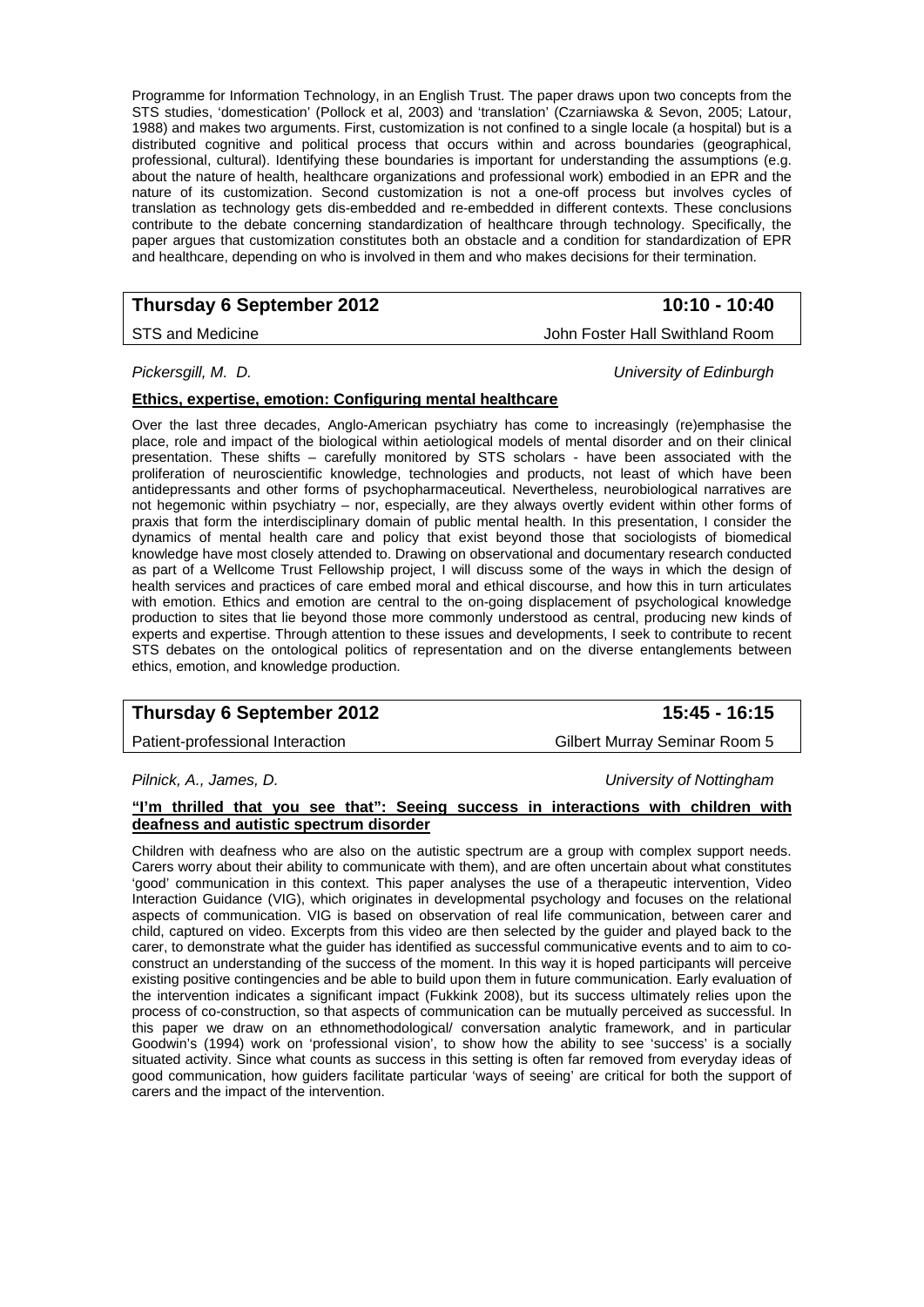Programme for Information Technology, in an English Trust. The paper draws upon two concepts from the STS studies, 'domestication' (Pollock et al, 2003) and 'translation' (Czarniawska & Sevon, 2005; Latour, 1988) and makes two arguments. First, customization is not confined to a single locale (a hospital) but is a distributed cognitive and political process that occurs within and across boundaries (geographical, professional, cultural). Identifying these boundaries is important for understanding the assumptions (e.g. about the nature of health, healthcare organizations and professional work) embodied in an EPR and the nature of its customization. Second customization is not a one-off process but involves cycles of translation as technology gets dis-embedded and re-embedded in different contexts. These conclusions contribute to the debate concerning standardization of healthcare through technology. Specifically, the paper argues that customization constitutes both an obstacle and a condition for standardization of EPR and healthcare, depending on who is involved in them and who makes decisions for their termination.

# **Thursday 6 September 2012** 10:10 - 10:40

STS and Medicine **John Foster Hall Swithland Room** 

*Pickersgill, M. D. University of Edinburgh* 

### **Ethics, expertise, emotion: Configuring mental healthcare**

Over the last three decades, Anglo-American psychiatry has come to increasingly (re)emphasise the place, role and impact of the biological within aetiological models of mental disorder and on their clinical presentation. These shifts – carefully monitored by STS scholars - have been associated with the proliferation of neuroscientific knowledge, technologies and products, not least of which have been antidepressants and other forms of psychopharmaceutical. Nevertheless, neurobiological narratives are not hegemonic within psychiatry – nor, especially, are they always overtly evident within other forms of praxis that form the interdisciplinary domain of public mental health. In this presentation, I consider the dynamics of mental health care and policy that exist beyond those that sociologists of biomedical knowledge have most closely attended to. Drawing on observational and documentary research conducted as part of a Wellcome Trust Fellowship project, I will discuss some of the ways in which the design of health services and practices of care embed moral and ethical discourse, and how this in turn articulates with emotion. Ethics and emotion are central to the on-going displacement of psychological knowledge production to sites that lie beyond those more commonly understood as central, producing new kinds of experts and expertise. Through attention to these issues and developments, I seek to contribute to recent STS debates on the ontological politics of representation and on the diverse entanglements between ethics, emotion, and knowledge production.

# **Thursday 6 September 2012 15:45 - 16:15**

Patient-professional Interaction and Gilbert Murray Seminar Room 5

*Pilnick, A., James, D. University of Nottingham* 

### **"I'm thrilled that you see that": Seeing success in interactions with children with deafness and autistic spectrum disorder**

Children with deafness who are also on the autistic spectrum are a group with complex support needs. Carers worry about their ability to communicate with them), and are often uncertain about what constitutes 'good' communication in this context. This paper analyses the use of a therapeutic intervention, Video Interaction Guidance (VIG), which originates in developmental psychology and focuses on the relational aspects of communication. VIG is based on observation of real life communication, between carer and child, captured on video. Excerpts from this video are then selected by the guider and played back to the carer, to demonstrate what the guider has identified as successful communicative events and to aim to coconstruct an understanding of the success of the moment. In this way it is hoped participants will perceive existing positive contingencies and be able to build upon them in future communication. Early evaluation of the intervention indicates a significant impact (Fukkink 2008), but its success ultimately relies upon the process of co-construction, so that aspects of communication can be mutually perceived as successful. In this paper we draw on an ethnomethodological/ conversation analytic framework, and in particular Goodwin's (1994) work on 'professional vision', to show how the ability to see 'success' is a socially situated activity. Since what counts as success in this setting is often far removed from everyday ideas of good communication, how guiders facilitate particular 'ways of seeing' are critical for both the support of carers and the impact of the intervention.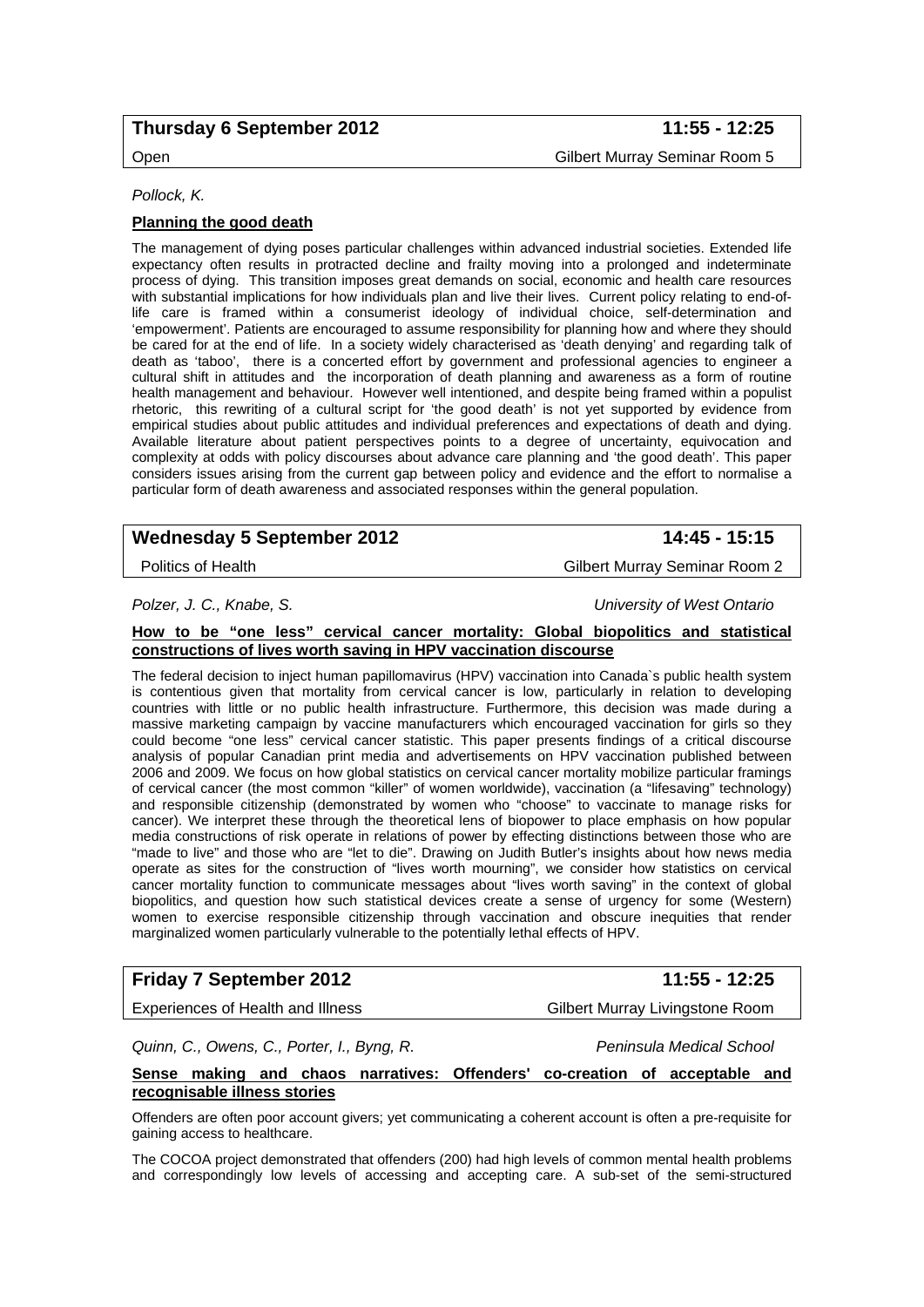# **Thursday 6 September 2012 11:55 - 12:25**

# Open Gilbert Murray Seminar Room 5

*Pollock, K.* 

### **Planning the good death**

The management of dying poses particular challenges within advanced industrial societies. Extended life expectancy often results in protracted decline and frailty moving into a prolonged and indeterminate process of dying. This transition imposes great demands on social, economic and health care resources with substantial implications for how individuals plan and live their lives. Current policy relating to end-oflife care is framed within a consumerist ideology of individual choice, self-determination and 'empowerment'. Patients are encouraged to assume responsibility for planning how and where they should be cared for at the end of life. In a society widely characterised as 'death denying' and regarding talk of death as 'taboo', there is a concerted effort by government and professional agencies to engineer a cultural shift in attitudes and the incorporation of death planning and awareness as a form of routine health management and behaviour. However well intentioned, and despite being framed within a populist rhetoric, this rewriting of a cultural script for 'the good death' is not yet supported by evidence from empirical studies about public attitudes and individual preferences and expectations of death and dying. Available literature about patient perspectives points to a degree of uncertainty, equivocation and complexity at odds with policy discourses about advance care planning and 'the good death'. This paper considers issues arising from the current gap between policy and evidence and the effort to normalise a particular form of death awareness and associated responses within the general population.

# Wednesday 5 September 2012 **14:45 - 15:15**

Politics of Health **Politics** of Health **Gilbert Murray Seminar Room 2** 

*Polzer, J. C., Knabe, S. University of West Ontario* 

#### **How to be "one less" cervical cancer mortality: Global biopolitics and statistical constructions of lives worth saving in HPV vaccination discourse**

The federal decision to inject human papillomavirus (HPV) vaccination into Canada`s public health system is contentious given that mortality from cervical cancer is low, particularly in relation to developing countries with little or no public health infrastructure. Furthermore, this decision was made during a massive marketing campaign by vaccine manufacturers which encouraged vaccination for girls so they could become "one less" cervical cancer statistic. This paper presents findings of a critical discourse analysis of popular Canadian print media and advertisements on HPV vaccination published between 2006 and 2009. We focus on how global statistics on cervical cancer mortality mobilize particular framings of cervical cancer (the most common "killer" of women worldwide), vaccination (a "lifesaving" technology) and responsible citizenship (demonstrated by women who "choose" to vaccinate to manage risks for cancer). We interpret these through the theoretical lens of biopower to place emphasis on how popular media constructions of risk operate in relations of power by effecting distinctions between those who are "made to live" and those who are "let to die". Drawing on Judith Butler's insights about how news media operate as sites for the construction of "lives worth mourning", we consider how statistics on cervical cancer mortality function to communicate messages about "lives worth saving" in the context of global biopolitics, and question how such statistical devices create a sense of urgency for some (Western) women to exercise responsible citizenship through vaccination and obscure inequities that render marginalized women particularly vulnerable to the potentially lethal effects of HPV.

# **Friday 7 September 2012 11:55 - 12:25**

Experiences of Health and Illness Gilbert Murray Livingstone Room

*Quinn, C., Owens, C., Porter, I., Byng, R. Peninsula Medical School* 

**Sense making and chaos narratives: Offenders' co-creation of acceptable and recognisable illness stories**

Offenders are often poor account givers; yet communicating a coherent account is often a pre-requisite for gaining access to healthcare.

The COCOA project demonstrated that offenders (200) had high levels of common mental health problems and correspondingly low levels of accessing and accepting care. A sub-set of the semi-structured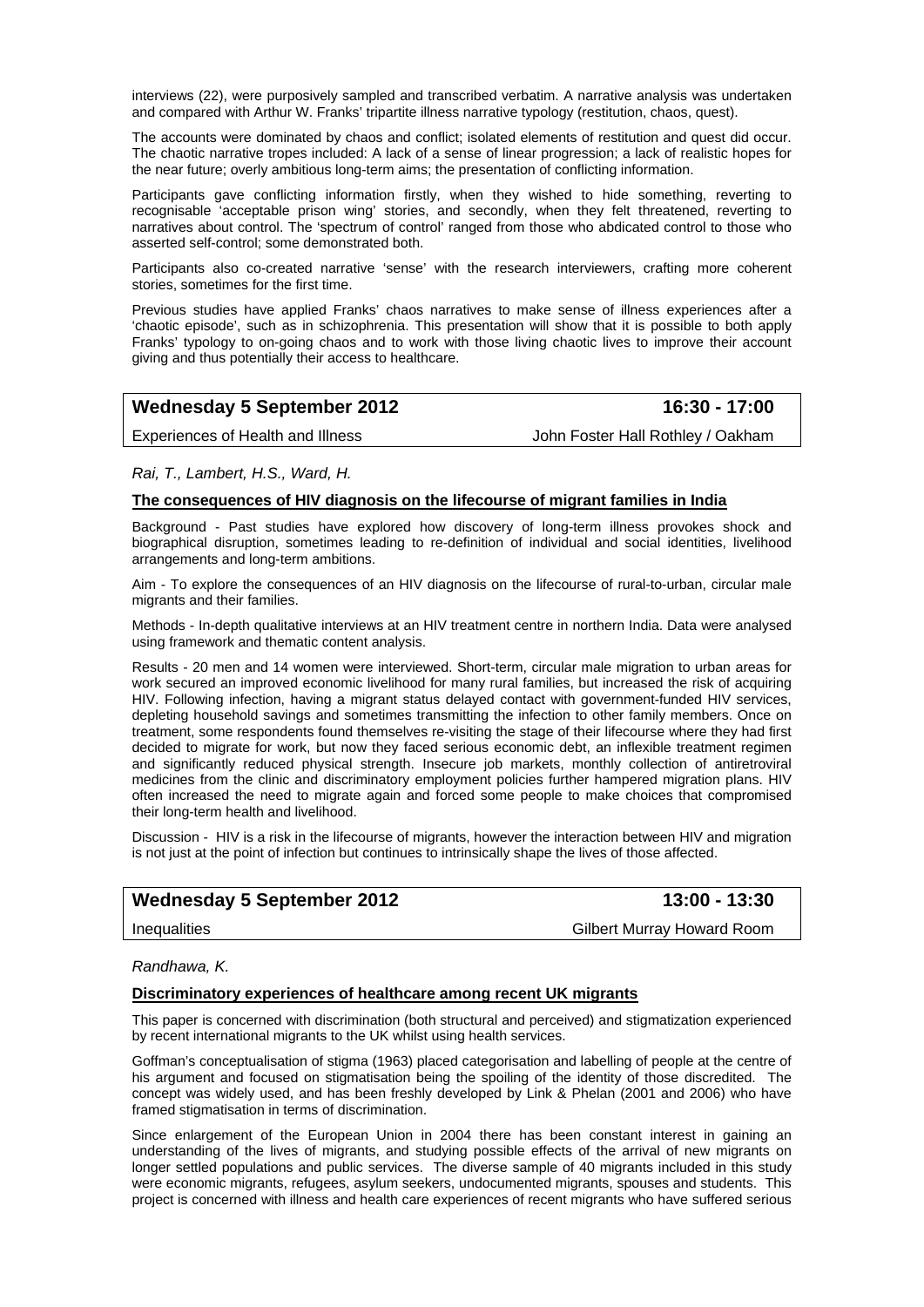interviews (22), were purposively sampled and transcribed verbatim. A narrative analysis was undertaken and compared with Arthur W. Franks' tripartite illness narrative typology (restitution, chaos, quest).

The accounts were dominated by chaos and conflict; isolated elements of restitution and quest did occur. The chaotic narrative tropes included: A lack of a sense of linear progression; a lack of realistic hopes for the near future; overly ambitious long-term aims; the presentation of conflicting information.

Participants gave conflicting information firstly, when they wished to hide something, reverting to recognisable 'acceptable prison wing' stories, and secondly, when they felt threatened, reverting to narratives about control. The 'spectrum of control' ranged from those who abdicated control to those who asserted self-control; some demonstrated both.

Participants also co-created narrative 'sense' with the research interviewers, crafting more coherent stories, sometimes for the first time.

Previous studies have applied Franks' chaos narratives to make sense of illness experiences after a 'chaotic episode', such as in schizophrenia. This presentation will show that it is possible to both apply Franks' typology to on-going chaos and to work with those living chaotic lives to improve their account giving and thus potentially their access to healthcare.

| <b>Wednesday 5 September 2012</b> | 16:30 - 17:00                     |
|-----------------------------------|-----------------------------------|
| Experiences of Health and Illness | John Foster Hall Rothley / Oakham |

*Rai, T., Lambert, H.S., Ward, H.* 

#### **The consequences of HIV diagnosis on the lifecourse of migrant families in India**

Background - Past studies have explored how discovery of long-term illness provokes shock and biographical disruption, sometimes leading to re-definition of individual and social identities, livelihood arrangements and long-term ambitions.

Aim - To explore the consequences of an HIV diagnosis on the lifecourse of rural-to-urban, circular male migrants and their families.

Methods - In-depth qualitative interviews at an HIV treatment centre in northern India. Data were analysed using framework and thematic content analysis.

Results - 20 men and 14 women were interviewed. Short-term, circular male migration to urban areas for work secured an improved economic livelihood for many rural families, but increased the risk of acquiring HIV. Following infection, having a migrant status delayed contact with government-funded HIV services, depleting household savings and sometimes transmitting the infection to other family members. Once on treatment, some respondents found themselves re-visiting the stage of their lifecourse where they had first decided to migrate for work, but now they faced serious economic debt, an inflexible treatment regimen and significantly reduced physical strength. Insecure job markets, monthly collection of antiretroviral medicines from the clinic and discriminatory employment policies further hampered migration plans. HIV often increased the need to migrate again and forced some people to make choices that compromised their long-term health and livelihood.

Discussion - HIV is a risk in the lifecourse of migrants, however the interaction between HIV and migration is not just at the point of infection but continues to intrinsically shape the lives of those affected.

# Wednesday 5 September 2012 **13:00 - 13:30**

Inequalities **Gilbert Murray Howard Room** 

#### *Randhawa, K.*

#### **Discriminatory experiences of healthcare among recent UK migrants**

This paper is concerned with discrimination (both structural and perceived) and stigmatization experienced by recent international migrants to the UK whilst using health services.

Goffman's conceptualisation of stigma (1963) placed categorisation and labelling of people at the centre of his argument and focused on stigmatisation being the spoiling of the identity of those discredited. The concept was widely used, and has been freshly developed by Link & Phelan (2001 and 2006) who have framed stigmatisation in terms of discrimination.

Since enlargement of the European Union in 2004 there has been constant interest in gaining an understanding of the lives of migrants, and studying possible effects of the arrival of new migrants on longer settled populations and public services. The diverse sample of 40 migrants included in this study were economic migrants, refugees, asylum seekers, undocumented migrants, spouses and students. This project is concerned with illness and health care experiences of recent migrants who have suffered serious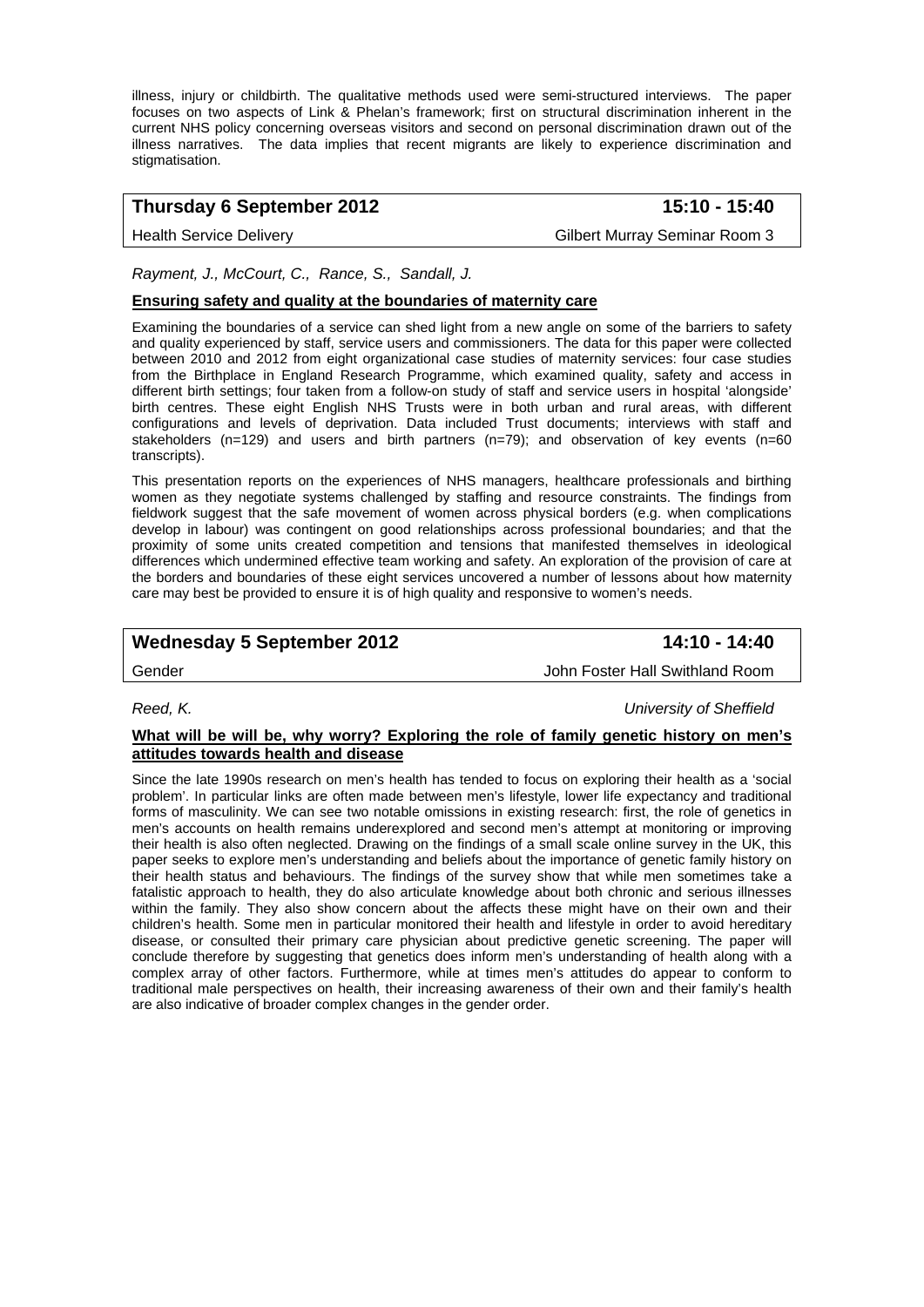illness, injury or childbirth. The qualitative methods used were semi-structured interviews. The paper focuses on two aspects of Link & Phelan's framework; first on structural discrimination inherent in the current NHS policy concerning overseas visitors and second on personal discrimination drawn out of the illness narratives. The data implies that recent migrants are likely to experience discrimination and stigmatisation.

# **Thursday 6 September 2012 15:10 - 15:40**

Health Service Delivery Gilbert Murray Seminar Room 3

#### *Rayment, J., McCourt, C., Rance, S., Sandall, J.*

### **Ensuring safety and quality at the boundaries of maternity care**

Examining the boundaries of a service can shed light from a new angle on some of the barriers to safety and quality experienced by staff, service users and commissioners. The data for this paper were collected between 2010 and 2012 from eight organizational case studies of maternity services: four case studies from the Birthplace in England Research Programme, which examined quality, safety and access in different birth settings; four taken from a follow-on study of staff and service users in hospital 'alongside' birth centres. These eight English NHS Trusts were in both urban and rural areas, with different configurations and levels of deprivation. Data included Trust documents; interviews with staff and stakeholders (n=129) and users and birth partners (n=79); and observation of key events (n=60 transcripts).

This presentation reports on the experiences of NHS managers, healthcare professionals and birthing women as they negotiate systems challenged by staffing and resource constraints. The findings from fieldwork suggest that the safe movement of women across physical borders (e.g. when complications develop in labour) was contingent on good relationships across professional boundaries; and that the proximity of some units created competition and tensions that manifested themselves in ideological differences which undermined effective team working and safety. An exploration of the provision of care at the borders and boundaries of these eight services uncovered a number of lessons about how maternity care may best be provided to ensure it is of high quality and responsive to women's needs.

# Wednesday 5 September 2012 **14:10 - 14:40**

Gender John Foster Hall Swithland Room

*Reed, K. University of Sheffield* 

#### **What will be will be, why worry? Exploring the role of family genetic history on men's attitudes towards health and disease**

Since the late 1990s research on men's health has tended to focus on exploring their health as a 'social problem'. In particular links are often made between men's lifestyle, lower life expectancy and traditional forms of masculinity. We can see two notable omissions in existing research: first, the role of genetics in men's accounts on health remains underexplored and second men's attempt at monitoring or improving their health is also often neglected. Drawing on the findings of a small scale online survey in the UK, this paper seeks to explore men's understanding and beliefs about the importance of genetic family history on their health status and behaviours. The findings of the survey show that while men sometimes take a fatalistic approach to health, they do also articulate knowledge about both chronic and serious illnesses within the family. They also show concern about the affects these might have on their own and their children's health. Some men in particular monitored their health and lifestyle in order to avoid hereditary disease, or consulted their primary care physician about predictive genetic screening. The paper will conclude therefore by suggesting that genetics does inform men's understanding of health along with a complex array of other factors. Furthermore, while at times men's attitudes do appear to conform to traditional male perspectives on health, their increasing awareness of their own and their family's health are also indicative of broader complex changes in the gender order.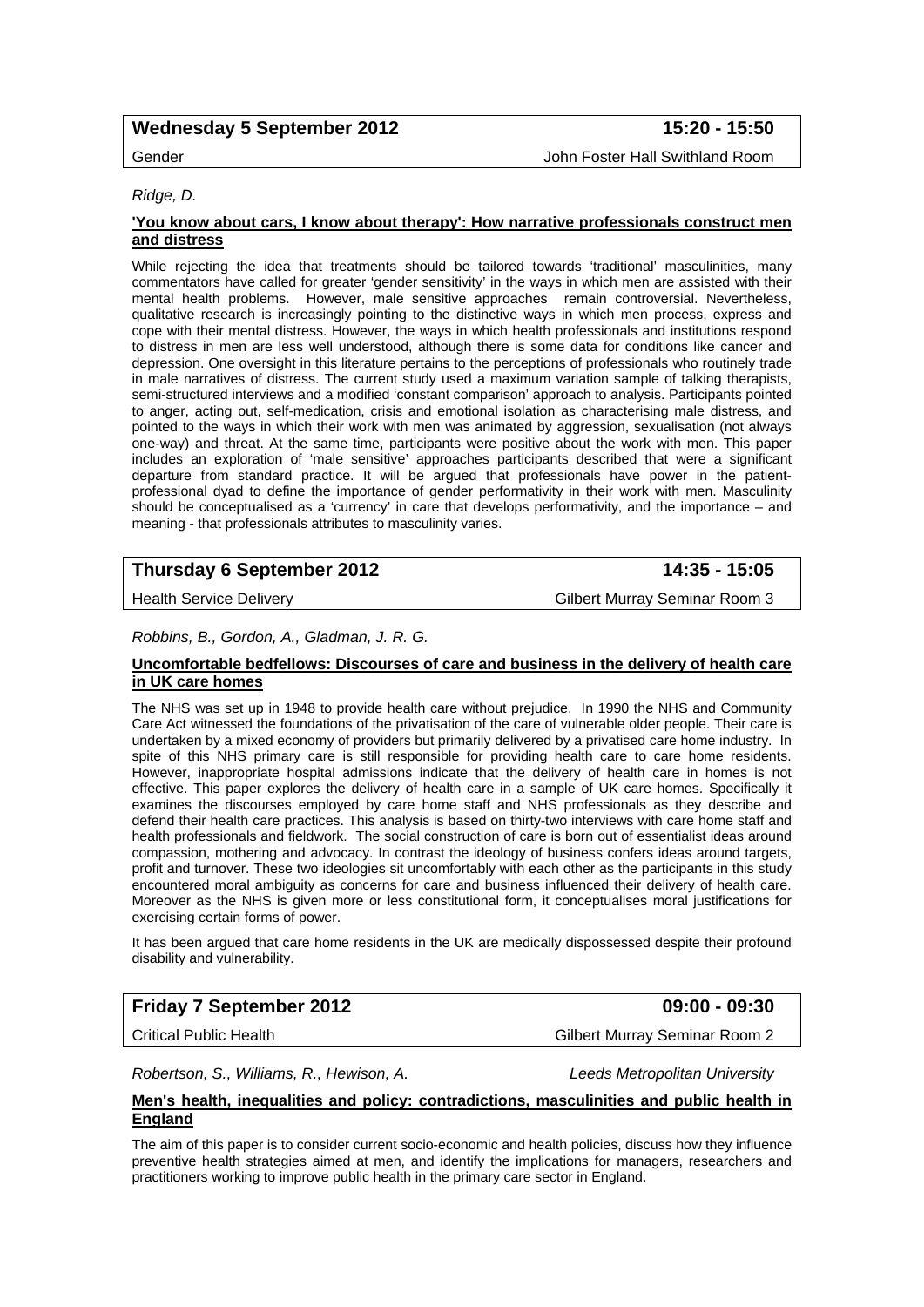# Wednesday 5 September 2012 **15:20 - 15:50**

# Gender John Foster Hall Swithland Room

#### *Ridge, D.*

#### **'You know about cars, I know about therapy': How narrative professionals construct men and distress**

While rejecting the idea that treatments should be tailored towards 'traditional' masculinities, many commentators have called for greater 'gender sensitivity' in the ways in which men are assisted with their mental health problems. However, male sensitive approaches remain controversial. Nevertheless, qualitative research is increasingly pointing to the distinctive ways in which men process, express and cope with their mental distress. However, the ways in which health professionals and institutions respond to distress in men are less well understood, although there is some data for conditions like cancer and depression. One oversight in this literature pertains to the perceptions of professionals who routinely trade in male narratives of distress. The current study used a maximum variation sample of talking therapists, semi-structured interviews and a modified 'constant comparison' approach to analysis. Participants pointed to anger, acting out, self-medication, crisis and emotional isolation as characterising male distress, and pointed to the ways in which their work with men was animated by aggression, sexualisation (not always one-way) and threat. At the same time, participants were positive about the work with men. This paper includes an exploration of 'male sensitive' approaches participants described that were a significant departure from standard practice. It will be argued that professionals have power in the patientprofessional dyad to define the importance of gender performativity in their work with men. Masculinity should be conceptualised as a 'currency' in care that develops performativity, and the importance – and meaning - that professionals attributes to masculinity varies.

# **Thursday 6 September 2012 14:35 - 15:05**

Health Service Delivery **Gilbert Murray Seminar Room 3** 

#### *Robbins, B., Gordon, A., Gladman, J. R. G.*

#### **Uncomfortable bedfellows: Discourses of care and business in the delivery of health care in UK care homes**

The NHS was set up in 1948 to provide health care without prejudice. In 1990 the NHS and Community Care Act witnessed the foundations of the privatisation of the care of vulnerable older people. Their care is undertaken by a mixed economy of providers but primarily delivered by a privatised care home industry. In spite of this NHS primary care is still responsible for providing health care to care home residents. However, inappropriate hospital admissions indicate that the delivery of health care in homes is not effective. This paper explores the delivery of health care in a sample of UK care homes. Specifically it examines the discourses employed by care home staff and NHS professionals as they describe and defend their health care practices. This analysis is based on thirty-two interviews with care home staff and health professionals and fieldwork. The social construction of care is born out of essentialist ideas around compassion, mothering and advocacy. In contrast the ideology of business confers ideas around targets, profit and turnover. These two ideologies sit uncomfortably with each other as the participants in this study encountered moral ambiguity as concerns for care and business influenced their delivery of health care. Moreover as the NHS is given more or less constitutional form, it conceptualises moral justifications for exercising certain forms of power.

It has been argued that care home residents in the UK are medically dispossessed despite their profound disability and vulnerability.

# **Friday 7 September 2012 09:00 - 09:30**

Critical Public Health Gilbert Murray Seminar Room 2

*Robertson, S., Williams, R., Hewison, A. Leeds Metropolitan University* 

#### **Men's health, inequalities and policy: contradictions, masculinities and public health in England**

The aim of this paper is to consider current socio-economic and health policies, discuss how they influence preventive health strategies aimed at men, and identify the implications for managers, researchers and practitioners working to improve public health in the primary care sector in England.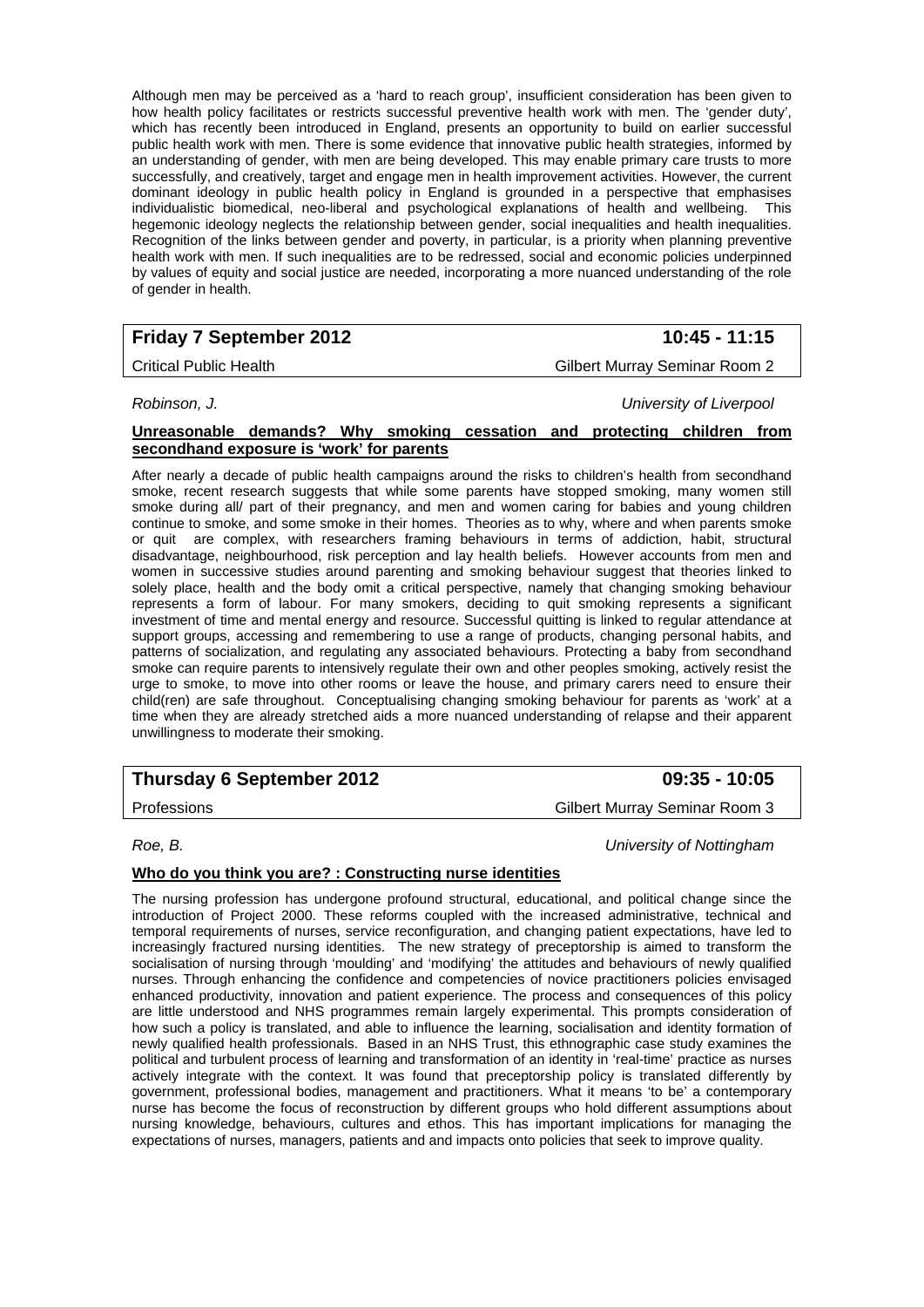Although men may be perceived as a 'hard to reach group', insufficient consideration has been given to how health policy facilitates or restricts successful preventive health work with men. The 'gender duty', which has recently been introduced in England, presents an opportunity to build on earlier successful public health work with men. There is some evidence that innovative public health strategies, informed by an understanding of gender, with men are being developed. This may enable primary care trusts to more successfully, and creatively, target and engage men in health improvement activities. However, the current dominant ideology in public health policy in England is grounded in a perspective that emphasises individualistic biomedical, neo-liberal and psychological explanations of health and wellbeing. This hegemonic ideology neglects the relationship between gender, social inequalities and health inequalities. Recognition of the links between gender and poverty, in particular, is a priority when planning preventive health work with men. If such inequalities are to be redressed, social and economic policies underpinned by values of equity and social justice are needed, incorporating a more nuanced understanding of the role of gender in health.

# **Friday 7 September 2012 10:45 - 11:15**

## Critical Public Health Gilbert Murray Seminar Room 2

*Robinson, J. University of Liverpool* 

#### **Unreasonable demands? Why smoking cessation and protecting children from secondhand exposure is 'work' for parents**

After nearly a decade of public health campaigns around the risks to children's health from secondhand smoke, recent research suggests that while some parents have stopped smoking, many women still smoke during all/ part of their pregnancy, and men and women caring for babies and young children continue to smoke, and some smoke in their homes. Theories as to why, where and when parents smoke or quit are complex, with researchers framing behaviours in terms of addiction, habit, structural disadvantage, neighbourhood, risk perception and lay health beliefs. However accounts from men and women in successive studies around parenting and smoking behaviour suggest that theories linked to solely place, health and the body omit a critical perspective, namely that changing smoking behaviour represents a form of labour. For many smokers, deciding to quit smoking represents a significant investment of time and mental energy and resource. Successful quitting is linked to regular attendance at support groups, accessing and remembering to use a range of products, changing personal habits, and patterns of socialization, and regulating any associated behaviours. Protecting a baby from secondhand smoke can require parents to intensively regulate their own and other peoples smoking, actively resist the urge to smoke, to move into other rooms or leave the house, and primary carers need to ensure their child(ren) are safe throughout. Conceptualising changing smoking behaviour for parents as 'work' at a time when they are already stretched aids a more nuanced understanding of relapse and their apparent unwillingness to moderate their smoking.

# **Thursday 6 September 2012 09:35 - 10:05**

*Roe, B. University of Nottingham* 

### **Who do you think you are? : Constructing nurse identities**

The nursing profession has undergone profound structural, educational, and political change since the introduction of Project 2000. These reforms coupled with the increased administrative, technical and temporal requirements of nurses, service reconfiguration, and changing patient expectations, have led to increasingly fractured nursing identities. The new strategy of preceptorship is aimed to transform the socialisation of nursing through 'moulding' and 'modifying' the attitudes and behaviours of newly qualified nurses. Through enhancing the confidence and competencies of novice practitioners policies envisaged enhanced productivity, innovation and patient experience. The process and consequences of this policy are little understood and NHS programmes remain largely experimental. This prompts consideration of how such a policy is translated, and able to influence the learning, socialisation and identity formation of newly qualified health professionals. Based in an NHS Trust, this ethnographic case study examines the political and turbulent process of learning and transformation of an identity in 'real-time' practice as nurses actively integrate with the context. It was found that preceptorship policy is translated differently by government, professional bodies, management and practitioners. What it means 'to be' a contemporary nurse has become the focus of reconstruction by different groups who hold different assumptions about nursing knowledge, behaviours, cultures and ethos. This has important implications for managing the expectations of nurses, managers, patients and and impacts onto policies that seek to improve quality.

Professions Gilbert Murray Seminar Room 3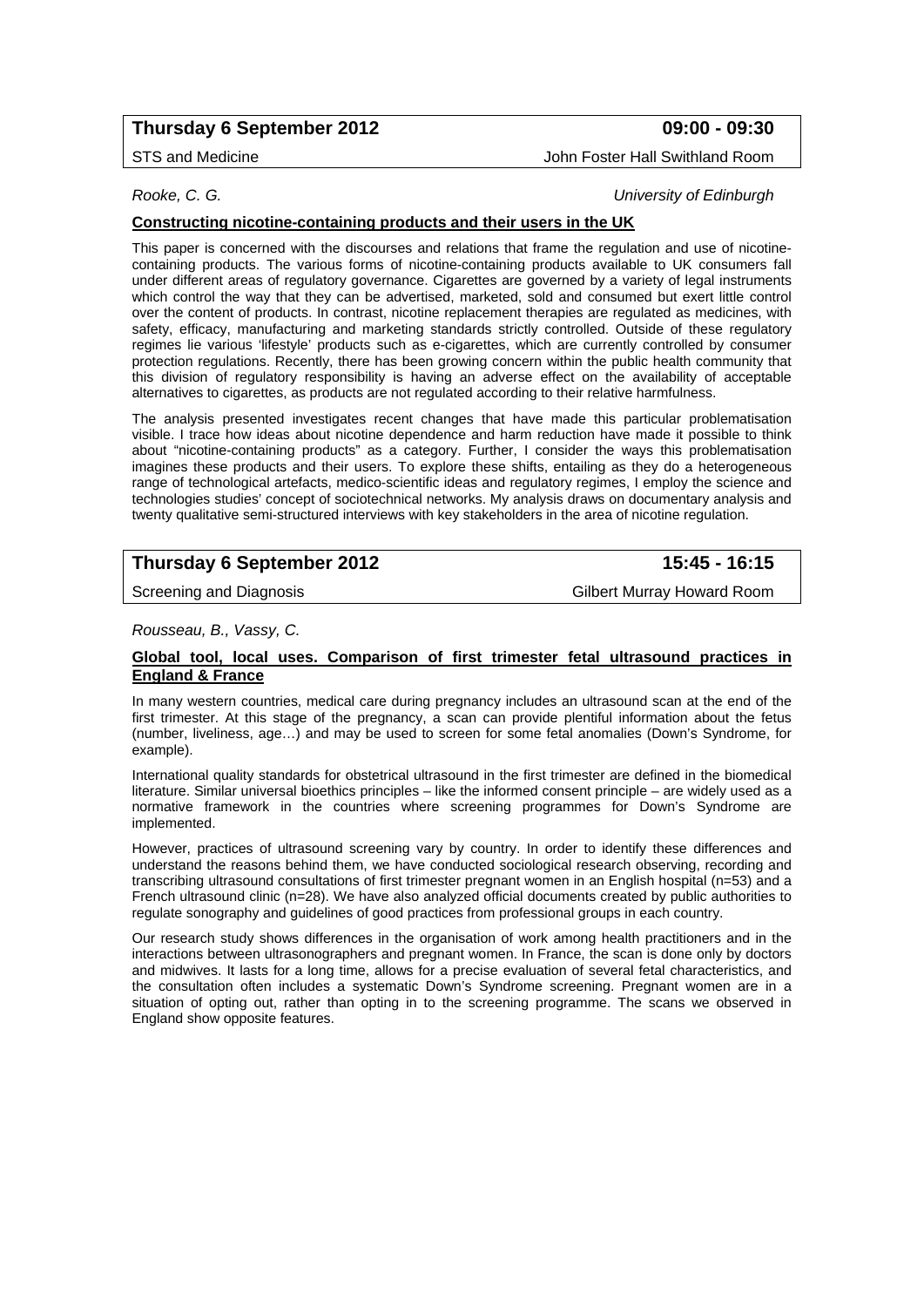# **Thursday 6 September 2012 09:00 - 09:30**

STS and Medicine **John Foster Hall Swithland Room** 

*Rooke, C. G. University of Edinburgh* 

## **Constructing nicotine-containing products and their users in the UK**

This paper is concerned with the discourses and relations that frame the regulation and use of nicotinecontaining products. The various forms of nicotine-containing products available to UK consumers fall under different areas of regulatory governance. Cigarettes are governed by a variety of legal instruments which control the way that they can be advertised, marketed, sold and consumed but exert little control over the content of products. In contrast, nicotine replacement therapies are regulated as medicines, with safety, efficacy, manufacturing and marketing standards strictly controlled. Outside of these regulatory regimes lie various 'lifestyle' products such as e-cigarettes, which are currently controlled by consumer protection regulations. Recently, there has been growing concern within the public health community that this division of regulatory responsibility is having an adverse effect on the availability of acceptable alternatives to cigarettes, as products are not regulated according to their relative harmfulness.

The analysis presented investigates recent changes that have made this particular problematisation visible. I trace how ideas about nicotine dependence and harm reduction have made it possible to think about "nicotine-containing products" as a category. Further, I consider the ways this problematisation imagines these products and their users. To explore these shifts, entailing as they do a heterogeneous range of technological artefacts, medico-scientific ideas and regulatory regimes, I employ the science and technologies studies' concept of sociotechnical networks. My analysis draws on documentary analysis and twenty qualitative semi-structured interviews with key stakeholders in the area of nicotine regulation.

# **Thursday 6 September 2012 15:45 - 16:15**

Screening and Diagnosis **Gilbert Murray Howard Room** 

*Rousseau, B., Vassy, C.* 

#### **Global tool, local uses. Comparison of first trimester fetal ultrasound practices in England & France**

In many western countries, medical care during pregnancy includes an ultrasound scan at the end of the first trimester. At this stage of the pregnancy, a scan can provide plentiful information about the fetus (number, liveliness, age…) and may be used to screen for some fetal anomalies (Down's Syndrome, for example).

International quality standards for obstetrical ultrasound in the first trimester are defined in the biomedical literature. Similar universal bioethics principles – like the informed consent principle – are widely used as a normative framework in the countries where screening programmes for Down's Syndrome are implemented.

However, practices of ultrasound screening vary by country. In order to identify these differences and understand the reasons behind them, we have conducted sociological research observing, recording and transcribing ultrasound consultations of first trimester pregnant women in an English hospital (n=53) and a French ultrasound clinic (n=28). We have also analyzed official documents created by public authorities to regulate sonography and guidelines of good practices from professional groups in each country.

Our research study shows differences in the organisation of work among health practitioners and in the interactions between ultrasonographers and pregnant women. In France, the scan is done only by doctors and midwives. It lasts for a long time, allows for a precise evaluation of several fetal characteristics, and the consultation often includes a systematic Down's Syndrome screening. Pregnant women are in a situation of opting out, rather than opting in to the screening programme. The scans we observed in England show opposite features.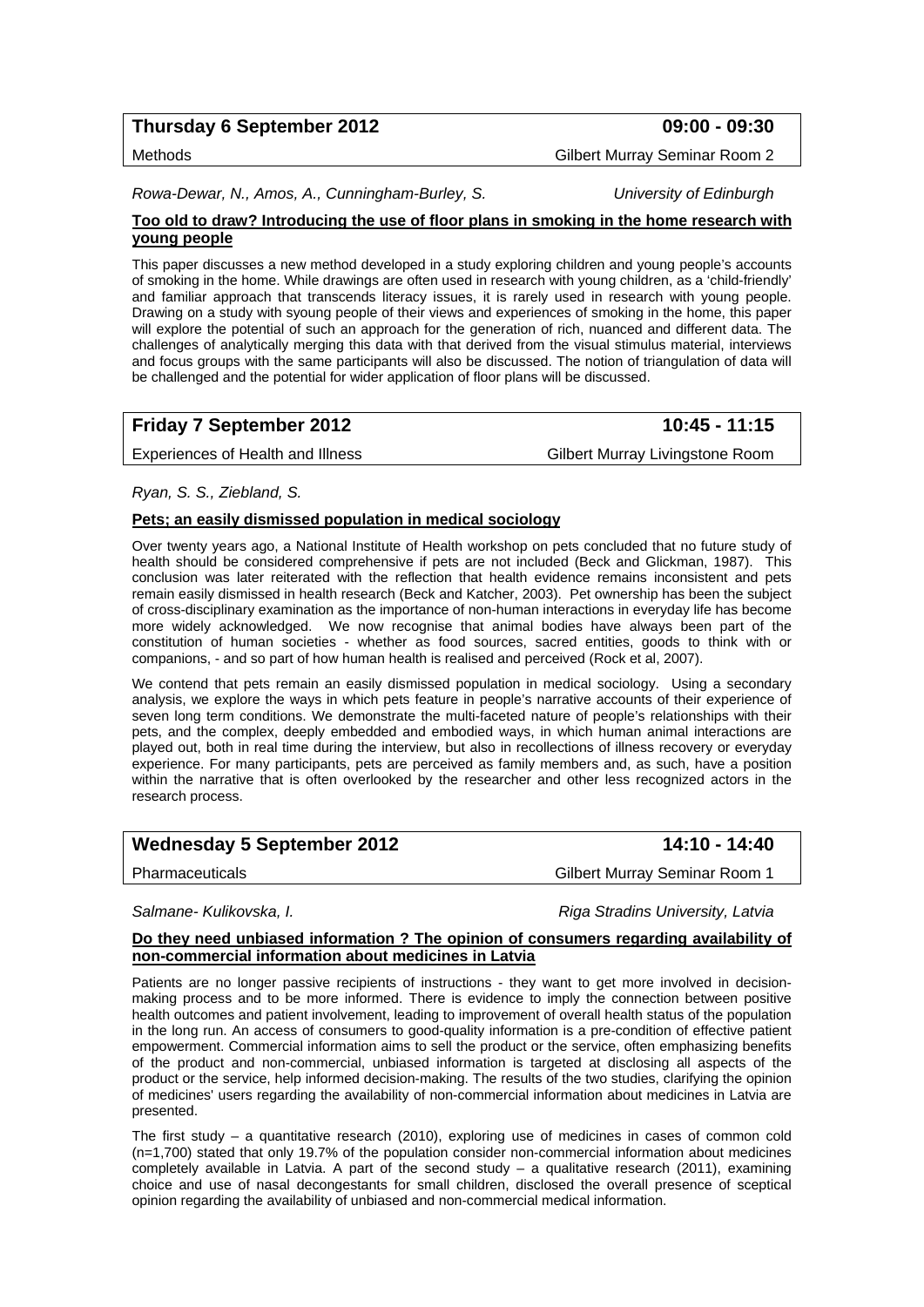# **Thursday 6 September 2012 09:00 - 09:30**

#### Methods Gilbert Murray Seminar Room 2

*Rowa-Dewar, N., Amos, A., Cunningham-Burley, S. University of Edinburgh* 

#### **Too old to draw? Introducing the use of floor plans in smoking in the home research with young people**

This paper discusses a new method developed in a study exploring children and young people's accounts of smoking in the home. While drawings are often used in research with young children, as a 'child-friendly' and familiar approach that transcends literacy issues, it is rarely used in research with young people. Drawing on a study with syoung people of their views and experiences of smoking in the home, this paper will explore the potential of such an approach for the generation of rich, nuanced and different data. The challenges of analytically merging this data with that derived from the visual stimulus material, interviews and focus groups with the same participants will also be discussed. The notion of triangulation of data will be challenged and the potential for wider application of floor plans will be discussed.

# **Friday 7 September 2012** 10:45 - 11:15

Experiences of Health and Illness Gilbert Murray Livingstone Room

*Ryan, S. S., Ziebland, S.* 

#### **Pets; an easily dismissed population in medical sociology**

Over twenty years ago, a National Institute of Health workshop on pets concluded that no future study of health should be considered comprehensive if pets are not included (Beck and Glickman, 1987). This conclusion was later reiterated with the reflection that health evidence remains inconsistent and pets remain easily dismissed in health research (Beck and Katcher, 2003). Pet ownership has been the subject of cross-disciplinary examination as the importance of non-human interactions in everyday life has become more widely acknowledged. We now recognise that animal bodies have always been part of the constitution of human societies - whether as food sources, sacred entities, goods to think with or companions, - and so part of how human health is realised and perceived (Rock et al, 2007).

We contend that pets remain an easily dismissed population in medical sociology. Using a secondary analysis, we explore the ways in which pets feature in people's narrative accounts of their experience of seven long term conditions. We demonstrate the multi-faceted nature of people's relationships with their pets, and the complex, deeply embedded and embodied ways, in which human animal interactions are played out, both in real time during the interview, but also in recollections of illness recovery or everyday experience. For many participants, pets are perceived as family members and, as such, have a position within the narrative that is often overlooked by the researcher and other less recognized actors in the research process.

| <b>Wednesday 5 September 2012</b> |  |  |  |
|-----------------------------------|--|--|--|
|-----------------------------------|--|--|--|

#### Pharmaceuticals Gilbert Murray Seminar Room 1

*Salmane- Kulikovska, I. Riga Stradins University, Latvia* 

#### **Do they need unbiased information ? The opinion of consumers regarding availability of non-commercial information about medicines in Latvia**

Patients are no longer passive recipients of instructions - they want to get more involved in decisionmaking process and to be more informed. There is evidence to imply the connection between positive health outcomes and patient involvement, leading to improvement of overall health status of the population in the long run. An access of consumers to good-quality information is a pre-condition of effective patient empowerment. Commercial information aims to sell the product or the service, often emphasizing benefits of the product and non-commercial, unbiased information is targeted at disclosing all aspects of the product or the service, help informed decision-making. The results of the two studies, clarifying the opinion of medicines' users regarding the availability of non-commercial information about medicines in Latvia are presented.

The first study – a quantitative research (2010), exploring use of medicines in cases of common cold (n=1,700) stated that only 19.7% of the population consider non-commercial information about medicines completely available in Latvia. A part of the second study – a qualitative research (2011), examining choice and use of nasal decongestants for small children, disclosed the overall presence of sceptical opinion regarding the availability of unbiased and non-commercial medical information.

**Wednesday 5 September 2012 14:10 - 14:40**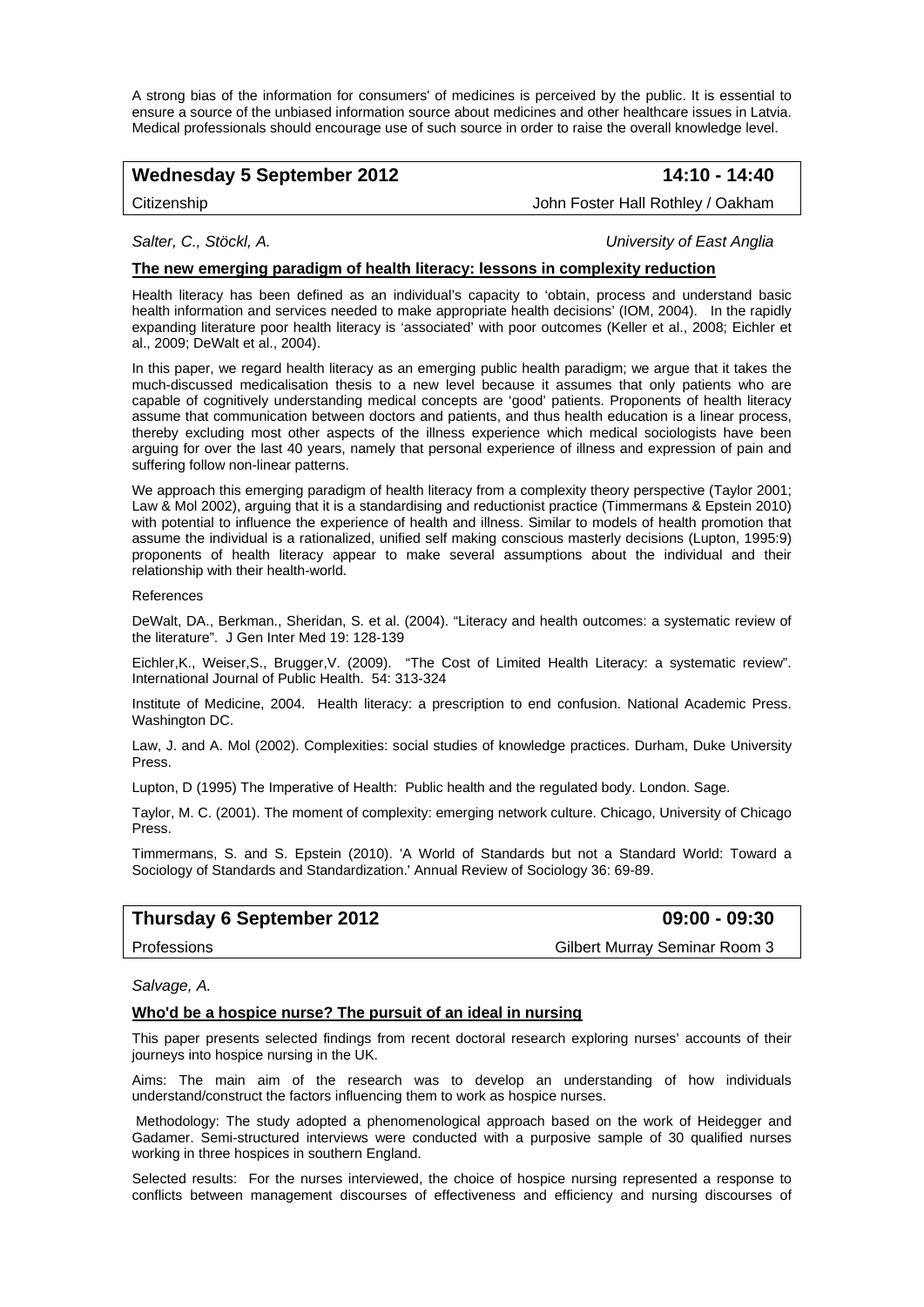A strong bias of the information for consumers' of medicines is perceived by the public. It is essential to ensure a source of the unbiased information source about medicines and other healthcare issues in Latvia. Medical professionals should encourage use of such source in order to raise the overall knowledge level.

# Wednesday 5 September 2012 **14:10 - 14:40**

Citizenship John Foster Hall Rothley / Oakham

*Salter, C., Stöckl, A. University of East Anglia* 

#### **The new emerging paradigm of health literacy: lessons in complexity reduction**

Health literacy has been defined as an individual's capacity to 'obtain, process and understand basic health information and services needed to make appropriate health decisions' (IOM, 2004). In the rapidly expanding literature poor health literacy is 'associated' with poor outcomes (Keller et al., 2008; Eichler et al., 2009; DeWalt et al., 2004).

In this paper, we regard health literacy as an emerging public health paradigm; we argue that it takes the much-discussed medicalisation thesis to a new level because it assumes that only patients who are capable of cognitively understanding medical concepts are 'good' patients. Proponents of health literacy assume that communication between doctors and patients, and thus health education is a linear process, thereby excluding most other aspects of the illness experience which medical sociologists have been arguing for over the last 40 years, namely that personal experience of illness and expression of pain and suffering follow non-linear patterns.

We approach this emerging paradigm of health literacy from a complexity theory perspective (Taylor 2001; Law & Mol 2002), arguing that it is a standardising and reductionist practice (Timmermans & Epstein 2010) with potential to influence the experience of health and illness. Similar to models of health promotion that assume the individual is a rationalized, unified self making conscious masterly decisions (Lupton, 1995:9) proponents of health literacy appear to make several assumptions about the individual and their relationship with their health-world.

#### References

DeWalt, DA., Berkman., Sheridan, S. et al. (2004). "Literacy and health outcomes: a systematic review of the literature". J Gen Inter Med 19: 128-139

Eichler,K., Weiser,S., Brugger,V. (2009). "The Cost of Limited Health Literacy: a systematic review". International Journal of Public Health. 54: 313-324

Institute of Medicine, 2004. Health literacy: a prescription to end confusion. National Academic Press. Washington DC.

Law, J. and A. Mol (2002). Complexities: social studies of knowledge practices. Durham, Duke University Press.

Lupton, D (1995) The Imperative of Health: Public health and the regulated body. London. Sage.

Taylor, M. C. (2001). The moment of complexity: emerging network culture. Chicago, University of Chicago Press.

Timmermans, S. and S. Epstein (2010). 'A World of Standards but not a Standard World: Toward a Sociology of Standards and Standardization.' Annual Review of Sociology 36: 69-89.

## **Thursday 6 September 2012 09:00 - 09:30**

Professions Gilbert Murray Seminar Room 3

#### *Salvage, A.*

#### **Who'd be a hospice nurse? The pursuit of an ideal in nursing**

This paper presents selected findings from recent doctoral research exploring nurses' accounts of their journeys into hospice nursing in the UK.

Aims: The main aim of the research was to develop an understanding of how individuals understand/construct the factors influencing them to work as hospice nurses.

 Methodology: The study adopted a phenomenological approach based on the work of Heidegger and Gadamer. Semi-structured interviews were conducted with a purposive sample of 30 qualified nurses working in three hospices in southern England.

Selected results: For the nurses interviewed, the choice of hospice nursing represented a response to conflicts between management discourses of effectiveness and efficiency and nursing discourses of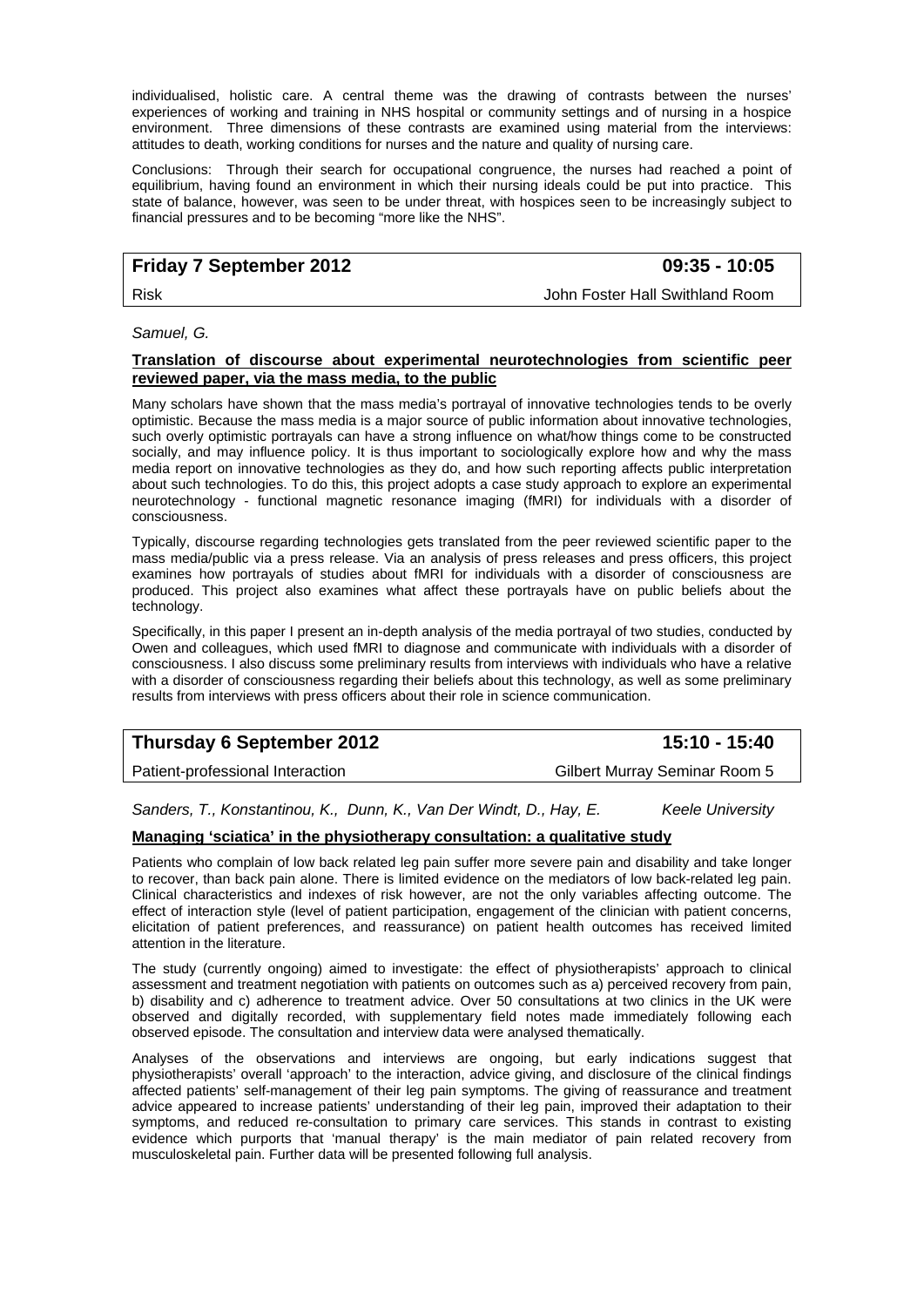individualised, holistic care. A central theme was the drawing of contrasts between the nurses' experiences of working and training in NHS hospital or community settings and of nursing in a hospice environment. Three dimensions of these contrasts are examined using material from the interviews: attitudes to death, working conditions for nurses and the nature and quality of nursing care.

Conclusions: Through their search for occupational congruence, the nurses had reached a point of equilibrium, having found an environment in which their nursing ideals could be put into practice. This state of balance, however, was seen to be under threat, with hospices seen to be increasingly subject to financial pressures and to be becoming "more like the NHS".

# **Friday 7 September 2012 09:35 - 10:05**

Risk John Foster Hall Swithland Room

*Samuel, G.* 

#### **Translation of discourse about experimental neurotechnologies from scientific peer reviewed paper, via the mass media, to the public**

Many scholars have shown that the mass media's portrayal of innovative technologies tends to be overly optimistic. Because the mass media is a major source of public information about innovative technologies, such overly optimistic portrayals can have a strong influence on what/how things come to be constructed socially, and may influence policy. It is thus important to sociologically explore how and why the mass media report on innovative technologies as they do, and how such reporting affects public interpretation about such technologies. To do this, this project adopts a case study approach to explore an experimental neurotechnology - functional magnetic resonance imaging (fMRI) for individuals with a disorder of consciousness.

Typically, discourse regarding technologies gets translated from the peer reviewed scientific paper to the mass media/public via a press release. Via an analysis of press releases and press officers, this project examines how portrayals of studies about fMRI for individuals with a disorder of consciousness are produced. This project also examines what affect these portrayals have on public beliefs about the technology.

Specifically, in this paper I present an in-depth analysis of the media portrayal of two studies, conducted by Owen and colleagues, which used fMRI to diagnose and communicate with individuals with a disorder of consciousness. I also discuss some preliminary results from interviews with individuals who have a relative with a disorder of consciousness regarding their beliefs about this technology, as well as some preliminary results from interviews with press officers about their role in science communication.

# **Thursday 6 September 2012** 15:10 - 15:40

Patient-professional Interaction Gilbert Murray Seminar Room 5

*Sanders, T., Konstantinou, K., Dunn, K., Van Der Windt, D., Hay, E. Keele University* 

#### **Managing 'sciatica' in the physiotherapy consultation: a qualitative study**

Patients who complain of low back related leg pain suffer more severe pain and disability and take longer to recover, than back pain alone. There is limited evidence on the mediators of low back-related leg pain. Clinical characteristics and indexes of risk however, are not the only variables affecting outcome. The effect of interaction style (level of patient participation, engagement of the clinician with patient concerns, elicitation of patient preferences, and reassurance) on patient health outcomes has received limited attention in the literature.

The study (currently ongoing) aimed to investigate: the effect of physiotherapists' approach to clinical assessment and treatment negotiation with patients on outcomes such as a) perceived recovery from pain, b) disability and c) adherence to treatment advice. Over 50 consultations at two clinics in the UK were observed and digitally recorded, with supplementary field notes made immediately following each observed episode. The consultation and interview data were analysed thematically.

Analyses of the observations and interviews are ongoing, but early indications suggest that physiotherapists' overall 'approach' to the interaction, advice giving, and disclosure of the clinical findings affected patients' self-management of their leg pain symptoms. The giving of reassurance and treatment advice appeared to increase patients' understanding of their leg pain, improved their adaptation to their symptoms, and reduced re-consultation to primary care services. This stands in contrast to existing evidence which purports that 'manual therapy' is the main mediator of pain related recovery from musculoskeletal pain. Further data will be presented following full analysis.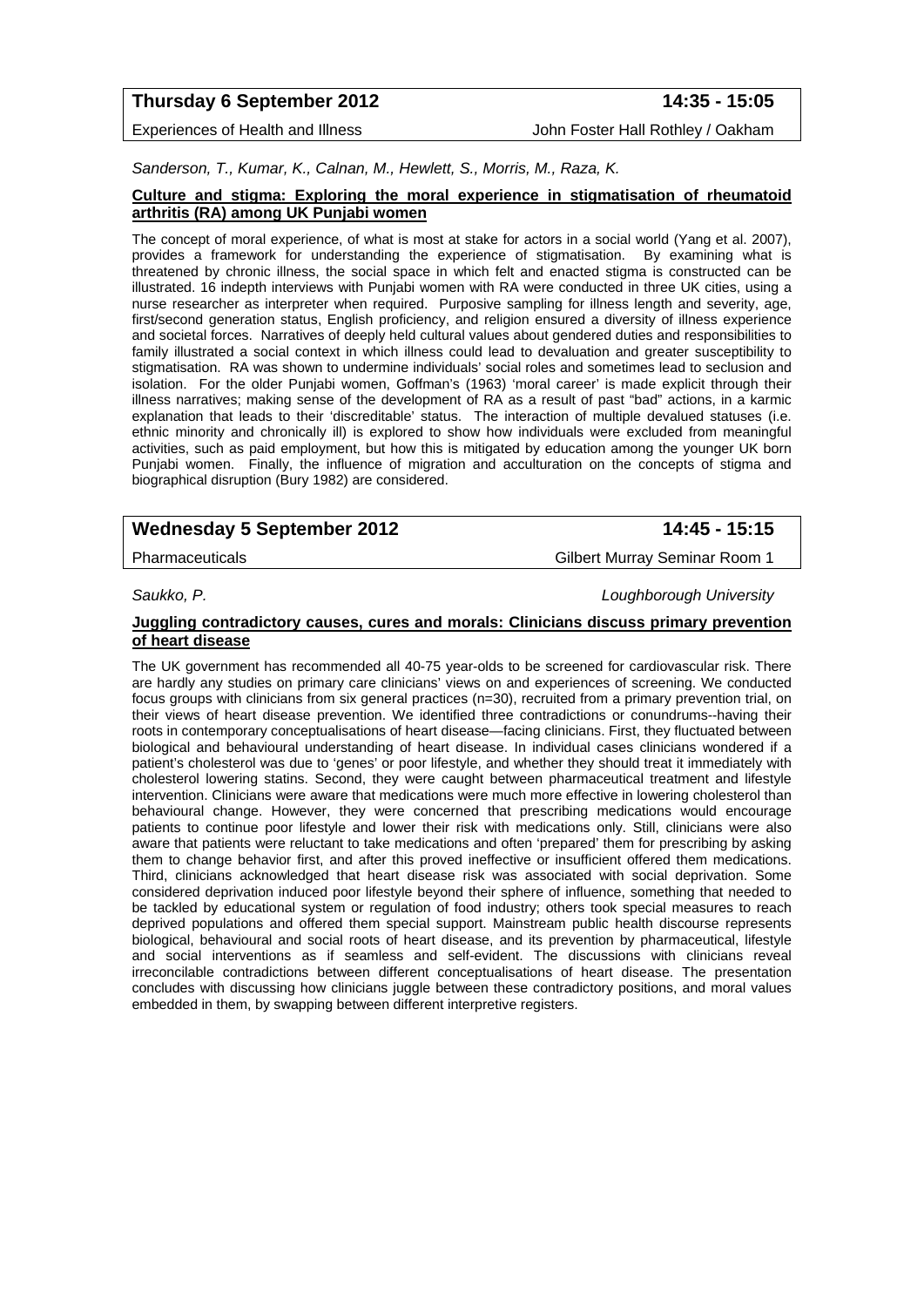# **Thursday 6 September 2012 14:35 - 15:05**

Experiences of Health and Illness **John Foster Hall Rothley / Oakham** 

*Sanderson, T., Kumar, K., Calnan, M., Hewlett, S., Morris, M., Raza, K.* 

#### **Culture and stigma: Exploring the moral experience in stigmatisation of rheumatoid arthritis (RA) among UK Punjabi women**

The concept of moral experience, of what is most at stake for actors in a social world (Yang et al. 2007), provides a framework for understanding the experience of stigmatisation. By examining what is threatened by chronic illness, the social space in which felt and enacted stigma is constructed can be illustrated. 16 indepth interviews with Punjabi women with RA were conducted in three UK cities, using a nurse researcher as interpreter when required. Purposive sampling for illness length and severity, age, first/second generation status, English proficiency, and religion ensured a diversity of illness experience and societal forces. Narratives of deeply held cultural values about gendered duties and responsibilities to family illustrated a social context in which illness could lead to devaluation and greater susceptibility to stigmatisation. RA was shown to undermine individuals' social roles and sometimes lead to seclusion and isolation. For the older Punjabi women, Goffman's (1963) 'moral career' is made explicit through their illness narratives; making sense of the development of RA as a result of past "bad" actions, in a karmic explanation that leads to their 'discreditable' status. The interaction of multiple devalued statuses (i.e. ethnic minority and chronically ill) is explored to show how individuals were excluded from meaningful activities, such as paid employment, but how this is mitigated by education among the younger UK born Punjabi women. Finally, the influence of migration and acculturation on the concepts of stigma and biographical disruption (Bury 1982) are considered.

# Wednesday 5 September 2012 **14:45 - 15:15**

Pharmaceuticals Gilbert Murray Seminar Room 1

*Saukko, P. Loughborough University* 

#### **Juggling contradictory causes, cures and morals: Clinicians discuss primary prevention of heart disease**

The UK government has recommended all 40-75 year-olds to be screened for cardiovascular risk. There are hardly any studies on primary care clinicians' views on and experiences of screening. We conducted focus groups with clinicians from six general practices (n=30), recruited from a primary prevention trial, on their views of heart disease prevention. We identified three contradictions or conundrums--having their roots in contemporary conceptualisations of heart disease—facing clinicians. First, they fluctuated between biological and behavioural understanding of heart disease. In individual cases clinicians wondered if a patient's cholesterol was due to 'genes' or poor lifestyle, and whether they should treat it immediately with cholesterol lowering statins. Second, they were caught between pharmaceutical treatment and lifestyle intervention. Clinicians were aware that medications were much more effective in lowering cholesterol than behavioural change. However, they were concerned that prescribing medications would encourage patients to continue poor lifestyle and lower their risk with medications only. Still, clinicians were also aware that patients were reluctant to take medications and often 'prepared' them for prescribing by asking them to change behavior first, and after this proved ineffective or insufficient offered them medications. Third, clinicians acknowledged that heart disease risk was associated with social deprivation. Some considered deprivation induced poor lifestyle beyond their sphere of influence, something that needed to be tackled by educational system or regulation of food industry; others took special measures to reach deprived populations and offered them special support. Mainstream public health discourse represents biological, behavioural and social roots of heart disease, and its prevention by pharmaceutical, lifestyle and social interventions as if seamless and self-evident. The discussions with clinicians reveal irreconcilable contradictions between different conceptualisations of heart disease. The presentation concludes with discussing how clinicians juggle between these contradictory positions, and moral values embedded in them, by swapping between different interpretive registers.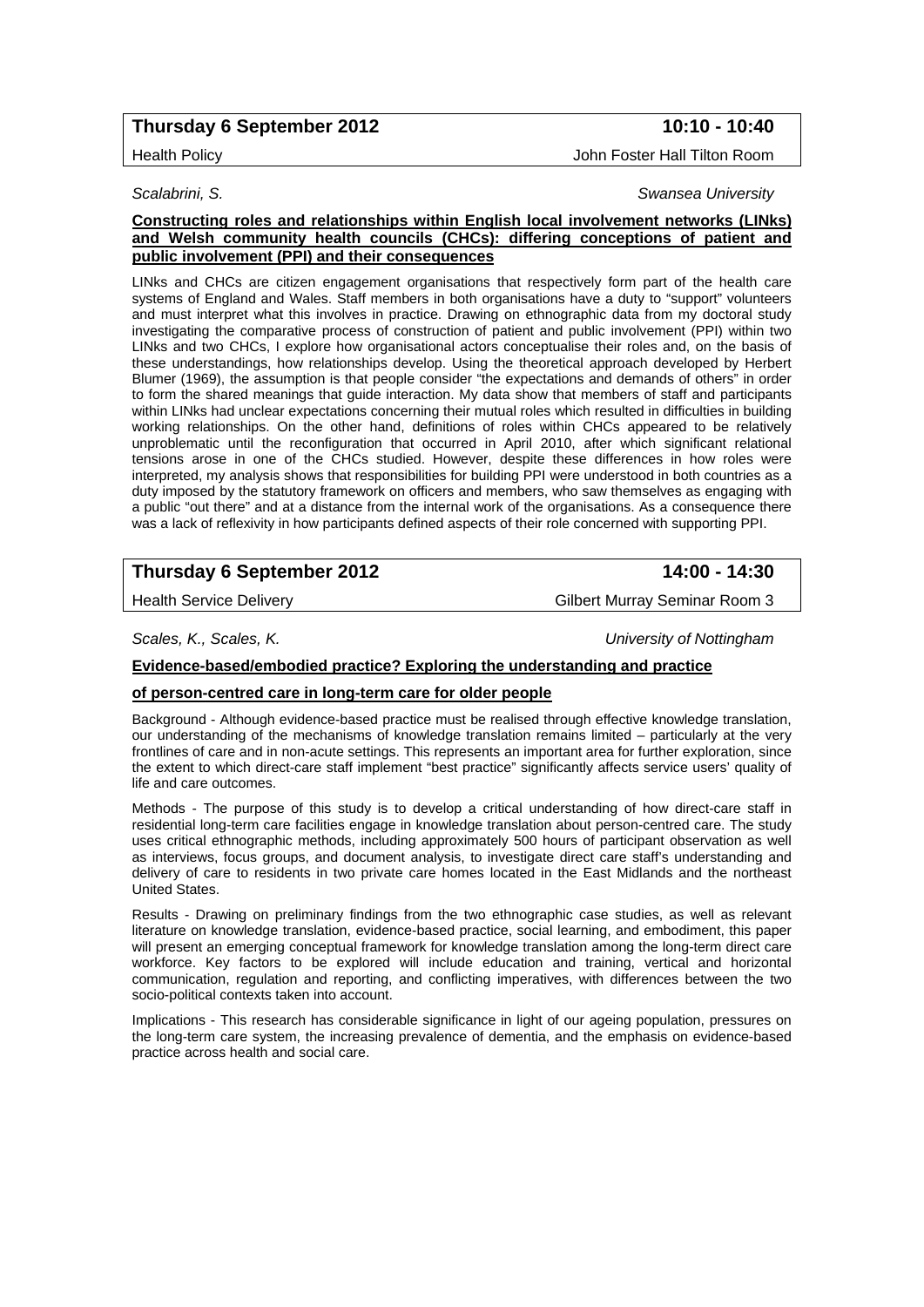# **Thursday 6 September 2012** 10:10 - 10:40

#### Health Policy John Foster Hall Tilton Room

#### *Scalabrini, S. Swansea University*

### **Constructing roles and relationships within English local involvement networks (LINks) and Welsh community health councils (CHCs): differing conceptions of patient and public involvement (PPI) and their consequences**

LINks and CHCs are citizen engagement organisations that respectively form part of the health care systems of England and Wales. Staff members in both organisations have a duty to "support" volunteers and must interpret what this involves in practice. Drawing on ethnographic data from my doctoral study investigating the comparative process of construction of patient and public involvement (PPI) within two LINks and two CHCs, I explore how organisational actors conceptualise their roles and, on the basis of these understandings, how relationships develop. Using the theoretical approach developed by Herbert Blumer (1969), the assumption is that people consider "the expectations and demands of others" in order to form the shared meanings that guide interaction. My data show that members of staff and participants within LINks had unclear expectations concerning their mutual roles which resulted in difficulties in building working relationships. On the other hand, definitions of roles within CHCs appeared to be relatively unproblematic until the reconfiguration that occurred in April 2010, after which significant relational tensions arose in one of the CHCs studied. However, despite these differences in how roles were interpreted, my analysis shows that responsibilities for building PPI were understood in both countries as a duty imposed by the statutory framework on officers and members, who saw themselves as engaging with a public "out there" and at a distance from the internal work of the organisations. As a consequence there was a lack of reflexivity in how participants defined aspects of their role concerned with supporting PPI.

# **Thursday 6 September 2012** 14:00 - 14:30

Health Service Delivery **Gilbert Murray Seminar Room 3** Gilbert Murray Seminar Room 3

*Scales, K., Scales, K. University of Nottingham* 

#### **Evidence-based/embodied practice? Exploring the understanding and practice**

#### **of person-centred care in long-term care for older people**

Background - Although evidence-based practice must be realised through effective knowledge translation, our understanding of the mechanisms of knowledge translation remains limited – particularly at the very frontlines of care and in non-acute settings. This represents an important area for further exploration, since the extent to which direct-care staff implement "best practice" significantly affects service users' quality of life and care outcomes.

Methods - The purpose of this study is to develop a critical understanding of how direct-care staff in residential long-term care facilities engage in knowledge translation about person-centred care. The study uses critical ethnographic methods, including approximately 500 hours of participant observation as well as interviews, focus groups, and document analysis, to investigate direct care staff's understanding and delivery of care to residents in two private care homes located in the East Midlands and the northeast United States.

Results - Drawing on preliminary findings from the two ethnographic case studies, as well as relevant literature on knowledge translation, evidence-based practice, social learning, and embodiment, this paper will present an emerging conceptual framework for knowledge translation among the long-term direct care workforce. Key factors to be explored will include education and training, vertical and horizontal communication, regulation and reporting, and conflicting imperatives, with differences between the two socio-political contexts taken into account.

Implications - This research has considerable significance in light of our ageing population, pressures on the long-term care system, the increasing prevalence of dementia, and the emphasis on evidence-based practice across health and social care.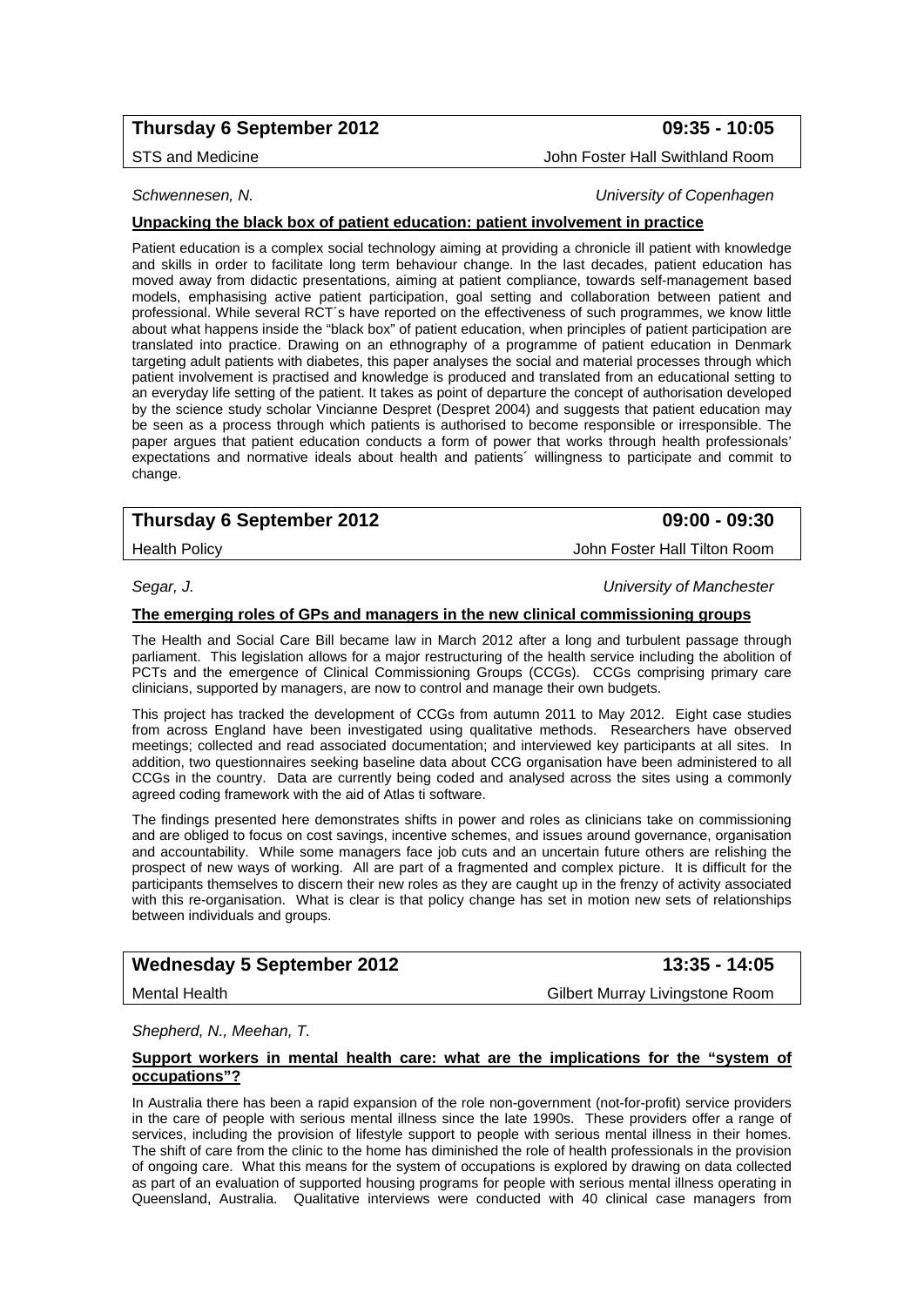# **Thursday 6 September 2012 09:35 - 10:05**

STS and Medicine **John Foster Hall Swithland Room** 

*Schwennesen, N. University of Copenhagen* 

## **Unpacking the black box of patient education: patient involvement in practice**

Patient education is a complex social technology aiming at providing a chronicle ill patient with knowledge and skills in order to facilitate long term behaviour change. In the last decades, patient education has moved away from didactic presentations, aiming at patient compliance, towards self-management based models, emphasising active patient participation, goal setting and collaboration between patient and professional. While several RCT´s have reported on the effectiveness of such programmes, we know little about what happens inside the "black box" of patient education, when principles of patient participation are translated into practice. Drawing on an ethnography of a programme of patient education in Denmark targeting adult patients with diabetes, this paper analyses the social and material processes through which patient involvement is practised and knowledge is produced and translated from an educational setting to an everyday life setting of the patient. It takes as point of departure the concept of authorisation developed by the science study scholar Vincianne Despret (Despret 2004) and suggests that patient education may be seen as a process through which patients is authorised to become responsible or irresponsible. The paper argues that patient education conducts a form of power that works through health professionals' expectations and normative ideals about health and patients´ willingness to participate and commit to change.

# **Thursday 6 September 2012 09:00 - 09:30**

Health Policy John Foster Hall Tilton Room

# *Segar, J. University of Manchester*

#### **The emerging roles of GPs and managers in the new clinical commissioning groups**

The Health and Social Care Bill became law in March 2012 after a long and turbulent passage through parliament. This legislation allows for a major restructuring of the health service including the abolition of PCTs and the emergence of Clinical Commissioning Groups (CCGs). CCGs comprising primary care clinicians, supported by managers, are now to control and manage their own budgets.

This project has tracked the development of CCGs from autumn 2011 to May 2012. Eight case studies from across England have been investigated using qualitative methods. Researchers have observed meetings; collected and read associated documentation; and interviewed key participants at all sites. In addition, two questionnaires seeking baseline data about CCG organisation have been administered to all CCGs in the country. Data are currently being coded and analysed across the sites using a commonly agreed coding framework with the aid of Atlas ti software.

The findings presented here demonstrates shifts in power and roles as clinicians take on commissioning and are obliged to focus on cost savings, incentive schemes, and issues around governance, organisation and accountability. While some managers face job cuts and an uncertain future others are relishing the prospect of new ways of working. All are part of a fragmented and complex picture. It is difficult for the participants themselves to discern their new roles as they are caught up in the frenzy of activity associated with this re-organisation. What is clear is that policy change has set in motion new sets of relationships between individuals and groups.

# Wednesday 5 September 2012 **13:35 - 14:05**

Mental Health Gilbert Murray Livingstone Room

*Shepherd, N., Meehan, T.* 

#### **Support workers in mental health care: what are the implications for the "system of occupations"?**

In Australia there has been a rapid expansion of the role non-government (not-for-profit) service providers in the care of people with serious mental illness since the late 1990s. These providers offer a range of services, including the provision of lifestyle support to people with serious mental illness in their homes. The shift of care from the clinic to the home has diminished the role of health professionals in the provision of ongoing care. What this means for the system of occupations is explored by drawing on data collected as part of an evaluation of supported housing programs for people with serious mental illness operating in Queensland, Australia. Qualitative interviews were conducted with 40 clinical case managers from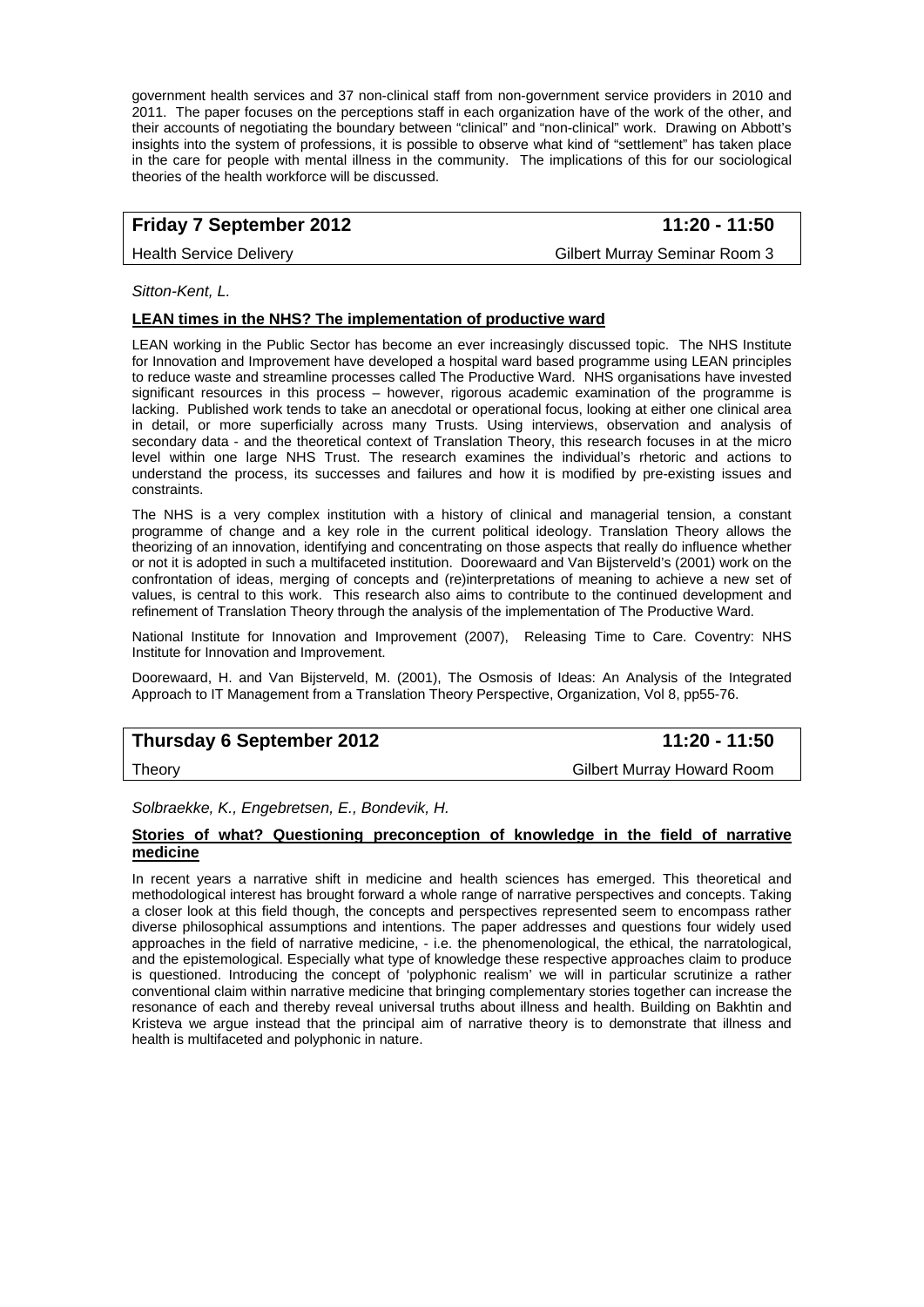government health services and 37 non-clinical staff from non-government service providers in 2010 and 2011. The paper focuses on the perceptions staff in each organization have of the work of the other, and their accounts of negotiating the boundary between "clinical" and "non-clinical" work. Drawing on Abbott's insights into the system of professions, it is possible to observe what kind of "settlement" has taken place in the care for people with mental illness in the community. The implications of this for our sociological theories of the health workforce will be discussed.

# **Friday 7 September 2012** 11:20 - 11:50

Health Service Delivery **Gilbert Murray Seminar Room 3** 

*Sitton-Kent, L.* 

### **LEAN times in the NHS? The implementation of productive ward**

LEAN working in the Public Sector has become an ever increasingly discussed topic. The NHS Institute for Innovation and Improvement have developed a hospital ward based programme using LEAN principles to reduce waste and streamline processes called The Productive Ward. NHS organisations have invested significant resources in this process – however, rigorous academic examination of the programme is lacking. Published work tends to take an anecdotal or operational focus, looking at either one clinical area in detail, or more superficially across many Trusts. Using interviews, observation and analysis of secondary data - and the theoretical context of Translation Theory, this research focuses in at the micro level within one large NHS Trust. The research examines the individual's rhetoric and actions to understand the process, its successes and failures and how it is modified by pre-existing issues and constraints.

The NHS is a very complex institution with a history of clinical and managerial tension, a constant programme of change and a key role in the current political ideology. Translation Theory allows the theorizing of an innovation, identifying and concentrating on those aspects that really do influence whether or not it is adopted in such a multifaceted institution. Doorewaard and Van Bijsterveld's (2001) work on the confrontation of ideas, merging of concepts and (re)interpretations of meaning to achieve a new set of values, is central to this work. This research also aims to contribute to the continued development and refinement of Translation Theory through the analysis of the implementation of The Productive Ward.

National Institute for Innovation and Improvement (2007), Releasing Time to Care. Coventry: NHS Institute for Innovation and Improvement.

Doorewaard, H. and Van Bijsterveld, M. (2001), The Osmosis of Ideas: An Analysis of the Integrated Approach to IT Management from a Translation Theory Perspective, Organization, Vol 8, pp55-76.

# **Thursday 6 September 2012** 11:20 - 11:50

Theory Gilbert Murray Howard Room

*Solbraekke, K., Engebretsen, E., Bondevik, H.* 

#### **Stories of what? Questioning preconception of knowledge in the field of narrative medicine**

In recent years a narrative shift in medicine and health sciences has emerged. This theoretical and methodological interest has brought forward a whole range of narrative perspectives and concepts. Taking a closer look at this field though, the concepts and perspectives represented seem to encompass rather diverse philosophical assumptions and intentions. The paper addresses and questions four widely used approaches in the field of narrative medicine, - i.e. the phenomenological, the ethical, the narratological, and the epistemological. Especially what type of knowledge these respective approaches claim to produce is questioned. Introducing the concept of 'polyphonic realism' we will in particular scrutinize a rather conventional claim within narrative medicine that bringing complementary stories together can increase the resonance of each and thereby reveal universal truths about illness and health. Building on Bakhtin and Kristeva we argue instead that the principal aim of narrative theory is to demonstrate that illness and health is multifaceted and polyphonic in nature.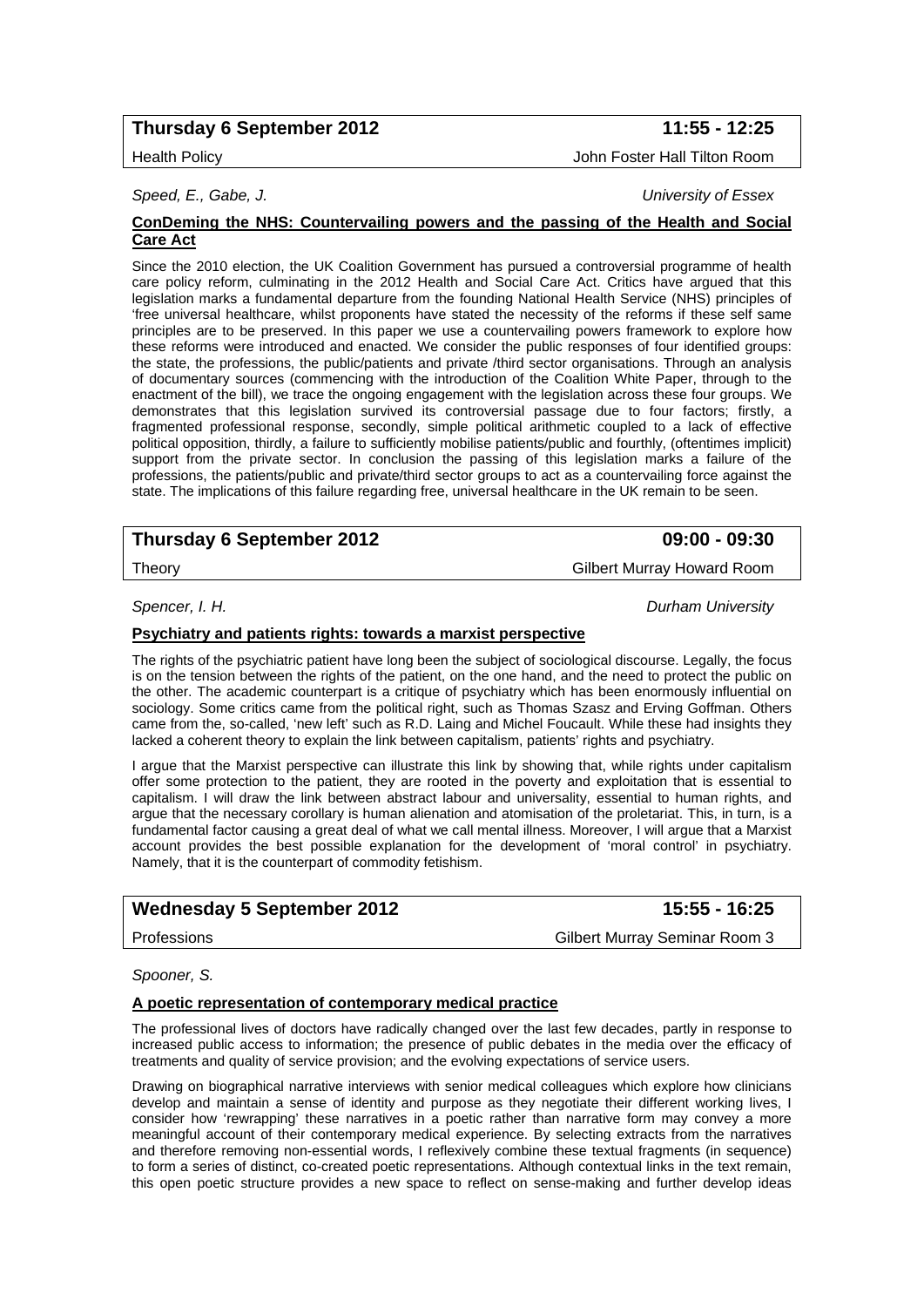# **Thursday 6 September 2012 11:55 - 12:25**

#### Health Policy John Foster Hall Tilton Room

#### **ConDeming the NHS: Countervailing powers and the passing of the Health and Social Care Act**

Since the 2010 election, the UK Coalition Government has pursued a controversial programme of health care policy reform, culminating in the 2012 Health and Social Care Act. Critics have argued that this legislation marks a fundamental departure from the founding National Health Service (NHS) principles of 'free universal healthcare, whilst proponents have stated the necessity of the reforms if these self same principles are to be preserved. In this paper we use a countervailing powers framework to explore how these reforms were introduced and enacted. We consider the public responses of four identified groups: the state, the professions, the public/patients and private /third sector organisations. Through an analysis of documentary sources (commencing with the introduction of the Coalition White Paper, through to the enactment of the bill), we trace the ongoing engagement with the legislation across these four groups. We demonstrates that this legislation survived its controversial passage due to four factors; firstly, a fragmented professional response, secondly, simple political arithmetic coupled to a lack of effective political opposition, thirdly, a failure to sufficiently mobilise patients/public and fourthly, (oftentimes implicit) support from the private sector. In conclusion the passing of this legislation marks a failure of the professions, the patients/public and private/third sector groups to act as a countervailing force against the state. The implications of this failure regarding free, universal healthcare in the UK remain to be seen.

# **Thursday 6 September 2012 09:00 - 09:30**

*Spencer, I. H. Durham University* 

#### **Psychiatry and patients rights: towards a marxist perspective**

The rights of the psychiatric patient have long been the subject of sociological discourse. Legally, the focus is on the tension between the rights of the patient, on the one hand, and the need to protect the public on the other. The academic counterpart is a critique of psychiatry which has been enormously influential on sociology. Some critics came from the political right, such as Thomas Szasz and Erving Goffman. Others came from the, so-called, 'new left' such as R.D. Laing and Michel Foucault. While these had insights they lacked a coherent theory to explain the link between capitalism, patients' rights and psychiatry.

I argue that the Marxist perspective can illustrate this link by showing that, while rights under capitalism offer some protection to the patient, they are rooted in the poverty and exploitation that is essential to capitalism. I will draw the link between abstract labour and universality, essential to human rights, and argue that the necessary corollary is human alienation and atomisation of the proletariat. This, in turn, is a fundamental factor causing a great deal of what we call mental illness. Moreover, I will argue that a Marxist account provides the best possible explanation for the development of 'moral control' in psychiatry. Namely, that it is the counterpart of commodity fetishism.

# Wednesday 5 September 2012 **15:55 - 16:25**

Professions Gilbert Murray Seminar Room 3

*Spooner, S.* 

#### **A poetic representation of contemporary medical practice**

The professional lives of doctors have radically changed over the last few decades, partly in response to increased public access to information; the presence of public debates in the media over the efficacy of treatments and quality of service provision; and the evolving expectations of service users.

Drawing on biographical narrative interviews with senior medical colleagues which explore how clinicians develop and maintain a sense of identity and purpose as they negotiate their different working lives, I consider how 'rewrapping' these narratives in a poetic rather than narrative form may convey a more meaningful account of their contemporary medical experience. By selecting extracts from the narratives and therefore removing non-essential words, I reflexively combine these textual fragments (in sequence) to form a series of distinct, co-created poetic representations. Although contextual links in the text remain, this open poetic structure provides a new space to reflect on sense-making and further develop ideas

# *Speed, E., Gabe, J. University of Essex*

Theory Gilbert Murray Howard Room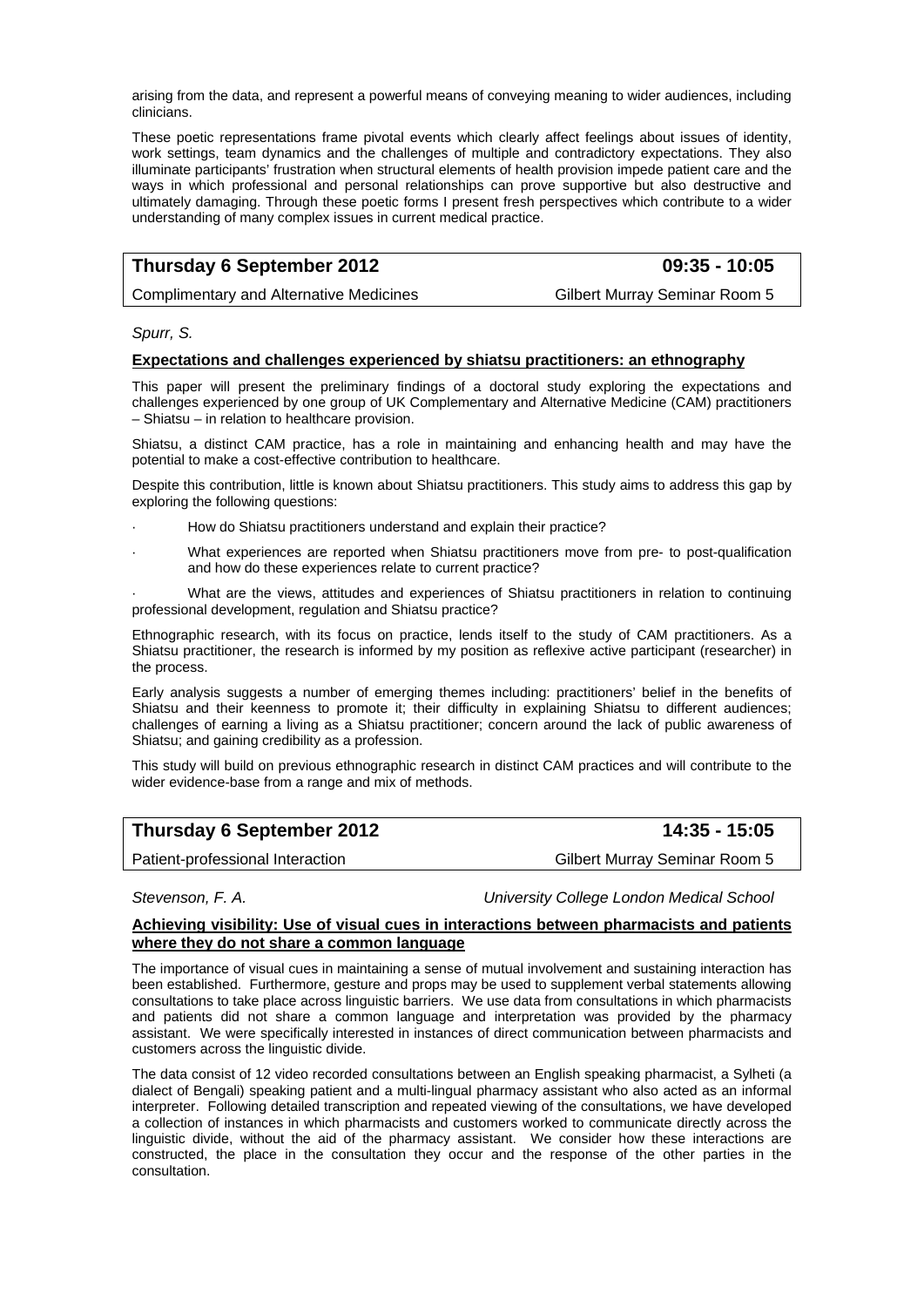arising from the data, and represent a powerful means of conveying meaning to wider audiences, including clinicians.

These poetic representations frame pivotal events which clearly affect feelings about issues of identity, work settings, team dynamics and the challenges of multiple and contradictory expectations. They also illuminate participants' frustration when structural elements of health provision impede patient care and the ways in which professional and personal relationships can prove supportive but also destructive and ultimately damaging. Through these poetic forms I present fresh perspectives which contribute to a wider understanding of many complex issues in current medical practice.

# **Thursday 6 September 2012 09:35 - 10:05**

Complimentary and Alternative Medicines Gilbert Murray Seminar Room 5

*Spurr, S.* 

#### **Expectations and challenges experienced by shiatsu practitioners: an ethnography**

This paper will present the preliminary findings of a doctoral study exploring the expectations and challenges experienced by one group of UK Complementary and Alternative Medicine (CAM) practitioners – Shiatsu – in relation to healthcare provision.

Shiatsu, a distinct CAM practice, has a role in maintaining and enhancing health and may have the potential to make a cost-effective contribution to healthcare.

Despite this contribution, little is known about Shiatsu practitioners. This study aims to address this gap by exploring the following questions:

- How do Shiatsu practitioners understand and explain their practice?
- What experiences are reported when Shiatsu practitioners move from pre- to post-qualification and how do these experiences relate to current practice?

What are the views, attitudes and experiences of Shiatsu practitioners in relation to continuing professional development, regulation and Shiatsu practice?

Ethnographic research, with its focus on practice, lends itself to the study of CAM practitioners. As a Shiatsu practitioner, the research is informed by my position as reflexive active participant (researcher) in the process.

Early analysis suggests a number of emerging themes including: practitioners' belief in the benefits of Shiatsu and their keenness to promote it; their difficulty in explaining Shiatsu to different audiences; challenges of earning a living as a Shiatsu practitioner; concern around the lack of public awareness of Shiatsu; and gaining credibility as a profession.

This study will build on previous ethnographic research in distinct CAM practices and will contribute to the wider evidence-base from a range and mix of methods.

| Thursday 6 September 2012        | 14:35 - 15:05                 |
|----------------------------------|-------------------------------|
| Patient-professional Interaction | Gilbert Murray Seminar Room 5 |

*Stevenson, F. A. University College London Medical School* 

#### **Achieving visibility: Use of visual cues in interactions between pharmacists and patients where they do not share a common language**

The importance of visual cues in maintaining a sense of mutual involvement and sustaining interaction has been established. Furthermore, gesture and props may be used to supplement verbal statements allowing consultations to take place across linguistic barriers. We use data from consultations in which pharmacists and patients did not share a common language and interpretation was provided by the pharmacy assistant. We were specifically interested in instances of direct communication between pharmacists and customers across the linguistic divide.

The data consist of 12 video recorded consultations between an English speaking pharmacist, a Sylheti (a dialect of Bengali) speaking patient and a multi-lingual pharmacy assistant who also acted as an informal interpreter. Following detailed transcription and repeated viewing of the consultations, we have developed a collection of instances in which pharmacists and customers worked to communicate directly across the linguistic divide, without the aid of the pharmacy assistant. We consider how these interactions are constructed, the place in the consultation they occur and the response of the other parties in the consultation.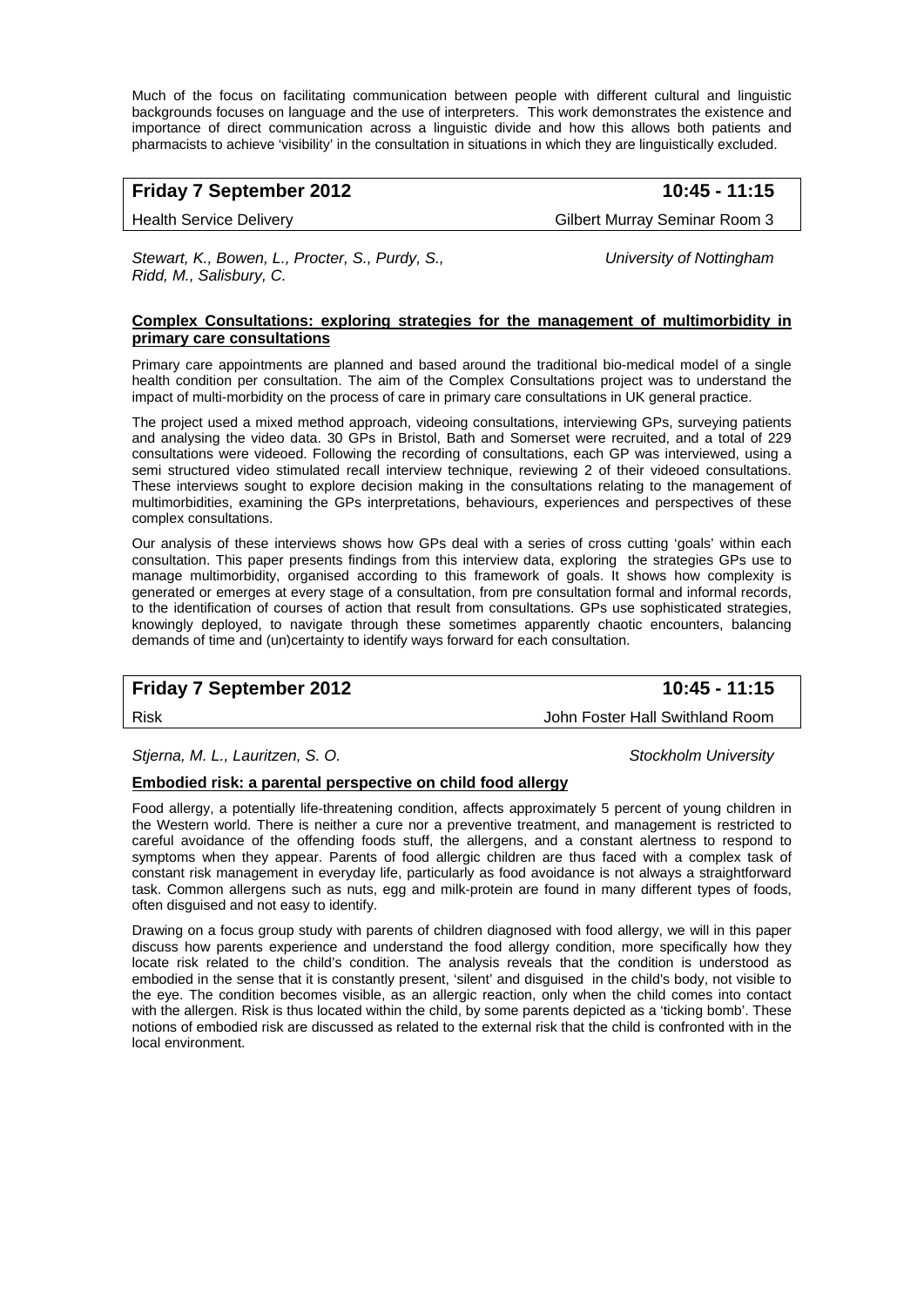Much of the focus on facilitating communication between people with different cultural and linguistic backgrounds focuses on language and the use of interpreters. This work demonstrates the existence and importance of direct communication across a linguistic divide and how this allows both patients and pharmacists to achieve 'visibility' in the consultation in situations in which they are linguistically excluded.

## **Friday 7 September 2012** 10:45 - 11:15

Health Service Delivery **Gilbert Murray Seminar Room 3** 

*Stewart, K., Bowen, L., Procter, S., Purdy, S., University of Nottingham Ridd, M., Salisbury, C.* 

#### **Complex Consultations: exploring strategies for the management of multimorbidity in primary care consultations**

Primary care appointments are planned and based around the traditional bio-medical model of a single health condition per consultation. The aim of the Complex Consultations project was to understand the impact of multi-morbidity on the process of care in primary care consultations in UK general practice.

The project used a mixed method approach, videoing consultations, interviewing GPs, surveying patients and analysing the video data. 30 GPs in Bristol, Bath and Somerset were recruited, and a total of 229 consultations were videoed. Following the recording of consultations, each GP was interviewed, using a semi structured video stimulated recall interview technique, reviewing 2 of their videoed consultations. These interviews sought to explore decision making in the consultations relating to the management of multimorbidities, examining the GPs interpretations, behaviours, experiences and perspectives of these complex consultations.

Our analysis of these interviews shows how GPs deal with a series of cross cutting 'goals' within each consultation. This paper presents findings from this interview data, exploring the strategies GPs use to manage multimorbidity, organised according to this framework of goals. It shows how complexity is generated or emerges at every stage of a consultation, from pre consultation formal and informal records, to the identification of courses of action that result from consultations. GPs use sophisticated strategies, knowingly deployed, to navigate through these sometimes apparently chaotic encounters, balancing demands of time and (un)certainty to identify ways forward for each consultation.

## **Friday 7 September 2012 10:45 - 11:15**

Risk John Foster Hall Swithland Room

Stjerna, M. L., Lauritzen, S. O. Stockholm University **Stockholm University Stockholm University** 

#### **Embodied risk: a parental perspective on child food allergy**

Food allergy, a potentially life-threatening condition, affects approximately 5 percent of young children in the Western world. There is neither a cure nor a preventive treatment, and management is restricted to careful avoidance of the offending foods stuff, the allergens, and a constant alertness to respond to symptoms when they appear. Parents of food allergic children are thus faced with a complex task of constant risk management in everyday life, particularly as food avoidance is not always a straightforward task. Common allergens such as nuts, egg and milk-protein are found in many different types of foods, often disguised and not easy to identify.

Drawing on a focus group study with parents of children diagnosed with food allergy, we will in this paper discuss how parents experience and understand the food allergy condition, more specifically how they locate risk related to the child's condition. The analysis reveals that the condition is understood as embodied in the sense that it is constantly present, 'silent' and disguised in the child's body, not visible to the eye. The condition becomes visible, as an allergic reaction, only when the child comes into contact with the allergen. Risk is thus located within the child, by some parents depicted as a 'ticking bomb'. These notions of embodied risk are discussed as related to the external risk that the child is confronted with in the local environment.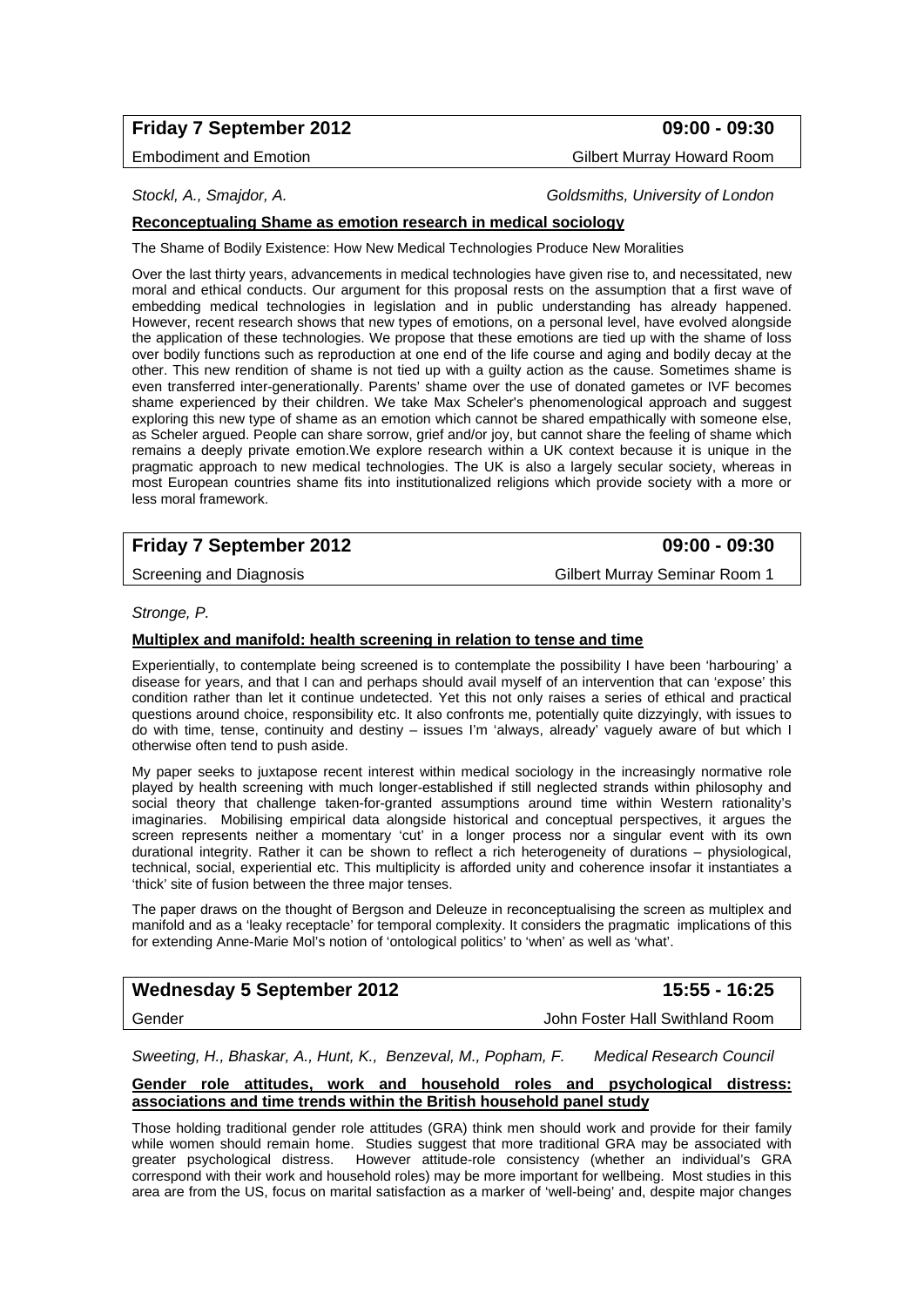# **Friday 7 September 2012 09:00 - 09:30**

Embodiment and Emotion Gilbert Murray Howard Room

*Stockl, A., Smajdor, A. Goldsmiths, University of London* 

### **Reconceptualing Shame as emotion research in medical sociology**

The Shame of Bodily Existence: How New Medical Technologies Produce New Moralities

Over the last thirty years, advancements in medical technologies have given rise to, and necessitated, new moral and ethical conducts. Our argument for this proposal rests on the assumption that a first wave of embedding medical technologies in legislation and in public understanding has already happened. However, recent research shows that new types of emotions, on a personal level, have evolved alongside the application of these technologies. We propose that these emotions are tied up with the shame of loss over bodily functions such as reproduction at one end of the life course and aging and bodily decay at the other. This new rendition of shame is not tied up with a guilty action as the cause. Sometimes shame is even transferred inter-generationally. Parents' shame over the use of donated gametes or IVF becomes shame experienced by their children. We take Max Scheler's phenomenological approach and suggest exploring this new type of shame as an emotion which cannot be shared empathically with someone else, as Scheler argued. People can share sorrow, grief and/or joy, but cannot share the feeling of shame which remains a deeply private emotion.We explore research within a UK context because it is unique in the pragmatic approach to new medical technologies. The UK is also a largely secular society, whereas in most European countries shame fits into institutionalized religions which provide society with a more or less moral framework.

# **Friday 7 September 2012 09:00 - 09:30**

Screening and Diagnosis **Gilbert Murray Seminar Room 1** 

#### *Stronge, P.*

## **Multiplex and manifold: health screening in relation to tense and time**

Experientially, to contemplate being screened is to contemplate the possibility I have been 'harbouring' a disease for years, and that I can and perhaps should avail myself of an intervention that can 'expose' this condition rather than let it continue undetected. Yet this not only raises a series of ethical and practical questions around choice, responsibility etc. It also confronts me, potentially quite dizzyingly, with issues to do with time, tense, continuity and destiny – issues I'm 'always, already' vaguely aware of but which I otherwise often tend to push aside.

My paper seeks to juxtapose recent interest within medical sociology in the increasingly normative role played by health screening with much longer-established if still neglected strands within philosophy and social theory that challenge taken-for-granted assumptions around time within Western rationality's imaginaries. Mobilising empirical data alongside historical and conceptual perspectives, it argues the screen represents neither a momentary 'cut' in a longer process nor a singular event with its own durational integrity. Rather it can be shown to reflect a rich heterogeneity of durations – physiological, technical, social, experiential etc. This multiplicity is afforded unity and coherence insofar it instantiates a 'thick' site of fusion between the three major tenses.

The paper draws on the thought of Bergson and Deleuze in reconceptualising the screen as multiplex and manifold and as a 'leaky receptacle' for temporal complexity. It considers the pragmatic implications of this for extending Anne-Marie Mol's notion of 'ontological politics' to 'when' as well as 'what'.

# Wednesday 5 September 2012 **15:55 - 16:25**

Gender John Foster Hall Swithland Room

*Sweeting, H., Bhaskar, A., Hunt, K., Benzeval, M., Popham, F. Medical Research Council* 

#### **Gender role attitudes, work and household roles and psychological distress: associations and time trends within the British household panel study**

Those holding traditional gender role attitudes (GRA) think men should work and provide for their family while women should remain home. Studies suggest that more traditional GRA may be associated with greater psychological distress. However attitude-role consistency (whether an individual's GRA correspond with their work and household roles) may be more important for wellbeing. Most studies in this area are from the US, focus on marital satisfaction as a marker of 'well-being' and, despite major changes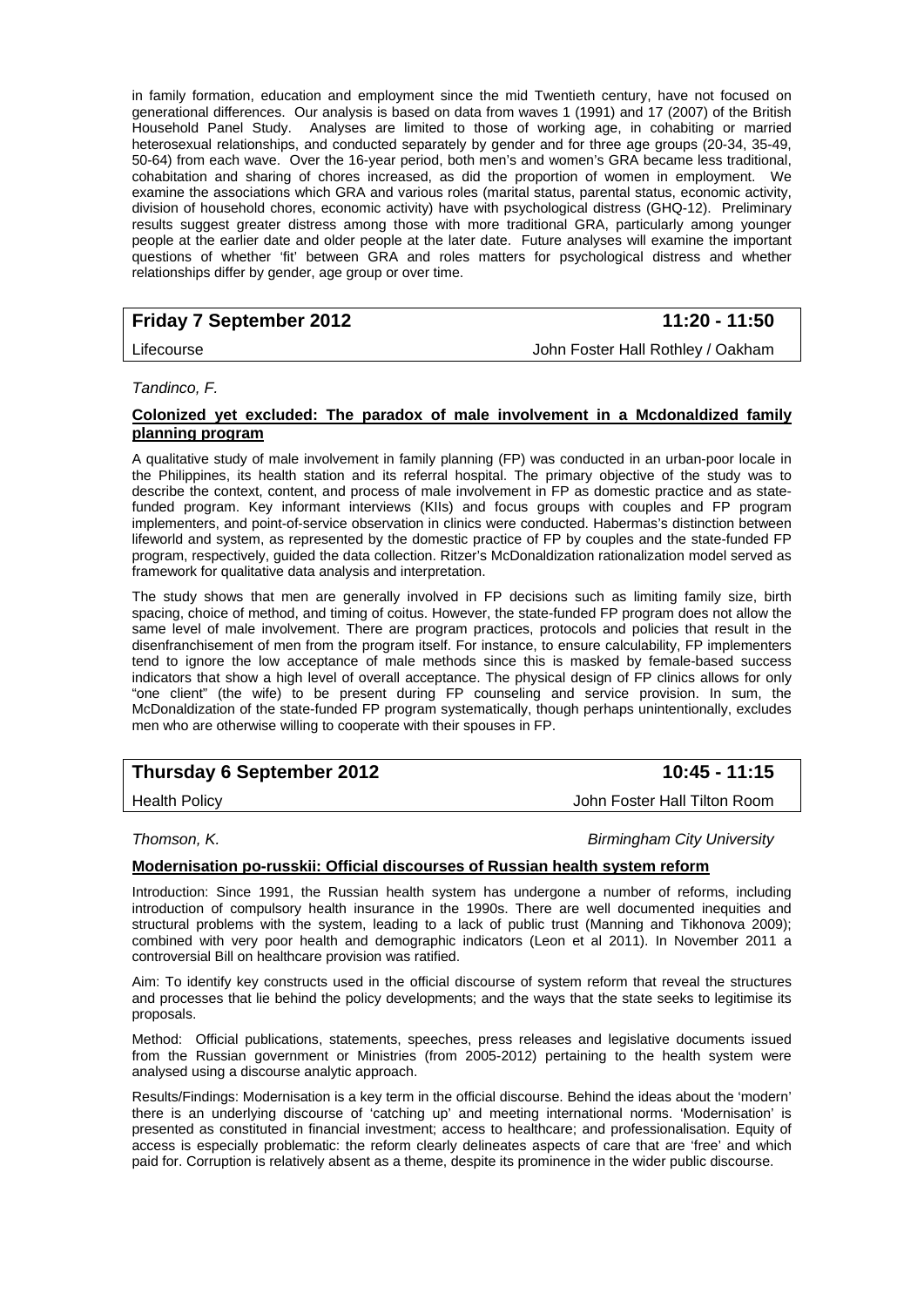in family formation, education and employment since the mid Twentieth century, have not focused on generational differences. Our analysis is based on data from waves 1 (1991) and 17 (2007) of the British Household Panel Study. Analyses are limited to those of working age, in cohabiting or married heterosexual relationships, and conducted separately by gender and for three age groups (20-34, 35-49, 50-64) from each wave. Over the 16-year period, both men's and women's GRA became less traditional, cohabitation and sharing of chores increased, as did the proportion of women in employment. We examine the associations which GRA and various roles (marital status, parental status, economic activity, division of household chores, economic activity) have with psychological distress (GHQ-12). Preliminary results suggest greater distress among those with more traditional GRA, particularly among younger people at the earlier date and older people at the later date. Future analyses will examine the important questions of whether 'fit' between GRA and roles matters for psychological distress and whether relationships differ by gender, age group or over time.

# **Friday 7 September 2012 11:20 - 11:50**

Lifecourse John Foster Hall Rothley / Oakham

#### *Tandinco, F.*

#### **Colonized yet excluded: The paradox of male involvement in a Mcdonaldized family planning program**

A qualitative study of male involvement in family planning (FP) was conducted in an urban-poor locale in the Philippines, its health station and its referral hospital. The primary objective of the study was to describe the context, content, and process of male involvement in FP as domestic practice and as statefunded program. Key informant interviews (KIIs) and focus groups with couples and FP program implementers, and point-of-service observation in clinics were conducted. Habermas's distinction between lifeworld and system, as represented by the domestic practice of FP by couples and the state-funded FP program, respectively, guided the data collection. Ritzer's McDonaldization rationalization model served as framework for qualitative data analysis and interpretation.

The study shows that men are generally involved in FP decisions such as limiting family size, birth spacing, choice of method, and timing of coitus. However, the state-funded FP program does not allow the same level of male involvement. There are program practices, protocols and policies that result in the disenfranchisement of men from the program itself. For instance, to ensure calculability, FP implementers tend to ignore the low acceptance of male methods since this is masked by female-based success indicators that show a high level of overall acceptance. The physical design of FP clinics allows for only "one client" (the wife) to be present during FP counseling and service provision. In sum, the McDonaldization of the state-funded FP program systematically, though perhaps unintentionally, excludes men who are otherwise willing to cooperate with their spouses in FP.

# **Thursday 6 September 2012** 10:45 - 11:15

Health Policy John Foster Hall Tilton Room

*Thomson, K. Birmingham City University* 

#### **Modernisation po-russkii: Official discourses of Russian health system reform**

Introduction: Since 1991, the Russian health system has undergone a number of reforms, including introduction of compulsory health insurance in the 1990s. There are well documented inequities and structural problems with the system, leading to a lack of public trust (Manning and Tikhonova 2009); combined with very poor health and demographic indicators (Leon et al 2011). In November 2011 a controversial Bill on healthcare provision was ratified.

Aim: To identify key constructs used in the official discourse of system reform that reveal the structures and processes that lie behind the policy developments; and the ways that the state seeks to legitimise its proposals.

Method: Official publications, statements, speeches, press releases and legislative documents issued from the Russian government or Ministries (from 2005-2012) pertaining to the health system were analysed using a discourse analytic approach.

Results/Findings: Modernisation is a key term in the official discourse. Behind the ideas about the 'modern' there is an underlying discourse of 'catching up' and meeting international norms. 'Modernisation' is presented as constituted in financial investment; access to healthcare; and professionalisation. Equity of access is especially problematic: the reform clearly delineates aspects of care that are 'free' and which paid for. Corruption is relatively absent as a theme, despite its prominence in the wider public discourse.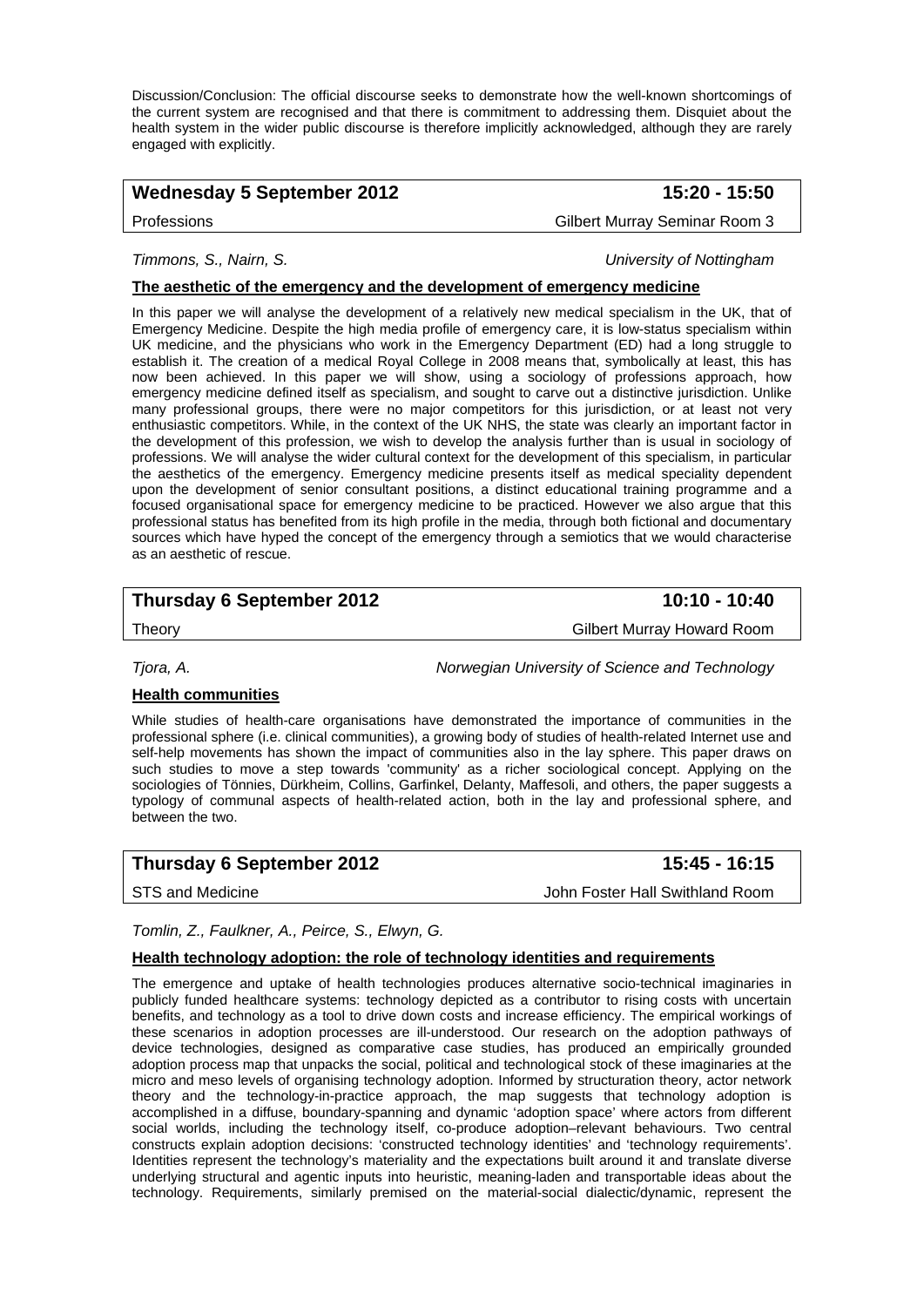Discussion/Conclusion: The official discourse seeks to demonstrate how the well-known shortcomings of the current system are recognised and that there is commitment to addressing them. Disquiet about the health system in the wider public discourse is therefore implicitly acknowledged, although they are rarely engaged with explicitly.

# Wednesday 5 September 2012 **15:20 - 15:50**

Professions Gilbert Murray Seminar Room 3

## *Timmons, S., Nairn, S. University of Nottingham*

### **The aesthetic of the emergency and the development of emergency medicine**

In this paper we will analyse the development of a relatively new medical specialism in the UK, that of Emergency Medicine. Despite the high media profile of emergency care, it is low-status specialism within UK medicine, and the physicians who work in the Emergency Department (ED) had a long struggle to establish it. The creation of a medical Royal College in 2008 means that, symbolically at least, this has now been achieved. In this paper we will show, using a sociology of professions approach, how emergency medicine defined itself as specialism, and sought to carve out a distinctive jurisdiction. Unlike many professional groups, there were no major competitors for this jurisdiction, or at least not very enthusiastic competitors. While, in the context of the UK NHS, the state was clearly an important factor in the development of this profession, we wish to develop the analysis further than is usual in sociology of professions. We will analyse the wider cultural context for the development of this specialism, in particular the aesthetics of the emergency. Emergency medicine presents itself as medical speciality dependent upon the development of senior consultant positions, a distinct educational training programme and a focused organisational space for emergency medicine to be practiced. However we also argue that this professional status has benefited from its high profile in the media, through both fictional and documentary sources which have hyped the concept of the emergency through a semiotics that we would characterise as an aesthetic of rescue.

# **Thursday 6 September 2012** 10:10 - 10:40

Theory Gilbert Murray Howard Room

*Tjora, A. Norwegian University of Science and Technology* 

### **Health communities**

While studies of health-care organisations have demonstrated the importance of communities in the professional sphere (i.e. clinical communities), a growing body of studies of health-related Internet use and self-help movements has shown the impact of communities also in the lay sphere. This paper draws on such studies to move a step towards 'community' as a richer sociological concept. Applying on the sociologies of Tönnies, Dürkheim, Collins, Garfinkel, Delanty, Maffesoli, and others, the paper suggests a typology of communal aspects of health-related action, both in the lay and professional sphere, and between the two.

## **Thursday 6 September 2012 15:45 - 16:15**

STS and Medicine **John Foster Hall Swithland Room** 

#### *Tomlin, Z., Faulkner, A., Peirce, S., Elwyn, G.*

#### **Health technology adoption: the role of technology identities and requirements**

The emergence and uptake of health technologies produces alternative socio-technical imaginaries in publicly funded healthcare systems: technology depicted as a contributor to rising costs with uncertain benefits, and technology as a tool to drive down costs and increase efficiency. The empirical workings of these scenarios in adoption processes are ill-understood. Our research on the adoption pathways of device technologies, designed as comparative case studies, has produced an empirically grounded adoption process map that unpacks the social, political and technological stock of these imaginaries at the micro and meso levels of organising technology adoption. Informed by structuration theory, actor network theory and the technology-in-practice approach, the map suggests that technology adoption is accomplished in a diffuse, boundary-spanning and dynamic 'adoption space' where actors from different social worlds, including the technology itself, co-produce adoption–relevant behaviours. Two central constructs explain adoption decisions: 'constructed technology identities' and 'technology requirements'. Identities represent the technology's materiality and the expectations built around it and translate diverse underlying structural and agentic inputs into heuristic, meaning-laden and transportable ideas about the technology. Requirements, similarly premised on the material-social dialectic/dynamic, represent the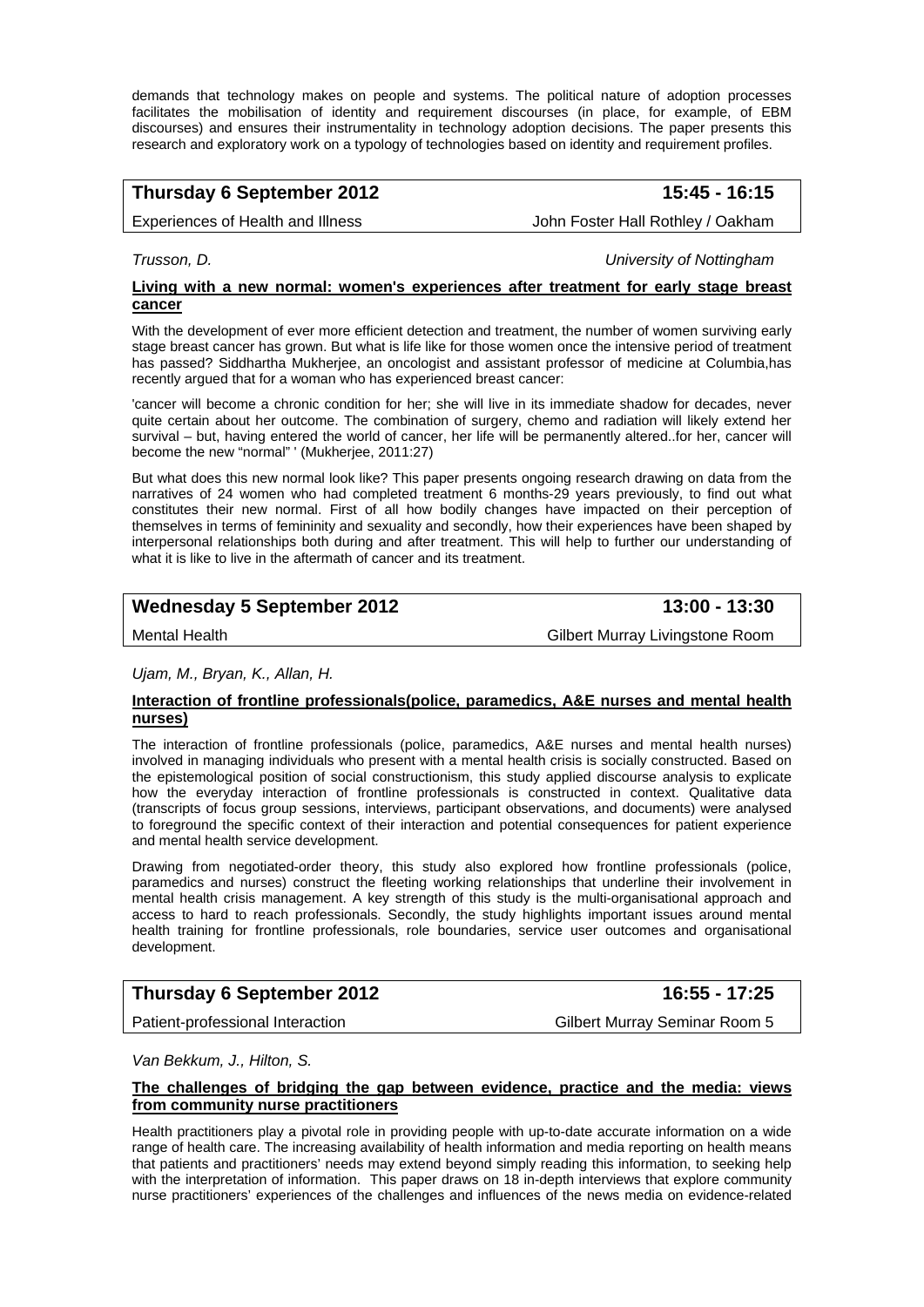demands that technology makes on people and systems. The political nature of adoption processes facilitates the mobilisation of identity and requirement discourses (in place, for example, of EBM discourses) and ensures their instrumentality in technology adoption decisions. The paper presents this research and exploratory work on a typology of technologies based on identity and requirement profiles.

# **Thursday 6 September 2012** 15:45 - 16:15

Experiences of Health and Illness **John Foster Hall Rothley / Oakham** 

*Trusson, D. University of Nottingham* 

#### **Living with a new normal: women's experiences after treatment for early stage breast cancer**

With the development of ever more efficient detection and treatment, the number of women surviving early stage breast cancer has grown. But what is life like for those women once the intensive period of treatment has passed? Siddhartha Mukherjee, an oncologist and assistant professor of medicine at Columbia,has recently argued that for a woman who has experienced breast cancer:

'cancer will become a chronic condition for her; she will live in its immediate shadow for decades, never quite certain about her outcome. The combination of surgery, chemo and radiation will likely extend her survival – but, having entered the world of cancer, her life will be permanently altered..for her, cancer will become the new "normal" ' (Mukherjee, 2011:27)

But what does this new normal look like? This paper presents ongoing research drawing on data from the narratives of 24 women who had completed treatment 6 months-29 years previously, to find out what constitutes their new normal. First of all how bodily changes have impacted on their perception of themselves in terms of femininity and sexuality and secondly, how their experiences have been shaped by interpersonal relationships both during and after treatment. This will help to further our understanding of what it is like to live in the aftermath of cancer and its treatment.

# Wednesday 5 September 2012 **13:00 - 13:30**

Mental Health Gilbert Murray Livingstone Room

*Ujam, M., Bryan, K., Allan, H.* 

#### **Interaction of frontline professionals(police, paramedics, A&E nurses and mental health nurses)**

The interaction of frontline professionals (police, paramedics, A&E nurses and mental health nurses) involved in managing individuals who present with a mental health crisis is socially constructed. Based on the epistemological position of social constructionism, this study applied discourse analysis to explicate how the everyday interaction of frontline professionals is constructed in context. Qualitative data (transcripts of focus group sessions, interviews, participant observations, and documents) were analysed to foreground the specific context of their interaction and potential consequences for patient experience and mental health service development.

Drawing from negotiated-order theory, this study also explored how frontline professionals (police, paramedics and nurses) construct the fleeting working relationships that underline their involvement in mental health crisis management. A key strength of this study is the multi-organisational approach and access to hard to reach professionals. Secondly, the study highlights important issues around mental health training for frontline professionals, role boundaries, service user outcomes and organisational development.

## **Thursday 6 September 2012** 16:55 - 17:25

Patient-professional Interaction Gilbert Murray Seminar Room 5

*Van Bekkum, J., Hilton, S.* 

#### **The challenges of bridging the gap between evidence, practice and the media: views from community nurse practitioners**

Health practitioners play a pivotal role in providing people with up-to-date accurate information on a wide range of health care. The increasing availability of health information and media reporting on health means that patients and practitioners' needs may extend beyond simply reading this information, to seeking help with the interpretation of information. This paper draws on 18 in-depth interviews that explore community nurse practitioners' experiences of the challenges and influences of the news media on evidence-related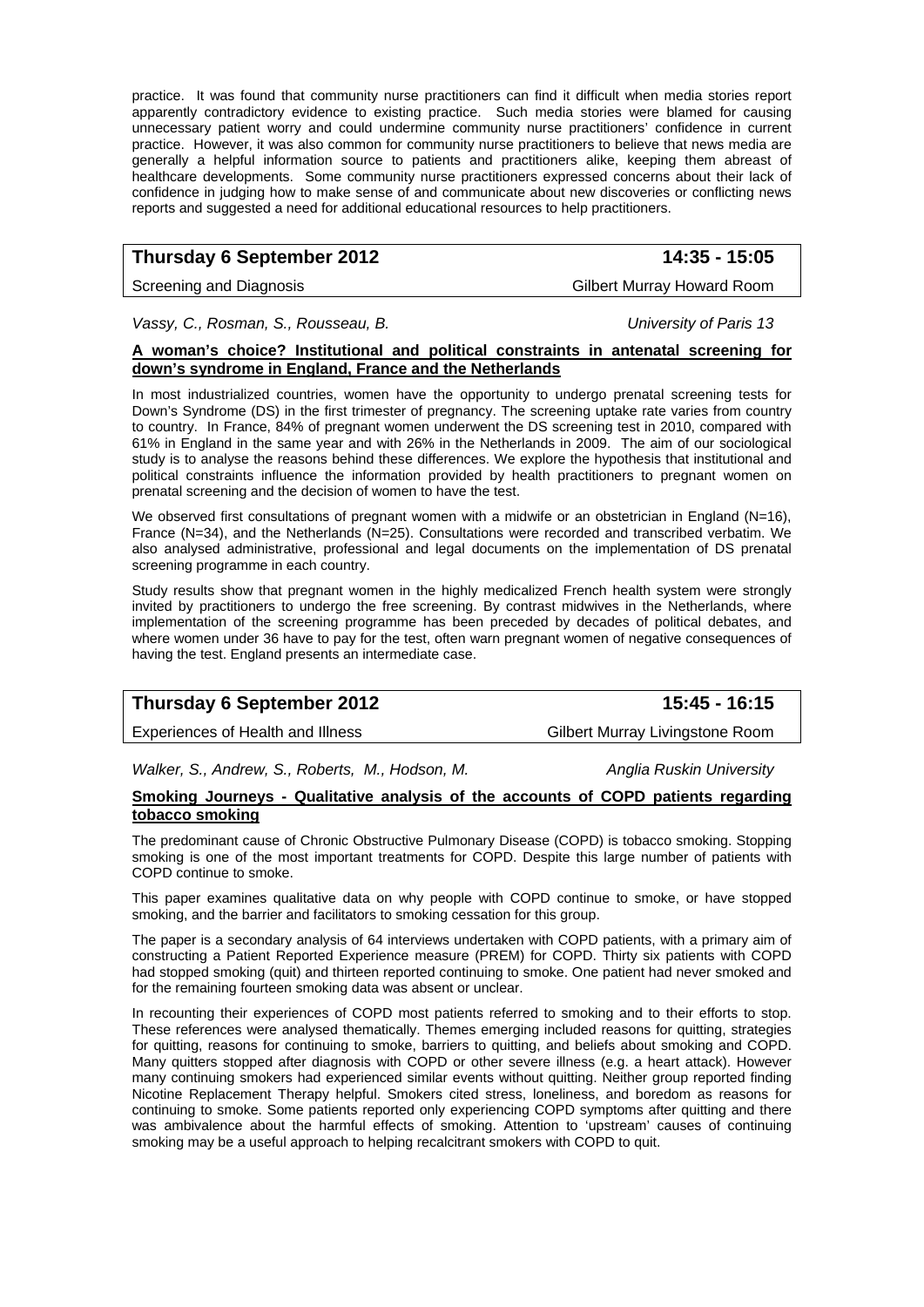practice. It was found that community nurse practitioners can find it difficult when media stories report apparently contradictory evidence to existing practice. Such media stories were blamed for causing unnecessary patient worry and could undermine community nurse practitioners' confidence in current practice. However, it was also common for community nurse practitioners to believe that news media are generally a helpful information source to patients and practitioners alike, keeping them abreast of healthcare developments. Some community nurse practitioners expressed concerns about their lack of confidence in judging how to make sense of and communicate about new discoveries or conflicting news reports and suggested a need for additional educational resources to help practitioners.

# **Thursday 6 September 2012 14:35 - 15:05**

#### Screening and Diagnosis Gilbert Murray Howard Room

*Vassy, C., Rosman, S., Rousseau, B. University of Paris 13* 

#### **A woman's choice? Institutional and political constraints in antenatal screening for down's syndrome in England, France and the Netherlands**

In most industrialized countries, women have the opportunity to undergo prenatal screening tests for Down's Syndrome (DS) in the first trimester of pregnancy. The screening uptake rate varies from country to country. In France, 84% of pregnant women underwent the DS screening test in 2010, compared with 61% in England in the same year and with 26% in the Netherlands in 2009. The aim of our sociological study is to analyse the reasons behind these differences. We explore the hypothesis that institutional and political constraints influence the information provided by health practitioners to pregnant women on prenatal screening and the decision of women to have the test.

We observed first consultations of pregnant women with a midwife or an obstetrician in England (N=16), France (N=34), and the Netherlands (N=25). Consultations were recorded and transcribed verbatim. We also analysed administrative, professional and legal documents on the implementation of DS prenatal screening programme in each country.

Study results show that pregnant women in the highly medicalized French health system were strongly invited by practitioners to undergo the free screening. By contrast midwives in the Netherlands, where implementation of the screening programme has been preceded by decades of political debates, and where women under 36 have to pay for the test, often warn pregnant women of negative consequences of having the test. England presents an intermediate case.

# **Thursday 6 September 2012** 15:45 - 16:15

Experiences of Health and Illness Gilbert Murray Livingstone Room

Walker, S., Andrew, S., Roberts, M., Hodson, M. **Anglia Ruskin University** 

#### **Smoking Journeys - Qualitative analysis of the accounts of COPD patients regarding tobacco smoking**

The predominant cause of Chronic Obstructive Pulmonary Disease (COPD) is tobacco smoking. Stopping smoking is one of the most important treatments for COPD. Despite this large number of patients with COPD continue to smoke.

This paper examines qualitative data on why people with COPD continue to smoke, or have stopped smoking, and the barrier and facilitators to smoking cessation for this group.

The paper is a secondary analysis of 64 interviews undertaken with COPD patients, with a primary aim of constructing a Patient Reported Experience measure (PREM) for COPD. Thirty six patients with COPD had stopped smoking (quit) and thirteen reported continuing to smoke. One patient had never smoked and for the remaining fourteen smoking data was absent or unclear.

In recounting their experiences of COPD most patients referred to smoking and to their efforts to stop. These references were analysed thematically. Themes emerging included reasons for quitting, strategies for quitting, reasons for continuing to smoke, barriers to quitting, and beliefs about smoking and COPD. Many quitters stopped after diagnosis with COPD or other severe illness (e.g. a heart attack). However many continuing smokers had experienced similar events without quitting. Neither group reported finding Nicotine Replacement Therapy helpful. Smokers cited stress, loneliness, and boredom as reasons for continuing to smoke. Some patients reported only experiencing COPD symptoms after quitting and there was ambivalence about the harmful effects of smoking. Attention to 'upstream' causes of continuing smoking may be a useful approach to helping recalcitrant smokers with COPD to quit.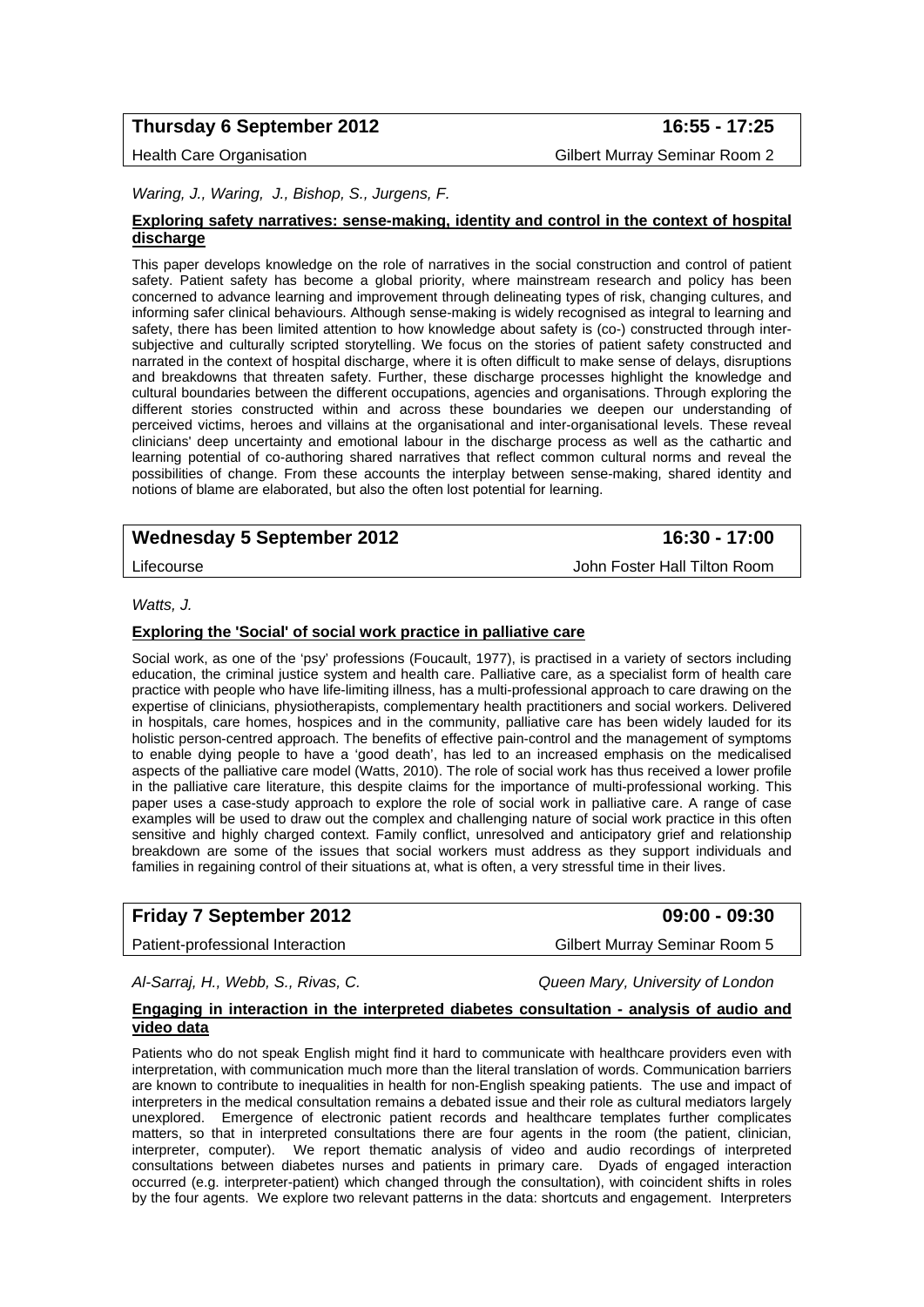## **Thursday 6 September 2012 16:55 - 17:25**

Health Care Organisation Gilbert Murray Seminar Room 2

#### *Waring, J., Waring, J., Bishop, S., Jurgens, F.*

#### **Exploring safety narratives: sense-making, identity and control in the context of hospital discharge**

This paper develops knowledge on the role of narratives in the social construction and control of patient safety. Patient safety has become a global priority, where mainstream research and policy has been concerned to advance learning and improvement through delineating types of risk, changing cultures, and informing safer clinical behaviours. Although sense-making is widely recognised as integral to learning and safety, there has been limited attention to how knowledge about safety is (co-) constructed through intersubjective and culturally scripted storytelling. We focus on the stories of patient safety constructed and narrated in the context of hospital discharge, where it is often difficult to make sense of delays, disruptions and breakdowns that threaten safety. Further, these discharge processes highlight the knowledge and cultural boundaries between the different occupations, agencies and organisations. Through exploring the different stories constructed within and across these boundaries we deepen our understanding of perceived victims, heroes and villains at the organisational and inter-organisational levels. These reveal clinicians' deep uncertainty and emotional labour in the discharge process as well as the cathartic and learning potential of co-authoring shared narratives that reflect common cultural norms and reveal the possibilities of change. From these accounts the interplay between sense-making, shared identity and notions of blame are elaborated, but also the often lost potential for learning.

## Wednesday 5 September 2012 **16:30 - 17:00**

Lifecourse John Foster Hall Tilton Room

#### *Watts, J.*

#### **Exploring the 'Social' of social work practice in palliative care**

Social work, as one of the 'psy' professions (Foucault, 1977), is practised in a variety of sectors including education, the criminal justice system and health care. Palliative care, as a specialist form of health care practice with people who have life-limiting illness, has a multi-professional approach to care drawing on the expertise of clinicians, physiotherapists, complementary health practitioners and social workers. Delivered in hospitals, care homes, hospices and in the community, palliative care has been widely lauded for its holistic person-centred approach. The benefits of effective pain-control and the management of symptoms to enable dying people to have a 'good death', has led to an increased emphasis on the medicalised aspects of the palliative care model (Watts, 2010). The role of social work has thus received a lower profile in the palliative care literature, this despite claims for the importance of multi-professional working. This paper uses a case-study approach to explore the role of social work in palliative care. A range of case examples will be used to draw out the complex and challenging nature of social work practice in this often sensitive and highly charged context. Family conflict, unresolved and anticipatory grief and relationship breakdown are some of the issues that social workers must address as they support individuals and families in regaining control of their situations at, what is often, a very stressful time in their lives.

## **Friday 7 September 2012 09:00 - 09:30**

Patient-professional Interaction Gilbert Murray Seminar Room 5

*Al-Sarraj, H., Webb, S., Rivas, C. Queen Mary, University of London* 

#### **Engaging in interaction in the interpreted diabetes consultation - analysis of audio and video data**

Patients who do not speak English might find it hard to communicate with healthcare providers even with interpretation, with communication much more than the literal translation of words. Communication barriers are known to contribute to inequalities in health for non-English speaking patients. The use and impact of interpreters in the medical consultation remains a debated issue and their role as cultural mediators largely unexplored. Emergence of electronic patient records and healthcare templates further complicates matters, so that in interpreted consultations there are four agents in the room (the patient, clinician, interpreter, computer). We report thematic analysis of video and audio recordings of interpreted consultations between diabetes nurses and patients in primary care. Dyads of engaged interaction occurred (e.g. interpreter-patient) which changed through the consultation), with coincident shifts in roles by the four agents. We explore two relevant patterns in the data: shortcuts and engagement. Interpreters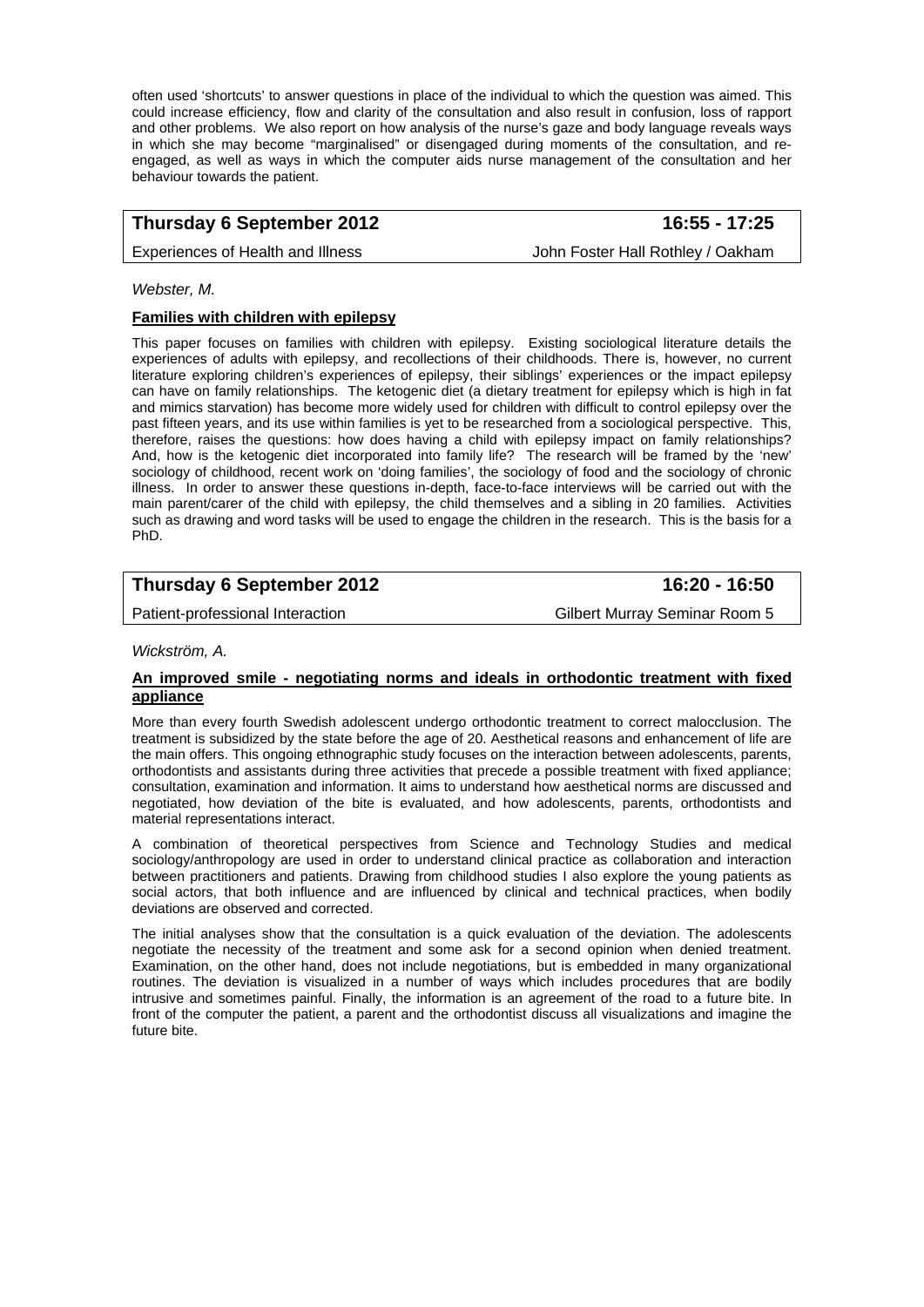often used 'shortcuts' to answer questions in place of the individual to which the question was aimed. This could increase efficiency, flow and clarity of the consultation and also result in confusion, loss of rapport and other problems. We also report on how analysis of the nurse's gaze and body language reveals ways in which she may become "marginalised" or disengaged during moments of the consultation, and reengaged, as well as ways in which the computer aids nurse management of the consultation and her behaviour towards the patient.

# **Thursday 6 September 2012 16:55 - 17:25**

Experiences of Health and Illness **John Foster Hall Rothley / Oakham** 

*Webster, M.* 

#### **Families with children with epilepsy**

This paper focuses on families with children with epilepsy. Existing sociological literature details the experiences of adults with epilepsy, and recollections of their childhoods. There is, however, no current literature exploring children's experiences of epilepsy, their siblings' experiences or the impact epilepsy can have on family relationships. The ketogenic diet (a dietary treatment for epilepsy which is high in fat and mimics starvation) has become more widely used for children with difficult to control epilepsy over the past fifteen years, and its use within families is yet to be researched from a sociological perspective. This, therefore, raises the questions: how does having a child with epilepsy impact on family relationships? And, how is the ketogenic diet incorporated into family life? The research will be framed by the 'new' sociology of childhood, recent work on 'doing families', the sociology of food and the sociology of chronic illness. In order to answer these questions in-depth, face-to-face interviews will be carried out with the main parent/carer of the child with epilepsy, the child themselves and a sibling in 20 families. Activities such as drawing and word tasks will be used to engage the children in the research. This is the basis for a PhD.

# **Thursday 6 September 2012** 16:20 - 16:50

Patient-professional Interaction Gilbert Murray Seminar Room 5

*Wickström, A.* 

#### **An improved smile - negotiating norms and ideals in orthodontic treatment with fixed appliance**

More than every fourth Swedish adolescent undergo orthodontic treatment to correct malocclusion. The treatment is subsidized by the state before the age of 20. Aesthetical reasons and enhancement of life are the main offers. This ongoing ethnographic study focuses on the interaction between adolescents, parents, orthodontists and assistants during three activities that precede a possible treatment with fixed appliance; consultation, examination and information. It aims to understand how aesthetical norms are discussed and negotiated, how deviation of the bite is evaluated, and how adolescents, parents, orthodontists and material representations interact.

A combination of theoretical perspectives from Science and Technology Studies and medical sociology/anthropology are used in order to understand clinical practice as collaboration and interaction between practitioners and patients. Drawing from childhood studies I also explore the young patients as social actors, that both influence and are influenced by clinical and technical practices, when bodily deviations are observed and corrected.

The initial analyses show that the consultation is a quick evaluation of the deviation. The adolescents negotiate the necessity of the treatment and some ask for a second opinion when denied treatment. Examination, on the other hand, does not include negotiations, but is embedded in many organizational routines. The deviation is visualized in a number of ways which includes procedures that are bodily intrusive and sometimes painful. Finally, the information is an agreement of the road to a future bite. In front of the computer the patient, a parent and the orthodontist discuss all visualizations and imagine the future bite.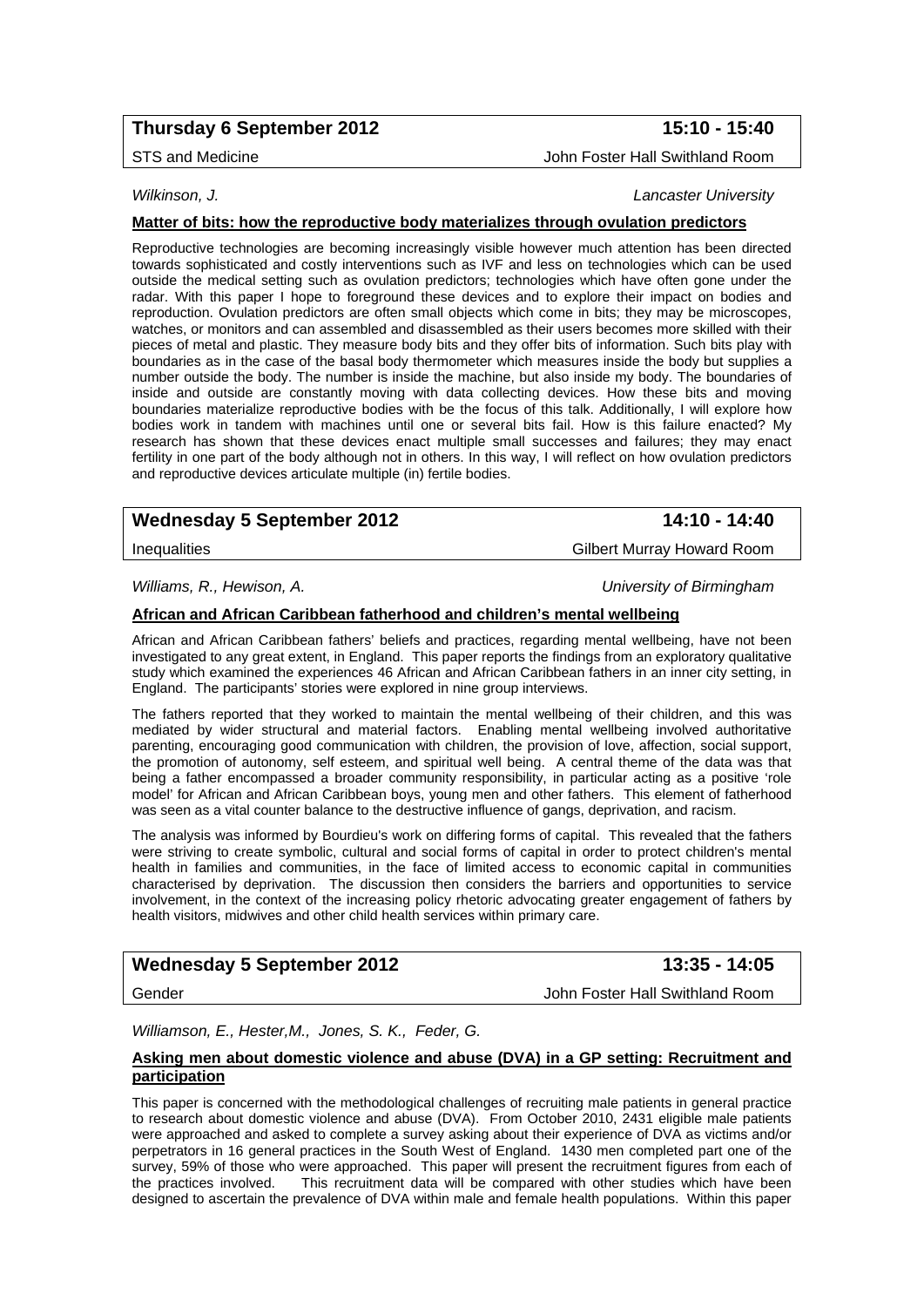# **Thursday 6 September 2012 15:10 - 15:40**

#### *Wilkinson, J. Lancaster University*

#### **Matter of bits: how the reproductive body materializes through ovulation predictors**

Reproductive technologies are becoming increasingly visible however much attention has been directed towards sophisticated and costly interventions such as IVF and less on technologies which can be used outside the medical setting such as ovulation predictors; technologies which have often gone under the radar. With this paper I hope to foreground these devices and to explore their impact on bodies and reproduction. Ovulation predictors are often small objects which come in bits; they may be microscopes, watches, or monitors and can assembled and disassembled as their users becomes more skilled with their pieces of metal and plastic. They measure body bits and they offer bits of information. Such bits play with boundaries as in the case of the basal body thermometer which measures inside the body but supplies a number outside the body. The number is inside the machine, but also inside my body. The boundaries of inside and outside are constantly moving with data collecting devices. How these bits and moving boundaries materialize reproductive bodies with be the focus of this talk. Additionally, I will explore how bodies work in tandem with machines until one or several bits fail. How is this failure enacted? My research has shown that these devices enact multiple small successes and failures; they may enact fertility in one part of the body although not in others. In this way, I will reflect on how ovulation predictors and reproductive devices articulate multiple (in) fertile bodies.

## Wednesday 5 September 2012 **14:10 - 14:40**

#### *Williams, R., Hewison, A. University of Birmingham*

#### **African and African Caribbean fatherhood and children's mental wellbeing**

African and African Caribbean fathers' beliefs and practices, regarding mental wellbeing, have not been investigated to any great extent, in England. This paper reports the findings from an exploratory qualitative study which examined the experiences 46 African and African Caribbean fathers in an inner city setting, in England. The participants' stories were explored in nine group interviews.

The fathers reported that they worked to maintain the mental wellbeing of their children, and this was mediated by wider structural and material factors. Enabling mental wellbeing involved authoritative parenting, encouraging good communication with children, the provision of love, affection, social support, the promotion of autonomy, self esteem, and spiritual well being. A central theme of the data was that being a father encompassed a broader community responsibility, in particular acting as a positive 'role model' for African and African Caribbean boys, young men and other fathers. This element of fatherhood was seen as a vital counter balance to the destructive influence of gangs, deprivation, and racism.

The analysis was informed by Bourdieu's work on differing forms of capital. This revealed that the fathers were striving to create symbolic, cultural and social forms of capital in order to protect children's mental health in families and communities, in the face of limited access to economic capital in communities characterised by deprivation. The discussion then considers the barriers and opportunities to service involvement, in the context of the increasing policy rhetoric advocating greater engagement of fathers by health visitors, midwives and other child health services within primary care.

# Wednesday 5 September 2012 **13:35 - 14:05**

Gender John Foster Hall Swithland Room

*Williamson, E., Hester,M., Jones, S. K., Feder, G.* 

#### **Asking men about domestic violence and abuse (DVA) in a GP setting: Recruitment and participation**

This paper is concerned with the methodological challenges of recruiting male patients in general practice to research about domestic violence and abuse (DVA). From October 2010, 2431 eligible male patients were approached and asked to complete a survey asking about their experience of DVA as victims and/or perpetrators in 16 general practices in the South West of England. 1430 men completed part one of the survey, 59% of those who were approached. This paper will present the recruitment figures from each of the practices involved. This recruitment data will be compared with other studies which have been This recruitment data will be compared with other studies which have been designed to ascertain the prevalence of DVA within male and female health populations. Within this paper

Inequalities Gilbert Murray Howard Room

STS and Medicine **John Foster Hall Swithland Room**